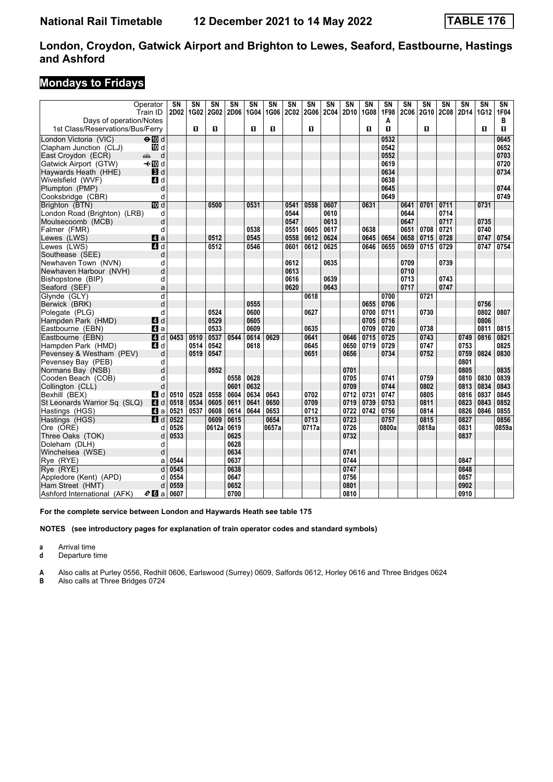# **Mondays to Fridays**

|                                  | Operator<br>Train ID | SN<br>2D02 | SN<br>1G02 | SN<br><b>2G02</b> | SN<br><b>2D06</b> | SN<br>1G04 | SN<br>1G06 | SN<br><b>2C02</b> | SN<br><b>2G06</b> | SΝ<br><b>2C04</b> | SN<br>2D <sub>10</sub> | SN<br>1G08 | SN<br>1F98 | SN<br><b>2C06</b> | SN<br>2G10 | $\overline{\text{SN}}$<br><b>2C08</b> | SΝ<br>2D14 | SN<br>1G12 | $\overline{\text{SN}}$<br>1F04 |
|----------------------------------|----------------------|------------|------------|-------------------|-------------------|------------|------------|-------------------|-------------------|-------------------|------------------------|------------|------------|-------------------|------------|---------------------------------------|------------|------------|--------------------------------|
| Days of operation/Notes          |                      |            |            |                   |                   |            |            |                   |                   |                   |                        |            | Α          |                   |            |                                       |            |            | в                              |
| 1st Class/Reservations/Bus/Ferry |                      |            | п          | п                 |                   | п          | п          |                   | O.                |                   |                        | 0          | п          |                   | п          |                                       |            | п          | O                              |
| London Victoria (VIC)            | $\Theta$ M d         |            |            |                   |                   |            |            |                   |                   |                   |                        |            | 0532       |                   |            |                                       |            |            | 0645                           |
| Clapham Junction (CLJ)           | 10 d                 |            |            |                   |                   |            |            |                   |                   |                   |                        |            | 0542       |                   |            |                                       |            |            | 0652                           |
| East Croydon (ECR)               | d<br>æ               |            |            |                   |                   |            |            |                   |                   |                   |                        |            | 0552       |                   |            |                                       |            |            | 0703                           |
| Gatwick Airport (GTW)            | –≁MDd                |            |            |                   |                   |            |            |                   |                   |                   |                        |            | 0619       |                   |            |                                       |            |            | 0720                           |
| Haywards Heath (HHE)             | $\blacksquare$       |            |            |                   |                   |            |            |                   |                   |                   |                        |            | 0634       |                   |            |                                       |            |            | 0734                           |
| Wivelsfield (WVF)                | 4 d                  |            |            |                   |                   |            |            |                   |                   |                   |                        |            | 0638       |                   |            |                                       |            |            |                                |
| Plumpton (PMP)                   | d                    |            |            |                   |                   |            |            |                   |                   |                   |                        |            | 0645       |                   |            |                                       |            |            | 0744                           |
| Cooksbridge (CBR)                | d                    |            |            |                   |                   |            |            |                   |                   |                   |                        |            | 0649       |                   |            |                                       |            |            | 0749                           |
| Brighton (BTN)                   | <b>ID</b> d          |            |            | 0500              |                   | 0531       |            | 0541              | 0558              | 0607              |                        | 0631       |            | 0641              | 0701       | 0711                                  |            | 0731       |                                |
| London Road (Brighton) (LRB)     | d                    |            |            |                   |                   |            |            | 0544              |                   | 0610              |                        |            |            | 0644              |            | 0714                                  |            |            |                                |
| Moulsecoomb (MCB)                | d                    |            |            |                   |                   |            |            | 0547              |                   | 0613              |                        |            |            | 0647              |            | 0717                                  |            | 0735       |                                |
| Falmer (FMR)                     | d                    |            |            |                   |                   | 0538       |            | 0551              | 0605              | 0617              |                        | 0638       |            | 0651              | 0708       | 0721                                  |            | 0740       |                                |
| Lewes (LWS)                      | $\blacksquare$ a     |            |            | 0512              |                   | 0545       |            | 0558              | 0612              | 0624              |                        | 0645       | 0654       | 0658              | 0715       | 0728                                  |            | 0747       | 0754                           |
| Lewes (LWS)                      | 4d                   |            |            | 0512              |                   | 0546       |            | 0601              | 0612              | 0625              |                        | 0646       | 0655       | 0659              | 0715       | 0729                                  |            | 0747       | 0754                           |
| Southease (SEE)                  | d                    |            |            |                   |                   |            |            |                   |                   |                   |                        |            |            |                   |            |                                       |            |            |                                |
| Newhaven Town (NVN)              | d                    |            |            |                   |                   |            |            | 0612              |                   | 0635              |                        |            |            | 0709              |            | 0739                                  |            |            |                                |
| Newhaven Harbour (NVH)           | d                    |            |            |                   |                   |            |            | 0613              |                   |                   |                        |            |            | 0710              |            |                                       |            |            |                                |
| Bishopstone (BIP)                | d                    |            |            |                   |                   |            |            | 0616              |                   | 0639              |                        |            |            | 0713              |            | 0743                                  |            |            |                                |
| Seaford (SEF)                    | a                    |            |            |                   |                   |            |            | 0620              |                   | 0643              |                        |            |            | 0717              |            | 0747                                  |            |            |                                |
| Glynde (GLY)                     | d                    |            |            |                   |                   |            |            |                   | 0618              |                   |                        |            | 0700       |                   | 0721       |                                       |            |            |                                |
| Berwick (BRK)                    | d                    |            |            |                   |                   | 0555       |            |                   |                   |                   |                        | 0655       | 0706       |                   |            |                                       |            | 0756       |                                |
| Polegate (PLG)                   | d                    |            |            | 0524              |                   | 0600       |            |                   | 0627              |                   |                        | 0700       | 0711       |                   | 0730       |                                       |            | 0802       | 0807                           |
| Hampden Park (HMD)               | L4 d                 |            |            | 0529              |                   | 0605       |            |                   |                   |                   |                        | 0705       | 0716       |                   |            |                                       |            | 0806       |                                |
| Eastbourne (EBN)                 | $\blacksquare$ a     |            |            | 0533              |                   | 0609       |            |                   | 0635              |                   |                        | 0709       | 0720       |                   | 0738       |                                       |            | 0811       | 0815                           |
| Eastbourne (EBN)                 | 4 d                  | 0453       | 0510       | 0537              | 0544              | 0614       | 0629       |                   | 0641              |                   |                        | 0715       | 0725       |                   | 0743       |                                       | 0749       | 0816       | 0821                           |
|                                  |                      |            |            | 0542              |                   |            |            |                   | 0645              |                   | 0646<br>0650           | 0719       | 0729       |                   | 0747       |                                       | 0753       |            | 0825                           |
| Hampden Park (HMD)               | 4d                   |            | 0514       |                   |                   | 0618       |            |                   |                   |                   |                        |            |            |                   |            |                                       |            |            |                                |
| Pevensey & Westham (PEV)         | d                    |            | 0519       | 0547              |                   |            |            |                   | 0651              |                   | 0656                   |            | 0734       |                   | 0752       |                                       | 0759       | 0824       | 0830                           |
| Pevensey Bay (PEB)               | d                    |            |            |                   |                   |            |            |                   |                   |                   |                        |            |            |                   |            |                                       | 0801       |            |                                |
| Normans Bay (NSB)                | d                    |            |            | 0552              |                   |            |            |                   |                   |                   | 0701                   |            |            |                   |            |                                       | 0805       |            | 0835                           |
| Cooden Beach (COB)               | d                    |            |            |                   | 0558              | 0628       |            |                   |                   |                   | 0705                   |            | 0741       |                   | 0759       |                                       | 0810       | 0830       | 0839                           |
| Collington (CLL)                 | d                    |            |            |                   | 0601              | 0632       |            |                   |                   |                   | 0709                   |            | 0744       |                   | 0802       |                                       | 0813       | 0834       | 0843                           |
| Bexhill (BEX)                    | <b>4</b> d           | 0510       | 0528       | 0558              | 0604              | 0634       | 0643       |                   | 0702              |                   | 0712                   | 0731       | 0747       |                   | 0805       |                                       | 0816       | 0837       | 0845                           |
| St Leonards Warrior Sq (SLQ)     | <b>4</b> d           | 0518       | 0534       | 0605              | 0611              | 0641       | 0650       |                   | 0709              |                   | 0719                   | 0739       | 0753       |                   | 0811       |                                       | 0823       | 0843       | 0852                           |
| Hastings (HGS)                   | ZI a                 | 0521       | 0537       | 0608              | 0614              | 0644       | 0653       |                   | 0712              |                   | 0722                   | 0742       | 0756       |                   | 0814       |                                       | 0826       | 0846       | 0855                           |
| Hastings (HGS)                   | 4d                   | 0522       |            | 0609              | 0615              |            | 0654       |                   | 0713              |                   | 0723                   |            | 0757       |                   | 0815       |                                       | 0827       |            | 0856                           |
| Ore (ORE)                        | d                    | 0526       |            | 0612a             | 0619              |            | 0657a      |                   | 0717a             |                   | 0726                   |            | 0800a      |                   | 0818a      |                                       | 0831       |            | 0859a                          |
| Three Oaks (TOK)                 | d                    | 0533       |            |                   | 0625              |            |            |                   |                   |                   | 0732                   |            |            |                   |            |                                       | 0837       |            |                                |
| Doleham (DLH)                    | d                    |            |            |                   | 0628              |            |            |                   |                   |                   |                        |            |            |                   |            |                                       |            |            |                                |
| Winchelsea (WSE)                 | d                    |            |            |                   | 0634              |            |            |                   |                   |                   | 0741                   |            |            |                   |            |                                       |            |            |                                |
| Rye (RYE)                        | a                    | 0544       |            |                   | 0637              |            |            |                   |                   |                   | 0744                   |            |            |                   |            |                                       | 0847       |            |                                |
| Rye (RYE)                        | d                    | 0545       |            |                   | 0638              |            |            |                   |                   |                   | 0747                   |            |            |                   |            |                                       | 0848       |            |                                |
| Appledore (Kent) (APD)           | d                    | 0554       |            |                   | 0647              |            |            |                   |                   |                   | 0756                   |            |            |                   |            |                                       | 0857       |            |                                |
| Ham Street (HMT)                 | d                    | 0559       |            |                   | 0652              |            |            |                   |                   |                   | 0801                   |            |            |                   |            |                                       | 0902       |            |                                |
| Ashford International (AFK)      | $e_0$ a              | 0607       |            |                   | 0700              |            |            |                   |                   |                   | 0810                   |            |            |                   |            |                                       | 0910       |            |                                |

For the complete service between London and Haywards Heath see table 175

**NOTES (see introductory pages for explanation of train operator codes and standard symbols)**

**a** Arrival time<br>**d** Departure t

**d** Departure time

**A** Also calls at Purley 0556, Redhill 0606, Earlswood (Surrey) 0609, Salfords 0612, Horley 0616 and Three Bridges 0624

Also calls at Three Bridges 0724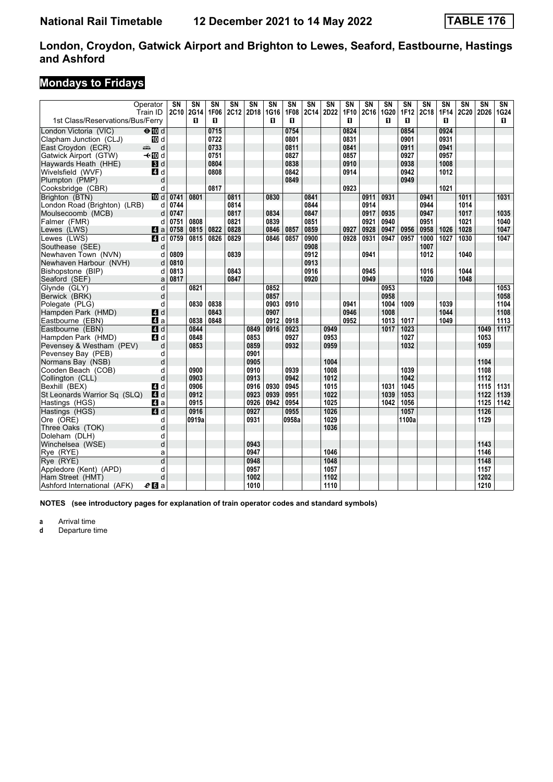### **Mondays to Fridays**

|                                        | Operator<br>Train ID                                                                                                                                                                                                               | SN<br><b>2C10</b> | $\overline{\text{SN}}$<br>2G14 | $\overline{\text{SN}}$<br>1F06 | $\overline{\text{SN}}$<br>2C12 | $\overline{\text{SN}}$<br>2D18 | $\overline{\text{SN}}$<br>1G16 | $\overline{\text{SN}}$<br>1F08 | $\overline{\text{SN}}$<br>2C14 | $\overline{\text{SN}}$<br>2D22 | $\overline{\text{SN}}$<br>1F10 | $\overline{\text{SN}}$<br>2C16 | $\overline{\text{SN}}$<br>1G20 | $\overline{\text{SN}}$<br><b>1F12</b> | $\overline{\text{SN}}$<br>2C18 | $\overline{\text{SN}}$<br>1F14 | SΝ<br>2C20 | $\overline{\text{SN}}$<br>2D26 | $\overline{\text{SN}}$<br>1G24 |
|----------------------------------------|------------------------------------------------------------------------------------------------------------------------------------------------------------------------------------------------------------------------------------|-------------------|--------------------------------|--------------------------------|--------------------------------|--------------------------------|--------------------------------|--------------------------------|--------------------------------|--------------------------------|--------------------------------|--------------------------------|--------------------------------|---------------------------------------|--------------------------------|--------------------------------|------------|--------------------------------|--------------------------------|
| 1st Class/Reservations/Bus/Ferry       |                                                                                                                                                                                                                                    |                   | п                              | п                              |                                |                                | п                              | п                              |                                |                                | п                              |                                | п                              | п                                     |                                | п                              |            |                                | п.                             |
| London Victoria (VIC)                  | $\Theta$ Md                                                                                                                                                                                                                        |                   |                                | 0715                           |                                |                                |                                | 0754                           |                                |                                | 0824                           |                                |                                | 0854                                  |                                | 0924                           |            |                                |                                |
| Clapham Junction (CLJ)                 | <b>ID</b> d                                                                                                                                                                                                                        |                   |                                | 0722                           |                                |                                |                                | 0801                           |                                |                                | 0831                           |                                |                                | 0901                                  |                                | 0931                           |            |                                |                                |
| East Croydon (ECR)                     | d<br>ando antigo di contro di contro di contro di contro di contro di contro di contro di contro di contro di contro di contro di contro di contro di contro di contro di contro di contro di contro di contro di contro di contro |                   |                                | 0733                           |                                |                                |                                | 0811                           |                                |                                | 0841                           |                                |                                | 0911                                  |                                | 0941                           |            |                                |                                |
| Gatwick Airport (GTW)                  | – til d                                                                                                                                                                                                                            |                   |                                | 0751                           |                                |                                |                                | 0827                           |                                |                                | 0857                           |                                |                                | 0927                                  |                                | 0957                           |            |                                |                                |
| Haywards Heath (HHE)                   | 3d                                                                                                                                                                                                                                 |                   |                                | 0804                           |                                |                                |                                | 0838                           |                                |                                | 0910                           |                                |                                | 0938                                  |                                | 1008                           |            |                                |                                |
| Wivelsfield (WVF)                      | 4 d                                                                                                                                                                                                                                |                   |                                | 0808                           |                                |                                |                                | 0842                           |                                |                                | 0914                           |                                |                                | 0942                                  |                                | 1012                           |            |                                |                                |
| Plumpton (PMP)                         | d                                                                                                                                                                                                                                  |                   |                                |                                |                                |                                |                                | 0849                           |                                |                                |                                |                                |                                | 0949                                  |                                |                                |            |                                |                                |
| Cooksbridge (CBR)                      | d                                                                                                                                                                                                                                  |                   |                                | 0817                           |                                |                                |                                |                                |                                |                                | 0923                           |                                |                                |                                       |                                | 1021                           |            |                                |                                |
| Brighton (BTN)                         | <b>ID</b> d                                                                                                                                                                                                                        | 0741              | 0801                           |                                | 0811                           |                                | 0830                           |                                | 0841                           |                                |                                | 0911                           | 0931                           |                                       | 0941                           |                                | 1011       |                                | 1031                           |
| London Road (Brighton) (LRB)           | d                                                                                                                                                                                                                                  | 0744              |                                |                                | 0814                           |                                |                                |                                | 0844                           |                                |                                | 0914                           |                                |                                       | 0944                           |                                | 1014       |                                |                                |
| Moulsecoomb (MCB)                      | d                                                                                                                                                                                                                                  | 0747              |                                |                                | 0817                           |                                | 0834                           |                                | 0847                           |                                |                                | 0917                           | 0935                           |                                       | 0947                           |                                | 1017       |                                | 1035                           |
| Falmer (FMR)                           | d                                                                                                                                                                                                                                  | 0751              | 0808                           |                                | 0821                           |                                | 0839                           |                                | 0851                           |                                |                                | 0921                           | 0940                           |                                       | 0951                           |                                | 1021       |                                | 1040                           |
| Lewes (LWS)                            | ZI a                                                                                                                                                                                                                               | 0758              | 0815                           | 0822                           | 0828                           |                                | 0846                           | 0857                           | 0859                           |                                | 0927                           | 0928                           | 0947                           | 0956                                  | 0958                           | 1026                           | 1028       |                                | 1047                           |
| Lewes (LWS)                            | 4d                                                                                                                                                                                                                                 | 0759              | 0815                           | 0826                           | 0829                           |                                | 0846                           | 0857                           | 0900<br>0908                   |                                | 0928                           | 0931                           | 0947                           | 0957                                  | 1000<br>1007                   | 1027                           | 1030       |                                | 1047                           |
| Southease (SEE)<br>Newhaven Town (NVN) | d<br>d                                                                                                                                                                                                                             | 0809              |                                |                                | 0839                           |                                |                                |                                | 0912                           |                                |                                | 0941                           |                                |                                       | 1012                           |                                | 1040       |                                |                                |
| Newhaven Harbour (NVH)                 | d                                                                                                                                                                                                                                  | 0810              |                                |                                |                                |                                |                                |                                | 0913                           |                                |                                |                                |                                |                                       |                                |                                |            |                                |                                |
| Bishopstone (BIP)                      | d                                                                                                                                                                                                                                  | 0813              |                                |                                | 0843                           |                                |                                |                                | 0916                           |                                |                                | 0945                           |                                |                                       | 1016                           |                                | 1044       |                                |                                |
| Seaford (SEF)                          | a                                                                                                                                                                                                                                  | 0817              |                                |                                | 0847                           |                                |                                |                                | 0920                           |                                |                                | 0949                           |                                |                                       | 1020                           |                                | 1048       |                                |                                |
| Glynde (GLY)                           | d                                                                                                                                                                                                                                  |                   | 0821                           |                                |                                |                                | 0852                           |                                |                                |                                |                                |                                | 0953                           |                                       |                                |                                |            |                                | 1053                           |
| Berwick (BRK)                          | d                                                                                                                                                                                                                                  |                   |                                |                                |                                |                                | 0857                           |                                |                                |                                |                                |                                | 0958                           |                                       |                                |                                |            |                                | 1058                           |
| Polegate (PLG)                         | d                                                                                                                                                                                                                                  |                   | 0830                           | 0838                           |                                |                                | 0903                           | 0910                           |                                |                                | 0941                           |                                | 1004                           | 1009                                  |                                | 1039                           |            |                                | 1104                           |
| Hampden Park (HMD)                     | <b>4</b> d                                                                                                                                                                                                                         |                   |                                | 0843                           |                                |                                | 0907                           |                                |                                |                                | 0946                           |                                | 1008                           |                                       |                                | 1044                           |            |                                | 1108                           |
| Eastbourne (EBN)                       | ZI a                                                                                                                                                                                                                               |                   | 0838                           | 0848                           |                                |                                | 0912                           | 0918                           |                                |                                | 0952                           |                                | 1013                           | 1017                                  |                                | 1049                           |            |                                | 1113                           |
| Eastbourne (EBN)                       | 4d                                                                                                                                                                                                                                 |                   | 0844                           |                                |                                | 0849                           | 0916                           | 0923                           |                                | 0949                           |                                |                                | 1017                           | 1023                                  |                                |                                |            | 1049                           | 1117                           |
| Hampden Park (HMD)                     | 4 d                                                                                                                                                                                                                                |                   | 0848                           |                                |                                | 0853                           |                                | 0927                           |                                | 0953                           |                                |                                |                                | 1027                                  |                                |                                |            | 1053                           |                                |
| Pevensey & Westham (PEV)               | d                                                                                                                                                                                                                                  |                   | 0853                           |                                |                                | 0859                           |                                | 0932                           |                                | 0959                           |                                |                                |                                | 1032                                  |                                |                                |            | 1059                           |                                |
| Pevensey Bay (PEB)                     | d                                                                                                                                                                                                                                  |                   |                                |                                |                                | 0901                           |                                |                                |                                |                                |                                |                                |                                |                                       |                                |                                |            |                                |                                |
| Normans Bay (NSB)                      | d                                                                                                                                                                                                                                  |                   |                                |                                |                                | 0905                           |                                |                                |                                | 1004                           |                                |                                |                                |                                       |                                |                                |            | 1104                           |                                |
| Cooden Beach (COB)                     | d                                                                                                                                                                                                                                  |                   | 0900                           |                                |                                | 0910                           |                                | 0939                           |                                | 1008                           |                                |                                |                                | 1039                                  |                                |                                |            | 1108                           |                                |
| Collington (CLL)                       | d                                                                                                                                                                                                                                  |                   | 0903                           |                                |                                | 0913                           |                                | 0942                           |                                | 1012                           |                                |                                |                                | 1042                                  |                                |                                |            | 1112                           |                                |
| Bexhill (BEX)                          | ZI d                                                                                                                                                                                                                               |                   | 0906                           |                                |                                | 0916                           | 0930                           | 0945                           |                                | 1015                           |                                |                                | 1031                           | 1045                                  |                                |                                |            | 1115                           | 1131                           |
| St Leonards Warrior Sq (SLQ)           | ZI d                                                                                                                                                                                                                               |                   | 0912                           |                                |                                | 0923                           | 0939                           | 0951                           |                                | 1022                           |                                |                                | 1039                           | 1053                                  |                                |                                |            | 1122                           | 1139                           |
| Hastings (HGS)                         | 14 a                                                                                                                                                                                                                               |                   | 0915                           |                                |                                | 0926                           | 0942                           | 0954                           |                                | 1025                           |                                |                                | 1042                           | 1056                                  |                                |                                |            | 1125                           | 1142                           |
| Hastings (HGS)                         | 4d                                                                                                                                                                                                                                 |                   | 0916                           |                                |                                | 0927                           |                                | 0955                           |                                | 1026                           |                                |                                |                                | 1057                                  |                                |                                |            | 1126                           |                                |
| Ore (ORE)                              | d                                                                                                                                                                                                                                  |                   | 0919a                          |                                |                                | 0931                           |                                | 0958a                          |                                | 1029                           |                                |                                |                                | 1100a                                 |                                |                                |            | 1129                           |                                |
| Three Oaks (TOK)                       | d                                                                                                                                                                                                                                  |                   |                                |                                |                                |                                |                                |                                |                                | 1036                           |                                |                                |                                |                                       |                                |                                |            |                                |                                |
| Doleham (DLH)<br>Winchelsea (WSE)      | d<br>d                                                                                                                                                                                                                             |                   |                                |                                |                                | 0943                           |                                |                                |                                |                                |                                |                                |                                |                                       |                                |                                |            | 1143                           |                                |
|                                        | a                                                                                                                                                                                                                                  |                   |                                |                                |                                | 0947                           |                                |                                |                                | 1046                           |                                |                                |                                |                                       |                                |                                |            | 1146                           |                                |
| Rye (RYE)<br>Rye (RYE)                 | d                                                                                                                                                                                                                                  |                   |                                |                                |                                | 0948                           |                                |                                |                                | 1048                           |                                |                                |                                |                                       |                                |                                |            | 1148                           |                                |
| Appledore (Kent) (APD)                 | d                                                                                                                                                                                                                                  |                   |                                |                                |                                | 0957                           |                                |                                |                                | 1057                           |                                |                                |                                |                                       |                                |                                |            | 1157                           |                                |
| Ham Street (HMT)                       | d                                                                                                                                                                                                                                  |                   |                                |                                |                                | 1002                           |                                |                                |                                | 1102                           |                                |                                |                                |                                       |                                |                                |            | 1202                           |                                |
| Ashford International (AFK)            | $e$ $\blacksquare$ a                                                                                                                                                                                                               |                   |                                |                                |                                | 1010                           |                                |                                |                                | 1110                           |                                |                                |                                |                                       |                                |                                |            | 1210                           |                                |
|                                        |                                                                                                                                                                                                                                    |                   |                                |                                |                                |                                |                                |                                |                                |                                |                                |                                |                                |                                       |                                |                                |            |                                |                                |

**NOTES (see introductory pages for explanation of train operator codes and standard symbols)**

**a** Arrival time<br>**d** Departure t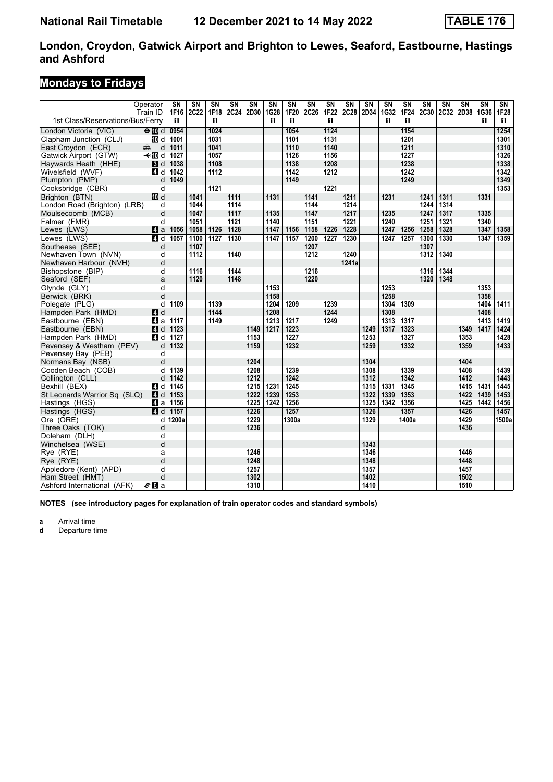### **Mondays to Fridays**

|                                        | Operator<br>Train ID | $\overline{\text{SN}}$<br>1F16 | $\overline{\text{SN}}$<br>2C22 | $\overline{\text{SN}}$<br>1F18 | $\overline{\text{SN}}$<br>2C24 | SN<br>2D30 | $\overline{\text{SN}}$<br>1G28 | $\overline{\text{SN}}$<br>1F20 | $\overline{\text{SN}}$<br><b>2C26</b> | $\overline{\text{SN}}$<br>1F22 | $\overline{\text{SN}}$<br><b>2C28</b> | $\overline{\text{SN}}$<br>2D34 | $\overline{\text{SN}}$<br><b>1G32</b> | $\overline{\text{SN}}$<br>1F24 | $\overline{\text{SN}}$<br><b>2C30</b> | $\overline{\text{SN}}$<br>2C32 | $\overline{\text{SN}}$<br>2D38 | $\overline{\text{SN}}$<br>1G36 | SN<br>1F28 |
|----------------------------------------|----------------------|--------------------------------|--------------------------------|--------------------------------|--------------------------------|------------|--------------------------------|--------------------------------|---------------------------------------|--------------------------------|---------------------------------------|--------------------------------|---------------------------------------|--------------------------------|---------------------------------------|--------------------------------|--------------------------------|--------------------------------|------------|
| 1st Class/Reservations/Bus/Ferry       |                      | п                              |                                | п                              |                                |            | п                              | п                              |                                       | п                              |                                       |                                | п                                     | п                              |                                       |                                |                                | п                              | 0          |
| London Victoria (VIC)                  | $\Theta$ Md          | 0954                           |                                | 1024                           |                                |            |                                | 1054                           |                                       | 1124                           |                                       |                                |                                       | 1154                           |                                       |                                |                                |                                | 1254       |
| Clapham Junction (CLJ)                 | <b>ID</b> d          | 1001                           |                                | 1031                           |                                |            |                                | 1101                           |                                       | 1131                           |                                       |                                |                                       | 1201                           |                                       |                                |                                |                                | 1301       |
| East Croydon (ECR)                     | d<br>میں ہے۔         | 1011                           |                                | 1041                           |                                |            |                                | 1110                           |                                       | 1140                           |                                       |                                |                                       | 1211                           |                                       |                                |                                |                                | 1310       |
| Gatwick Airport (GTW)                  | – til d              | 1027                           |                                | 1057                           |                                |            |                                | 1126                           |                                       | 1156                           |                                       |                                |                                       | 1227                           |                                       |                                |                                |                                | 1326       |
| Haywards Heath (HHE)                   | 3d                   | 1038                           |                                | 1108                           |                                |            |                                | 1138                           |                                       | 1208                           |                                       |                                |                                       | 1238                           |                                       |                                |                                |                                | 1338       |
| Wivelsfield (WVF)                      | 4d                   | 1042                           |                                | 1112                           |                                |            |                                | 1142                           |                                       | 1212                           |                                       |                                |                                       | 1242                           |                                       |                                |                                |                                | 1342       |
| Plumpton (PMP)                         | d                    | 1049                           |                                |                                |                                |            |                                | 1149                           |                                       |                                |                                       |                                |                                       | 1249                           |                                       |                                |                                |                                | 1349       |
| Cooksbridge (CBR)                      | d                    |                                |                                | 1121                           |                                |            |                                |                                |                                       | 1221                           |                                       |                                |                                       |                                |                                       |                                |                                |                                | 1353       |
| Brighton (BTN)                         | 10 d                 |                                | 1041                           |                                | 1111                           |            | 1131                           |                                | 1141                                  |                                | 1211                                  |                                | 1231                                  |                                | 1241                                  | 1311                           |                                | 1331                           |            |
| London Road (Brighton) (LRB)           | d                    |                                | 1044                           |                                | 1114                           |            |                                |                                | 1144                                  |                                | 1214                                  |                                |                                       |                                | 1244                                  | 1314                           |                                |                                |            |
| Moulsecoomb (MCB)                      | d                    |                                | 1047                           |                                | 1117                           |            | 1135                           |                                | 1147                                  |                                | 1217                                  |                                | 1235                                  |                                | 1247                                  | 1317                           |                                | 1335                           |            |
| Falmer (FMR)                           | d                    |                                | 1051                           |                                | 1121                           |            | 1140                           |                                | 1151                                  |                                | 1221                                  |                                | 1240                                  |                                | 1251                                  | 1321                           |                                | 1340                           |            |
| Lewes (LWS)                            | ZI a                 | 1056                           | 1058                           | 1126                           | 1128                           |            | 1147                           | 1156                           | 1158                                  | 1226                           | 1228                                  |                                | 1247                                  | 1256                           | 1258                                  | 1328                           |                                | 1347                           | 1358       |
| Lewes (LWS)                            | $\blacksquare$       | 1057                           | 1100                           | 1127                           | 1130                           |            | 1147                           | 1157                           | 1200                                  | 1227                           | 1230                                  |                                | 1247                                  | 1257                           | 1300                                  | 1330                           |                                | 1347                           | 1359       |
| Southease (SEE)<br>Newhaven Town (NVN) | d<br>d               |                                | 1107<br>1112                   |                                | 1140                           |            |                                |                                | 1207<br>1212                          |                                | 1240                                  |                                |                                       |                                | 1307<br>1312                          | 1340                           |                                |                                |            |
| Newhaven Harbour (NVH)                 | d                    |                                |                                |                                |                                |            |                                |                                |                                       |                                | 1241a                                 |                                |                                       |                                |                                       |                                |                                |                                |            |
| Bishopstone (BIP)                      | d                    |                                | 1116                           |                                | 1144                           |            |                                |                                | 1216                                  |                                |                                       |                                |                                       |                                | 1316                                  | 1344                           |                                |                                |            |
| Seaford (SEF)                          | a                    |                                | 1120                           |                                | 1148                           |            |                                |                                | 1220                                  |                                |                                       |                                |                                       |                                | 1320                                  | 1348                           |                                |                                |            |
| Glynde (GLY)                           | d                    |                                |                                |                                |                                |            | 1153                           |                                |                                       |                                |                                       |                                | 1253                                  |                                |                                       |                                |                                | 1353                           |            |
| Berwick (BRK)                          | d                    |                                |                                |                                |                                |            | 1158                           |                                |                                       |                                |                                       |                                | 1258                                  |                                |                                       |                                |                                | 1358                           |            |
| Polegate (PLG)                         | d                    | 1109                           |                                | 1139                           |                                |            | 1204                           | 1209                           |                                       | 1239                           |                                       |                                | 1304                                  | 1309                           |                                       |                                |                                | 1404                           | 1411       |
| Hampden Park (HMD)                     | ZI d                 |                                |                                | 1144                           |                                |            | 1208                           |                                |                                       | 1244                           |                                       |                                | 1308                                  |                                |                                       |                                |                                | 1408                           |            |
| Eastbourne (EBN)                       | ZI a                 | 1117                           |                                | 1149                           |                                |            | 1213                           | 1217                           |                                       | 1249                           |                                       |                                | 1313                                  | 1317                           |                                       |                                |                                | 1413                           | 1419       |
| Eastbourne (EBN)                       | 4 d                  | 1123                           |                                |                                |                                | 1149       | 1217                           | 1223                           |                                       |                                |                                       | 1249                           | 1317                                  | 1323                           |                                       |                                | 1349                           | 1417                           | 1424       |
| Hampden Park (HMD)                     | 4d                   | 1127                           |                                |                                |                                | 1153       |                                | 1227                           |                                       |                                |                                       | 1253                           |                                       | 1327                           |                                       |                                | 1353                           |                                | 1428       |
| Pevensey & Westham (PEV)               | d                    | 1132                           |                                |                                |                                | 1159       |                                | 1232                           |                                       |                                |                                       | 1259                           |                                       | 1332                           |                                       |                                | 1359                           |                                | 1433       |
| Pevensey Bay (PEB)                     | d                    |                                |                                |                                |                                |            |                                |                                |                                       |                                |                                       |                                |                                       |                                |                                       |                                |                                |                                |            |
| Normans Bay (NSB)                      | d                    |                                |                                |                                |                                | 1204       |                                |                                |                                       |                                |                                       | 1304                           |                                       |                                |                                       |                                | 1404                           |                                |            |
| Cooden Beach (COB)                     | d                    | 1139                           |                                |                                |                                | 1208       |                                | 1239                           |                                       |                                |                                       | 1308                           |                                       | 1339                           |                                       |                                | 1408                           |                                | 1439       |
| Collington (CLL)                       | d                    | 1142                           |                                |                                |                                | 1212       |                                | 1242                           |                                       |                                |                                       | 1312                           |                                       | 1342                           |                                       |                                | 1412                           |                                | 1443       |
| Bexhill (BEX)                          | ZI d                 | 1145                           |                                |                                |                                | 1215       | 1231                           | 1245                           |                                       |                                |                                       | 1315                           | 1331                                  | 1345                           |                                       |                                | 1415                           | 1431                           | 1445       |
| St Leonards Warrior Sq (SLQ)           | <b>4</b> d           | 1153                           |                                |                                |                                | 1222       | 1239                           | 1253                           |                                       |                                |                                       | 1322                           | 1339                                  | 1353                           |                                       |                                | 1422                           | 1439                           | 1453       |
| Hastings (HGS)                         | ZI a                 | 1156                           |                                |                                |                                | 1225       | 1242                           | 1256                           |                                       |                                |                                       | 1325                           | 1342                                  | 1356                           |                                       |                                | 1425                           | 1442                           | 1456       |
| Hastings (HGS)                         | 4d                   | 1157                           |                                |                                |                                | 1226       |                                | 1257                           |                                       |                                |                                       | 1326                           |                                       | 1357                           |                                       |                                | 1426                           |                                | 1457       |
| Ore (ORE)                              | d                    | 1200a                          |                                |                                |                                | 1229       |                                | 1300a                          |                                       |                                |                                       | 1329                           |                                       | 1400a                          |                                       |                                | 1429                           |                                | 1500a      |
| Three Oaks (TOK)                       | d                    |                                |                                |                                |                                | 1236       |                                |                                |                                       |                                |                                       |                                |                                       |                                |                                       |                                | 1436                           |                                |            |
| Doleham (DLH)                          | d                    |                                |                                |                                |                                |            |                                |                                |                                       |                                |                                       |                                |                                       |                                |                                       |                                |                                |                                |            |
| Winchelsea (WSE)                       | d                    |                                |                                |                                |                                |            |                                |                                |                                       |                                |                                       | 1343                           |                                       |                                |                                       |                                |                                |                                |            |
| Rye (RYE)                              | a                    |                                |                                |                                |                                | 1246       |                                |                                |                                       |                                |                                       | 1346                           |                                       |                                |                                       |                                | 1446                           |                                |            |
| Rye (RYE)                              | $\overline{d}$       |                                |                                |                                |                                | 1248       |                                |                                |                                       |                                |                                       | 1348                           |                                       |                                |                                       |                                | 1448                           |                                |            |
| Appledore (Kent) (APD)                 | d                    |                                |                                |                                |                                | 1257       |                                |                                |                                       |                                |                                       | 1357                           |                                       |                                |                                       |                                | 1457<br>1502                   |                                |            |
| Ham Street (HMT)                       | d                    |                                |                                |                                |                                | 1302       |                                |                                |                                       |                                |                                       | 1402<br>1410                   |                                       |                                |                                       |                                | 1510                           |                                |            |
| Ashford International (AFK)            | $e_0$ a              |                                |                                |                                |                                | 1310       |                                |                                |                                       |                                |                                       |                                |                                       |                                |                                       |                                |                                |                                |            |

**NOTES (see introductory pages for explanation of train operator codes and standard symbols)**

**a** Arrival time<br>**d** Departure t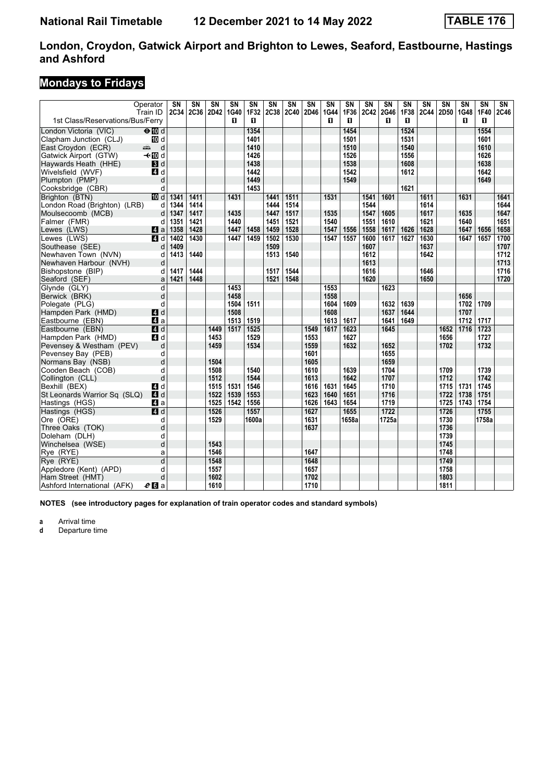### **Mondays to Fridays**

|                                     | Operator                                                                                                                                                                                                                                  | SN   | $\overline{\text{SN}}$ | $\overline{\text{SN}}$ | $\overline{\text{SN}}$ | $\overline{\text{SN}}$ | $\overline{\text{SN}}$ | $\overline{\text{SN}}$ | $\overline{\text{SN}}$ | $\overline{\text{SN}}$ | $\overline{\text{SN}}$ | $\overline{\text{SN}}$ | $\overline{\text{SN}}$ | $\overline{\text{SN}}$ | $\overline{\text{SN}}$ | $\overline{\text{SN}}$ | SN        | $\overline{\text{SN}}$ | $\overline{\text{SN}}$ |
|-------------------------------------|-------------------------------------------------------------------------------------------------------------------------------------------------------------------------------------------------------------------------------------------|------|------------------------|------------------------|------------------------|------------------------|------------------------|------------------------|------------------------|------------------------|------------------------|------------------------|------------------------|------------------------|------------------------|------------------------|-----------|------------------------|------------------------|
| 1st Class/Reservations/Bus/Ferry    | Train ID                                                                                                                                                                                                                                  | 2C34 | 2C36                   | 2D42                   | 1G40<br>п              | 1F32<br>п              | 2C38                   | 2C40                   | 2D46                   | <b>1G44</b><br>п       | 1F36<br>п              | 2C42                   | <b>2G46</b><br>п       | 1F38<br>п              | <b>2C44</b>            | 2D50                   | 1G48<br>п | 1F40<br>п              | 2C46                   |
| London Victoria (VIC)               | $\Theta$ Md                                                                                                                                                                                                                               |      |                        |                        |                        | 1354                   |                        |                        |                        |                        | 1454                   |                        |                        | 1524                   |                        |                        |           | 1554                   |                        |
| Clapham Junction (CLJ)              | <b>ID</b> d                                                                                                                                                                                                                               |      |                        |                        |                        | 1401                   |                        |                        |                        |                        | 1501                   |                        |                        | 1531                   |                        |                        |           | 1601                   |                        |
| East Croydon (ECR)                  | d<br>ando de la compaña de la compaña de la compaña de la compaña de la compaña de la compaña de la compaña de la c<br>Segunda de la compaña de la compaña de la compaña de la compaña de la compaña de la compaña de la compaña de l<br> |      |                        |                        |                        | 1410                   |                        |                        |                        |                        | 1510                   |                        |                        | 1540                   |                        |                        |           | 1610                   |                        |
| Gatwick Airport (GTW)               | <b>√</b> t III d                                                                                                                                                                                                                          |      |                        |                        |                        | 1426                   |                        |                        |                        |                        | 1526                   |                        |                        | 1556                   |                        |                        |           | 1626                   |                        |
| Haywards Heath (HHE)                | $\blacksquare$                                                                                                                                                                                                                            |      |                        |                        |                        | 1438                   |                        |                        |                        |                        | 1538                   |                        |                        | 1608                   |                        |                        |           | 1638                   |                        |
| Wivelsfield (WVF)                   | 4 d                                                                                                                                                                                                                                       |      |                        |                        |                        | 1442                   |                        |                        |                        |                        | 1542                   |                        |                        | 1612                   |                        |                        |           | 1642                   |                        |
| Plumpton (PMP)                      | d                                                                                                                                                                                                                                         |      |                        |                        |                        | 1449                   |                        |                        |                        |                        | 1549                   |                        |                        |                        |                        |                        |           | 1649                   |                        |
| Cooksbridge (CBR)                   | d                                                                                                                                                                                                                                         |      |                        |                        |                        | 1453                   |                        |                        |                        |                        |                        |                        |                        | 1621                   |                        |                        |           |                        |                        |
| Brighton (BTN)                      | <b>III</b> d                                                                                                                                                                                                                              | 1341 | 1411                   |                        | 1431                   |                        | 1441                   | 1511                   |                        | 1531                   |                        | 1541                   | 1601                   |                        | 1611                   |                        | 1631      |                        | 1641                   |
| London Road (Brighton) (LRB)        | d                                                                                                                                                                                                                                         | 1344 | 1414                   |                        |                        |                        | 1444                   | 1514                   |                        |                        |                        | 1544                   |                        |                        | 1614                   |                        |           |                        | 1644                   |
| Moulsecoomb (MCB)                   | d                                                                                                                                                                                                                                         | 1347 | 1417                   |                        | 1435                   |                        | 1447                   | 1517                   |                        | 1535                   |                        | 1547                   | 1605                   |                        | 1617                   |                        | 1635      |                        | 1647                   |
| Falmer (FMR)                        | d                                                                                                                                                                                                                                         | 1351 | 1421                   |                        | 1440                   |                        | 1451                   | 1521                   |                        | 1540                   |                        | 1551                   | 1610                   |                        | 1621                   |                        | 1640      |                        | 1651                   |
| Lewes (LWS)                         | ZI a                                                                                                                                                                                                                                      | 1358 | 1428                   |                        | 1447                   | 1458                   | 1459                   | 1528                   |                        | 1547                   | 1556                   | 1558                   | 1617                   | 1626                   | 1628                   |                        | 1647      | 1656                   | 1658                   |
| Lewes (LWS)                         | $\blacksquare$                                                                                                                                                                                                                            | 1402 | 1430                   |                        | 1447                   | 1459                   | 1502                   | 1530                   |                        | 1547                   | 1557                   | 1600                   | 1617                   | 1627                   | 1630                   |                        | 1647      | 1657                   | 1700                   |
| Southease (SEE)                     | d                                                                                                                                                                                                                                         | 1409 |                        |                        |                        |                        | 1509                   |                        |                        |                        |                        | 1607                   |                        |                        | 1637                   |                        |           |                        | 1707                   |
| Newhaven Town (NVN)                 | d                                                                                                                                                                                                                                         | 1413 | 1440                   |                        |                        |                        | 1513                   | 1540                   |                        |                        |                        | 1612                   |                        |                        | 1642                   |                        |           |                        | 1712                   |
| Newhaven Harbour (NVH)              | d                                                                                                                                                                                                                                         |      |                        |                        |                        |                        |                        |                        |                        |                        |                        | 1613                   |                        |                        |                        |                        |           |                        | 1713                   |
| Bishopstone (BIP)                   | d                                                                                                                                                                                                                                         | 1417 | 1444                   |                        |                        |                        | 1517                   | 1544                   |                        |                        |                        | 1616                   |                        |                        | 1646                   |                        |           |                        | 1716                   |
| Seaford (SEF)                       | a                                                                                                                                                                                                                                         | 1421 | 1448                   |                        |                        |                        | 1521                   | 1548                   |                        |                        |                        | 1620                   |                        |                        | 1650                   |                        |           |                        | 1720                   |
| Glynde (GLY)                        | d                                                                                                                                                                                                                                         |      |                        |                        | 1453                   |                        |                        |                        |                        | 1553                   |                        |                        | 1623                   |                        |                        |                        |           |                        |                        |
| Berwick (BRK)                       | d                                                                                                                                                                                                                                         |      |                        |                        | 1458                   |                        |                        |                        |                        | 1558                   |                        |                        |                        |                        |                        |                        | 1656      |                        |                        |
| Polegate (PLG)                      | d                                                                                                                                                                                                                                         |      |                        |                        | 1504                   | 1511                   |                        |                        |                        | 1604                   | 1609                   |                        | 1632                   | 1639                   |                        |                        | 1702      | 1709                   |                        |
| Hampden Park (HMD)                  | 4d                                                                                                                                                                                                                                        |      |                        |                        | 1508                   |                        |                        |                        |                        | 1608                   |                        |                        | 1637                   | 1644                   |                        |                        | 1707      |                        |                        |
| Eastbourne (EBN)                    | ZI a                                                                                                                                                                                                                                      |      |                        |                        | 1513                   | 1519                   |                        |                        |                        | 1613                   | 1617                   |                        | 1641                   | 1649                   |                        |                        | 1712      | 1717                   |                        |
| Eastbourne (EBN)                    | 4d                                                                                                                                                                                                                                        |      |                        | 1449                   | 1517                   | 1525                   |                        |                        | 1549                   | 1617                   | 1623                   |                        | 1645                   |                        |                        | 1652                   | 1716      | 1723                   |                        |
| Hampden Park (HMD)                  | 4d                                                                                                                                                                                                                                        |      |                        | 1453                   |                        | 1529                   |                        |                        | 1553                   |                        | 1627                   |                        |                        |                        |                        | 1656                   |           | 1727                   |                        |
| Pevensey & Westham (PEV)            | d                                                                                                                                                                                                                                         |      |                        | 1459                   |                        | 1534                   |                        |                        | 1559                   |                        | 1632                   |                        | 1652                   |                        |                        | 1702                   |           | 1732                   |                        |
| Pevensey Bay (PEB)                  | d                                                                                                                                                                                                                                         |      |                        |                        |                        |                        |                        |                        | 1601                   |                        |                        |                        | 1655                   |                        |                        |                        |           |                        |                        |
| Normans Bay (NSB)                   | d                                                                                                                                                                                                                                         |      |                        | 1504                   |                        |                        |                        |                        | 1605                   |                        |                        |                        | 1659                   |                        |                        |                        |           |                        |                        |
| Cooden Beach (COB)                  | d                                                                                                                                                                                                                                         |      |                        | 1508                   |                        | 1540                   |                        |                        | 1610                   |                        | 1639                   |                        | 1704                   |                        |                        | 1709                   |           | 1739                   |                        |
| Collington (CLL)                    | d                                                                                                                                                                                                                                         |      |                        | 1512                   |                        | 1544                   |                        |                        | 1613                   |                        | 1642                   |                        | 1707                   |                        |                        | 1712                   |           | 1742                   |                        |
| Bexhill (BEX)                       | 4 d                                                                                                                                                                                                                                       |      |                        | 1515                   | 1531                   | 1546                   |                        |                        | 1616                   | 1631                   | 1645                   |                        | 1710                   |                        |                        | 1715                   | 1731      | 1745                   |                        |
| St Leonards Warrior Sq (SLQ)        | 4d                                                                                                                                                                                                                                        |      |                        | 1522                   | 1539                   | 1553                   |                        |                        | 1623                   | 1640                   | 1651                   |                        | 1716                   |                        |                        | 1722                   | 1738      | 1751                   |                        |
| Hastings (HGS)                      | ZI a                                                                                                                                                                                                                                      |      |                        | 1525                   | 1542                   | 1556                   |                        |                        | 1626                   | 1643                   | 1654                   |                        | 1719                   |                        |                        | 1725                   | 1743      | 1754                   |                        |
| Hastings (HGS)                      | $\overline{a}$ d                                                                                                                                                                                                                          |      |                        | 1526                   |                        | 1557                   |                        |                        | 1627                   |                        | 1655                   |                        | $\overline{1722}$      |                        |                        | 1726                   |           | 1755                   |                        |
| Ore (ORE)                           | d                                                                                                                                                                                                                                         |      |                        | 1529                   |                        | 1600a                  |                        |                        | 1631                   |                        | 1658a                  |                        | 1725a                  |                        |                        | 1730                   |           | 1758a                  |                        |
| Three Oaks (TOK)                    | d                                                                                                                                                                                                                                         |      |                        |                        |                        |                        |                        |                        | 1637                   |                        |                        |                        |                        |                        |                        | 1736                   |           |                        |                        |
| Doleham (DLH)<br>Winchelsea (WSE)   | d<br>d                                                                                                                                                                                                                                    |      |                        | 1543                   |                        |                        |                        |                        |                        |                        |                        |                        |                        |                        |                        | 1739<br>1745           |           |                        |                        |
|                                     |                                                                                                                                                                                                                                           |      |                        | 1546                   |                        |                        |                        |                        |                        |                        |                        |                        |                        |                        |                        | 1748                   |           |                        |                        |
| Rye (RYE)                           | a<br>d                                                                                                                                                                                                                                    |      |                        | 1548                   |                        |                        |                        |                        | 1647                   |                        |                        |                        |                        |                        |                        | 1749                   |           |                        |                        |
| Rve (RYE)<br>Appledore (Kent) (APD) | d                                                                                                                                                                                                                                         |      |                        | 1557                   |                        |                        |                        |                        | 1648<br>1657           |                        |                        |                        |                        |                        |                        | 1758                   |           |                        |                        |
| Ham Street (HMT)                    | d                                                                                                                                                                                                                                         |      |                        | 1602                   |                        |                        |                        |                        | 1702                   |                        |                        |                        |                        |                        |                        | 1803                   |           |                        |                        |
|                                     |                                                                                                                                                                                                                                           |      |                        | 1610                   |                        |                        |                        |                        |                        |                        |                        |                        |                        |                        |                        | 1811                   |           |                        |                        |
| Ashford International (AFK)         | $e_0$ a                                                                                                                                                                                                                                   |      |                        |                        |                        |                        |                        |                        | 1710                   |                        |                        |                        |                        |                        |                        |                        |           |                        |                        |

**NOTES (see introductory pages for explanation of train operator codes and standard symbols)**

**a** Arrival time<br>**d** Departure t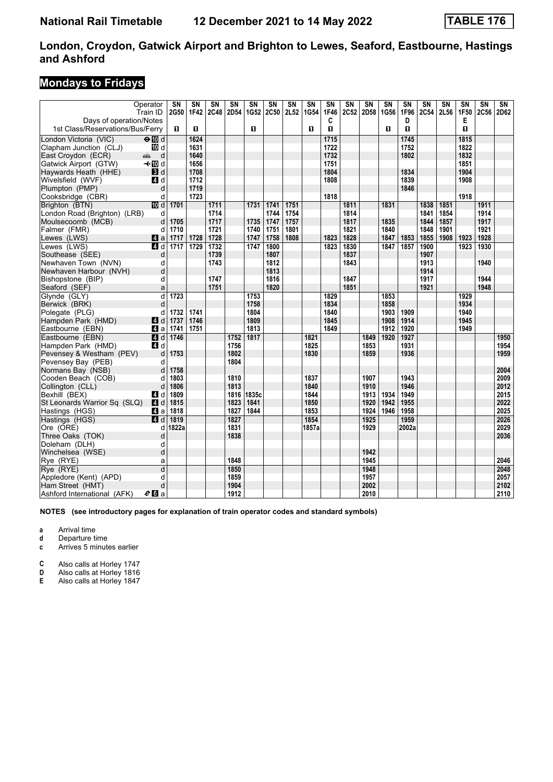### **Mondays to Fridays**

| Operator<br>Train ID                                        | $\overline{\text{SN}}$<br>2G50 | $\overline{\text{SN}}$<br>1F42 | $\overline{\text{SN}}$<br>2C48 | $\overline{\text{SN}}$<br>2D54 | $\overline{\text{SN}}$<br>1G52 | $\overline{\text{SN}}$<br>2C50 | $\overline{\text{SN}}$<br>2L52 | $\overline{\text{SN}}$<br>1G54 | $\overline{\text{SN}}$<br>1F46 | <b>SN</b><br>2C52 | <b>SN</b><br>2D58 | SN<br>1G56 | SN<br>1F96 | SN<br><b>2C54</b> | $\overline{\text{SN}}$<br>2L56 | SN<br>1F50 | $\overline{\text{SN}}$<br>2C56 | $\overline{\text{SN}}$<br>2D62 |
|-------------------------------------------------------------|--------------------------------|--------------------------------|--------------------------------|--------------------------------|--------------------------------|--------------------------------|--------------------------------|--------------------------------|--------------------------------|-------------------|-------------------|------------|------------|-------------------|--------------------------------|------------|--------------------------------|--------------------------------|
| Days of operation/Notes<br>1st Class/Reservations/Bus/Ferry | п                              | п                              |                                |                                | п                              |                                |                                | п                              | C<br>п                         |                   |                   | п          | D<br>п     |                   |                                | Е<br>п     |                                |                                |
| $\Theta$ M d<br>London Victoria (VIC)                       |                                | 1624                           |                                |                                |                                |                                |                                |                                | 1715                           |                   |                   |            | 1745       |                   |                                | 1815       |                                |                                |
| Clapham Junction (CLJ)<br>10 d                              |                                | 1631                           |                                |                                |                                |                                |                                |                                | 1722                           |                   |                   |            | 1752       |                   |                                | 1822       |                                |                                |
| East Croydon (ECR)<br>d<br>مشتبه                            |                                | 1640                           |                                |                                |                                |                                |                                |                                | 1732                           |                   |                   |            | 1802       |                   |                                | 1832       |                                |                                |
| Gatwick Airport (GTW)<br>–⊸n∏od                             |                                | 1656                           |                                |                                |                                |                                |                                |                                | 1751                           |                   |                   |            |            |                   |                                | 1851       |                                |                                |
| Haywards Heath (HHE)<br>$\blacksquare$                      |                                | 1708                           |                                |                                |                                |                                |                                |                                | 1804                           |                   |                   |            | 1834       |                   |                                | 1904       |                                |                                |
| Wivelsfield (WVF)<br>4 d                                    |                                | 1712                           |                                |                                |                                |                                |                                |                                | 1808                           |                   |                   |            | 1839       |                   |                                | 1908       |                                |                                |
| Plumpton (PMP)<br>d                                         |                                | 1719                           |                                |                                |                                |                                |                                |                                |                                |                   |                   |            | 1846       |                   |                                |            |                                |                                |
| Cooksbridge (CBR)<br>d                                      |                                | 1723                           |                                |                                |                                |                                |                                |                                | 1818                           |                   |                   |            |            |                   |                                | 1918       |                                |                                |
| <b>ID</b> d<br>Brighton (BTN)                               | 1701                           |                                | 1711                           |                                | 1731                           | 1741                           | 1751                           |                                |                                | 1811              |                   | 1831       |            | 1838              | 1851                           |            | 1911                           |                                |
| London Road (Brighton) (LRB)<br>d                           |                                |                                | 1714                           |                                |                                | 1744                           | 1754                           |                                |                                | 1814              |                   |            |            | 1841              | 1854                           |            | 1914                           |                                |
| Moulsecoomb (MCB)<br>d                                      | 1705                           |                                | 1717                           |                                | 1735                           | 1747                           | 1757                           |                                |                                | 1817              |                   | 1835       |            | 1844              | 1857                           |            | 1917                           |                                |
| d<br>Falmer (FMR)                                           | 1710                           |                                | 1721                           |                                | 1740                           | 1751                           | 1801                           |                                |                                | 1821              |                   | 1840       |            | 1848              | 1901                           |            | 1921                           |                                |
| Lewes (LWS)<br>$\mathbf{A}$ a                               | 1717                           | 1728                           | 1728                           |                                | 1747                           | 1758                           | 1808                           |                                | 1823                           | 1828              |                   | 1847       | 1853       | 1855              | 1908                           | 1923       | 1928                           |                                |
| Lewes (LWS)<br>4d                                           | 1717                           | 1729                           | 1732                           |                                | 1747                           | 1800                           |                                |                                | 1823                           | 1830              |                   | 1847       | 1857       | 1900              |                                | 1923       | 1930                           |                                |
| Southease (SEE)<br>d                                        |                                |                                | 1739                           |                                |                                | 1807                           |                                |                                |                                | 1837              |                   |            |            | 1907              |                                |            |                                |                                |
| Newhaven Town (NVN)<br>d                                    |                                |                                | 1743                           |                                |                                | 1812                           |                                |                                |                                | 1843              |                   |            |            | 1913              |                                |            | 1940                           |                                |
| Newhaven Harbour (NVH)<br>d                                 |                                |                                |                                |                                |                                | 1813                           |                                |                                |                                |                   |                   |            |            | 1914              |                                |            |                                |                                |
| Bishopstone (BIP)<br>d                                      |                                |                                | 1747                           |                                |                                | 1816                           |                                |                                |                                | 1847              |                   |            |            | 1917              |                                |            | 1944                           |                                |
| a<br>Seaford (SEF)                                          |                                |                                | 1751                           |                                |                                | 1820                           |                                |                                |                                | 1851              |                   |            |            | 1921              |                                |            | 1948                           |                                |
| d<br>Glynde (GLY)                                           | 1723                           |                                |                                |                                | 1753                           |                                |                                |                                | 1829                           |                   |                   | 1853       |            |                   |                                | 1929       |                                |                                |
| d<br>Berwick (BRK)                                          |                                |                                |                                |                                | 1758                           |                                |                                |                                | 1834                           |                   |                   | 1858       |            |                   |                                | 1934       |                                |                                |
| Polegate (PLG)<br>d                                         | 1732                           | 1741                           |                                |                                | 1804                           |                                |                                |                                | 1840                           |                   |                   | 1903       | 1909       |                   |                                | 1940       |                                |                                |
| Hampden Park (HMD)<br>ZI d                                  | 1737                           | 1746                           |                                |                                | 1809                           |                                |                                |                                | 1845                           |                   |                   | 1908       | 1914       |                   |                                | 1945       |                                |                                |
| ZI a<br>Eastbourne (EBN)                                    | 1741                           | 1751                           |                                |                                | 1813                           |                                |                                |                                | 1849                           |                   |                   | 1912       | 1920       |                   |                                | 1949       |                                |                                |
| Eastbourne (EBN)<br>4 d                                     | 1746                           |                                |                                | 1752                           | 1817                           |                                |                                | 1821                           |                                |                   | 1849              | 1920       | 1927       |                   |                                |            |                                | 1950                           |
| Hampden Park (HMD)<br>4 d                                   |                                |                                |                                | 1756                           |                                |                                |                                | 1825                           |                                |                   | 1853              |            | 1931       |                   |                                |            |                                | 1954                           |
| d<br>Pevensey & Westham (PEV)                               | 1753                           |                                |                                | 1802                           |                                |                                |                                | 1830                           |                                |                   | 1859              |            | 1936       |                   |                                |            |                                | 1959                           |
| Pevensey Bay (PEB)<br>d                                     |                                |                                |                                | 1804                           |                                |                                |                                |                                |                                |                   |                   |            |            |                   |                                |            |                                |                                |
| Normans Bay (NSB)<br>d                                      | 1758                           |                                |                                |                                |                                |                                |                                |                                |                                |                   |                   |            |            |                   |                                |            |                                | 2004                           |
| Cooden Beach (COB)<br>d                                     | 1803                           |                                |                                | 1810                           |                                |                                |                                | 1837                           |                                |                   | 1907              |            | 1943       |                   |                                |            |                                | 2009                           |
| Collington (CLL)<br>d                                       | 1806                           |                                |                                | 1813                           |                                |                                |                                | 1840                           |                                |                   | 1910              |            | 1946       |                   |                                |            |                                | 2012                           |
| Bexhill (BEX)<br>4 d                                        | 1809                           |                                |                                | 1816                           | 1835c                          |                                |                                | 1844                           |                                |                   | 1913              | 1934       | 1949       |                   |                                |            |                                | 2015                           |
| 4 d<br>St Leonards Warrior Sq (SLQ)                         | 1815                           |                                |                                | 1823                           | 1841                           |                                |                                | 1850                           |                                |                   | 1920              | 1942       | 1955       |                   |                                |            |                                | 2022                           |
| Hastings (HGS)<br>4a                                        | 1818                           |                                |                                | 1827                           | 1844                           |                                |                                | 1853                           |                                |                   | 1924              | 1946       | 1958       |                   |                                |            |                                | 2025                           |
| Hastings (HGS)<br>$\blacksquare$ d                          | 1819                           |                                |                                | 1827                           |                                |                                |                                | 1854                           |                                |                   | 1925              |            | 1959       |                   |                                |            |                                | 2026                           |
| Ore (ORE)<br>d                                              | 1822a                          |                                |                                | 1831                           |                                |                                |                                | 1857a                          |                                |                   | 1929              |            | 2002a      |                   |                                |            |                                | 2029                           |
| Three Oaks (TOK)<br>d                                       |                                |                                |                                | 1838                           |                                |                                |                                |                                |                                |                   |                   |            |            |                   |                                |            |                                | 2036                           |
| Doleham (DLH)<br>d                                          |                                |                                |                                |                                |                                |                                |                                |                                |                                |                   |                   |            |            |                   |                                |            |                                |                                |
| d<br>Winchelsea (WSE)                                       |                                |                                |                                |                                |                                |                                |                                |                                |                                |                   | 1942              |            |            |                   |                                |            |                                |                                |
| Rye (RYE)<br>a                                              |                                |                                |                                | 1848                           |                                |                                |                                |                                |                                |                   | 1945              |            |            |                   |                                |            |                                | 2046                           |
| d<br>Rye (RYE)                                              |                                |                                |                                | 1850                           |                                |                                |                                |                                |                                |                   | 1948              |            |            |                   |                                |            |                                | 2048                           |
| Appledore (Kent) (APD)<br>d                                 |                                |                                |                                | 1859                           |                                |                                |                                |                                |                                |                   | 1957              |            |            |                   |                                |            |                                | 2057                           |
| d<br>Ham Street (HMT)                                       |                                |                                |                                | 1904                           |                                |                                |                                |                                |                                |                   | 2002              |            |            |                   |                                |            |                                | 2102                           |
| Ashford International (AFK)<br>$e_0$ a                      |                                |                                |                                | 1912                           |                                |                                |                                |                                |                                |                   | 2010              |            |            |                   |                                |            |                                | 2110                           |

**NOTES (see introductory pages for explanation of train operator codes and standard symbols)**

**a** Arrival time

**d** Departure time<br>**c** Arrives 5 minute

Arrives 5 minutes earlier

**C** Also calls at Horley 1747

**D** Also calls at Horley 1816

**E** Also calls at Horley 184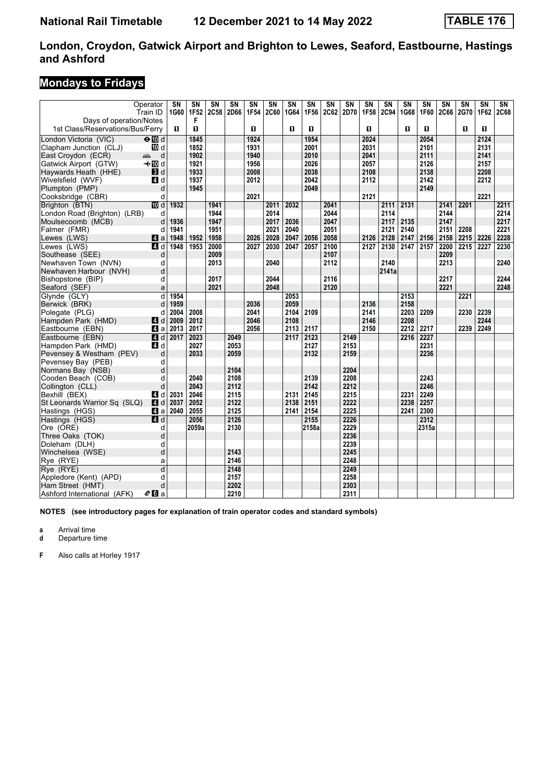### **Mondays to Fridays**

|                                  | Operator<br>Train ID | SN<br>1G60   | $\overline{\text{SN}}$<br>1F52 | SN<br>2C58 | $\overline{\text{SN}}$<br>2D66 | SN<br>1F54 | SN<br><b>2C60</b> | $\overline{\text{SN}}$<br>1G64 | SN<br>1F56 | SN<br><b>2C62</b> | SN<br>2D70 | <b>SN</b><br>1F58 | $\overline{\text{SN}}$<br><b>2C94</b> | SN<br>1G68 | $\overline{\text{SN}}$<br>1F60 | $\overline{\text{SN}}$<br><b>2C66</b> | SN<br><b>2G70</b> | $\overline{\text{SN}}$<br>1F62 | $\overline{\text{SN}}$<br><b>2C68</b> |
|----------------------------------|----------------------|--------------|--------------------------------|------------|--------------------------------|------------|-------------------|--------------------------------|------------|-------------------|------------|-------------------|---------------------------------------|------------|--------------------------------|---------------------------------------|-------------------|--------------------------------|---------------------------------------|
| Days of operation/Notes          |                      |              | F                              |            |                                |            |                   |                                |            |                   |            |                   |                                       |            |                                |                                       |                   |                                |                                       |
| 1st Class/Reservations/Bus/Ferry |                      | $\mathbf{u}$ | $\mathbf{u}$                   |            |                                | п          |                   | O                              | O          |                   |            | O                 |                                       | п          | п                              |                                       | п                 | $\mathbf{u}$                   |                                       |
| London Victoria (VIC)            | $\Theta$ $\Box$ d    |              | 1845                           |            |                                | 1924       |                   |                                | 1954       |                   |            | 2024              |                                       |            | 2054                           |                                       |                   | 2124                           |                                       |
| Clapham Junction (CLJ)           | 10 d                 |              | 1852                           |            |                                | 1931       |                   |                                | 2001       |                   |            | 2031              |                                       |            | 2101                           |                                       |                   | 2131                           |                                       |
| East Croydon (ECR)               | d<br>پیش             |              | 1902                           |            |                                | 1940       |                   |                                | 2010       |                   |            | 2041              |                                       |            | 2111                           |                                       |                   | 2141                           |                                       |
| Gatwick Airport (GTW)            | –⊸n∏ol               |              | 1921                           |            |                                | 1956       |                   |                                | 2026       |                   |            | 2057              |                                       |            | 2126                           |                                       |                   | 2157                           |                                       |
| Haywards Heath (HHE)             | 3d                   |              | 1933                           |            |                                | 2008       |                   |                                | 2038       |                   |            | 2108              |                                       |            | 2138                           |                                       |                   | 2208                           |                                       |
| Wivelsfield (WVF)                | ZI d                 |              | 1937                           |            |                                | 2012       |                   |                                | 2042       |                   |            | 2112              |                                       |            | 2142                           |                                       |                   | 2212                           |                                       |
| Plumpton (PMP)                   | d                    |              | 1945                           |            |                                |            |                   |                                | 2049       |                   |            |                   |                                       |            | 2149                           |                                       |                   |                                |                                       |
| Cooksbridge (CBR)                | d                    |              |                                |            |                                | 2021       |                   |                                |            |                   |            | 2121              |                                       |            |                                |                                       |                   | 2221                           |                                       |
| Brighton (BTN)                   | <b>ID</b> d          | 1932         |                                | 1941       |                                |            | 2011              | 2032                           |            | 2041              |            |                   | 2111                                  | 2131       |                                | 2141                                  | 2201              |                                | 2211                                  |
| London Road (Brighton) (LRB)     | d                    |              |                                | 1944       |                                |            | 2014              |                                |            | 2044              |            |                   | 2114                                  |            |                                | 2144                                  |                   |                                | 2214                                  |
| Moulsecoomb (MCB)                | d                    | 1936         |                                | 1947       |                                |            | 2017              | 2036                           |            | 2047              |            |                   | 2117                                  | 2135       |                                | 2147                                  |                   |                                | 2217                                  |
| Falmer (FMR)                     | d                    | 1941         |                                | 1951       |                                |            | 2021              | 2040                           |            | 2051              |            |                   | 2121                                  | 2140       |                                | 2151                                  | 2208              |                                | 2221                                  |
| Lewes (LWS)                      | ZI a                 | 1948         | 1952                           | 1958       |                                | 2026       | 2028              | 2047                           | 2056       | 2058              |            | 2126              | 2128                                  | 2147       | 2156                           | 2158                                  | 2215              | 2226                           | 2228                                  |
| Lewes (LWS)                      | $\blacksquare$ d     | 1948         | 1953                           | 2000       |                                | 2027       | 2030              | 2047                           | 2057       | 2100              |            | 2127              | 2130                                  | 2147       | 2157                           | 2200                                  | 2215              | 2227                           | 2230                                  |
| Southease (SEE)                  | d                    |              |                                | 2009       |                                |            |                   |                                |            | 2107              |            |                   |                                       |            |                                | 2209                                  |                   |                                |                                       |
| Newhaven Town (NVN)              | d                    |              |                                | 2013       |                                |            | 2040              |                                |            | 2112              |            |                   | 2140                                  |            |                                | 2213                                  |                   |                                | 2240                                  |
| Newhaven Harbour (NVH)           | d                    |              |                                |            |                                |            |                   |                                |            |                   |            |                   | 2141a                                 |            |                                |                                       |                   |                                |                                       |
| Bishopstone (BIP)                | d                    |              |                                | 2017       |                                |            | 2044              |                                |            | 2116              |            |                   |                                       |            |                                | 2217                                  |                   |                                | 2244                                  |
| Seaford (SEF)                    | a                    |              |                                | 2021       |                                |            | 2048              |                                |            | 2120              |            |                   |                                       |            |                                | 2221                                  |                   |                                | 2248                                  |
| Glynde (GLY)                     | d                    | 1954         |                                |            |                                |            |                   | 2053                           |            |                   |            |                   |                                       | 2153       |                                |                                       | 2221              |                                |                                       |
| Berwick (BRK)                    | d                    | 1959         |                                |            |                                | 2036       |                   | 2059                           |            |                   |            | 2136              |                                       | 2158       |                                |                                       |                   |                                |                                       |
| Polegate (PLG)                   | d                    | 2004         | 2008                           |            |                                | 2041       |                   | 2104                           | 2109       |                   |            | 2141              |                                       | 2203       | 2209                           |                                       | 2230              | 2239                           |                                       |
| Hampden Park (HMD)               | ZI d                 | 2009         | 2012                           |            |                                | 2046       |                   | 2108                           |            |                   |            | 2146              |                                       | 2208       |                                |                                       |                   | 2244                           |                                       |
| Eastbourne (EBN)                 | ZI a                 | 2013         | 2017                           |            |                                | 2056       |                   | 2113                           | 2117       |                   |            | 2150              |                                       | 2212       | 2217                           |                                       | 2239              | 2249                           |                                       |
| Eastbourne (EBN)                 | 4d                   | 2017         | 2023                           |            | 2049                           |            |                   | 2117                           | 2123       |                   | 2149       |                   |                                       | 2216       | 2227                           |                                       |                   |                                |                                       |
| Hampden Park (HMD)               | 4d                   |              | 2027                           |            | 2053                           |            |                   |                                | 2127       |                   | 2153       |                   |                                       |            | 2231                           |                                       |                   |                                |                                       |
| Pevensey & Westham (PEV)         | d                    |              | 2033                           |            | 2059                           |            |                   |                                | 2132       |                   | 2159       |                   |                                       |            | 2236                           |                                       |                   |                                |                                       |
| Pevensey Bay (PEB)               | d                    |              |                                |            |                                |            |                   |                                |            |                   |            |                   |                                       |            |                                |                                       |                   |                                |                                       |
| Normans Bay (NSB)                | d                    |              |                                |            | 2104                           |            |                   |                                |            |                   | 2204       |                   |                                       |            |                                |                                       |                   |                                |                                       |
| Cooden Beach (COB)               | d                    |              | 2040                           |            | 2108                           |            |                   |                                | 2139       |                   | 2208       |                   |                                       |            | 2243                           |                                       |                   |                                |                                       |
| Collington (CLL)                 | d                    |              | 2043                           |            | 2112                           |            |                   |                                | 2142       |                   | 2212       |                   |                                       |            | 2246                           |                                       |                   |                                |                                       |
| Bexhill (BEX)                    | 4 d                  | 2031         | 2046                           |            | 2115                           |            |                   | 2131                           | 2145       |                   | 2215       |                   |                                       | 2231       | 2249                           |                                       |                   |                                |                                       |
| St Leonards Warrior Sq (SLQ)     | 4 <sup>d</sup>       | 2037         | 2052                           |            | 2122                           |            |                   | 2138                           | 2151       |                   | 2222       |                   |                                       | 2238       | 2257                           |                                       |                   |                                |                                       |
| Hastings (HGS)                   | 41 a                 | 2040         | 2055                           |            | 2125                           |            |                   | 2141                           | 2154       |                   | 2225       |                   |                                       | 2241       | 2300                           |                                       |                   |                                |                                       |
| Hastings (HGS)                   | 4d                   |              | 2056                           |            | 2126                           |            |                   |                                | 2155       |                   | 2226       |                   |                                       |            | 2312                           |                                       |                   |                                |                                       |
| Ore (ORE)                        | d                    |              | 2059a                          |            | 2130                           |            |                   |                                | 2158a      |                   | 2229       |                   |                                       |            | 2315a                          |                                       |                   |                                |                                       |
| Three Oaks (TOK)                 | d                    |              |                                |            |                                |            |                   |                                |            |                   | 2236       |                   |                                       |            |                                |                                       |                   |                                |                                       |
| Doleham (DLH)                    | d                    |              |                                |            |                                |            |                   |                                |            |                   | 2239       |                   |                                       |            |                                |                                       |                   |                                |                                       |
| Winchelsea (WSE)                 | d                    |              |                                |            | 2143                           |            |                   |                                |            |                   | 2245       |                   |                                       |            |                                |                                       |                   |                                |                                       |
| Rye (RYE)                        | a                    |              |                                |            | 2146                           |            |                   |                                |            |                   | 2248       |                   |                                       |            |                                |                                       |                   |                                |                                       |
| Rye (RYE)                        | $\overline{d}$       |              |                                |            | 2148                           |            |                   |                                |            |                   | 2249       |                   |                                       |            |                                |                                       |                   |                                |                                       |
| Appledore (Kent) (APD)           | d                    |              |                                |            | 2157                           |            |                   |                                |            |                   | 2258       |                   |                                       |            |                                |                                       |                   |                                |                                       |
| Ham Street (HMT)                 | d                    |              |                                |            | 2202                           |            |                   |                                |            |                   | 2303       |                   |                                       |            |                                |                                       |                   |                                |                                       |
| Ashford International (AFK)      | $e_0$ a              |              |                                |            | 2210                           |            |                   |                                |            |                   | 2311       |                   |                                       |            |                                |                                       |                   |                                |                                       |

**NOTES (see introductory pages for explanation of train operator codes and standard symbols)**

**a** Arrival time<br>**d** Departure t

**d** Departure time

**)** Also calls at Horley 191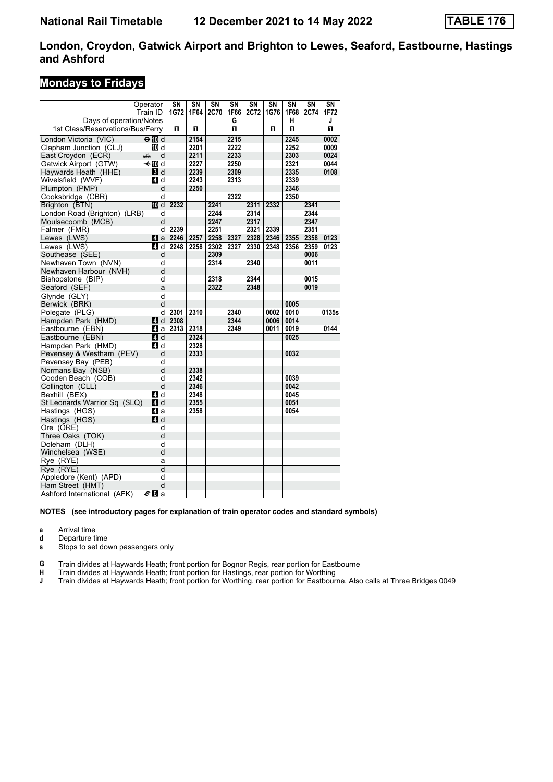### **Mondays to Fridays**

| Operator                         |                  | SN   | SN   | SN   | SN   | SN   | SN   | SΝ   | SN   | SΝ    |
|----------------------------------|------------------|------|------|------|------|------|------|------|------|-------|
|                                  | Train ID         | 1G72 | 1F64 | 2C70 | 1F66 | 2C72 | 1G76 | 1F68 | 2C74 | 1F72  |
| Days of operation/Notes          |                  |      |      |      | G    |      |      | н    |      | J     |
| 1st Class/Reservations/Bus/Ferry |                  | 0    | O    |      | 0    |      | O    | п    |      | O     |
| London Victoria (VIC)            | $\Theta$ M d     |      | 2154 |      | 2215 |      |      | 2245 |      | 0002  |
| Clapham Junction (CLJ)           | 10 d             |      | 2201 |      | 2222 |      |      | 2252 |      | 0009  |
| East Croydon (ECR)<br>پېښ        | d                |      | 2211 |      | 2233 |      |      | 2303 |      | 0024  |
| Gatwick Airport (GTW)            | —tn∏d            |      | 2227 |      | 2250 |      |      | 2321 |      | 0044  |
| Haywards Heath (HHE)             | <b>B</b> d       |      | 2239 |      | 2309 |      |      | 2335 |      | 0108  |
| Wivelsfield (WVF)                | ZI d             |      | 2243 |      | 2313 |      |      | 2339 |      |       |
| Plumpton (PMP)                   | d                |      | 2250 |      |      |      |      | 2346 |      |       |
| Cooksbridge (CBR)                | d                |      |      |      | 2322 |      |      | 2350 |      |       |
| Brighton (BTN)                   | IM d             | 2232 |      | 2241 |      | 2311 | 2332 |      | 2341 |       |
| London Road (Brighton) (LRB)     | d                |      |      | 2244 |      | 2314 |      |      | 2344 |       |
| Moulsecoomb (MCB)                | d                |      |      | 2247 |      | 2317 |      |      | 2347 |       |
| Falmer (FMR)                     | d                | 2239 |      | 2251 |      | 2321 | 2339 |      | 2351 |       |
| Lewes (LWS)                      | ZI a             | 2246 | 2257 | 2258 | 2327 | 2328 | 2346 | 2355 | 2358 | 0123  |
| Lewes (LWS)                      | 4 d              | 2248 | 2258 | 2302 | 2327 | 2330 | 2348 | 2356 | 2359 | 0123  |
| Southease (SEE)                  | d                |      |      | 2309 |      |      |      |      | 0006 |       |
| Newhaven Town (NVN)              | d                |      |      | 2314 |      | 2340 |      |      | 0011 |       |
| Newhaven Harbour (NVH)           | d                |      |      |      |      |      |      |      |      |       |
| Bishopstone (BIP)                | d                |      |      | 2318 |      | 2344 |      |      | 0015 |       |
| Seaford (SEF)                    | a                |      |      | 2322 |      | 2348 |      |      | 0019 |       |
| Glynde (GLY)                     | d                |      |      |      |      |      |      |      |      |       |
| Berwick (BRK)                    | d                |      |      |      |      |      |      | 0005 |      |       |
| Polegate (PLG)                   | d                | 2301 | 2310 |      | 2340 |      | 0002 | 0010 |      | 0135s |
| Hampden Park (HMD)               | ZI d             | 2308 |      |      | 2344 |      | 0006 | 0014 |      |       |
| Eastbourne (EBN)                 | ZI a             | 2313 | 2318 |      | 2349 |      | 0011 | 0019 |      | 0144  |
| Eastbourne (EBN)                 | ZI d             |      | 2324 |      |      |      |      | 0025 |      |       |
| Hampden Park (HMD)               | <b>4</b> d       |      | 2328 |      |      |      |      |      |      |       |
| Pevensey & Westham (PEV)         | d                |      | 2333 |      |      |      |      | 0032 |      |       |
| Pevensey Bay (PEB)               | d                |      |      |      |      |      |      |      |      |       |
| Normans Bay (NSB)                | d                |      | 2338 |      |      |      |      |      |      |       |
| Cooden Beach (COB)               | d                |      | 2342 |      |      |      |      | 0039 |      |       |
| Collington (CLL)                 | d                |      | 2346 |      |      |      |      | 0042 |      |       |
| Bexhill (BEX)                    | 4 d              |      | 2348 |      |      |      |      | 0045 |      |       |
| St Leonards Warrior Sq (SLQ)     | L4 d             |      | 2355 |      |      |      |      | 0051 |      |       |
| Hastings (HGS)                   | ZI a             |      | 2358 |      |      |      |      | 0054 |      |       |
| Hastings (HGS)                   | $\blacksquare$ d |      |      |      |      |      |      |      |      |       |
| Ore (ORE)                        | d                |      |      |      |      |      |      |      |      |       |
| Three Oaks (TOK)                 | d                |      |      |      |      |      |      |      |      |       |
| Doleham (DLH)                    | d                |      |      |      |      |      |      |      |      |       |
| Winchelsea (WSE)                 | d                |      |      |      |      |      |      |      |      |       |
| Rye (RYE)                        | a                |      |      |      |      |      |      |      |      |       |
| Rye (RYE)                        | $\overline{d}$   |      |      |      |      |      |      |      |      |       |
| Appledore (Kent) (APD)           | d                |      |      |      |      |      |      |      |      |       |
| Ham Street (HMT)                 | d                |      |      |      |      |      |      |      |      |       |
| Ashford International (AFK)      | $e_0$ a          |      |      |      |      |      |      |      |      |       |

#### **NOTES (see introductory pages for explanation of train operator codes and standard symbols)**

**a** Arrival time

**d** Departure time<br>**s** Stops to set do

Stops to set down passengers only

**G** Train divides at Haywards Heath; front portion for Bognor Regis, rear portion for Eastbourne<br> **H** Train divides at Haywards Heath; front portion for Hastings, rear portion for Worthing

**+** Train divides at Haywards Heath; front portion for Hastings, rear portion for Worthing<br> **+ Train divides at Haywards Heath: front portion for Worthing, rear portion for Eastbour** 

**-** Train divides at Haywards Heath front portion for Worthing, rear portion for Eastbourne Also calls at Three Bridges 0049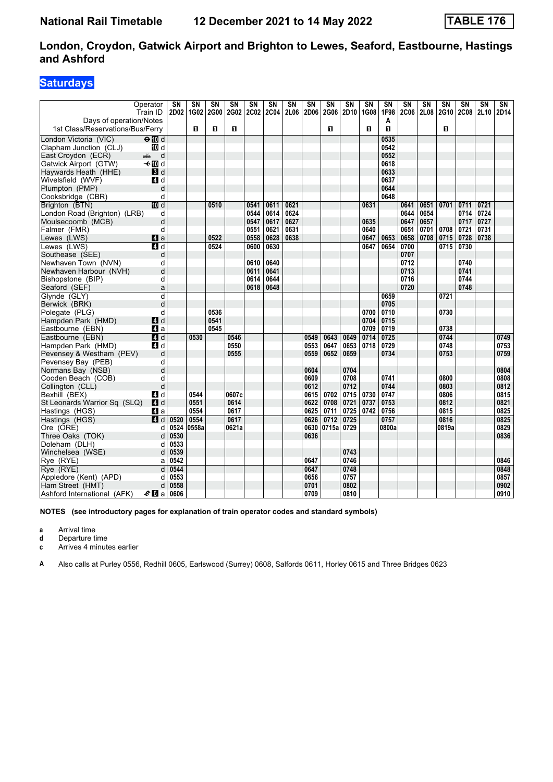## **Saturdays**

|                                  | Operator<br>Train ID                                                                                                                                                                                                               | SN<br>2D02 | $\overline{\text{SN}}$<br>1G02 | SΝ<br>2G00 | SN<br>2G02 2C02 | SN   | $\overline{\text{SN}}$<br><b>2C04</b> | SN<br>2L06 | SN<br>2D06 | SN<br>2G06 | <b>SN</b><br>2D10 | <b>SN</b><br>1G08 | SΝ<br>1F98 | SN<br><b>2C06</b> | SN<br>2L08 | SN<br><b>2G10</b> | SN<br><b>2C08</b> | SN<br>2L10 | SΝ<br>2D14 |
|----------------------------------|------------------------------------------------------------------------------------------------------------------------------------------------------------------------------------------------------------------------------------|------------|--------------------------------|------------|-----------------|------|---------------------------------------|------------|------------|------------|-------------------|-------------------|------------|-------------------|------------|-------------------|-------------------|------------|------------|
| Days of operation/Notes          |                                                                                                                                                                                                                                    |            |                                |            |                 |      |                                       |            |            |            |                   |                   | A          |                   |            |                   |                   |            |            |
| 1st Class/Reservations/Bus/Ferry |                                                                                                                                                                                                                                    |            | п                              | п          | П               |      |                                       |            |            | п          |                   | O                 | п          |                   |            | 0                 |                   |            |            |
| London Victoria (VIC)            | $\overline{H}$ d                                                                                                                                                                                                                   |            |                                |            |                 |      |                                       |            |            |            |                   |                   | 0535       |                   |            |                   |                   |            |            |
| Clapham Junction (CLJ)           | 10 d                                                                                                                                                                                                                               |            |                                |            |                 |      |                                       |            |            |            |                   |                   | 0542       |                   |            |                   |                   |            |            |
| East Croydon (ECR)               | d<br>and the second second second second the second second second second second second second second second second second second second second second second second second second second second second second second second second |            |                                |            |                 |      |                                       |            |            |            |                   |                   | 0552       |                   |            |                   |                   |            |            |
| Gatwick Airport (GTW)            | – til d                                                                                                                                                                                                                            |            |                                |            |                 |      |                                       |            |            |            |                   |                   | 0618       |                   |            |                   |                   |            |            |
| Haywards Heath (HHE)             | 3d                                                                                                                                                                                                                                 |            |                                |            |                 |      |                                       |            |            |            |                   |                   | 0633       |                   |            |                   |                   |            |            |
| Wivelsfield (WVF)                | <b>4</b> d                                                                                                                                                                                                                         |            |                                |            |                 |      |                                       |            |            |            |                   |                   | 0637       |                   |            |                   |                   |            |            |
| Plumpton (PMP)                   | d                                                                                                                                                                                                                                  |            |                                |            |                 |      |                                       |            |            |            |                   |                   | 0644       |                   |            |                   |                   |            |            |
| Cooksbridge (CBR)                | d                                                                                                                                                                                                                                  |            |                                |            |                 |      |                                       |            |            |            |                   |                   | 0648       |                   |            |                   |                   |            |            |
| Brighton (BTN)                   | <b>ID</b> d                                                                                                                                                                                                                        |            |                                | 0510       |                 | 0541 | 0611                                  | 0621       |            |            |                   | 0631              |            | 0641              | 0651       | 0701              | 0711              | 0721       |            |
| London Road (Brighton) (LRB)     | d                                                                                                                                                                                                                                  |            |                                |            |                 | 0544 | 0614                                  | 0624       |            |            |                   |                   |            | 0644              | 0654       |                   | 0714              | 0724       |            |
| Moulsecoomb (MCB)                | d                                                                                                                                                                                                                                  |            |                                |            |                 | 0547 | 0617                                  | 0627       |            |            |                   | 0635              |            | 0647              | 0657       |                   | 0717              | 0727       |            |
| Falmer (FMR)                     | d                                                                                                                                                                                                                                  |            |                                |            |                 | 0551 | 0621                                  | 0631       |            |            |                   | 0640              |            | 0651              | 0701       | 0708              | 0721              | 0731       |            |
| Lewes (LWS)                      | $\blacksquare$ a                                                                                                                                                                                                                   |            |                                | 0522       |                 | 0558 | 0628                                  | 0638       |            |            |                   | 0647              | 0653       | 0658              | 0708       | 0715              | 0728              | 0738       |            |
| Lewes (LWS)                      | $\blacksquare$ d                                                                                                                                                                                                                   |            |                                | 0524       |                 | 0600 | 0630                                  |            |            |            |                   | 0647              | 0654       | 0700              |            | 0715              | 0730              |            |            |
| Southease (SEE)                  | d                                                                                                                                                                                                                                  |            |                                |            |                 |      |                                       |            |            |            |                   |                   |            | 0707              |            |                   |                   |            |            |
| Newhaven Town (NVN)              | d                                                                                                                                                                                                                                  |            |                                |            |                 | 0610 | 0640                                  |            |            |            |                   |                   |            | 0712              |            |                   | 0740              |            |            |
| Newhaven Harbour (NVH)           | d                                                                                                                                                                                                                                  |            |                                |            |                 | 0611 | 0641                                  |            |            |            |                   |                   |            | 0713              |            |                   | 0741              |            |            |
| Bishopstone (BIP)                | d                                                                                                                                                                                                                                  |            |                                |            |                 | 0614 | 0644                                  |            |            |            |                   |                   |            | 0716              |            |                   | 0744              |            |            |
| Seaford (SEF)                    | a                                                                                                                                                                                                                                  |            |                                |            |                 | 0618 | 0648                                  |            |            |            |                   |                   |            | 0720              |            |                   | 0748              |            |            |
| Glynde (GLY)                     | d                                                                                                                                                                                                                                  |            |                                |            |                 |      |                                       |            |            |            |                   |                   | 0659       |                   |            | 0721              |                   |            |            |
| Berwick (BRK)                    | d                                                                                                                                                                                                                                  |            |                                |            |                 |      |                                       |            |            |            |                   |                   | 0705       |                   |            |                   |                   |            |            |
| Polegate (PLG)                   | d                                                                                                                                                                                                                                  |            |                                | 0536       |                 |      |                                       |            |            |            |                   | 0700              | 0710       |                   |            | 0730              |                   |            |            |
| Hampden Park (HMD)               | ZI d                                                                                                                                                                                                                               |            |                                | 0541       |                 |      |                                       |            |            |            |                   | 0704              | 0715       |                   |            |                   |                   |            |            |
| Eastbourne (EBN)                 | ZI a                                                                                                                                                                                                                               |            |                                | 0545       |                 |      |                                       |            |            |            |                   | 0709              | 0719       |                   |            | 0738              |                   |            |            |
| Eastbourne (EBN)                 | <b>4</b> d                                                                                                                                                                                                                         |            | 0530                           |            | 0546            |      |                                       |            | 0549       | 0643       | 0649              | 0714              | 0725       |                   |            | 0744              |                   |            | 0749       |
| Hampden Park (HMD)               | 4 d                                                                                                                                                                                                                                |            |                                |            | 0550            |      |                                       |            | 0553       | 0647       | 0653              | 0718              | 0729       |                   |            | 0748              |                   |            | 0753       |
| Pevensey & Westham (PEV)         | d                                                                                                                                                                                                                                  |            |                                |            | 0555            |      |                                       |            | 0559       | 0652       | 0659              |                   | 0734       |                   |            | 0753              |                   |            | 0759       |
| Pevensey Bay (PEB)               | d                                                                                                                                                                                                                                  |            |                                |            |                 |      |                                       |            |            |            |                   |                   |            |                   |            |                   |                   |            |            |
| Normans Bay (NSB)                | d                                                                                                                                                                                                                                  |            |                                |            |                 |      |                                       |            | 0604       |            | 0704              |                   |            |                   |            |                   |                   |            | 0804       |
| Cooden Beach (COB)               | d                                                                                                                                                                                                                                  |            |                                |            |                 |      |                                       |            | 0609       |            | 0708              |                   | 0741       |                   |            | 0800              |                   |            | 0808       |
| Collington (CLL)                 | d                                                                                                                                                                                                                                  |            |                                |            |                 |      |                                       |            | 0612       |            | 0712              |                   | 0744       |                   |            | 0803              |                   |            | 0812       |
| Bexhill (BEX)                    | 4 d                                                                                                                                                                                                                                |            | 0544                           |            | 0607c           |      |                                       |            | 0615       | 0702       | 0715              | 0730              | 0747       |                   |            | 0806              |                   |            | 0815       |
| St Leonards Warrior Sq (SLQ)     | 4 d                                                                                                                                                                                                                                |            | 0551                           |            | 0614            |      |                                       |            | 0622       | 0708       | 0721              | 0737              | 0753       |                   |            | 0812              |                   |            | 0821       |
| Hastings (HGS)                   | <b>41</b> а                                                                                                                                                                                                                        |            | 0554                           |            | 0617            |      |                                       |            | 0625       | 0711       | 0725              | 0742              | 0756       |                   |            | 0815              |                   |            | 0825       |
| Hastings (HGS)                   | 4 d                                                                                                                                                                                                                                | 0520       | 0554                           |            | 0617            |      |                                       |            | 0626       | 0712       | 0725              |                   | 0757       |                   |            | 0816              |                   |            | 0825       |
| Ore (ORE)                        | d                                                                                                                                                                                                                                  | 0524       | 0558a                          |            | 0621a           |      |                                       |            | 0630       | 0715al     | 0729              |                   | 0800a      |                   |            | 0819a             |                   |            | 0829       |
| Three Oaks (TOK)                 | d                                                                                                                                                                                                                                  | 0530       |                                |            |                 |      |                                       |            | 0636       |            |                   |                   |            |                   |            |                   |                   |            | 0836       |
| Doleham (DLH)                    | d                                                                                                                                                                                                                                  | 0533       |                                |            |                 |      |                                       |            |            |            |                   |                   |            |                   |            |                   |                   |            |            |
| Winchelsea (WSE)                 | d                                                                                                                                                                                                                                  | 0539       |                                |            |                 |      |                                       |            |            |            | 0743              |                   |            |                   |            |                   |                   |            |            |
| Rye (RYE)                        | a                                                                                                                                                                                                                                  | 0542       |                                |            |                 |      |                                       |            | 0647       |            | 0746              |                   |            |                   |            |                   |                   |            | 0846       |
| Rye (RYE)                        | d                                                                                                                                                                                                                                  | 0544       |                                |            |                 |      |                                       |            | 0647       |            | 0748              |                   |            |                   |            |                   |                   |            | 0848       |
| Appledore (Kent) (APD)           | d                                                                                                                                                                                                                                  | 0553       |                                |            |                 |      |                                       |            | 0656       |            | 0757              |                   |            |                   |            |                   |                   |            | 0857       |
| Ham Street (HMT)                 | d                                                                                                                                                                                                                                  | 0558       |                                |            |                 |      |                                       |            | 0701       |            | 0802              |                   |            |                   |            |                   |                   |            | 0902       |
| Ashford International (AFK)      | $e_0$ a                                                                                                                                                                                                                            | 0606       |                                |            |                 |      |                                       |            | 0709       |            | 0810              |                   |            |                   |            |                   |                   |            | 0910       |

**NOTES (see introductory pages for explanation of train operator codes and standard symbols)**

**a** Arrival time

**d** Departure time<br>**c** Arrives 4 minut

Arrives 4 minutes earlier

**A** Also calls at Purley 0556, Redhill 0605, Earlswood (Surrey) 0608, Salfords 0611, Horley 0615 and Three Bridges 0623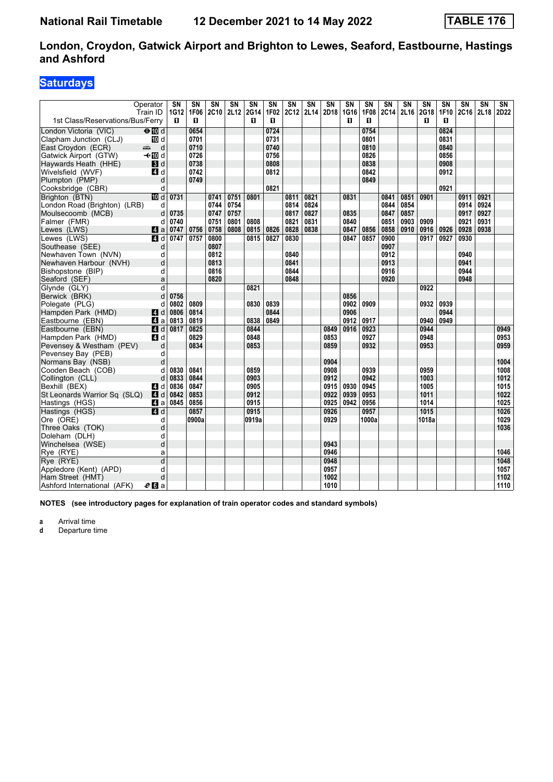### **Saturdays**

|                                  | Operator<br>Train ID | SN<br>1G12 | SΝ<br>1F06 | $\overline{\text{SN}}$<br><b>2C10</b> | $\overline{\text{SN}}$<br>2L12 | $\overline{\text{SN}}$<br>2G14 | $\overline{\text{SN}}$<br>1F02 | $\overline{\text{SN}}$<br>2C12 | $\overline{\text{SN}}$<br>2L14 | SN   | SN<br>2D18 1G16 | SΝ<br>1F08 | $\overline{\text{SN}}$<br><b>2C14</b> | $\overline{\text{SN}}$<br>2L16 | $\overline{\text{SN}}$<br>2G18 | SΝ<br>1F10 | SΝ<br>2C16   | $\overline{\text{SN}}$<br>2L18 | SN<br>2D22 |
|----------------------------------|----------------------|------------|------------|---------------------------------------|--------------------------------|--------------------------------|--------------------------------|--------------------------------|--------------------------------|------|-----------------|------------|---------------------------------------|--------------------------------|--------------------------------|------------|--------------|--------------------------------|------------|
| 1st Class/Reservations/Bus/Ferry |                      | п          | п          |                                       |                                | п                              | п                              |                                |                                |      | п               | п          |                                       |                                | п                              | п          |              |                                |            |
| London Victoria (VIC)            | $\Theta$ Md          |            | 0654       |                                       |                                |                                | 0724                           |                                |                                |      |                 | 0754       |                                       |                                |                                | 0824       |              |                                |            |
| Clapham Junction (CLJ)           | iD d                 |            | 0701       |                                       |                                |                                | 0731                           |                                |                                |      |                 | 0801       |                                       |                                |                                | 0831       |              |                                |            |
| East Croydon (ECR)               | d<br>المنتقبة        |            | 0710       |                                       |                                |                                | 0740                           |                                |                                |      |                 | 0810       |                                       |                                |                                | 0840       |              |                                |            |
| Gatwick Airport (GTW)            | – til d              |            | 0726       |                                       |                                |                                | 0756                           |                                |                                |      |                 | 0826       |                                       |                                |                                | 0856       |              |                                |            |
| Haywards Heath (HHE)             | $\blacksquare$       |            | 0738       |                                       |                                |                                | 0808                           |                                |                                |      |                 | 0838       |                                       |                                |                                | 0908       |              |                                |            |
| Wivelsfield (WVF)                | 4 d                  |            | 0742       |                                       |                                |                                | 0812                           |                                |                                |      |                 | 0842       |                                       |                                |                                | 0912       |              |                                |            |
| Plumpton (PMP)                   | d                    |            | 0749       |                                       |                                |                                |                                |                                |                                |      |                 | 0849       |                                       |                                |                                |            |              |                                |            |
| Cooksbridge (CBR)                | d                    |            |            |                                       |                                |                                | 0821                           |                                |                                |      |                 |            |                                       |                                |                                | 0921       |              |                                |            |
| Brighton (BTN)                   | III d                | 0731       |            | 0741                                  | 0751                           | 0801                           |                                | 0811                           | 0821                           |      | 0831            |            | 0841                                  | 0851                           | 0901                           |            | 0911         | 0921                           |            |
| London Road (Brighton) (LRB)     | d                    |            |            | 0744                                  | 0754                           |                                |                                | 0814                           | 0824                           |      |                 |            | 0844                                  | 0854                           |                                |            | 0914         | 0924                           |            |
| Moulsecoomb (MCB)                | d                    | 0735       |            | 0747                                  | 0757                           |                                |                                | 0817                           | 0827                           |      | 0835            |            | 0847                                  | 0857                           |                                |            | 0917         | 0927                           |            |
| Falmer (FMR)                     | d                    | 0740       |            | 0751                                  | 0801                           | 0808                           |                                | 0821                           | 0831                           |      | 0840            |            | 0851                                  | 0903                           | 0909                           |            | 0921         | 0931                           |            |
| Lewes (LWS)                      | ZI a                 | 0747       | 0756       | 0758                                  | 0808                           | 0815                           | 0826                           | 0828                           | 0838                           |      | 0847            | 0856       | 0858                                  | 0910                           | 0916                           | 0926       | 0928         | 0938                           |            |
| Lewes (LWS)                      | $\blacksquare$       | 0747       | 0757       | 0800                                  |                                | 0815                           | 0827                           | 0830                           |                                |      | 0847            | 0857       | 0900                                  |                                | 0917                           | 0927       | 0930         |                                |            |
| Southease (SEE)                  | d                    |            |            | 0807                                  |                                |                                |                                |                                |                                |      |                 |            | 0907                                  |                                |                                |            |              |                                |            |
| Newhaven Town (NVN)              | d                    |            |            | 0812                                  |                                |                                |                                | 0840                           |                                |      |                 |            | 0912                                  |                                |                                |            | 0940         |                                |            |
| Newhaven Harbour (NVH)           | d                    |            |            | 0813                                  |                                |                                |                                | 0841                           |                                |      |                 |            | 0913                                  |                                |                                |            | 0941         |                                |            |
| Bishopstone (BIP)                | d                    |            |            | 0816                                  |                                |                                |                                | 0844                           |                                |      |                 |            | 0916<br>0920                          |                                |                                |            | 0944<br>0948 |                                |            |
| Seaford (SEF)                    | a<br>d               |            |            | 0820                                  |                                | 0821                           |                                | 0848                           |                                |      |                 |            |                                       |                                | 0922                           |            |              |                                |            |
| Glynde (GLY)                     | d                    | 0756       |            |                                       |                                |                                |                                |                                |                                |      | 0856            |            |                                       |                                |                                |            |              |                                |            |
| Berwick (BRK)<br>Polegate (PLG)  | d                    | 0802       | 0809       |                                       |                                | 0830                           | 0839                           |                                |                                |      | 0902            | 0909       |                                       |                                | 0932                           | 0939       |              |                                |            |
| Hampden Park (HMD)               | <b>4</b> d           | 0806       | 0814       |                                       |                                |                                | 0844                           |                                |                                |      | 0906            |            |                                       |                                |                                | 0944       |              |                                |            |
| Eastbourne (EBN)                 | ZI a                 | 0813       | 0819       |                                       |                                | 0838                           | 0849                           |                                |                                |      | 0912            | 0917       |                                       |                                | 0940                           | 0949       |              |                                |            |
| Eastbourne (EBN)                 | 4d                   | 0817       | 0825       |                                       |                                | 0844                           |                                |                                |                                | 0849 | 0916            | 0923       |                                       |                                | 0944                           |            |              |                                | 0949       |
| Hampden Park (HMD)               | <b>4</b> d           |            | 0829       |                                       |                                | 0848                           |                                |                                |                                | 0853 |                 | 0927       |                                       |                                | 0948                           |            |              |                                | 0953       |
| Pevensey & Westham (PEV)         | d                    |            | 0834       |                                       |                                | 0853                           |                                |                                |                                | 0859 |                 | 0932       |                                       |                                | 0953                           |            |              |                                | 0959       |
| Pevensey Bay (PEB)               | d                    |            |            |                                       |                                |                                |                                |                                |                                |      |                 |            |                                       |                                |                                |            |              |                                |            |
| Normans Bay (NSB)                | d                    |            |            |                                       |                                |                                |                                |                                |                                | 0904 |                 |            |                                       |                                |                                |            |              |                                | 1004       |
| Cooden Beach (COB)               | d                    | 0830       | 0841       |                                       |                                | 0859                           |                                |                                |                                | 0908 |                 | 0939       |                                       |                                | 0959                           |            |              |                                | 1008       |
| Collington (CLL)                 | d                    | 0833       | 0844       |                                       |                                | 0903                           |                                |                                |                                | 0912 |                 | 0942       |                                       |                                | 1003                           |            |              |                                | 1012       |
| Bexhill (BEX)                    | 4 d                  | 0836       | 0847       |                                       |                                | 0905                           |                                |                                |                                | 0915 | 0930            | 0945       |                                       |                                | 1005                           |            |              |                                | 1015       |
| St Leonards Warrior Sq (SLQ)     | ZI d                 | 0842       | 0853       |                                       |                                | 0912                           |                                |                                |                                | 0922 | 0939            | 0953       |                                       |                                | 1011                           |            |              |                                | 1022       |
| Hastings (HGS)                   | 44 a                 | 0845       | 0856       |                                       |                                | 0915                           |                                |                                |                                | 0925 | 0942            | 0956       |                                       |                                | 1014                           |            |              |                                | 1025       |
| Hastings (HGS)                   | 4 d                  |            | 0857       |                                       |                                | 0915                           |                                |                                |                                | 0926 |                 | 0957       |                                       |                                | 1015                           |            |              |                                | 1026       |
| Ore (ORE)                        | d                    |            | 0900a      |                                       |                                | 0919a                          |                                |                                |                                | 0929 |                 | 1000a      |                                       |                                | 1018a                          |            |              |                                | 1029       |
| Three Oaks (TOK)                 | d                    |            |            |                                       |                                |                                |                                |                                |                                |      |                 |            |                                       |                                |                                |            |              |                                | 1036       |
| Doleham (DLH)                    | d                    |            |            |                                       |                                |                                |                                |                                |                                |      |                 |            |                                       |                                |                                |            |              |                                |            |
| Winchelsea (WSE)                 | d                    |            |            |                                       |                                |                                |                                |                                |                                | 0943 |                 |            |                                       |                                |                                |            |              |                                |            |
| Rye (RYE)                        | a                    |            |            |                                       |                                |                                |                                |                                |                                | 0946 |                 |            |                                       |                                |                                |            |              |                                | 1046       |
| Rye (RYE)                        | $\overline{d}$       |            |            |                                       |                                |                                |                                |                                |                                | 0948 |                 |            |                                       |                                |                                |            |              |                                | 1048       |
| Appledore (Kent) (APD)           | d                    |            |            |                                       |                                |                                |                                |                                |                                | 0957 |                 |            |                                       |                                |                                |            |              |                                | 1057       |
| Ham Street (HMT)                 | d                    |            |            |                                       |                                |                                |                                |                                |                                | 1002 |                 |            |                                       |                                |                                |            |              |                                | 1102       |
| Ashford International (AFK)      | $e_0$ a              |            |            |                                       |                                |                                |                                |                                |                                | 1010 |                 |            |                                       |                                |                                |            |              |                                | 1110       |

**NOTES (see introductory pages for explanation of train operator codes and standard symbols)**

**a** Arrival time<br>**d** Departure t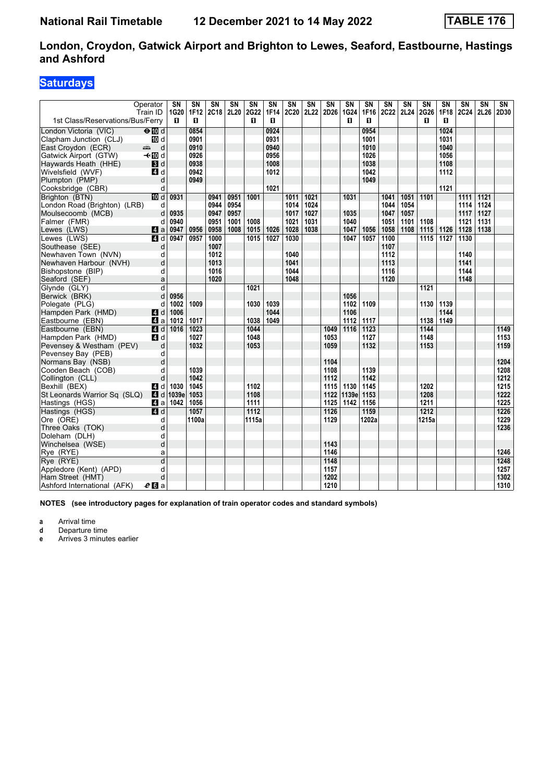### **Saturdays**

|                                  | Operator<br>Train ID   | SN<br>1G20    | SΝ<br>1F12   | $\overline{\text{SN}}$<br>2C18 2L20 | $\overline{\text{SN}}$ | SN<br>2G22   | $\overline{\text{SN}}$<br>1F14 | $\overline{\text{SN}}$<br>2C20 | $\overline{\text{SN}}$<br>2L22 | $\overline{\text{SN}}$<br>2D26 | SN<br>1G24    | SΝ<br>1F16   | $\overline{\text{SN}}$<br><b>2C22</b> | $\overline{\text{SN}}$<br>2L24 | $\overline{\text{SN}}$<br>2G26 | $\overline{\text{SN}}$<br>1F18 | $\overline{\text{SN}}$<br>2C24 | $\overline{\text{SN}}$<br>2L26 | $\overline{\text{SN}}$<br>2D30 |
|----------------------------------|------------------------|---------------|--------------|-------------------------------------|------------------------|--------------|--------------------------------|--------------------------------|--------------------------------|--------------------------------|---------------|--------------|---------------------------------------|--------------------------------|--------------------------------|--------------------------------|--------------------------------|--------------------------------|--------------------------------|
| 1st Class/Reservations/Bus/Ferry |                        | п             | п            |                                     |                        | п            | п                              |                                |                                |                                | п             | п            |                                       |                                | п                              | п                              |                                |                                |                                |
| London Victoria (VIC)            | $\Theta$ Md            |               | 0854         |                                     |                        |              | 0924                           |                                |                                |                                |               | 0954         |                                       |                                |                                | 1024                           |                                |                                |                                |
| Clapham Junction (CLJ)           | iD d                   |               | 0901         |                                     |                        |              | 0931                           |                                |                                |                                |               | 1001         |                                       |                                |                                | 1031                           |                                |                                |                                |
| East Croydon (ECR)               | d<br>المنتقبة          |               | 0910         |                                     |                        |              | 0940                           |                                |                                |                                |               | 1010         |                                       |                                |                                | 1040                           |                                |                                |                                |
| Gatwick Airport (GTW)            | – til d                |               | 0926         |                                     |                        |              | 0956                           |                                |                                |                                |               | 1026         |                                       |                                |                                | 1056                           |                                |                                |                                |
| Haywards Heath (HHE)             | $\blacksquare$         |               | 0938         |                                     |                        |              | 1008                           |                                |                                |                                |               | 1038         |                                       |                                |                                | 1108                           |                                |                                |                                |
| Wivelsfield (WVF)                | 4 d                    |               | 0942         |                                     |                        |              | 1012                           |                                |                                |                                |               | 1042         |                                       |                                |                                | 1112                           |                                |                                |                                |
| Plumpton (PMP)                   | d                      |               | 0949         |                                     |                        |              |                                |                                |                                |                                |               | 1049         |                                       |                                |                                |                                |                                |                                |                                |
| Cooksbridge (CBR)                | d                      |               |              |                                     |                        |              | 1021                           |                                |                                |                                |               |              |                                       |                                |                                | 1121                           |                                |                                |                                |
| Brighton (BTN)                   | III d                  | 0931          |              | 0941                                | 0951                   | 1001         |                                | 1011                           | $\frac{1021}{ }$               |                                | 1031          |              | 1041                                  | $1051$                         | 1101                           |                                | 1111                           | 1121                           |                                |
| London Road (Brighton) (LRB)     | d                      |               |              | 0944                                | 0954                   |              |                                | 1014                           | 1024                           |                                |               |              | 1044                                  | 1054                           |                                |                                | 1114                           | 1124                           |                                |
| Moulsecoomb (MCB)                | d                      | 0935          |              | 0947                                | 0957                   |              |                                | 1017                           | 1027                           |                                | 1035          |              | 1047                                  | 1057                           |                                |                                | 1117                           | 1127                           |                                |
| Falmer (FMR)                     | d                      | 0940<br>0947  |              | 0951                                | 1001<br>1008           | 1008<br>1015 |                                | 1021<br>1028                   | 1031<br>1038                   |                                | 1040<br>1047  | 1056         | 1051<br>1058                          | 1101<br>1108                   | 1108                           |                                | 1121<br>1128                   | 1131<br>1138                   |                                |
| Lewes (LWS)<br>Lewes (LWS)       | ZI a<br>$\blacksquare$ | 0947          | 0956<br>0957 | 0958<br>1000                        |                        | 1015         | 1026<br>1027                   | 1030                           |                                |                                | 1047          | 1057         | 1100                                  |                                | 1115<br>1115                   | 1126<br>1127                   | 1130                           |                                |                                |
| Southease (SEE)                  | d                      |               |              | 1007                                |                        |              |                                |                                |                                |                                |               |              | 1107                                  |                                |                                |                                |                                |                                |                                |
| Newhaven Town (NVN)              | d                      |               |              | 1012                                |                        |              |                                | 1040                           |                                |                                |               |              | 1112                                  |                                |                                |                                | 1140                           |                                |                                |
| Newhaven Harbour (NVH)           | d                      |               |              | 1013                                |                        |              |                                | 1041                           |                                |                                |               |              | 1113                                  |                                |                                |                                | 1141                           |                                |                                |
| Bishopstone (BIP)                | d                      |               |              | 1016                                |                        |              |                                | 1044                           |                                |                                |               |              | 1116                                  |                                |                                |                                | 1144                           |                                |                                |
| Seaford (SEF)                    | a                      |               |              | 1020                                |                        |              |                                | 1048                           |                                |                                |               |              | 1120                                  |                                |                                |                                | 1148                           |                                |                                |
| Glynde (GLY)                     | d                      |               |              |                                     |                        | 1021         |                                |                                |                                |                                |               |              |                                       |                                | 1121                           |                                |                                |                                |                                |
| Berwick (BRK)                    | d                      | 0956          |              |                                     |                        |              |                                |                                |                                |                                | 1056          |              |                                       |                                |                                |                                |                                |                                |                                |
| Polegate (PLG)                   | d                      | 1002          | 1009         |                                     |                        | 1030         | 1039                           |                                |                                |                                | 1102          | 1109         |                                       |                                | 1130                           | 1139                           |                                |                                |                                |
| Hampden Park (HMD)               | 4d                     | 1006          |              |                                     |                        |              | 1044                           |                                |                                |                                | 1106          |              |                                       |                                |                                | 1144                           |                                |                                |                                |
| Eastbourne (EBN)                 | ZI a                   | 1012          | 1017         |                                     |                        | 1038         | 1049                           |                                |                                |                                | 1112          | 1117         |                                       |                                | 1138                           | 1149                           |                                |                                |                                |
| Eastbourne (EBN)                 | $A$ d                  | 1016          | 1023         |                                     |                        | 1044         |                                |                                |                                | 1049                           | 1116          | 1123         |                                       |                                | 1144                           |                                |                                |                                | 1149                           |
| Hampden Park (HMD)               | 4 d                    |               | 1027         |                                     |                        | 1048         |                                |                                |                                | 1053                           |               | 1127         |                                       |                                | 1148                           |                                |                                |                                | 1153                           |
| Pevensey & Westham (PEV)         | d                      |               | 1032         |                                     |                        | 1053         |                                |                                |                                | 1059                           |               | 1132         |                                       |                                | 1153                           |                                |                                |                                | 1159                           |
| Pevensey Bay (PEB)               | d                      |               |              |                                     |                        |              |                                |                                |                                |                                |               |              |                                       |                                |                                |                                |                                |                                |                                |
| Normans Bay (NSB)                | d                      |               |              |                                     |                        |              |                                |                                |                                | 1104                           |               |              |                                       |                                |                                |                                |                                |                                | 1204                           |
| Cooden Beach (COB)               | d                      |               | 1039         |                                     |                        |              |                                |                                |                                | 1108                           |               | 1139         |                                       |                                |                                |                                |                                |                                | 1208                           |
| Collington (CLL)                 | d                      |               | 1042         |                                     |                        |              |                                |                                |                                | 1112                           |               | 1142         |                                       |                                |                                |                                |                                |                                | 1212                           |
| Bexhill (BEX)                    | 4 d                    | 1030          | 1045         |                                     |                        | 1102         |                                |                                |                                | 1115                           | 1130          | 1145         |                                       |                                | 1202                           |                                |                                |                                | 1215<br>1222                   |
| St Leonards Warrior Sq (SLQ)     | 4d                     | 1039e<br>1042 | 1053<br>1056 |                                     |                        | 1108<br>1111 |                                |                                |                                | 1122<br>1125                   | 1139e<br>1142 | 1153<br>1156 |                                       |                                | 1208<br>1211                   |                                |                                |                                | 1225                           |
| Hastings (HGS)<br>Hastings (HGS) | 44 a<br>4 d            |               | 1057         |                                     |                        | 1112         |                                |                                |                                | 1126                           |               | 1159         |                                       |                                | 1212                           |                                |                                |                                | 1226                           |
| Ore (ORE)                        | d                      |               | 1100a        |                                     |                        | 1115a        |                                |                                |                                | 1129                           |               | 1202a        |                                       |                                | 1215a                          |                                |                                |                                | 1229                           |
| Three Oaks (TOK)                 | d                      |               |              |                                     |                        |              |                                |                                |                                |                                |               |              |                                       |                                |                                |                                |                                |                                | 1236                           |
| Doleham (DLH)                    | d                      |               |              |                                     |                        |              |                                |                                |                                |                                |               |              |                                       |                                |                                |                                |                                |                                |                                |
| Winchelsea (WSE)                 | d                      |               |              |                                     |                        |              |                                |                                |                                | 1143                           |               |              |                                       |                                |                                |                                |                                |                                |                                |
| Rye (RYE)                        | a                      |               |              |                                     |                        |              |                                |                                |                                | 1146                           |               |              |                                       |                                |                                |                                |                                |                                | 1246                           |
| Rye (RYE)                        | $\overline{d}$         |               |              |                                     |                        |              |                                |                                |                                | 1148                           |               |              |                                       |                                |                                |                                |                                |                                | 1248                           |
| Appledore (Kent) (APD)           | d                      |               |              |                                     |                        |              |                                |                                |                                | 1157                           |               |              |                                       |                                |                                |                                |                                |                                | 1257                           |
| Ham Street (HMT)                 | d                      |               |              |                                     |                        |              |                                |                                |                                | 1202                           |               |              |                                       |                                |                                |                                |                                |                                | 1302                           |
| Ashford International (AFK)      | $e_0$ a                |               |              |                                     |                        |              |                                |                                |                                | 1210                           |               |              |                                       |                                |                                |                                |                                |                                | 1310                           |

**NOTES (see introductory pages for explanation of train operator codes and standard symbols)**

**a** Arrival time<br>**d** Departure ti

**d** Departure time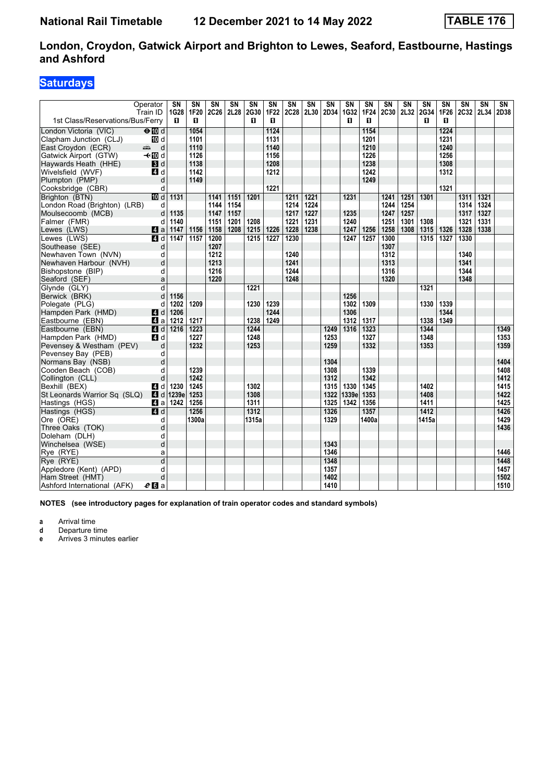### **Saturdays**

|                                  | Operator<br>Train ID      | SN<br>1G28             | SN<br>1F20 | SΝ<br>2C26 | SΝ<br>2L28 | SΝ<br>2G30 | SN<br>1F22 | SN<br>2C28 | $\overline{\text{SN}}$<br>2L30 | SN<br>2D34 | SN<br>1G32 | <b>SN</b><br><b>1F24</b> | SN<br>2C30 | SN<br>2L32 | SN<br>2G34 | SN<br><b>1F26</b> | SN<br>2C32   | SΝ<br>2L34 | SN<br>2D38       |
|----------------------------------|---------------------------|------------------------|------------|------------|------------|------------|------------|------------|--------------------------------|------------|------------|--------------------------|------------|------------|------------|-------------------|--------------|------------|------------------|
| 1st Class/Reservations/Bus/Ferry |                           | п                      | п          |            |            | п          | п          |            |                                |            | п          | п                        |            |            | п          | п                 |              |            |                  |
| London Victoria (VIC)            | $\Theta$ M d              |                        | 1054       |            |            |            | 1124       |            |                                |            |            | 1154                     |            |            |            | 1224              |              |            |                  |
| Clapham Junction (CLJ)           | <b>ID</b> d               |                        | 1101       |            |            |            | 1131       |            |                                |            |            | 1201                     |            |            |            | 1231              |              |            |                  |
| East Croydon (ECR)               | $\frac{1}{\sqrt{2}}$<br>d |                        | 1110       |            |            |            | 1140       |            |                                |            |            | 1210                     |            |            |            | 1240              |              |            |                  |
| Gatwick Airport (GTW)            | <b>√</b> t III d          |                        | 1126       |            |            |            | 1156       |            |                                |            |            | 1226                     |            |            |            | 1256              |              |            |                  |
| Haywards Heath (HHE)             | 3d                        |                        | 1138       |            |            |            | 1208       |            |                                |            |            | 1238                     |            |            |            | 1308              |              |            |                  |
| Wivelsfield (WVF)                | 4 d                       |                        | 1142       |            |            |            | 1212       |            |                                |            |            | 1242                     |            |            |            | 1312              |              |            |                  |
| Plumpton (PMP)                   | d                         |                        | 1149       |            |            |            |            |            |                                |            |            | 1249                     |            |            |            |                   |              |            |                  |
| Cooksbridge (CBR)                | d                         |                        |            |            |            |            | 1221       |            |                                |            |            |                          |            |            |            | 1321              |              |            |                  |
| Brighton (BTN)                   | <b>ID</b> d               | 1131                   |            | 1141       | 1151       | 1201       |            | 1211       | 1221                           |            | 1231       |                          | 1241       | 1251       | 1301       |                   | 1311         | 1321       |                  |
| London Road (Brighton) (LRB)     | d                         |                        |            | 1144       | 1154       |            |            | 1214       | 1224                           |            |            |                          | 1244       | 1254       |            |                   | 1314         | 1324       |                  |
| Moulsecoomb (MCB)                | d                         | 1135                   |            | 1147       | 1157       |            |            | 1217       | 1227                           |            | 1235       |                          | 1247       | 1257       |            |                   | 1317         | 1327       |                  |
| Falmer (FMR)                     | d                         | 1140                   |            | 1151       | 1201       | 1208       |            | 1221       | 1231                           |            | 1240       |                          | 1251       | 1301       | 1308       |                   | 1321         | 1331       |                  |
| Lewes (LWS)                      | $\blacksquare$ a          | 1147                   | 1156       | 1158       | 1208       | 1215       | 1226       | 1228       | 1238                           |            | 1247       | 1256                     | 1258       | 1308       | 1315       | 1326              | 1328         | 1338       |                  |
| Lewes (LWS)                      | 4 d                       | 1147                   | 1157       | 1200       |            | 1215       | 1227       | 1230       |                                |            | 1247       | 1257                     | 1300       |            | 1315       | 1327              | 1330         |            |                  |
| Southease (SEE)                  | d                         |                        |            | 1207       |            |            |            |            |                                |            |            |                          | 1307       |            |            |                   |              |            |                  |
| Newhaven Town (NVN)              | d                         |                        |            | 1212       |            |            |            | 1240       |                                |            |            |                          | 1312       |            |            |                   | 1340         |            |                  |
| Newhaven Harbour (NVH)           | d                         |                        |            | 1213       |            |            |            | 1241       |                                |            |            |                          | 1313       |            |            |                   | 1341         |            |                  |
| Bishopstone (BIP)                | d                         |                        |            | $1216$     |            |            |            | 1244       |                                |            |            |                          | 1316       |            |            |                   | 1344<br>1348 |            |                  |
| Seaford (SEF)                    | a                         |                        |            | 1220       |            |            |            | 1248       |                                |            |            |                          | 1320       |            |            |                   |              |            |                  |
| Glynde (GLY)                     | d<br>d                    | 1156                   |            |            |            | 1221       |            |            |                                |            | 1256       |                          |            |            | 1321       |                   |              |            |                  |
| Berwick (BRK)<br>Polegate (PLG)  | d                         | 1202                   | 1209       |            |            | 1230       | 1239       |            |                                |            | 1302       | 1309                     |            |            | 1330       | 1339              |              |            |                  |
| Hampden Park (HMD)               | ZI d                      | 1206                   |            |            |            |            | 1244       |            |                                |            | 1306       |                          |            |            |            | 1344              |              |            |                  |
| Eastbourne (EBN)                 | 41 a                      | 1212                   | 1217       |            |            | 1238       | 1249       |            |                                |            | 1312       | 1317                     |            |            | 1338       | 1349              |              |            |                  |
| Eastbourne (EBN)                 | $\blacksquare$ d          | 1216                   | 1223       |            |            | 1244       |            |            |                                | 1249       | 1316       | 1323                     |            |            | 1344       |                   |              |            | 1349             |
| Hampden Park (HMD)               | 4 d                       |                        | 1227       |            |            | 1248       |            |            |                                | 1253       |            | 1327                     |            |            | 1348       |                   |              |            | 1353             |
| Pevensey & Westham (PEV)         | d                         |                        | 1232       |            |            | 1253       |            |            |                                | 1259       |            | 1332                     |            |            | 1353       |                   |              |            | 1359             |
| Pevensey Bay (PEB)               | d                         |                        |            |            |            |            |            |            |                                |            |            |                          |            |            |            |                   |              |            |                  |
| Normans Bay (NSB)                | d                         |                        |            |            |            |            |            |            |                                | 1304       |            |                          |            |            |            |                   |              |            | 1404             |
| Cooden Beach (COB)               | d                         |                        | 1239       |            |            |            |            |            |                                | 1308       |            | 1339                     |            |            |            |                   |              |            | 1408             |
| Collington (CLL)                 | d                         |                        | 1242       |            |            |            |            |            |                                | 1312       |            | 1342                     |            |            |            |                   |              |            | 1412             |
| Bexhill (BEX)                    | 4 d                       | 1230                   | 1245       |            |            | 1302       |            |            |                                | 1315       | 1330       | 1345                     |            |            | 1402       |                   |              |            | 1415             |
| St Leonards Warrior Sq (SLQ)     |                           | $\blacksquare$ d 1239e | 1253       |            |            | 1308       |            |            |                                | 1322       | 1339e      | 1353                     |            |            | 1408       |                   |              |            | 1422             |
| Hastings (HGS)                   | ZI a                      | 1242                   | 1256       |            |            | 1311       |            |            |                                | 1325       | 1342       | 1356                     |            |            | 1411       |                   |              |            | 1425             |
| Hastings (HGS)                   | $\overline{A}$ d          |                        | 1256       |            |            | 1312       |            |            |                                | 1326       |            | 1357                     |            |            | 1412       |                   |              |            | $\frac{1426}{ }$ |
| Ore (ORE)                        | d                         |                        | 1300a      |            |            | 1315a      |            |            |                                | 1329       |            | 1400a                    |            |            | 1415a      |                   |              |            | 1429             |
| Three Oaks (TOK)                 | d                         |                        |            |            |            |            |            |            |                                |            |            |                          |            |            |            |                   |              |            | 1436             |
| Doleham (DLH)                    | d                         |                        |            |            |            |            |            |            |                                |            |            |                          |            |            |            |                   |              |            |                  |
| Winchelsea (WSE)                 | d                         |                        |            |            |            |            |            |            |                                | 1343       |            |                          |            |            |            |                   |              |            |                  |
| Rye (RYE)                        | a                         |                        |            |            |            |            |            |            |                                | 1346       |            |                          |            |            |            |                   |              |            | 1446             |
| Rye (RYE)                        | $\overline{d}$            |                        |            |            |            |            |            |            |                                | 1348       |            |                          |            |            |            |                   |              |            | 1448             |
| Appledore (Kent) (APD)           | d                         |                        |            |            |            |            |            |            |                                | 1357       |            |                          |            |            |            |                   |              |            | 1457             |
| Ham Street (HMT)                 | d                         |                        |            |            |            |            |            |            |                                | 1402       |            |                          |            |            |            |                   |              |            | 1502             |
| Ashford International (AFK)      | $e_0$ a                   |                        |            |            |            |            |            |            |                                | 1410       |            |                          |            |            |            |                   |              |            | 1510             |

**NOTES (see introductory pages for explanation of train operator codes and standard symbols)**

**a** Arrival time<br>**d** Departure ti

**d** Departure time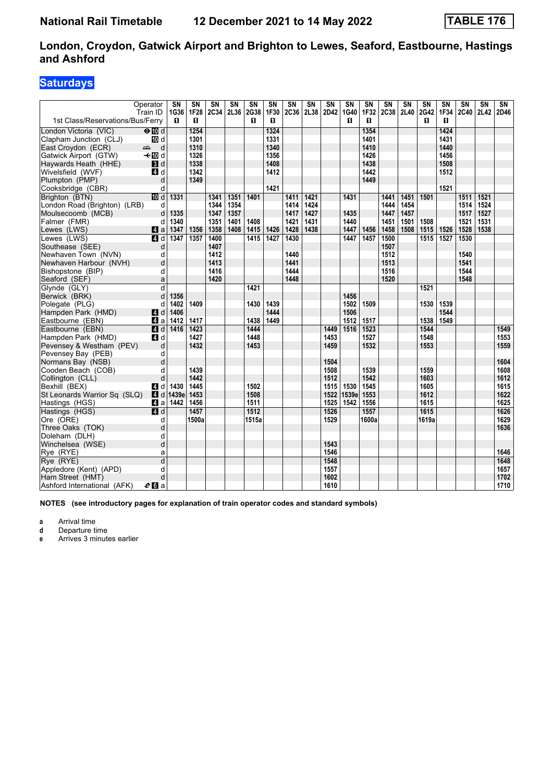### **Saturdays**

|                                        | Operator<br>Train ID      | SN<br>1G36 | SΝ<br><b>1F28</b> | $\overline{\text{SN}}$<br>2C34 | $\overline{\text{SN}}$<br>2L36 | SN<br>2G38 | SN<br>1F30 | $\overline{\text{SN}}$<br>2C36 | $\overline{\text{SN}}$<br>2L38 | SN<br>2D42   | SN<br>1G40 | SΝ<br>1F32 | $\overline{\text{SN}}$<br><b>2C38</b> | $\overline{\text{SN}}$<br>2L40 | $\overline{\text{SN}}$<br><b>2G42</b> | $\overline{\text{SN}}$<br>1F34 | $\overline{\text{SN}}$<br><b>2C40</b> | $\overline{\text{SN}}$<br>2L42 | SN<br>2D46 |
|----------------------------------------|---------------------------|------------|-------------------|--------------------------------|--------------------------------|------------|------------|--------------------------------|--------------------------------|--------------|------------|------------|---------------------------------------|--------------------------------|---------------------------------------|--------------------------------|---------------------------------------|--------------------------------|------------|
| 1st Class/Reservations/Bus/Ferry       |                           | п          | п                 |                                |                                | п          | п          |                                |                                |              | п          | п          |                                       |                                | п                                     | п                              |                                       |                                |            |
| London Victoria (VIC)                  | $\Theta$ Md               |            | 1254              |                                |                                |            | 1324       |                                |                                |              |            | 1354       |                                       |                                |                                       | 1424                           |                                       |                                |            |
| Clapham Junction (CLJ)                 | iD d                      |            | 1301              |                                |                                |            | 1331       |                                |                                |              |            | 1401       |                                       |                                |                                       | 1431                           |                                       |                                |            |
| East Croydon (ECR)                     | d<br>$\frac{1}{\sqrt{2}}$ |            | 1310              |                                |                                |            | 1340       |                                |                                |              |            | 1410       |                                       |                                |                                       | 1440                           |                                       |                                |            |
| Gatwick Airport (GTW)                  | – til d                   |            | 1326              |                                |                                |            | 1356       |                                |                                |              |            | 1426       |                                       |                                |                                       | 1456                           |                                       |                                |            |
| Haywards Heath (HHE)                   | $\blacksquare$            |            | 1338              |                                |                                |            | 1408       |                                |                                |              |            | 1438       |                                       |                                |                                       | 1508                           |                                       |                                |            |
| Wivelsfield (WVF)                      | 4 d                       |            | 1342              |                                |                                |            | 1412       |                                |                                |              |            | 1442       |                                       |                                |                                       | 1512                           |                                       |                                |            |
| Plumpton (PMP)                         | d                         |            | 1349              |                                |                                |            |            |                                |                                |              |            | 1449       |                                       |                                |                                       |                                |                                       |                                |            |
| Cooksbridge (CBR)                      | d                         |            |                   |                                |                                |            | 1421       |                                |                                |              |            |            |                                       |                                |                                       | 1521                           |                                       |                                |            |
| Brighton (BTN)                         | III d                     | 1331       |                   | 1341                           | 1351                           | 1401       |            | 1411                           | 1421                           |              | 1431       |            | 1441                                  | 1451                           | 1501                                  |                                | 1511                                  | $\overline{1521}$              |            |
| London Road (Brighton) (LRB)           | d                         |            |                   | 1344                           | 1354                           |            |            | 1414                           | 1424                           |              |            |            | 1444                                  | 1454                           |                                       |                                | 1514                                  | 1524                           |            |
| Moulsecoomb (MCB)                      | $\sf d$                   | 1335       |                   | 1347                           | 1357                           |            |            | 1417                           | 1427                           |              | 1435       |            | 1447                                  | 1457                           |                                       |                                | 1517                                  | 1527                           |            |
| Falmer (FMR)                           | d                         | 1340       |                   | 1351                           | 1401                           | 1408       |            | 1421                           | 1431                           |              | 1440       |            | 1451                                  | 1501                           | 1508                                  |                                | 1521                                  | 1531                           |            |
| Lewes (LWS)                            | ZI a                      | 1347       | 1356              | 1358                           | 1408                           | 1415       | 1426       | 1428                           | 1438                           |              | 1447       | 1456       | 1458                                  | 1508                           | 1515                                  | 1526                           | 1528                                  | 1538                           |            |
| Lewes (LWS)                            | $\blacksquare$            | 1347       | 1357              | 1400                           |                                | 1415       | 1427       | 1430                           |                                |              | 1447       | 1457       | 1500                                  |                                | 1515                                  | 1527                           | 1530                                  |                                |            |
| Southease (SEE)                        | d                         |            |                   | 1407                           |                                |            |            |                                |                                |              |            |            | 1507                                  |                                |                                       |                                |                                       |                                |            |
| Newhaven Town (NVN)                    | d                         |            |                   | 1412                           |                                |            |            | 1440                           |                                |              |            |            | 1512                                  |                                |                                       |                                | 1540                                  |                                |            |
| Newhaven Harbour (NVH)                 | d                         |            |                   | 1413                           |                                |            |            | 1441                           |                                |              |            |            | 1513                                  |                                |                                       |                                | 1541                                  |                                |            |
| Bishopstone (BIP)                      | d                         |            |                   | 1416                           |                                |            |            | 1444                           |                                |              |            |            | 1516                                  |                                |                                       |                                | 1544                                  |                                |            |
| Seaford (SEF)                          | a                         |            |                   | 1420                           |                                |            |            | 1448                           |                                |              |            |            | 1520                                  |                                |                                       |                                | 1548                                  |                                |            |
| Glynde (GLY)                           | d                         |            |                   |                                |                                | 1421       |            |                                |                                |              |            |            |                                       |                                | 1521                                  |                                |                                       |                                |            |
| Berwick (BRK)                          | d                         | 1356       |                   |                                |                                |            |            |                                |                                |              | 1456       |            |                                       |                                |                                       |                                |                                       |                                |            |
| Polegate (PLG)                         | d                         | 1402       | 1409              |                                |                                | 1430       | 1439       |                                |                                |              | 1502       | 1509       |                                       |                                | 1530                                  | 1539                           |                                       |                                |            |
| Hampden Park (HMD)                     | 4d                        | 1406       |                   |                                |                                |            | 1444       |                                |                                |              | 1506       |            |                                       |                                |                                       | 1544                           |                                       |                                |            |
| Eastbourne (EBN)                       | ZI a                      | 1412       | 1417              |                                |                                | 1438       | 1449       |                                |                                |              | 1512       | 1517       |                                       |                                | 1538                                  | 1549                           |                                       |                                |            |
| Eastbourne (EBN)                       | $A$ d                     | 1416       | 1423              |                                |                                | 1444       |            |                                |                                | 1449         | 1516       | 1523       |                                       |                                | 1544                                  |                                |                                       |                                | 1549       |
| Hampden Park (HMD)                     | 4 d                       |            | 1427              |                                |                                | 1448       |            |                                |                                | 1453         |            | 1527       |                                       |                                | 1548                                  |                                |                                       |                                | 1553       |
| Pevensey & Westham (PEV)               | d                         |            | 1432              |                                |                                | 1453       |            |                                |                                | 1459         |            | 1532       |                                       |                                | 1553                                  |                                |                                       |                                | 1559       |
| Pevensey Bay (PEB)                     | d<br>d                    |            |                   |                                |                                |            |            |                                |                                |              |            |            |                                       |                                |                                       |                                |                                       |                                | 1604       |
| Normans Bay (NSB)                      | d                         |            | 1439              |                                |                                |            |            |                                |                                | 1504<br>1508 |            | 1539       |                                       |                                | 1559                                  |                                |                                       |                                | 1608       |
| Cooden Beach (COB)<br>Collington (CLL) | d                         |            | 1442              |                                |                                |            |            |                                |                                | 1512         |            | 1542       |                                       |                                | 1603                                  |                                |                                       |                                | 1612       |
| Bexhill (BEX)                          | 4 d                       | 1430       | 1445              |                                |                                | 1502       |            |                                |                                | 1515         | 1530       | 1545       |                                       |                                | 1605                                  |                                |                                       |                                | 1615       |
| St Leonards Warrior Sq (SLQ)           | 4d                        | 1439e      | 1453              |                                |                                | 1508       |            |                                |                                | 1522         | 1539e      | 1553       |                                       |                                | 1612                                  |                                |                                       |                                | 1622       |
| Hastings (HGS)                         | 41 a                      | 1442       | 1456              |                                |                                | 1511       |            |                                |                                | 1525         | 1542       | 1556       |                                       |                                | 1615                                  |                                |                                       |                                | 1625       |
| Hastings (HGS)                         | 4 d                       |            | 1457              |                                |                                | 1512       |            |                                |                                | 1526         |            | 1557       |                                       |                                | 1615                                  |                                |                                       |                                | 1626       |
| Ore (ORE)                              | d                         |            | 1500a             |                                |                                | 1515a      |            |                                |                                | 1529         |            | 1600a      |                                       |                                | 1619a                                 |                                |                                       |                                | 1629       |
| Three Oaks (TOK)                       | d                         |            |                   |                                |                                |            |            |                                |                                |              |            |            |                                       |                                |                                       |                                |                                       |                                | 1636       |
| Doleham (DLH)                          | d                         |            |                   |                                |                                |            |            |                                |                                |              |            |            |                                       |                                |                                       |                                |                                       |                                |            |
| Winchelsea (WSE)                       | d                         |            |                   |                                |                                |            |            |                                |                                | 1543         |            |            |                                       |                                |                                       |                                |                                       |                                |            |
| Rye (RYE)                              | a                         |            |                   |                                |                                |            |            |                                |                                | 1546         |            |            |                                       |                                |                                       |                                |                                       |                                | 1646       |
| Rye (RYE)                              | $\overline{d}$            |            |                   |                                |                                |            |            |                                |                                | 1548         |            |            |                                       |                                |                                       |                                |                                       |                                | 1648       |
| Appledore (Kent) (APD)                 | d                         |            |                   |                                |                                |            |            |                                |                                | 1557         |            |            |                                       |                                |                                       |                                |                                       |                                | 1657       |
| Ham Street (HMT)                       | d                         |            |                   |                                |                                |            |            |                                |                                | 1602         |            |            |                                       |                                |                                       |                                |                                       |                                | 1702       |
| Ashford International (AFK)            | $e_0$ a                   |            |                   |                                |                                |            |            |                                |                                | 1610         |            |            |                                       |                                |                                       |                                |                                       |                                | 1710       |

**NOTES (see introductory pages for explanation of train operator codes and standard symbols)**

**a** Arrival time<br>**d** Departure ti

**d** Departure time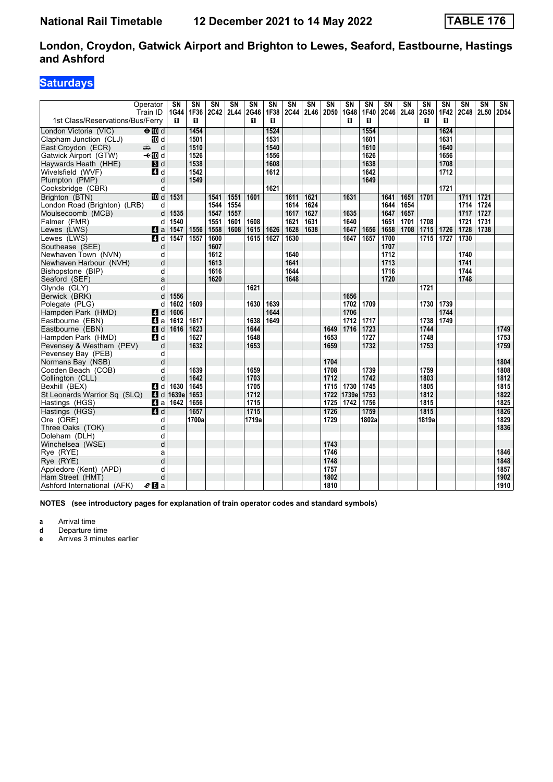### **Saturdays**

|                                                | Operator<br>Train ID | SN<br>1G44   | SΝ<br>1F36 | SΝ<br>2C42 2L44 | $\overline{\text{SN}}$ | SN<br>2G46 | SN<br>1F38   | SΝ<br><b>2C44</b> | SN<br>2L46 | SN<br>2D50 | SN<br>1G48   | SN<br>1F40 | SN<br>2C46 | SN<br>2L48 | SN<br>2G50 | SΝ<br>1F42   | SN<br>2C48 | SN<br>2L50 | SN<br>2D54 |
|------------------------------------------------|----------------------|--------------|------------|-----------------|------------------------|------------|--------------|-------------------|------------|------------|--------------|------------|------------|------------|------------|--------------|------------|------------|------------|
| 1st Class/Reservations/Bus/Ferry               |                      | п            | п          |                 |                        | п          | п            |                   |            |            | п            | п          |            |            | п          | п            |            |            |            |
| London Victoria (VIC)                          | $\Theta$ Md          |              | 1454       |                 |                        |            | 1524         |                   |            |            |              | 1554       |            |            |            | 1624         |            |            |            |
| Clapham Junction (CLJ)                         | iD d                 |              | 1501       |                 |                        |            | 1531         |                   |            |            |              | 1601       |            |            |            | 1631         |            |            |            |
| East Croydon (ECR)                             | <del>∰</del><br>d    |              | 1510       |                 |                        |            | 1540         |                   |            |            |              | 1610       |            |            |            | 1640         |            |            |            |
| Gatwick Airport (GTW)                          | <b>√</b> t III d     |              | 1526       |                 |                        |            | 1556         |                   |            |            |              | 1626       |            |            |            | 1656         |            |            |            |
| Haywards Heath (HHE)                           | $\blacksquare$       |              | 1538       |                 |                        |            | 1608         |                   |            |            |              | 1638       |            |            |            | 1708         |            |            |            |
| Wivelsfield (WVF)                              | 4 d                  |              | 1542       |                 |                        |            | 1612         |                   |            |            |              | 1642       |            |            |            | 1712         |            |            |            |
| Plumpton (PMP)                                 | d                    |              | 1549       |                 |                        |            |              |                   |            |            |              | 1649       |            |            |            |              |            |            |            |
| Cooksbridge (CBR)                              | d                    |              |            |                 |                        |            | 1621         |                   |            |            |              |            |            |            |            | 1721         |            |            |            |
| Brighton (BTN)                                 | <b>ID</b> d          | 1531         |            | 1541            | 1551                   | 1601       |              | 1611              | 1621       |            | 1631         |            | 1641       | 1651       | 1701       |              | 1711       | 1721       |            |
| London Road (Brighton) (LRB)                   | d                    |              |            | 1544            | 1554                   |            |              | 1614              | 1624       |            |              |            | 1644       | 1654       |            |              | 1714       | 1724       |            |
| Moulsecoomb (MCB)                              | d                    | 1535         |            | 1547            | 1557                   |            |              | 1617              | 1627       |            | 1635         |            | 1647       | 1657       |            |              | 1717       | 1727       |            |
| Falmer (FMR)                                   | d                    | 1540         |            | 1551            | 1601                   | 1608       |              | 1621              | 1631       |            | 1640         |            | 1651       | 1701       | 1708       |              | 1721       | 1731       |            |
| Lewes (LWS)                                    | $\blacksquare$ a     | 1547         | 1556       | 1558            | 1608                   | 1615       | 1626         | 1628              | 1638       |            | 1647         | 1656       | 1658       | 1708       | 1715       | 1726         | 1728       | 1738       |            |
| Lewes (LWS)                                    | 4 d                  | 1547         | 1557       | 1600            |                        | 1615       | 1627         | 1630              |            |            | 1647         | 1657       | 1700       |            | 1715       | 1727         | 1730       |            |            |
| Southease (SEE)                                | d                    |              |            | 1607            |                        |            |              |                   |            |            |              |            | 1707       |            |            |              |            |            |            |
| Newhaven Town (NVN)                            | d                    |              |            | 1612            |                        |            |              | 1640              |            |            |              |            | 1712       |            |            |              | 1740       |            |            |
| Newhaven Harbour (NVH)                         | d                    |              |            | 1613            |                        |            |              | 1641              |            |            |              |            | 1713       |            |            |              | 1741       |            |            |
| Bishopstone (BIP)                              | d                    |              |            | 1616            |                        |            |              | 1644              |            |            |              |            | 1716       |            |            |              | 1744       |            |            |
| Seaford (SEF)                                  | a                    |              |            | 1620            |                        |            |              | 1648              |            |            |              |            | 1720       |            |            |              | 1748       |            |            |
| Glynde (GLY)                                   | d                    |              |            |                 |                        | 1621       |              |                   |            |            |              |            |            |            | 1721       |              |            |            |            |
| Berwick (BRK)                                  | d                    | 1556         |            |                 |                        |            |              |                   |            |            | 1656         |            |            |            |            |              |            |            |            |
| Polegate (PLG)                                 | d                    | 1602         | 1609       |                 |                        | 1630       | 1639         |                   |            |            | 1702         | 1709       |            |            | 1730       | 1739         |            |            |            |
| Hampden Park (HMD)<br>Eastbourne (EBN)         | <b>4</b> d<br>41 a   | 1606<br>1612 | 1617       |                 |                        | 1638       | 1644<br>1649 |                   |            |            | 1706<br>1712 | 1717       |            |            | 1738       | 1744<br>1749 |            |            |            |
| Eastbourne (EBN)                               | 4d                   | 1616         | 1623       |                 |                        | 1644       |              |                   |            | 1649       | 1716         | 1723       |            |            | 1744       |              |            |            | 1749       |
|                                                | 4 d                  |              | 1627       |                 |                        | 1648       |              |                   |            | 1653       |              | 1727       |            |            | 1748       |              |            |            | 1753       |
| Hampden Park (HMD)<br>Pevensey & Westham (PEV) | d                    |              | 1632       |                 |                        | 1653       |              |                   |            | 1659       |              | 1732       |            |            | 1753       |              |            |            | 1759       |
| Pevensey Bay (PEB)                             | d                    |              |            |                 |                        |            |              |                   |            |            |              |            |            |            |            |              |            |            |            |
| Normans Bay (NSB)                              | d                    |              |            |                 |                        |            |              |                   |            | 1704       |              |            |            |            |            |              |            |            | 1804       |
| Cooden Beach (COB)                             | d                    |              | 1639       |                 |                        | 1659       |              |                   |            | 1708       |              | 1739       |            |            | 1759       |              |            |            | 1808       |
| Collington (CLL)                               | d                    |              | 1642       |                 |                        | 1703       |              |                   |            | 1712       |              | 1742       |            |            | 1803       |              |            |            | 1812       |
| Bexhill (BEX)                                  | 4 d                  | 1630         | 1645       |                 |                        | 1705       |              |                   |            | 1715       | 1730         | 1745       |            |            | 1805       |              |            |            | 1815       |
| St Leonards Warrior Sq (SLQ)                   | 4d                   | 1639e        | 1653       |                 |                        | 1712       |              |                   |            | 1722       | 1739e        | 1753       |            |            | 1812       |              |            |            | 1822       |
| Hastings (HGS)                                 | 44 a                 | 1642         | 1656       |                 |                        | 1715       |              |                   |            | 1725       | 1742         | 1756       |            |            | 1815       |              |            |            | 1825       |
| Hastings (HGS)                                 | $\overline{A}$ d     |              | 1657       |                 |                        | 1715       |              |                   |            | 1726       |              | 1759       |            |            | 1815       |              |            |            | 1826       |
| Ore (ORE)                                      | d                    |              | 1700a      |                 |                        | 1719a      |              |                   |            | 1729       |              | 1802a      |            |            | 1819a      |              |            |            | 1829       |
| Three Oaks (TOK)                               | d                    |              |            |                 |                        |            |              |                   |            |            |              |            |            |            |            |              |            |            | 1836       |
| Doleham (DLH)                                  | d                    |              |            |                 |                        |            |              |                   |            |            |              |            |            |            |            |              |            |            |            |
| Winchelsea (WSE)                               | d                    |              |            |                 |                        |            |              |                   |            | 1743       |              |            |            |            |            |              |            |            |            |
| Rye (RYE)                                      | a                    |              |            |                 |                        |            |              |                   |            | 1746       |              |            |            |            |            |              |            |            | 1846       |
| Rye (RYE)                                      | $\overline{d}$       |              |            |                 |                        |            |              |                   |            | 1748       |              |            |            |            |            |              |            |            | 1848       |
| Appledore (Kent) (APD)                         | d                    |              |            |                 |                        |            |              |                   |            | 1757       |              |            |            |            |            |              |            |            | 1857       |
| Ham Street (HMT)                               | d                    |              |            |                 |                        |            |              |                   |            | 1802       |              |            |            |            |            |              |            |            | 1902       |
| Ashford International (AFK)                    | e <sub>0</sub> a     |              |            |                 |                        |            |              |                   |            | 1810       |              |            |            |            |            |              |            |            | 1910       |

**NOTES (see introductory pages for explanation of train operator codes and standard symbols)**

**a** Arrival time<br>**d** Departure ti

**d** Departure time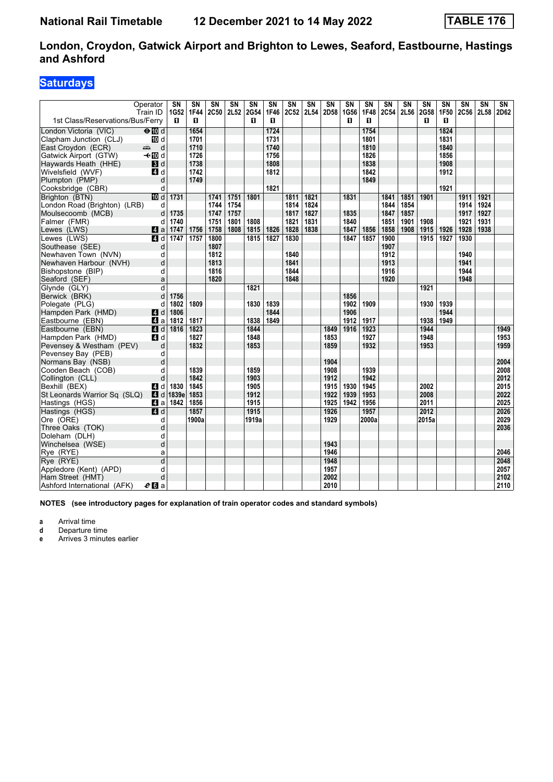### **Saturdays**

|                                             | Operator<br>Train ID | SN<br>1G52 | SΝ<br><b>1F44</b> | SΝ<br><b>2C50</b> | $\overline{\text{SN}}$<br>2L52 | SN<br>2G54 | SN<br>1F46 | SΝ<br>2C52 | SN<br>2L54 | SN<br>2D58 | SN<br>1G56 | SN<br>1F48 | SN<br><b>2C54</b> | SN<br>2L56 | SN<br>2G58 | SΝ<br>1F50 | SΝ<br>2C56 | SΝ<br>2L58 | SN<br>2D62 |
|---------------------------------------------|----------------------|------------|-------------------|-------------------|--------------------------------|------------|------------|------------|------------|------------|------------|------------|-------------------|------------|------------|------------|------------|------------|------------|
| 1st Class/Reservations/Bus/Ferry            |                      | п          | п                 |                   |                                | п          | п          |            |            |            | п          | п          |                   |            | п          | п          |            |            |            |
| London Victoria (VIC)                       | $\Theta$ Md          |            | 1654              |                   |                                |            | 1724       |            |            |            |            | 1754       |                   |            |            | 1824       |            |            |            |
| Clapham Junction (CLJ)                      | iD d                 |            | 1701              |                   |                                |            | 1731       |            |            |            |            | 1801       |                   |            |            | 1831       |            |            |            |
| East Croydon (ECR)                          | المشر<br>d           |            | 1710              |                   |                                |            | 1740       |            |            |            |            | 1810       |                   |            |            | 1840       |            |            |            |
| Gatwick Airport (GTW)                       | <b>√</b> t III d     |            | 1726              |                   |                                |            | 1756       |            |            |            |            | 1826       |                   |            |            | 1856       |            |            |            |
| Haywards Heath (HHE)                        | $\mathbf{3}$ d       |            | 1738              |                   |                                |            | 1808       |            |            |            |            | 1838       |                   |            |            | 1908       |            |            |            |
| Wivelsfield (WVF)                           | 4 d                  |            | 1742              |                   |                                |            | 1812       |            |            |            |            | 1842       |                   |            |            | 1912       |            |            |            |
| Plumpton (PMP)                              | d                    |            | 1749              |                   |                                |            |            |            |            |            |            | 1849       |                   |            |            |            |            |            |            |
| Cooksbridge (CBR)                           | d                    |            |                   |                   |                                |            | 1821       |            |            |            |            |            |                   |            |            | 1921       |            |            |            |
| Brighton (BTN)                              | <b>ID</b> d          | 1731       |                   | 1741              | 1751                           | 1801       |            | 1811       | 1821       |            | 1831       |            | 1841              | 1851       | 1901       |            | 1911       | 1921       |            |
| London Road (Brighton) (LRB)                | d                    |            |                   | 1744              | 1754                           |            |            | 1814       | 1824       |            |            |            | 1844              | 1854       |            |            | 1914       | 1924       |            |
| Moulsecoomb (MCB)                           | d                    | 1735       |                   | 1747              | 1757                           |            |            | 1817       | 1827       |            | 1835       |            | 1847              | 1857       |            |            | 1917       | 1927       |            |
| Falmer (FMR)                                | d                    | 1740       |                   | 1751              | 1801                           | 1808       |            | 1821       | 1831       |            | 1840       |            | 1851              | 1901       | 1908       |            | 1921       | 1931       |            |
| Lewes (LWS)                                 | 4a                   | 1747       | 1756              | 1758              | 1808                           | 1815       | 1826       | 1828       | 1838       |            | 1847       | 1856       | 1858              | 1908       | 1915       | 1926       | 1928       | 1938       |            |
| Lewes (LWS)                                 | 4d                   | 1747       | 1757              | 1800              |                                | 1815       | 1827       | 1830       |            |            | 1847       | 1857       | 1900              |            | 1915       | 1927       | 1930       |            |            |
| Southease (SEE)                             | d                    |            |                   | 1807<br>1812      |                                |            |            | 1840       |            |            |            |            | 1907<br>1912      |            |            |            | 1940       |            |            |
| Newhaven Town (NVN)                         | d                    |            |                   | 1813              |                                |            |            | 1841       |            |            |            |            | 1913              |            |            |            | 1941       |            |            |
| Newhaven Harbour (NVH)<br>Bishopstone (BIP) | d<br>d               |            |                   | 1816              |                                |            |            | 1844       |            |            |            |            | 1916              |            |            |            | 1944       |            |            |
| Seaford (SEF)                               | a                    |            |                   | 1820              |                                |            |            | 1848       |            |            |            |            | 1920              |            |            |            | 1948       |            |            |
| Glynde (GLY)                                | d                    |            |                   |                   |                                | 1821       |            |            |            |            |            |            |                   |            | 1921       |            |            |            |            |
| Berwick (BRK)                               | d                    | 1756       |                   |                   |                                |            |            |            |            |            | 1856       |            |                   |            |            |            |            |            |            |
| Polegate (PLG)                              | d                    | 1802       | 1809              |                   |                                | 1830       | 1839       |            |            |            | 1902       | 1909       |                   |            | 1930       | 1939       |            |            |            |
| Hampden Park (HMD)                          | <b>4</b> d           | 1806       |                   |                   |                                |            | 1844       |            |            |            | 1906       |            |                   |            |            | 1944       |            |            |            |
| Eastbourne (EBN)                            | 41 a                 | 1812       | 1817              |                   |                                | 1838       | 1849       |            |            |            | 1912       | 1917       |                   |            | 1938       | 1949       |            |            |            |
| Eastbourne (EBN)                            | 4d                   | 1816       | 1823              |                   |                                | 1844       |            |            |            | 1849       | 1916       | 1923       |                   |            | 1944       |            |            |            | 1949       |
| Hampden Park (HMD)                          | 4 d                  |            | 1827              |                   |                                | 1848       |            |            |            | 1853       |            | 1927       |                   |            | 1948       |            |            |            | 1953       |
| Pevensey & Westham (PEV)                    | d                    |            | 1832              |                   |                                | 1853       |            |            |            | 1859       |            | 1932       |                   |            | 1953       |            |            |            | 1959       |
| Pevensey Bay (PEB)                          | d                    |            |                   |                   |                                |            |            |            |            |            |            |            |                   |            |            |            |            |            |            |
| Normans Bay (NSB)                           | d                    |            |                   |                   |                                |            |            |            |            | 1904       |            |            |                   |            |            |            |            |            | 2004       |
| Cooden Beach (COB)                          | d                    |            | 1839              |                   |                                | 1859       |            |            |            | 1908       |            | 1939       |                   |            |            |            |            |            | 2008       |
| Collington (CLL)                            | d                    |            | 1842              |                   |                                | 1903       |            |            |            | 1912       |            | 1942       |                   |            |            |            |            |            | 2012       |
| Bexhill (BEX)                               | 4 d                  | 1830       | 1845              |                   |                                | 1905       |            |            |            | 1915       | 1930       | 1945       |                   |            | 2002       |            |            |            | 2015       |
| St Leonards Warrior Sq (SLQ)                | 4d                   | 1839e      | 1853              |                   |                                | 1912       |            |            |            | 1922       | 1939       | 1953       |                   |            | 2008       |            |            |            | 2022       |
| Hastings (HGS)                              | 44 a                 | 1842       | 1856              |                   |                                | 1915       |            |            |            | 1925       | 1942       | 1956       |                   |            | 2011       |            |            |            | 2025       |
| Hastings (HGS)                              | $\overline{A}$ d     |            | 1857              |                   |                                | 1915       |            |            |            | 1926       |            | 1957       |                   |            | 2012       |            |            |            | 2026       |
| Ore (ORE)                                   | d                    |            | 1900a             |                   |                                | 1919a      |            |            |            | 1929       |            | 2000a      |                   |            | 2015a      |            |            |            | 2029       |
| Three Oaks (TOK)                            | d                    |            |                   |                   |                                |            |            |            |            |            |            |            |                   |            |            |            |            |            | 2036       |
| Doleham (DLH)                               | d                    |            |                   |                   |                                |            |            |            |            |            |            |            |                   |            |            |            |            |            |            |
| Winchelsea (WSE)                            | d                    |            |                   |                   |                                |            |            |            |            | 1943       |            |            |                   |            |            |            |            |            |            |
| Rye (RYE)                                   | a                    |            |                   |                   |                                |            |            |            |            | 1946       |            |            |                   |            |            |            |            |            | 2046       |
| Rye (RYE)                                   | $\overline{d}$       |            |                   |                   |                                |            |            |            |            | 1948       |            |            |                   |            |            |            |            |            | 2048       |
| Appledore (Kent) (APD)                      | d                    |            |                   |                   |                                |            |            |            |            | 1957       |            |            |                   |            |            |            |            |            | 2057       |
| Ham Street (HMT)                            | d                    |            |                   |                   |                                |            |            |            |            | 2002       |            |            |                   |            |            |            |            |            | 2102       |
| Ashford International (AFK)                 | e <sub>0</sub> a     |            |                   |                   |                                |            |            |            |            | 2010       |            |            |                   |            |            |            |            |            | 2110       |

**NOTES (see introductory pages for explanation of train operator codes and standard symbols)**

**a** Arrival time<br>**d** Departure ti

**d** Departure time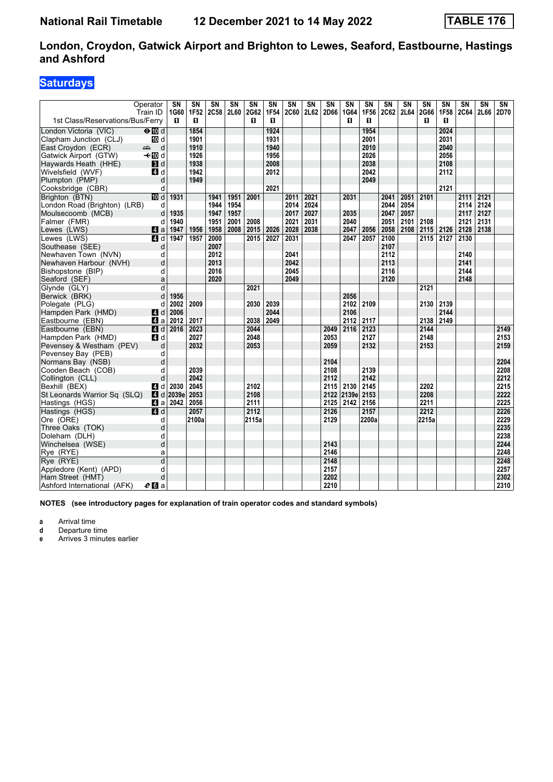### **Saturdays**

|                                        | Operator<br>Train ID | SN<br>1G60             | SΝ<br>1F52 | $\overline{\text{SN}}$<br><b>2C58</b> | $\overline{\text{SN}}$<br>2L60 | SN<br>2G62 | SN<br>1F54 | $\overline{\text{SN}}$<br><b>2C60</b> | $\overline{\text{SN}}$<br>2L62 | SN<br>2D66   | SN<br>1G64 | SΝ<br>1F56 | $\overline{\text{SN}}$<br><b>2C62</b> | $\overline{\text{SN}}$<br>2L64 | $\overline{\text{SN}}$<br>2G66 | $\overline{\text{SN}}$<br>1F58 | $\overline{\text{SN}}$<br><b>2C64</b> | SΝ<br>2L66 | $\overline{\text{SN}}$<br>2D70 |
|----------------------------------------|----------------------|------------------------|------------|---------------------------------------|--------------------------------|------------|------------|---------------------------------------|--------------------------------|--------------|------------|------------|---------------------------------------|--------------------------------|--------------------------------|--------------------------------|---------------------------------------|------------|--------------------------------|
| 1st Class/Reservations/Bus/Ferry       |                      | п                      | п          |                                       |                                | п          | п          |                                       |                                |              | п          | п          |                                       |                                | п                              | п                              |                                       |            |                                |
| London Victoria (VIC)                  | $\Theta$ Md          |                        | 1854       |                                       |                                |            | 1924       |                                       |                                |              |            | 1954       |                                       |                                |                                | 2024                           |                                       |            |                                |
| Clapham Junction (CLJ)                 | <b>ID</b> d          |                        | 1901       |                                       |                                |            | 1931       |                                       |                                |              |            | 2001       |                                       |                                |                                | 2031                           |                                       |            |                                |
| East Croydon (ECR)                     | d<br>میں ہے۔         |                        | 1910       |                                       |                                |            | 1940       |                                       |                                |              |            | 2010       |                                       |                                |                                | 2040                           |                                       |            |                                |
| Gatwick Airport (GTW)                  | – til d              |                        | 1926       |                                       |                                |            | 1956       |                                       |                                |              |            | 2026       |                                       |                                |                                | 2056                           |                                       |            |                                |
| Haywards Heath (HHE)                   | $\blacksquare$       |                        | 1938       |                                       |                                |            | 2008       |                                       |                                |              |            | 2038       |                                       |                                |                                | 2108                           |                                       |            |                                |
| Wivelsfield (WVF)                      | 4 d                  |                        | 1942       |                                       |                                |            | 2012       |                                       |                                |              |            | 2042       |                                       |                                |                                | 2112                           |                                       |            |                                |
| Plumpton (PMP)                         | d                    |                        | 1949       |                                       |                                |            |            |                                       |                                |              |            | 2049       |                                       |                                |                                |                                |                                       |            |                                |
| Cooksbridge (CBR)                      | d                    |                        |            |                                       |                                |            | 2021       |                                       |                                |              |            |            |                                       |                                |                                | 2121                           |                                       |            |                                |
| Brighton (BTN)                         | III d                | 1931                   |            | 1941                                  | 1951                           | 2001       |            | 2011                                  | 2021                           |              | 2031       |            | 2041                                  | 2051                           | 2101                           |                                | 2111                                  | 2121       |                                |
| London Road (Brighton) (LRB)           | d                    |                        |            | 1944                                  | 1954                           |            |            | 2014                                  | 2024                           |              |            |            | 2044                                  | 2054                           |                                |                                | 2114                                  | 2124       |                                |
| Moulsecoomb (MCB)                      | d                    | 1935                   |            | 1947                                  | 1957                           |            |            | 2017                                  | 2027                           |              | 2035       |            | 2047                                  | 2057                           |                                |                                | 2117                                  | 2127       |                                |
| Falmer (FMR)                           | d                    | 1940                   |            | 1951                                  | 2001                           | 2008       |            | 2021                                  | 2031                           |              | 2040       |            | 2051                                  | 2101                           | 2108                           |                                | 2121                                  | 2131       |                                |
| Lewes (LWS)                            | ZI a                 | 1947                   | 1956       | 1958                                  | 2008                           | 2015       | 2026       | 2028                                  | 2038                           |              | 2047       | 2056       | 2058                                  | 2108                           | 2115                           | 2126                           | 2128                                  | 2138       |                                |
| Lewes (LWS)                            | $\blacksquare$       | 1947                   | 1957       | 2000                                  |                                | 2015       | 2027       | 2031                                  |                                |              | 2047       | 2057       | 2100                                  |                                | 2115                           | 2127                           | 2130                                  |            |                                |
| Southease (SEE)                        | d                    |                        |            | 2007                                  |                                |            |            |                                       |                                |              |            |            | 2107                                  |                                |                                |                                |                                       |            |                                |
| Newhaven Town (NVN)                    | d                    |                        |            | 2012                                  |                                |            |            | 2041                                  |                                |              |            |            | 2112                                  |                                |                                |                                | 2140                                  |            |                                |
| Newhaven Harbour (NVH)                 | d                    |                        |            | 2013                                  |                                |            |            | 2042                                  |                                |              |            |            | 2113                                  |                                |                                |                                | 2141                                  |            |                                |
| Bishopstone (BIP)                      | d                    |                        |            | 2016                                  |                                |            |            | 2045                                  |                                |              |            |            | 2116                                  |                                |                                |                                | 2144                                  |            |                                |
| Seaford (SEF)                          | a                    |                        |            | 2020                                  |                                |            |            | 2049                                  |                                |              |            |            | 2120                                  |                                |                                |                                | 2148                                  |            |                                |
| Glynde (GLY)                           | d                    |                        |            |                                       |                                | 2021       |            |                                       |                                |              |            |            |                                       |                                | 2121                           |                                |                                       |            |                                |
| Berwick (BRK)                          | d                    | 1956                   |            |                                       |                                |            |            |                                       |                                |              | 2056       |            |                                       |                                |                                |                                |                                       |            |                                |
| Polegate (PLG)                         | d                    | 2002                   | 2009       |                                       |                                | 2030       | 2039       |                                       |                                |              | 2102       | 2109       |                                       |                                | 2130                           | 2139                           |                                       |            |                                |
| Hampden Park (HMD)                     | 4 <sup>d</sup>       | 2006                   |            |                                       |                                |            | 2044       |                                       |                                |              | 2106       |            |                                       |                                |                                | 2144                           |                                       |            |                                |
| Eastbourne (EBN)                       | ZI a                 | 2012                   | 2017       |                                       |                                | 2038       | 2049       |                                       |                                |              | 2112       | 2117       |                                       |                                | 2138                           | 2149                           |                                       |            |                                |
| Eastbourne (EBN)                       | $A$ d                | 2016                   | 2023       |                                       |                                | 2044       |            |                                       |                                | 2049         | 2116       | 2123       |                                       |                                | 2144                           |                                |                                       |            | 2149                           |
| Hampden Park (HMD)                     | 4 d                  |                        | 2027       |                                       |                                | 2048       |            |                                       |                                | 2053         |            | 2127       |                                       |                                | 2148                           |                                |                                       |            | 2153                           |
| Pevensey & Westham (PEV)               | d                    |                        | 2032       |                                       |                                | 2053       |            |                                       |                                | 2059         |            | 2132       |                                       |                                | 2153                           |                                |                                       |            | 2159                           |
| Pevensey Bay (PEB)                     | d<br>d               |                        |            |                                       |                                |            |            |                                       |                                |              |            |            |                                       |                                |                                |                                |                                       |            | 2204                           |
| Normans Bay (NSB)                      | d                    |                        | 2039       |                                       |                                |            |            |                                       |                                | 2104<br>2108 |            | 2139       |                                       |                                |                                |                                |                                       |            | 2208                           |
| Cooden Beach (COB)<br>Collington (CLL) | d                    |                        | 2042       |                                       |                                |            |            |                                       |                                | 2112         |            | 2142       |                                       |                                |                                |                                |                                       |            | 2212                           |
| Bexhill (BEX)                          | 4 d                  | 2030                   | 2045       |                                       |                                | 2102       |            |                                       |                                | 2115         | 2130       | 2145       |                                       |                                | 2202                           |                                |                                       |            | 2215                           |
| St Leonards Warrior Sq (SLQ)           |                      | $\blacksquare$ d 2039e | 2053       |                                       |                                | 2108       |            |                                       |                                | 2122         | 2139e      | 2153       |                                       |                                | 2208                           |                                |                                       |            | 2222                           |
| Hastings (HGS)                         | 41 a                 | 2042                   | 2056       |                                       |                                | 2111       |            |                                       |                                | 2125         | 2142       | 2156       |                                       |                                | 2211                           |                                |                                       |            | 2225                           |
| Hastings (HGS)                         | 4 d                  |                        | 2057       |                                       |                                | 2112       |            |                                       |                                | 2126         |            | 2157       |                                       |                                | 2212                           |                                |                                       |            | 2226                           |
| Ore (ORE)                              | d                    |                        | 2100a      |                                       |                                | 2115a      |            |                                       |                                | 2129         |            | 2200a      |                                       |                                | 2215a                          |                                |                                       |            | 2229                           |
| Three Oaks (TOK)                       | d                    |                        |            |                                       |                                |            |            |                                       |                                |              |            |            |                                       |                                |                                |                                |                                       |            | 2235                           |
| Doleham (DLH)                          | d                    |                        |            |                                       |                                |            |            |                                       |                                |              |            |            |                                       |                                |                                |                                |                                       |            | 2238                           |
| Winchelsea (WSE)                       | d                    |                        |            |                                       |                                |            |            |                                       |                                | 2143         |            |            |                                       |                                |                                |                                |                                       |            | 2244                           |
| Rye (RYE)                              | a                    |                        |            |                                       |                                |            |            |                                       |                                | 2146         |            |            |                                       |                                |                                |                                |                                       |            | 2248                           |
| Rye (RYE)                              | $\overline{d}$       |                        |            |                                       |                                |            |            |                                       |                                | 2148         |            |            |                                       |                                |                                |                                |                                       |            | 2248                           |
| Appledore (Kent) (APD)                 | d                    |                        |            |                                       |                                |            |            |                                       |                                | 2157         |            |            |                                       |                                |                                |                                |                                       |            | 2257                           |
| Ham Street (HMT)                       | d                    |                        |            |                                       |                                |            |            |                                       |                                | 2202         |            |            |                                       |                                |                                |                                |                                       |            | 2302                           |
| Ashford International (AFK)            | e <sub>0</sub> a     |                        |            |                                       |                                |            |            |                                       |                                | 2210         |            |            |                                       |                                |                                |                                |                                       |            | 2310                           |

**NOTES (see introductory pages for explanation of train operator codes and standard symbols)**

**a** Arrival time<br>**d** Departure time

**d** Departure time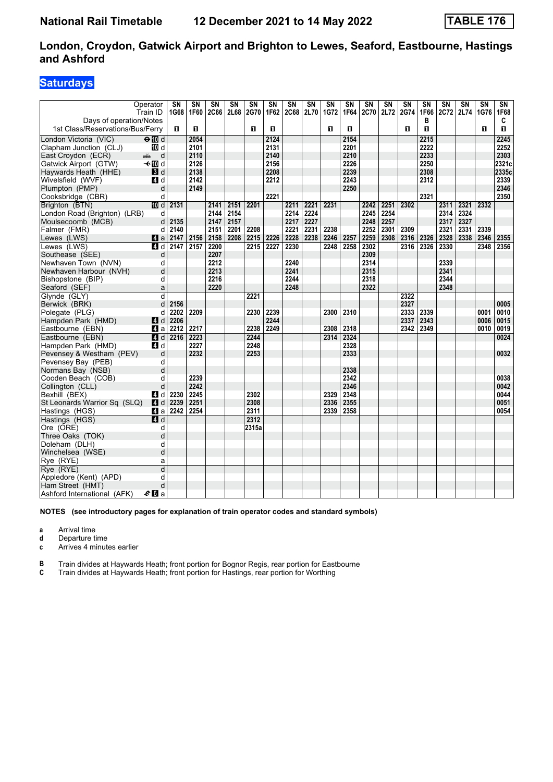## **Saturdays**

|                                  | Operator     | SN   | SΝ   | SΝ          | <b>SN</b> | SΝ          | SΝ   | <b>SN</b>   | SN   | <b>SN</b> | <b>SN</b> | SN          | SN   | SΝ   | SΝ        | SΝ          | SΝ   | SN   | SN        |
|----------------------------------|--------------|------|------|-------------|-----------|-------------|------|-------------|------|-----------|-----------|-------------|------|------|-----------|-------------|------|------|-----------|
| Days of operation/Notes          | Train ID     | 1G68 | 1F60 | <b>2C66</b> | 2L68      | <b>2G70</b> | 1F62 | <b>2C68</b> | 2L70 | 1G72      | 1F64      | <b>2C70</b> | 2L72 | 2G74 | 1F66<br>в | <b>2C72</b> | 2L74 | 1G76 | 1F68<br>C |
| 1st Class/Reservations/Bus/Ferry |              | п    | O    |             |           | 0           | O.   |             |      | п         | п         |             |      | O    | п         |             |      | п    | 0         |
|                                  |              |      |      |             |           |             |      |             |      |           |           |             |      |      |           |             |      |      |           |
| London Victoria (VIC)            | $\Theta$ M d |      | 2054 |             |           |             | 2124 |             |      |           | 2154      |             |      |      | 2215      |             |      |      | 2245      |
| Clapham Junction (CLJ)           | 10 d         |      | 2101 |             |           |             | 2131 |             |      |           | 2201      |             |      |      | 2222      |             |      |      | 2252      |
| East Croydon (ECR)               | d<br>æÒ.     |      | 2110 |             |           |             | 2140 |             |      |           | 2210      |             |      |      | 2233      |             |      |      | 2303      |
| Gatwick Airport (GTW)            | –⊸n∏ol       |      | 2126 |             |           |             | 2156 |             |      |           | 2226      |             |      |      | 2250      |             |      |      | 2321c     |
| Haywards Heath (HHE)             | <b>3</b> d   |      | 2138 |             |           |             | 2208 |             |      |           | 2239      |             |      |      | 2308      |             |      |      | 2335c     |
| Wivelsfield (WVF)                | 4 d          |      | 2142 |             |           |             | 2212 |             |      |           | 2243      |             |      |      | 2312      |             |      |      | 2339      |
| Plumpton (PMP)                   | d            |      | 2149 |             |           |             |      |             |      |           | 2250      |             |      |      |           |             |      |      | 2346      |
| Cooksbridge (CBR)                | d            |      |      |             |           |             | 2221 |             |      |           |           |             |      |      | 2321      |             |      |      | 2350      |
| Brighton (BTN)                   | <b>ID</b> d  | 2131 |      | 2141        | 2151      | 2201        |      | 2211        | 2221 | 2231      |           | 2242        | 2251 | 2302 |           | 2311        | 2321 | 2332 |           |
| London Road (Brighton) (LRB)     | d            |      |      | 2144        | 2154      |             |      | 2214        | 2224 |           |           | 2245        | 2254 |      |           | 2314        | 2324 |      |           |
| Moulsecoomb (MCB)                | d            | 2135 |      | 2147        | 2157      |             |      | 2217        | 2227 |           |           | 2248        | 2257 |      |           | 2317        | 2327 |      |           |
| Falmer (FMR)                     | d            | 2140 |      | 2151        | 2201      | 2208        |      | 2221        | 2231 | 2238      |           | 2252        | 2301 | 2309 |           | 2321        | 2331 | 2339 |           |
| Lewes (LWS)                      | 4a           | 2147 | 2156 | 2158        | 2208      | 2215        | 2226 | 2228        | 2238 | 2246      | 2257      | 2259        | 2308 | 2316 | 2326      | 2328        | 2338 | 2346 | 2355      |
| Lewes (LWS)                      | ZI d         | 2147 | 2157 | 2200        |           | 2215        | 2227 | 2230        |      | 2248      | 2258      | 2302        |      | 2316 | 2326      | 2330        |      | 2348 | 2356      |
| Southease (SEE)                  | d            |      |      | 2207        |           |             |      |             |      |           |           | 2309        |      |      |           |             |      |      |           |
| Newhaven Town (NVN)              | d            |      |      | 2212        |           |             |      | 2240        |      |           |           | 2314        |      |      |           | 2339        |      |      |           |
| Newhaven Harbour (NVH)           | d            |      |      | 2213        |           |             |      | 2241        |      |           |           | 2315        |      |      |           | 2341        |      |      |           |
| Bishopstone (BIP)                | d            |      |      | 2216        |           |             |      | 2244        |      |           |           | 2318        |      |      |           | 2344        |      |      |           |
| Seaford (SEF)                    | a            |      |      | 2220        |           |             |      | 2248        |      |           |           | 2322        |      |      |           | 2348        |      |      |           |
| Glynde (GLY)                     | d            |      |      |             |           | 2221        |      |             |      |           |           |             |      | 2322 |           |             |      |      |           |
| Berwick (BRK)                    | d            | 2156 |      |             |           |             |      |             |      |           |           |             |      | 2327 |           |             |      |      | 0005      |
| Polegate (PLG)                   | d            | 2202 | 2209 |             |           | 2230        | 2239 |             |      | 2300      | 2310      |             |      | 2333 | 2339      |             |      | 0001 | 0010      |
| Hampden Park (HMD)               | ZI d         | 2206 |      |             |           |             | 2244 |             |      |           |           |             |      | 2337 | 2343      |             |      | 0006 | 0015      |
| Eastbourne (EBN)                 | 41 a         | 2212 | 2217 |             |           | 2238        | 2249 |             |      | 2308      | 2318      |             |      | 2342 | 2349      |             |      | 0010 | 0019      |
| Eastbourne (EBN)                 | 4d           | 2216 | 2223 |             |           | 2244        |      |             |      | 2314      | 2324      |             |      |      |           |             |      |      | 0024      |
| Hampden Park (HMD)               | 4 d          |      | 2227 |             |           | 2248        |      |             |      |           | 2328      |             |      |      |           |             |      |      |           |
| Pevensey & Westham (PEV)         | d            |      | 2232 |             |           | 2253        |      |             |      |           | 2333      |             |      |      |           |             |      |      | 0032      |
| Pevensey Bay (PEB)               | d            |      |      |             |           |             |      |             |      |           |           |             |      |      |           |             |      |      |           |
| Normans Bay (NSB)                | d            |      |      |             |           |             |      |             |      |           | 2338      |             |      |      |           |             |      |      |           |
| Cooden Beach (COB)               | d            |      | 2239 |             |           |             |      |             |      |           | 2342      |             |      |      |           |             |      |      | 0038      |
| Collington (CLL)                 | d            |      | 2242 |             |           |             |      |             |      |           | 2346      |             |      |      |           |             |      |      | 0042      |
| Bexhill (BEX)                    | ZI d         | 2230 | 2245 |             |           | 2302        |      |             |      | 2329      | 2348      |             |      |      |           |             |      |      | 0044      |
| St Leonards Warrior Sq (SLQ)     | <b>4</b> d   | 2239 | 2251 |             |           | 2308        |      |             |      | 2336      | 2355      |             |      |      |           |             |      |      | 0051      |
| Hastings (HGS)                   | 41 a         | 2242 | 2254 |             |           | 2311        |      |             |      | 2339      | 2358      |             |      |      |           |             |      |      | 0054      |
| Hastings (HGS)                   | 4d           |      |      |             |           | 2312        |      |             |      |           |           |             |      |      |           |             |      |      |           |
| Ore (ORE)                        | d            |      |      |             |           | 2315a       |      |             |      |           |           |             |      |      |           |             |      |      |           |
| Three Oaks (TOK)                 | d            |      |      |             |           |             |      |             |      |           |           |             |      |      |           |             |      |      |           |
| Doleham (DLH)                    | d            |      |      |             |           |             |      |             |      |           |           |             |      |      |           |             |      |      |           |
| Winchelsea (WSE)                 | d            |      |      |             |           |             |      |             |      |           |           |             |      |      |           |             |      |      |           |
| Rye (RYE)                        | a            |      |      |             |           |             |      |             |      |           |           |             |      |      |           |             |      |      |           |
| Rye (RYE)                        | d            |      |      |             |           |             |      |             |      |           |           |             |      |      |           |             |      |      |           |
| Appledore (Kent) (APD)           | d            |      |      |             |           |             |      |             |      |           |           |             |      |      |           |             |      |      |           |
| Ham Street (HMT)                 | d            |      |      |             |           |             |      |             |      |           |           |             |      |      |           |             |      |      |           |
| Ashford International (AFK)      | $e$ d a      |      |      |             |           |             |      |             |      |           |           |             |      |      |           |             |      |      |           |
|                                  |              |      |      |             |           |             |      |             |      |           |           |             |      |      |           |             |      |      |           |

**NOTES (see introductory pages for explanation of train operator codes and standard symbols)**

**a** Arrival time

**d** Departure time<br>**c** Arrives 4 minut

Arrives 4 minutes earlier

**B** Train divides at Haywards Heath; front portion for Bognor Regis, rear portion for Eastbourne<br>**C** Train divides at Haywards Heath; front portion for Hastings, rear portion for Worthing

Train divides at Haywards Heath, front portion for Hastings, rear portion for Worthing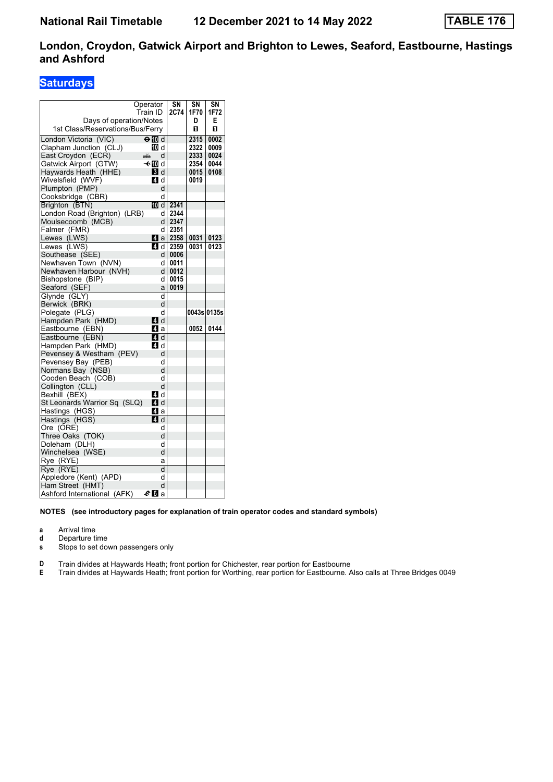### **Saturdays**

|                                  | Operator   | SΝ   | SN          | SΝ   |
|----------------------------------|------------|------|-------------|------|
|                                  | Train ID   | 2C74 | 1F70        | 1F72 |
| Days of operation/Notes          |            |      | D           | Е    |
| 1st Class/Reservations/Bus/Ferry |            |      | п           | п    |
| London Victoria (VIC)            | ⊖n∏d       |      | 2315        | 0002 |
| Clapham Junction (CLJ)           | 10 d       |      | 2322        | 0009 |
| East Croydon (ECR)               | d<br>æ     |      | 2333        | 0024 |
| Gatwick Airport (GTW)            | —t∙l∏0ld   |      | 2354        | 0044 |
| Haywards Heath (HHE)             | <b>3</b> d |      | 0015        | 0108 |
| Wivelsfield (WVF)                | 4 d        |      | 0019        |      |
| Plumpton (PMP)                   | d          |      |             |      |
| Cooksbridge (CBR)                | d          |      |             |      |
| Brighton (BTN)                   | 10 d       | 2341 |             |      |
| London Road (Brighton) (LRB)     | d          | 2344 |             |      |
| Moulsecoomb (MCB)                | d          | 2347 |             |      |
| Falmer (FMR)                     | d          | 2351 |             |      |
| Lewes (LWS)                      | L4 a       | 2358 | 0031        | 0123 |
| Lewes (LWS)                      | ZI d       | 2359 | 0031        | 0123 |
| Southease (SEE)                  | d          | 0006 |             |      |
| Newhaven Town (NVN)              | d          | 0011 |             |      |
| Newhaven Harbour (NVH)           | d          | 0012 |             |      |
| Bishopstone (BIP)                | d          | 0015 |             |      |
| Seaford (SEF)                    | a          | 0019 |             |      |
| Glynde (GLY)                     | d          |      |             |      |
| Berwick (BRK)                    | d          |      |             |      |
| Polegate (PLG)                   | d          |      | 0043s 0135s |      |
| Hampden Park (HMD)               | L4 d       |      |             |      |
| Eastbourne (EBN)                 | ZI a       |      | 0052        | 0144 |
| Eastbourne (EBN)                 | 4 d        |      |             |      |
| Hampden Park (HMD)               | <b>4</b> d |      |             |      |
| Pevensey & Westham (PEV)         | d          |      |             |      |
| Pevensey Bay (PEB)               | d          |      |             |      |
| Normans Bay (NSB)                | d          |      |             |      |
| Cooden Beach (COB)               | d          |      |             |      |
| Collington (CLL)                 | d          |      |             |      |
| Bexhill (BEX)                    | <b>4</b> d |      |             |      |
| St Leonards Warrior Sq (SLQ)     | ZI d       |      |             |      |
| Hastings (HGS)                   | ZI a       |      |             |      |
| Hastings (HGS)                   | ZI d       |      |             |      |
| Ore (ORE)                        | d          |      |             |      |
| Three Oaks (TOK)                 | d          |      |             |      |
| Doleham (DLH)                    | d          |      |             |      |
| Winchelsea (WSE)                 | d          |      |             |      |
| Rye (RYE)                        | a          |      |             |      |
| Rye (RYE)                        | d          |      |             |      |
| Appledore (Kent) (APD)           | d          |      |             |      |
| Ham Street (HMT)                 | d          |      |             |      |
| Ashford International (AFK)      | $e_0$ a    |      |             |      |
|                                  |            |      |             |      |

#### **NOTES (see introductory pages for explanation of train operator codes and standard symbols)**

**a** Arrival time

**d** Departure time<br>**s** Stops to set do

Stops to set down passengers only

**D** Train divides at Haywards Heath; front portion for Chichester, rear portion for Eastbourne<br>**E** Train divides at Haywards Heath; front portion for Worthing, rear portion for Eastbourne. A

Train divides at Haywards Heath; front portion for Worthing, rear portion for Eastbourne. Also calls at Three Bridges 0049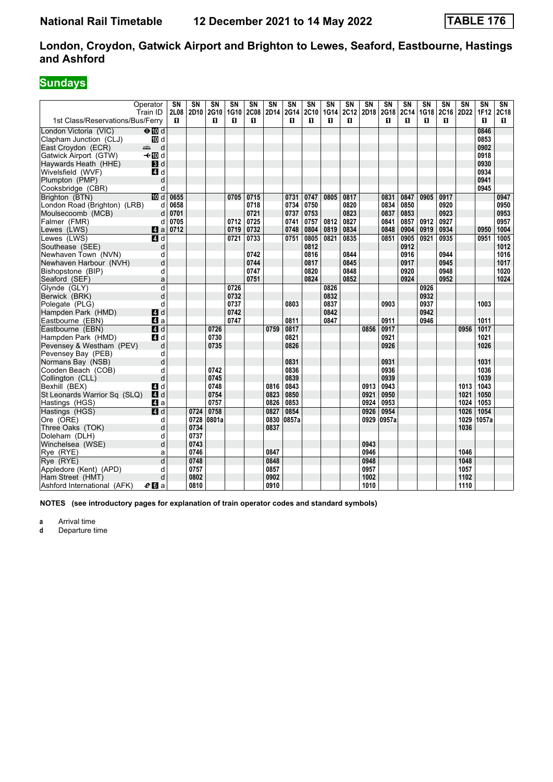# **Sundays**

|                                               | Operator<br>Train ID   | SN<br>2L08 | SN<br>2D10   | SΝ<br>2G10 | SΝ<br>1G10   | SΝ<br><b>2C08</b> | SN<br>2D14 | SN<br>2G14 | $\overline{\text{SN}}$<br>2C10 | SN<br>1G14   | SN<br>2C12 | <b>SN</b><br>2D18 | SN<br>2G18 | SN<br>2C14 | SN<br>1G18   | SN<br>2C16 | SN<br>2D22 | $\overline{\text{SN}}$<br>1F12 | SN<br>2C18 |
|-----------------------------------------------|------------------------|------------|--------------|------------|--------------|-------------------|------------|------------|--------------------------------|--------------|------------|-------------------|------------|------------|--------------|------------|------------|--------------------------------|------------|
| 1st Class/Reservations/Bus/Ferry              |                        | п          |              | п          | п            | п                 |            | п          | п                              | п            | п          |                   | п          | п          | п            | 0          |            | п                              | п          |
| London Victoria (VIC)                         | $\Theta$ M d           |            |              |            |              |                   |            |            |                                |              |            |                   |            |            |              |            |            | 0846                           |            |
| Clapham Junction (CLJ)                        | <b>ID</b> d            |            |              |            |              |                   |            |            |                                |              |            |                   |            |            |              |            |            | 0853                           |            |
| East Croydon (ECR)                            | d<br>المشر             |            |              |            |              |                   |            |            |                                |              |            |                   |            |            |              |            |            | 0902<br>0918                   |            |
| Gatwick Airport (GTW)<br>Haywards Heath (HHE) | <b>√</b> t III d<br>3d |            |              |            |              |                   |            |            |                                |              |            |                   |            |            |              |            |            | 0930                           |            |
| Wivelsfield (WVF)                             | 4 d                    |            |              |            |              |                   |            |            |                                |              |            |                   |            |            |              |            |            | 0934                           |            |
| Plumpton (PMP)                                | d                      |            |              |            |              |                   |            |            |                                |              |            |                   |            |            |              |            |            | 0941                           |            |
| Cooksbridge (CBR)                             | d                      |            |              |            |              |                   |            |            |                                |              |            |                   |            |            |              |            |            | 0945                           |            |
| Brighton (BTN)                                | <b>ID</b> d            | 0655       |              |            | 0705         | 0715              |            | 0731       | 0747                           | 0805         | 0817       |                   | 0831       | 0847       | 0905         | 0917       |            |                                | 0947       |
| London Road (Brighton) (LRB)                  | d                      | 0658       |              |            |              | 0718              |            | 0734       | 0750                           |              | 0820       |                   | 0834       | 0850       |              | 0920       |            |                                | 0950       |
| Moulsecoomb (MCB)                             | d                      | 0701       |              |            |              | 0721              |            | 0737       | 0753                           |              | 0823       |                   | 0837       | 0853       |              | 0923       |            |                                | 0953       |
| Falmer (FMR)                                  | d                      | 0705       |              |            | 0712         | 0725              |            | 0741       | 0757                           | 0812         | 0827       |                   | 0841       | 0857       | 0912         | 0927       |            |                                | 0957       |
| Lewes (LWS)                                   | 4a                     | 0712       |              |            | 0719         | 0732              |            | 0748       | 0804                           | 0819         | 0834       |                   | 0848       | 0904       | 0919         | 0934       |            | 0950                           | 1004       |
| Lewes (LWS)                                   | ZI d                   |            |              |            | 0721         | 0733              |            | 0751       | 0805                           | 0821         | 0835       |                   | 0851       | 0905       | 0921         | 0935       |            | 0951                           | 1005       |
| Southease (SEE)                               | d                      |            |              |            |              |                   |            |            | 0812                           |              |            |                   |            | 0912       |              |            |            |                                | 1012       |
| Newhaven Town (NVN)                           | d                      |            |              |            |              | 0742              |            |            | 0816                           |              | 0844       |                   |            | 0916       |              | 0944       |            |                                | 1016       |
| Newhaven Harbour (NVH)                        | d                      |            |              |            |              | 0744              |            |            | 0817                           |              | 0845       |                   |            | 0917       |              | 0945       |            |                                | 1017       |
| Bishopstone (BIP)                             | d                      |            |              |            |              | 0747              |            |            | 0820                           |              | 0848       |                   |            | 0920       |              | 0948       |            |                                | 1020       |
| Seaford (SEF)                                 | a                      |            |              |            |              | 0751              |            |            | 0824                           |              | 0852       |                   |            | 0924       |              | 0952       |            |                                | 1024       |
| Glynde (GLY)                                  | d                      |            |              |            | 0726         |                   |            |            |                                | 0826         |            |                   |            |            | 0926<br>0932 |            |            |                                |            |
| Berwick (BRK)                                 | d<br>d                 |            |              |            | 0732         |                   |            | 0803       |                                | 0832<br>0837 |            |                   | 0903       |            | 0937         |            |            | 1003                           |            |
| Polegate (PLG)<br>Hampden Park (HMD)          | ZI d                   |            |              |            | 0737<br>0742 |                   |            |            |                                | 0842         |            |                   |            |            | 0942         |            |            |                                |            |
| Eastbourne (EBN)                              | $\blacksquare$ a       |            |              |            | 0747         |                   |            | 0811       |                                | 0847         |            |                   | 0911       |            | 0946         |            |            | 1011                           |            |
| Eastbourne (EBN)                              | $\overline{A}$ d       |            |              | 0726       |              |                   | 0759       | 0817       |                                |              |            | 0856              | 0917       |            |              |            | 0956       | 1017                           |            |
| Hampden Park (HMD)                            | 4d                     |            |              | 0730       |              |                   |            | 0821       |                                |              |            |                   | 0921       |            |              |            |            | 1021                           |            |
| Pevensey & Westham (PEV)                      | d                      |            |              | 0735       |              |                   |            | 0826       |                                |              |            |                   | 0926       |            |              |            |            | 1026                           |            |
| Pevensey Bay (PEB)                            | d                      |            |              |            |              |                   |            |            |                                |              |            |                   |            |            |              |            |            |                                |            |
| Normans Bay (NSB)                             | d                      |            |              |            |              |                   |            | 0831       |                                |              |            |                   | 0931       |            |              |            |            | 1031                           |            |
| Cooden Beach (COB)                            | d                      |            |              | 0742       |              |                   |            | 0836       |                                |              |            |                   | 0936       |            |              |            |            | 1036                           |            |
| Collington (CLL)                              | d                      |            |              | 0745       |              |                   |            | 0839       |                                |              |            |                   | 0939       |            |              |            |            | 1039                           |            |
| Bexhill (BEX)                                 | ZI d                   |            |              | 0748       |              |                   | 0816       | 0843       |                                |              |            | 0913              | 0943       |            |              |            | 1013       | 1043                           |            |
| St Leonards Warrior Sq (SLQ)                  | 4d                     |            |              | 0754       |              |                   | 0823       | 0850       |                                |              |            | 0921              | 0950       |            |              |            | 1021       | 1050                           |            |
| Hastings (HGS)                                | ZI a                   |            |              | 0757       |              |                   | 0826       | 0853       |                                |              |            | 0924              | 0953       |            |              |            | 1024       | 1053                           |            |
| Hastings (HGS)                                | $\overline{a}$ d       |            | 0724         | 0758       |              |                   | 0827       | 0854       |                                |              |            | 0926              | 0954       |            |              |            | 1026       | 1054                           |            |
| Ore (ORE)                                     | d                      |            | 0728         | 0801a      |              |                   | 0830       | 0857a      |                                |              |            | 0929              | 0957a      |            |              |            | 1029       | 1057a                          |            |
| Three Oaks (TOK)<br>Doleham (DLH)             | d                      |            | 0734         |            |              |                   | 0837       |            |                                |              |            |                   |            |            |              |            | 1036       |                                |            |
| Winchelsea (WSE)                              | d<br>d                 |            | 0737<br>0743 |            |              |                   |            |            |                                |              |            | 0943              |            |            |              |            |            |                                |            |
| Rye (RYE)                                     | a                      |            | 0746         |            |              |                   | 0847       |            |                                |              |            | 0946              |            |            |              |            | 1046       |                                |            |
| Rye (RYE)                                     | $\overline{d}$         |            | 0748         |            |              |                   | 0848       |            |                                |              |            | 0948              |            |            |              |            | 1048       |                                |            |
| Appledore (Kent) (APD)                        | d                      |            | 0757         |            |              |                   | 0857       |            |                                |              |            | 0957              |            |            |              |            | 1057       |                                |            |
| Ham Street (HMT)                              | d                      |            | 0802         |            |              |                   | 0902       |            |                                |              |            | 1002              |            |            |              |            | 1102       |                                |            |
| Ashford International (AFK)                   | $e$ d a                |            | 0810         |            |              |                   | 0910       |            |                                |              |            | 1010              |            |            |              |            | 1110       |                                |            |

**NOTES (see introductory pages for explanation of train operator codes and standard symbols)**

**a** Arrival time<br>**d** Departure t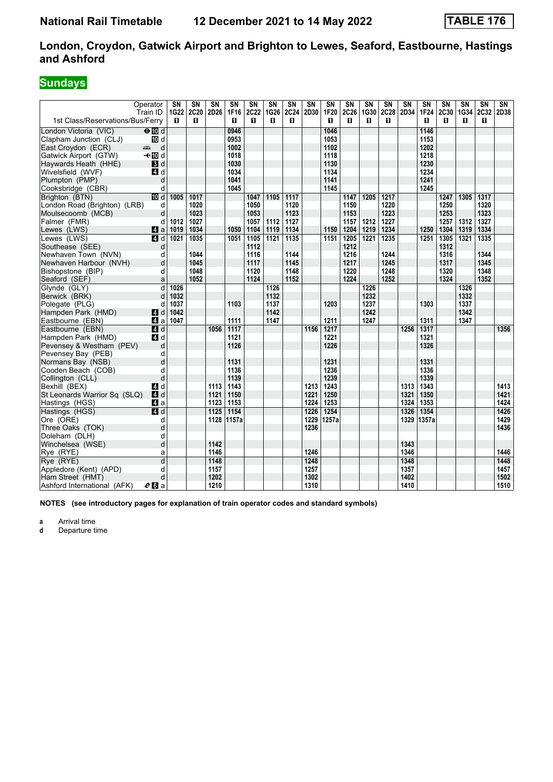# **Sundays**

| Operator<br>Train ID                                           | SN<br>1G22     | SN<br>2C20 | $\overline{\text{SN}}$<br>2D26 | <b>SN</b><br>1F16 | SN<br>2C22 | $\overline{\text{SN}}$<br>1G26 | $\overline{\text{SN}}$<br>2C24 | $\overline{\text{SN}}$<br>2D30 | $\overline{\text{SN}}$<br>1F20 | $\overline{\text{SN}}$<br>2C26 | $\overline{\text{SN}}$<br>1G30 | SN<br>2C28 | SN<br>2D34   | $\overline{\text{SN}}$<br><b>1F24</b> | $\overline{\text{SN}}$<br>2C30 | SN<br>1G34 | SN<br>2C32 | SN<br>2D38   |
|----------------------------------------------------------------|----------------|------------|--------------------------------|-------------------|------------|--------------------------------|--------------------------------|--------------------------------|--------------------------------|--------------------------------|--------------------------------|------------|--------------|---------------------------------------|--------------------------------|------------|------------|--------------|
| 1st Class/Reservations/Bus/Ferry                               | п              | п          |                                | П                 | п          | п                              | п                              |                                | п                              | п                              | п                              | п          |              | п                                     | п                              | п          | п          |              |
| $\Theta$ III d<br>London Victoria (VIC)                        |                |            |                                | 0946              |            |                                |                                |                                | 1046                           |                                |                                |            |              | 1146                                  |                                |            |            |              |
| Clapham Junction (CLJ)<br><b>ID</b> d                          |                |            |                                | 0953              |            |                                |                                |                                | 1053                           |                                |                                |            |              | 1153                                  |                                |            |            |              |
| East Croydon (ECR)<br>المستشر                                  | d              |            |                                | 1002              |            |                                |                                |                                | 1102                           |                                |                                |            |              | 1202                                  |                                |            |            |              |
| Gatwick Airport (GTW)<br>–⊸n∏od                                |                |            |                                | 1018              |            |                                |                                |                                | 1118                           |                                |                                |            |              | 1218                                  |                                |            |            |              |
| 3d<br>Haywards Heath (HHE)                                     |                |            |                                | 1030              |            |                                |                                |                                | 1130                           |                                |                                |            |              | 1230                                  |                                |            |            |              |
| Wivelsfield (WVF)<br>41 d                                      |                |            |                                | 1034              |            |                                |                                |                                | 1134                           |                                |                                |            |              | 1234                                  |                                |            |            |              |
| Plumpton (PMP)                                                 | d              |            |                                | 1041              |            |                                |                                |                                | 1141                           |                                |                                |            |              | 1241                                  |                                |            |            |              |
| Cooksbridge (CBR)                                              | d              |            |                                | 1045              |            |                                |                                |                                | 1145                           |                                |                                |            |              | 1245                                  |                                |            |            |              |
| <b>ID</b> d<br>Brighton (BTN)                                  | 1005           | 1017       |                                |                   | 1047       | 1105                           | 1117                           |                                |                                | 1147                           | 1205                           | 1217       |              |                                       | 1247                           | 1305       | 1317       |              |
| London Road (Brighton) (LRB)                                   | d              | 1020       |                                |                   | 1050       |                                | 1120                           |                                |                                | 1150                           |                                | 1220       |              |                                       | 1250                           |            | 1320       |              |
| Moulsecoomb (MCB)                                              | d              | 1023       |                                |                   | 1053       |                                | 1123                           |                                |                                | 1153                           |                                | 1223       |              |                                       | 1253                           |            | 1323       |              |
| Falmer (FMR)                                                   | 1012<br>d      | 1027       |                                |                   | 1057       | 1112                           | 1127                           |                                |                                | 1157                           | 1212                           | 1227       |              |                                       | 1257                           | 1312       | 1327       |              |
| 4 a<br>Lewes (LWS)                                             | 1019           | 1034       |                                | 1050              | 1104       | 1119                           | 1134                           |                                | 1150                           | 1204                           | 1219                           | 1234       |              | 1250                                  | 1304                           | 1319       | 1334       |              |
| Lewes (LWS)<br>4 d                                             | 1021           | 1035       |                                | 1051              | 1105       | 1121                           | 1135                           |                                | 1151                           | 1205                           | 1221                           | 1235       |              | 1251                                  | 1305                           | 1321       | 1335       |              |
| Southease (SEE)                                                | d              |            |                                |                   | 1112       |                                |                                |                                |                                | 1212                           |                                |            |              |                                       | 1312                           |            |            |              |
| Newhaven Town (NVN)                                            | d              | 1044       |                                |                   | 1116       |                                | 1144                           |                                |                                | 1216                           |                                | 1244       |              |                                       | 1316                           |            | 1344       |              |
| Newhaven Harbour (NVH)                                         | d              | 1045       |                                |                   | 1117       |                                | 1145                           |                                |                                | 1217                           |                                | 1245       |              |                                       | 1317                           |            | 1345       |              |
| Bishopstone (BIP)                                              | d              | 1048       |                                |                   | 1120       |                                | 1148                           |                                |                                | 1220                           |                                | 1248       |              |                                       | 1320                           |            | 1348       |              |
| Seaford (SEF)                                                  | a              | 1052       |                                |                   | 1124       |                                | 1152                           |                                |                                | 1224                           |                                | 1252       |              |                                       | 1324                           |            | 1352       |              |
| Glynde (GLY)                                                   | d<br>1026      |            |                                |                   |            | 1126                           |                                |                                |                                |                                | 1226                           |            |              |                                       |                                | 1326       |            |              |
| Berwick (BRK)                                                  | 1032<br>d      |            |                                |                   |            | 1132                           |                                |                                |                                |                                | 1232                           |            |              |                                       |                                | 1332       |            |              |
| Polegate (PLG)                                                 | d<br>1037      |            |                                | 1103              |            | 1137                           |                                |                                | 1203                           |                                | 1237                           |            |              | 1303                                  |                                | 1337       |            |              |
| Hampden Park (HMD)<br>4 d                                      | 1042           |            |                                |                   |            | 1142                           |                                |                                |                                |                                | 1242                           |            |              |                                       |                                | 1342       |            |              |
| Eastbourne (EBN)<br>ZI a                                       | 1047           |            |                                | 1111              |            | 1147                           |                                |                                | 1211                           |                                | 1247                           |            |              | 1311                                  |                                | 1347       |            |              |
| Eastbourne (EBN)<br>4d                                         |                |            | 1056                           | 1117              |            |                                |                                | 1156                           | 1217                           |                                |                                |            | 1256         | 1317                                  |                                |            |            | 1356         |
| 4 d<br>Hampden Park (HMD)                                      |                |            |                                | 1121              |            |                                |                                |                                | 1221                           |                                |                                |            |              | 1321                                  |                                |            |            |              |
| Pevensey & Westham (PEV)                                       | d              |            |                                | 1126              |            |                                |                                |                                | 1226                           |                                |                                |            |              | 1326                                  |                                |            |            |              |
| Pevensey Bay (PEB)                                             | d              |            |                                |                   |            |                                |                                |                                |                                |                                |                                |            |              |                                       |                                |            |            |              |
| Normans Bay (NSB)                                              | d              |            |                                | 1131              |            |                                |                                |                                | 1231                           |                                |                                |            |              | 1331                                  |                                |            |            |              |
| Cooden Beach (COB)                                             | d<br>d         |            |                                | 1136<br>1139      |            |                                |                                |                                | 1236                           |                                |                                |            |              | 1336<br>1339                          |                                |            |            |              |
| Collington (CLL)                                               |                |            |                                |                   |            |                                |                                |                                | 1239                           |                                |                                |            |              | 1343                                  |                                |            |            |              |
| Bexhill (BEX)<br>ZI d<br>St Leonards Warrior Sq (SLQ)<br>$A$ d |                |            | 1113<br>1121                   | 1143<br>1150      |            |                                |                                | 1213<br>1221                   | 1243<br>1250                   |                                |                                |            | 1313<br>1321 | 1350                                  |                                |            |            | 1413<br>1421 |
| Hastings (HGS)<br>ZI a                                         |                |            | 1123                           | 1153              |            |                                |                                | 1224                           | 1253                           |                                |                                |            | 1324         | 1353                                  |                                |            |            | 1424         |
| $\overline{A}$ d<br>Hastings (HGS)                             |                |            | 1125                           | 1154              |            |                                |                                | 1226                           | 1254                           |                                |                                |            | 1326         | 1354                                  |                                |            |            | 1426         |
| Ore (ORE)                                                      | d              |            | 1128                           | 1157a             |            |                                |                                | 1229                           | 1257a                          |                                |                                |            | 1329         | 1357a                                 |                                |            |            | 1429         |
| Three Oaks (TOK)                                               | d              |            |                                |                   |            |                                |                                | 1236                           |                                |                                |                                |            |              |                                       |                                |            |            | 1436         |
| Doleham (DLH)                                                  | d              |            |                                |                   |            |                                |                                |                                |                                |                                |                                |            |              |                                       |                                |            |            |              |
| Winchelsea (WSE)                                               | d              |            | 1142                           |                   |            |                                |                                |                                |                                |                                |                                |            | 1343         |                                       |                                |            |            |              |
| Rye (RYE)                                                      | a              |            | 1146                           |                   |            |                                |                                | 1246                           |                                |                                |                                |            | 1346         |                                       |                                |            |            | 1446         |
| Rye (RYE)                                                      | $\overline{d}$ |            | 1148                           |                   |            |                                |                                | 1248                           |                                |                                |                                |            | 1348         |                                       |                                |            |            | 1448         |
| Appledore (Kent) (APD)                                         |                |            |                                |                   |            |                                |                                |                                |                                |                                |                                |            |              |                                       |                                |            |            |              |
|                                                                |                |            |                                |                   |            |                                |                                |                                |                                |                                |                                |            |              |                                       |                                |            |            |              |
| Ham Street (HMT)                                               | d<br>d         |            | 1157<br>1202                   |                   |            |                                |                                | 1257<br>1302                   |                                |                                |                                |            | 1357<br>1402 |                                       |                                |            |            | 1457<br>1502 |

**NOTES (see introductory pages for explanation of train operator codes and standard symbols)**

**a** Arrival time<br>**d** Departure t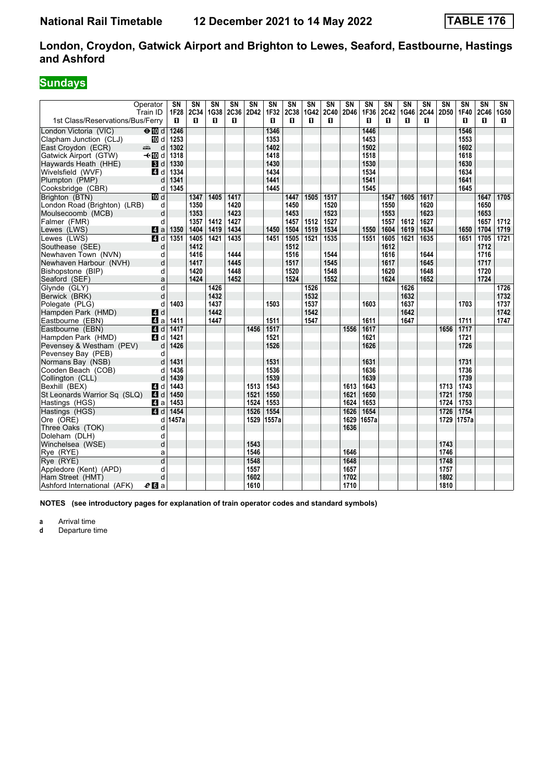# **Sundays**

|                                  | Operator<br>Train ID                                                                                                                                                                                                                | SN<br><b>1F28</b> | SN<br>2C34   | $\overline{\text{SN}}$<br>1G38 | $\overline{\text{SN}}$<br><b>2C36</b> | SN<br>2D42 | $\overline{\text{SN}}$<br>1F32 | $\overline{\text{SN}}$<br>2C38 | $\overline{\text{SN}}$<br>1G42 | $\overline{\text{SN}}$<br>2C40 | $\overline{\text{SN}}$<br>2D46 | <b>SN</b><br>1F36 | SN<br>2C42   | $\overline{\text{SN}}$<br>1G46 | SN<br>2C44   | $\overline{\text{SN}}$<br>2D50 | $\overline{\text{SN}}$<br>1F40 | $\overline{\text{SN}}$<br>2C46 | SN<br>1G50 |
|----------------------------------|-------------------------------------------------------------------------------------------------------------------------------------------------------------------------------------------------------------------------------------|-------------------|--------------|--------------------------------|---------------------------------------|------------|--------------------------------|--------------------------------|--------------------------------|--------------------------------|--------------------------------|-------------------|--------------|--------------------------------|--------------|--------------------------------|--------------------------------|--------------------------------|------------|
| 1st Class/Reservations/Bus/Ferry |                                                                                                                                                                                                                                     | п                 | п            | п                              | П                                     |            | п                              | п                              | п                              | п                              |                                | п                 | п            | п                              | п            |                                | п                              | п                              | П.         |
| London Victoria (VIC)            | $\Theta$ III d                                                                                                                                                                                                                      | 1246              |              |                                |                                       |            | 1346                           |                                |                                |                                |                                | 1446              |              |                                |              |                                | 1546                           |                                |            |
| Clapham Junction (CLJ)           | III d                                                                                                                                                                                                                               | 1253              |              |                                |                                       |            | 1353                           |                                |                                |                                |                                | 1453              |              |                                |              |                                | 1553                           |                                |            |
| East Croydon (ECR)               | d<br>ando antigo di conte di un conte di un conte di un conte di un conte di un conte di un conte di un conte di un conte di un conte di un conte di un conte di un conte di un conte di un conte di un conte di un conte di un con | 1302              |              |                                |                                       |            | 1402                           |                                |                                |                                |                                | 1502              |              |                                |              |                                | 1602                           |                                |            |
| Gatwick Airport (GTW)            | –⊸n∏od                                                                                                                                                                                                                              | 1318              |              |                                |                                       |            | 1418                           |                                |                                |                                |                                | 1518              |              |                                |              |                                | 1618                           |                                |            |
| Haywards Heath (HHE)             | 3d                                                                                                                                                                                                                                  | 1330              |              |                                |                                       |            | 1430                           |                                |                                |                                |                                | 1530              |              |                                |              |                                | 1630                           |                                |            |
| Wivelsfield (WVF)                | 4 d                                                                                                                                                                                                                                 | 1334              |              |                                |                                       |            | 1434                           |                                |                                |                                |                                | 1534              |              |                                |              |                                | 1634                           |                                |            |
| Plumpton (PMP)                   | d                                                                                                                                                                                                                                   | 1341              |              |                                |                                       |            | 1441                           |                                |                                |                                |                                | 1541              |              |                                |              |                                | 1641                           |                                |            |
| Cooksbridge (CBR)                | d                                                                                                                                                                                                                                   | 1345              |              |                                |                                       |            | 1445                           |                                |                                |                                |                                | 1545              |              |                                |              |                                | 1645                           |                                |            |
| Brighton (BTN)                   | 10 d                                                                                                                                                                                                                                |                   | 1347         | 1405                           | 1417                                  |            |                                | 1447                           | 1505                           | 1517                           |                                |                   | 1547         | 1605                           | 1617         |                                |                                | 1647                           | 1705       |
| London Road (Brighton) (LRB)     | d                                                                                                                                                                                                                                   |                   | 1350         |                                | 1420                                  |            |                                | 1450                           |                                | 1520                           |                                |                   | 1550         |                                | 1620         |                                |                                | 1650                           |            |
| Moulsecoomb (MCB)                | d                                                                                                                                                                                                                                   |                   | 1353         |                                | 1423                                  |            |                                | 1453                           |                                | 1523                           |                                |                   | 1553         |                                | 1623         |                                |                                | 1653                           |            |
| Falmer (FMR)                     | d                                                                                                                                                                                                                                   |                   | 1357         | 1412                           | 1427                                  |            |                                | 1457                           | 1512                           | 1527                           |                                |                   | 1557         | 1612                           | 1627         |                                |                                | 1657                           | 1712       |
| Lewes (LWS)                      | $\mathbf{a}$                                                                                                                                                                                                                        | 1350              | 1404         | 1419                           | 1434                                  |            | 1450                           | 1504                           | 1519                           | 1534                           |                                | 1550              | 1604         | 1619                           | 1634         |                                | 1650                           | 1704                           | 1719       |
| Lewes (LWS)                      | $\blacksquare$                                                                                                                                                                                                                      | 1351              | 1405         | 1421                           | 1435                                  |            | 1451                           | 1505                           | 1521                           | 1535                           |                                | 1551              | 1605         | 1621                           | 1635         |                                | 1651                           | 1705                           | 1721       |
| Southease (SEE)                  | d                                                                                                                                                                                                                                   |                   | 1412         |                                |                                       |            |                                | 1512                           |                                | 1544                           |                                |                   | 1612         |                                | 1644         |                                |                                | 1712                           |            |
| Newhaven Town (NVN)              | d                                                                                                                                                                                                                                   |                   | 1416         |                                | 1444                                  |            |                                | 1516                           |                                |                                |                                |                   | 1616         |                                |              |                                |                                | 1716                           |            |
| Newhaven Harbour (NVH)           | d                                                                                                                                                                                                                                   |                   | 1417         |                                | 1445<br>1448                          |            |                                | 1517                           |                                | 1545<br>1548                   |                                |                   | 1617         |                                | 1645<br>1648 |                                |                                | 1717<br>1720                   |            |
| Bishopstone (BIP)                | d<br>a                                                                                                                                                                                                                              |                   | 1420<br>1424 |                                | 1452                                  |            |                                | 1520<br>1524                   |                                | 1552                           |                                |                   | 1620<br>1624 |                                | 1652         |                                |                                | 1724                           |            |
| Seaford (SEF)<br>Glynde (GLY)    | d                                                                                                                                                                                                                                   |                   |              | 1426                           |                                       |            |                                |                                | 1526                           |                                |                                |                   |              | 1626                           |              |                                |                                |                                | 1726       |
| Berwick (BRK)                    | d                                                                                                                                                                                                                                   |                   |              | 1432                           |                                       |            |                                |                                | 1532                           |                                |                                |                   |              | 1632                           |              |                                |                                |                                | 1732       |
| Polegate (PLG)                   | d                                                                                                                                                                                                                                   | 1403              |              | 1437                           |                                       |            | 1503                           |                                | 1537                           |                                |                                | 1603              |              | 1637                           |              |                                | 1703                           |                                | 1737       |
| Hampden Park (HMD)               | <b>4</b> d                                                                                                                                                                                                                          |                   |              | 1442                           |                                       |            |                                |                                | 1542                           |                                |                                |                   |              | 1642                           |              |                                |                                |                                | 1742       |
| Eastbourne (EBN)                 | ZI a                                                                                                                                                                                                                                | 1411              |              | 1447                           |                                       |            | 1511                           |                                | 1547                           |                                |                                | 1611              |              | 1647                           |              |                                | 1711                           |                                | 1747       |
| Eastbourne (EBN)                 | $\blacksquare$                                                                                                                                                                                                                      | 1417              |              |                                |                                       | 1456       | 1517                           |                                |                                |                                | 1556                           | 1617              |              |                                |              | 1656                           | 1717                           |                                |            |
| Hampden Park (HMD)               | 4 d                                                                                                                                                                                                                                 | 1421              |              |                                |                                       |            | 1521                           |                                |                                |                                |                                | 1621              |              |                                |              |                                | 1721                           |                                |            |
| Pevensey & Westham (PEV)         | d                                                                                                                                                                                                                                   | 1426              |              |                                |                                       |            | 1526                           |                                |                                |                                |                                | 1626              |              |                                |              |                                | 1726                           |                                |            |
| Pevensey Bay (PEB)               | d                                                                                                                                                                                                                                   |                   |              |                                |                                       |            |                                |                                |                                |                                |                                |                   |              |                                |              |                                |                                |                                |            |
| Normans Bay (NSB)                | d                                                                                                                                                                                                                                   | 1431              |              |                                |                                       |            | 1531                           |                                |                                |                                |                                | 1631              |              |                                |              |                                | 1731                           |                                |            |
| Cooden Beach (COB)               | d                                                                                                                                                                                                                                   | 1436              |              |                                |                                       |            | 1536                           |                                |                                |                                |                                | 1636              |              |                                |              |                                | 1736                           |                                |            |
| Collington (CLL)                 | d                                                                                                                                                                                                                                   | 1439              |              |                                |                                       |            | 1539                           |                                |                                |                                |                                | 1639              |              |                                |              |                                | 1739                           |                                |            |
| Bexhill (BEX)                    | ZI d                                                                                                                                                                                                                                | 1443              |              |                                |                                       | 1513       | 1543                           |                                |                                |                                | 1613                           | 1643              |              |                                |              | 1713                           | 1743                           |                                |            |
| St Leonards Warrior Sq (SLQ)     | ZI d                                                                                                                                                                                                                                | 1450              |              |                                |                                       | 1521       | 1550                           |                                |                                |                                | 1621                           | 1650              |              |                                |              | 1721                           | 1750                           |                                |            |
| Hastings (HGS)                   | ZI a                                                                                                                                                                                                                                | 1453              |              |                                |                                       | 1524       | 1553                           |                                |                                |                                | 1624                           | 1653              |              |                                |              | 1724                           | 1753                           |                                |            |
| Hastings (HGS)                   | 4 d                                                                                                                                                                                                                                 | 1454              |              |                                |                                       | 1526       | 1554                           |                                |                                |                                | 1626                           | 1654              |              |                                |              | 1726                           | 1754                           |                                |            |
| Ore (ORE)                        | d                                                                                                                                                                                                                                   | 1457a             |              |                                |                                       | 1529       | 1557a                          |                                |                                |                                | 1629                           | 1657a             |              |                                |              | 1729                           | 1757a                          |                                |            |
| Three Oaks (TOK)                 | d                                                                                                                                                                                                                                   |                   |              |                                |                                       |            |                                |                                |                                |                                | 1636                           |                   |              |                                |              |                                |                                |                                |            |
| Doleham (DLH)                    | d                                                                                                                                                                                                                                   |                   |              |                                |                                       |            |                                |                                |                                |                                |                                |                   |              |                                |              |                                |                                |                                |            |
| Winchelsea (WSE)                 | d                                                                                                                                                                                                                                   |                   |              |                                |                                       | 1543       |                                |                                |                                |                                |                                |                   |              |                                |              | 1743                           |                                |                                |            |
| Rye (RYE)                        | a                                                                                                                                                                                                                                   |                   |              |                                |                                       | 1546       |                                |                                |                                |                                | 1646                           |                   |              |                                |              | 1746                           |                                |                                |            |
| Rve (RYE)                        | d                                                                                                                                                                                                                                   |                   |              |                                |                                       | 1548       |                                |                                |                                |                                | 1648                           |                   |              |                                |              | 1748                           |                                |                                |            |
| Appledore (Kent) (APD)           | d                                                                                                                                                                                                                                   |                   |              |                                |                                       | 1557       |                                |                                |                                |                                | 1657                           |                   |              |                                |              | 1757                           |                                |                                |            |
| Ham Street (HMT)                 | d                                                                                                                                                                                                                                   |                   |              |                                |                                       | 1602       |                                |                                |                                |                                | 1702                           |                   |              |                                |              | 1802                           |                                |                                |            |
| Ashford International (AFK)      | e <sub>0</sub> a                                                                                                                                                                                                                    |                   |              |                                |                                       | 1610       |                                |                                |                                |                                | 1710                           |                   |              |                                |              | 1810                           |                                |                                |            |

**NOTES (see introductory pages for explanation of train operator codes and standard symbols)**

**a** Arrival time<br>**d** Departure t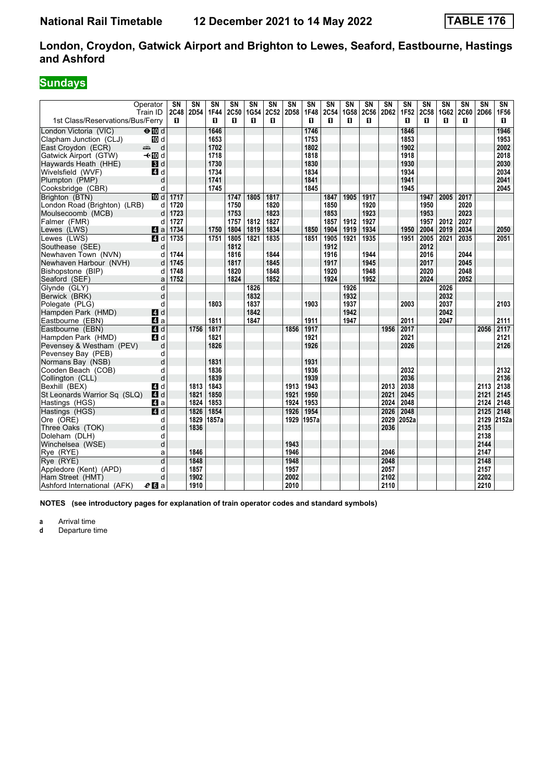# **Sundays**

|                                                | Operator<br>Train ID | $\overline{\text{SN}}$<br>2C48 | $\overline{\text{SN}}$<br>2D54 | $\overline{\text{SN}}$<br>1F44 | $\overline{\text{SN}}$<br>2C50 | SN<br>1G54 | $\overline{\text{SN}}$<br>2C52 | $\overline{\text{SN}}$<br>2D58 | $\overline{\text{SN}}$<br>1F48 | $\overline{\text{SN}}$<br>2C54 | $\overline{\text{SN}}$<br>1G58 | $\overline{\text{SN}}$<br>2C56 | $\overline{\text{SN}}$<br>2D62 | $\overline{\text{SN}}$<br>1F52 | SN<br>2C58 | $\overline{\text{SN}}$<br>1G62 | SN<br>2C60 | $\overline{\text{SN}}$<br>2D66 | SN<br>1F56   |
|------------------------------------------------|----------------------|--------------------------------|--------------------------------|--------------------------------|--------------------------------|------------|--------------------------------|--------------------------------|--------------------------------|--------------------------------|--------------------------------|--------------------------------|--------------------------------|--------------------------------|------------|--------------------------------|------------|--------------------------------|--------------|
| 1st Class/Reservations/Bus/Ferry               |                      | п                              |                                | п                              | п                              | п          | п                              |                                | п                              | п                              | п                              | п                              |                                | п                              | п          | п                              | п          |                                | 0            |
| London Victoria (VIC)                          | $\Theta$ Md          |                                |                                | 1646                           |                                |            |                                |                                | 1746                           |                                |                                |                                |                                | 1846                           |            |                                |            |                                | 1946         |
| Clapham Junction (CLJ)                         | 10 d                 |                                |                                | 1653                           |                                |            |                                |                                | 1753                           |                                |                                |                                |                                | 1853                           |            |                                |            |                                | 1953         |
| East Croydon (ECR)                             | d<br>المشر           |                                |                                | 1702                           |                                |            |                                |                                | 1802                           |                                |                                |                                |                                | 1902                           |            |                                |            |                                | 2002         |
| Gatwick Airport (GTW)                          | <b>√</b> t III d     |                                |                                | 1718                           |                                |            |                                |                                | 1818                           |                                |                                |                                |                                | 1918                           |            |                                |            |                                | 2018         |
| Haywards Heath (HHE)                           | BI d                 |                                |                                | 1730                           |                                |            |                                |                                | 1830                           |                                |                                |                                |                                | 1930                           |            |                                |            |                                | 2030         |
| Wivelsfield (WVF)                              | 4 d                  |                                |                                | 1734                           |                                |            |                                |                                | 1834                           |                                |                                |                                |                                | 1934                           |            |                                |            |                                | 2034         |
| Plumpton (PMP)                                 | d                    |                                |                                | 1741                           |                                |            |                                |                                | 1841                           |                                |                                |                                |                                | 1941                           |            |                                |            |                                | 2041         |
| Cooksbridge (CBR)                              | d                    |                                |                                | 1745                           |                                |            |                                |                                | 1845                           |                                |                                |                                |                                | 1945                           |            |                                |            |                                | 2045         |
| Brighton (BTN)                                 | $\overline{M}$ d     | 1717                           |                                |                                | 1747                           | 1805       | 1817                           |                                |                                | 1847                           | 1905                           | 1917                           |                                |                                | 1947       | 2005                           | 2017       |                                |              |
| London Road (Brighton) (LRB)                   | d                    | 1720                           |                                |                                | 1750                           |            | 1820                           |                                |                                | 1850                           |                                | 1920                           |                                |                                | 1950       |                                | 2020       |                                |              |
| Moulsecoomb (MCB)                              | d                    | 1723                           |                                |                                | 1753                           |            | 1823                           |                                |                                | 1853                           |                                | 1923                           |                                |                                | 1953       |                                | 2023       |                                |              |
| Falmer (FMR)                                   | d                    | 1727                           |                                |                                | 1757                           | 1812       | 1827                           |                                |                                | 1857                           | 1912                           | 1927                           |                                |                                | 1957       | 2012                           | 2027       |                                |              |
| Lewes (LWS)                                    | 4a                   | 1734                           |                                | 1750                           | 1804                           | 1819       | 1834                           |                                | 1850                           | 1904                           | 1919                           | 1934                           |                                | 1950                           | 2004       | 2019                           | 2034       |                                | 2050         |
| Lewes (LWS)                                    | 4 d                  | 1735                           |                                | 1751                           | 1805                           | 1821       | 1835                           |                                | 1851                           | 1905                           | 1921                           | 1935                           |                                | 1951                           | 2005       | 2021                           | 2035       |                                | 2051         |
| Southease (SEE)                                | d                    |                                |                                |                                | 1812                           |            |                                |                                |                                | 1912                           |                                |                                |                                |                                | 2012       |                                |            |                                |              |
| Newhaven Town (NVN)                            | d                    | 1744                           |                                |                                | 1816                           |            | 1844                           |                                |                                | 1916                           |                                | 1944                           |                                |                                | 2016       |                                | 2044       |                                |              |
| Newhaven Harbour (NVH)                         | d                    | 1745                           |                                |                                | 1817                           |            | 1845                           |                                |                                | 1917                           |                                | 1945                           |                                |                                | 2017       |                                | 2045       |                                |              |
| Bishopstone (BIP)                              | d                    | 1748                           |                                |                                | 1820                           |            | 1848                           |                                |                                | 1920                           |                                | 1948                           |                                |                                | 2020       |                                | 2048       |                                |              |
| Seaford (SEF)                                  | a                    | 1752                           |                                |                                | 1824                           |            | 1852                           |                                |                                | 1924                           |                                | 1952                           |                                |                                | 2024       |                                | 2052       |                                |              |
| Glynde (GLY)                                   | d                    |                                |                                |                                |                                | 1826       |                                |                                |                                |                                | 1926                           |                                |                                |                                |            | 2026                           |            |                                |              |
| Berwick (BRK)                                  | d                    |                                |                                |                                |                                | 1832       |                                |                                |                                |                                | 1932                           |                                |                                |                                |            | 2032                           |            |                                |              |
| Polegate (PLG)                                 | d                    |                                |                                | 1803                           |                                | 1837       |                                |                                | 1903                           |                                | 1937                           |                                |                                | 2003                           |            | 2037                           |            |                                | 2103         |
| Hampden Park (HMD)                             | <b>4</b> d           |                                |                                |                                |                                | 1842       |                                |                                |                                |                                | 1942                           |                                |                                |                                |            | 2042                           |            |                                |              |
| Eastbourne (EBN)                               | ZI a                 |                                |                                | 1811                           |                                | 1847       |                                |                                | 1911                           |                                | 1947                           |                                |                                | 2011                           |            | 2047                           |            |                                | 2111         |
| Eastbourne (EBN)                               | 4d                   |                                | 1756                           | 1817                           |                                |            |                                | 1856                           | 1917                           |                                |                                |                                | 1956                           | 2017                           |            |                                |            | 2056                           | 2117<br>2121 |
| Hampden Park (HMD)<br>Pevensey & Westham (PEV) | 4 d<br>d             |                                |                                | 1821<br>1826                   |                                |            |                                |                                | 1921<br>1926                   |                                |                                |                                |                                | 2021<br>2026                   |            |                                |            |                                | 2126         |
| Pevensey Bay (PEB)                             | d                    |                                |                                |                                |                                |            |                                |                                |                                |                                |                                |                                |                                |                                |            |                                |            |                                |              |
| Normans Bay (NSB)                              | d                    |                                |                                | 1831                           |                                |            |                                |                                | 1931                           |                                |                                |                                |                                |                                |            |                                |            |                                |              |
| Cooden Beach (COB)                             | d                    |                                |                                | 1836                           |                                |            |                                |                                | 1936                           |                                |                                |                                |                                | 2032                           |            |                                |            |                                | 2132         |
| Collington (CLL)                               | d                    |                                |                                | 1839                           |                                |            |                                |                                | 1939                           |                                |                                |                                |                                | 2036                           |            |                                |            |                                | 2136         |
| Bexhill (BEX)                                  | ZI d                 |                                | 1813                           | 1843                           |                                |            |                                | 1913                           | 1943                           |                                |                                |                                | 2013                           | 2038                           |            |                                |            | 2113                           | 2138         |
| St Leonards Warrior Sq (SLQ)                   | 4d                   |                                | 1821                           | 1850                           |                                |            |                                | 1921                           | 1950                           |                                |                                |                                | 2021                           | 2045                           |            |                                |            | 2121                           | 2145         |
| Hastings (HGS)                                 | ZI a                 |                                | 1824                           | 1853                           |                                |            |                                | 1924                           | 1953                           |                                |                                |                                | 2024                           | 2048                           |            |                                |            | 2124                           | 2148         |
| Hastings (HGS)                                 | 4d                   |                                | 1826                           | 1854                           |                                |            |                                | 1926                           | 1954                           |                                |                                |                                | 2026                           | 2048                           |            |                                |            | 2125                           | 2148         |
| Ore (ORE)                                      | d                    |                                | 1829                           | 1857a                          |                                |            |                                | 1929                           | 1957a                          |                                |                                |                                | 2029                           | 2052a                          |            |                                |            | 2129                           | 2152a        |
| Three Oaks (TOK)                               | d                    |                                | 1836                           |                                |                                |            |                                |                                |                                |                                |                                |                                | 2036                           |                                |            |                                |            | 2135                           |              |
| Doleham (DLH)                                  | d                    |                                |                                |                                |                                |            |                                |                                |                                |                                |                                |                                |                                |                                |            |                                |            | 2138                           |              |
| Winchelsea (WSE)                               | d                    |                                |                                |                                |                                |            |                                | 1943                           |                                |                                |                                |                                |                                |                                |            |                                |            | 2144                           |              |
| Rye (RYE)                                      | a                    |                                | 1846                           |                                |                                |            |                                | 1946                           |                                |                                |                                |                                | 2046                           |                                |            |                                |            | 2147                           |              |
| Rve (RYE)                                      | $\overline{d}$       |                                | 1848                           |                                |                                |            |                                | 1948                           |                                |                                |                                |                                | 2048                           |                                |            |                                |            | 2148                           |              |
| Appledore (Kent) (APD)                         | d                    |                                | 1857                           |                                |                                |            |                                | 1957                           |                                |                                |                                |                                | 2057                           |                                |            |                                |            | 2157                           |              |
| Ham Street (HMT)                               | d                    |                                | 1902                           |                                |                                |            |                                | 2002                           |                                |                                |                                |                                | 2102                           |                                |            |                                |            | 2202                           |              |
| Ashford International (AFK)                    | $e$ $a$              |                                | 1910                           |                                |                                |            |                                | 2010                           |                                |                                |                                |                                | 2110                           |                                |            |                                |            | 2210                           |              |

**NOTES (see introductory pages for explanation of train operator codes and standard symbols)**

**a** Arrival time<br>**d** Departure t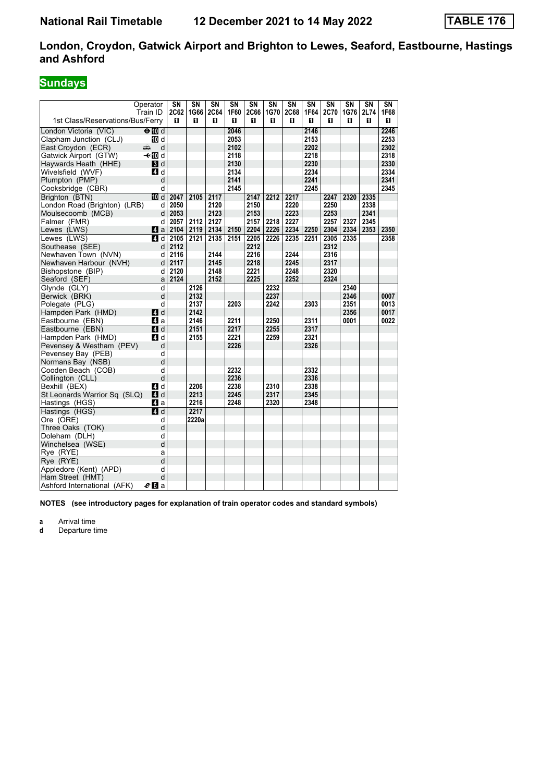# **Sundays**

| Operator                                            |           | SΝ        | $\overline{\text{SN}}$ | $\overline{\text{SN}}$ | $\overline{\text{SN}}$ | SN        | SN        | $\overline{\text{SN}}$ | SN        | $\overline{\text{SN}}$ | $\overline{\text{SN}}$ | $\overline{\text{SN}}$ | $\overline{\text{SN}}$ |
|-----------------------------------------------------|-----------|-----------|------------------------|------------------------|------------------------|-----------|-----------|------------------------|-----------|------------------------|------------------------|------------------------|------------------------|
| Train ID<br>1st Class/Reservations/Bus/Ferry        |           | 2C62<br>п | 1G66<br>п              | 2C64<br>0              | 1F60<br>0              | 2C66<br>п | 1G70<br>0 | <b>2C68</b><br>0       | 1F64<br>0 | 2C70<br>п              | 1G76<br>O              | 2L74<br>0              | 1F68<br>0              |
|                                                     |           |           |                        |                        | 2046                   |           |           |                        | 2146      |                        |                        |                        | 2246                   |
| $\Theta$ M d<br>London Victoria (VIC)               |           |           |                        |                        | 2053                   |           |           |                        | 2153      |                        |                        |                        | 2253                   |
| Clapham Junction (CLJ)<br>East Croydon (ECR)        | iM d<br>d |           |                        |                        | 2102                   |           |           |                        | 2202      |                        |                        |                        | 2302                   |
| پېښ<br>Gatwick Airport (GTW)<br>—t∕l∏⊓d             |           |           |                        |                        | 2118                   |           |           |                        | 2218      |                        |                        |                        | 2318                   |
| Haywards Heath (HHE)                                | 3d        |           |                        |                        | 2130                   |           |           |                        | 2230      |                        |                        |                        | 2330                   |
| Wivelsfield (WVF)                                   | ZI d      |           |                        |                        | 2134                   |           |           |                        | 2234      |                        |                        |                        | 2334                   |
| Plumpton (PMP)                                      | d         |           |                        |                        | 2141                   |           |           |                        | 2241      |                        |                        |                        | 2341                   |
| Cooksbridge (CBR)                                   | d         |           |                        |                        | 2145                   |           |           |                        | 2245      |                        |                        |                        | 2345                   |
| Brighton (BTN)                                      | iM d      | 2047      | 2105                   | 2117                   |                        | 2147      | 2212      | 2217                   |           | 2247                   | 2320                   | 2335                   |                        |
| London Road (Brighton) (LRB)                        | d         | 2050      |                        | 2120                   |                        | 2150      |           | 2220                   |           | 2250                   |                        | 2338                   |                        |
| Moulsecoomb (MCB)                                   | d         | 2053      |                        | 2123                   |                        | 2153      |           | 2223                   |           | 2253                   |                        | 2341                   |                        |
| Falmer (FMR)                                        | d         | 2057      | 2112                   | 2127                   |                        | 2157      | 2218      | 2227                   |           | 2257                   | 2327                   | 2345                   |                        |
| Lewes (LWS)                                         | ZI a      | 2104      | 2119                   | 2134                   | 2150                   | 2204      | 2226      | 2234                   | 2250      | 2304                   | 2334                   | 2353                   | 2350                   |
| Lewes (LWS)                                         | ZI d      | 2105      | 2121                   | 2135                   | 2151                   | 2205      | 2226      | 2235                   | 2251      | 2305                   | 2335                   |                        | 2358                   |
| Southease (SEE)                                     | d         | 2112      |                        |                        |                        | 2212      |           |                        |           | 2312                   |                        |                        |                        |
| Newhaven Town (NVN)                                 | d         | 2116      |                        | 2144                   |                        | 2216      |           | 2244                   |           | 2316                   |                        |                        |                        |
| Newhaven Harbour (NVH)                              | d         | 2117      |                        | 2145                   |                        | 2218      |           | 2245                   |           | 2317                   |                        |                        |                        |
| Bishopstone (BIP)                                   | d         | 2120      |                        | 2148                   |                        | 2221      |           | 2248                   |           | 2320                   |                        |                        |                        |
| Seaford (SEF)                                       | a         | 2124      |                        | 2152                   |                        | 2225      |           | 2252                   |           | 2324                   |                        |                        |                        |
| Glynde (GLY)                                        | d         |           | 2126                   |                        |                        |           | 2232      |                        |           |                        | 2340                   |                        |                        |
| Berwick (BRK)                                       | d         |           | 2132                   |                        |                        |           | 2237      |                        |           |                        | 2346                   |                        | 0007                   |
| Polegate (PLG)                                      | d         |           | 2137                   |                        | 2203                   |           | 2242      |                        | 2303      |                        | 2351                   |                        | 0013                   |
| Hampden Park (HMD)                                  | L4 d      |           | 2142                   |                        |                        |           |           |                        |           |                        | 2356                   |                        | 0017                   |
| Eastbourne (EBN)                                    | ZI a      |           | 2146                   |                        | 2211                   |           | 2250      |                        | 2311      |                        | 0001                   |                        | 0022                   |
| Eastbourne (EBN)                                    | ZI d      |           | 2151                   |                        | 2217                   |           | 2255      |                        | 2317      |                        |                        |                        |                        |
| Hampden Park (HMD)                                  | ZI d      |           | 2155                   |                        | 2221                   |           | 2259      |                        | 2321      |                        |                        |                        |                        |
| Pevensey & Westham (PEV)                            | d         |           |                        |                        | 2226                   |           |           |                        | 2326      |                        |                        |                        |                        |
| Pevensey Bay (PEB)                                  | d         |           |                        |                        |                        |           |           |                        |           |                        |                        |                        |                        |
| Normans Bay (NSB)                                   | d         |           |                        |                        |                        |           |           |                        |           |                        |                        |                        |                        |
| Cooden Beach (COB)                                  | d         |           |                        |                        | 2232                   |           |           |                        | 2332      |                        |                        |                        |                        |
| Collington (CLL)                                    | d         |           |                        |                        | 2236                   |           |           |                        | 2336      |                        |                        |                        |                        |
| Bexhill (BEX)                                       | ZI d      |           | 2206                   |                        | 2238                   |           | 2310      |                        | 2338      |                        |                        |                        |                        |
| St Leonards Warrior Sq (SLQ)                        | ZI d      |           | 2213                   |                        | 2245                   |           | 2317      |                        | 2345      |                        |                        |                        |                        |
| Hastings (HGS)                                      | Иa        |           | 2216                   |                        | 2248                   |           | 2320      |                        | 2348      |                        |                        |                        |                        |
| Hastings (HGS)                                      | 4d        |           | 2217                   |                        |                        |           |           |                        |           |                        |                        |                        |                        |
| Ore (ORE)                                           | d         |           | 2220a                  |                        |                        |           |           |                        |           |                        |                        |                        |                        |
| Three Oaks (TOK)                                    | d         |           |                        |                        |                        |           |           |                        |           |                        |                        |                        |                        |
| Doleham (DLH)                                       | d         |           |                        |                        |                        |           |           |                        |           |                        |                        |                        |                        |
| Winchelsea (WSE)                                    | d         |           |                        |                        |                        |           |           |                        |           |                        |                        |                        |                        |
| Rye (RYE)                                           | a         |           |                        |                        |                        |           |           |                        |           |                        |                        |                        |                        |
| Rye (RYE)                                           | d         |           |                        |                        |                        |           |           |                        |           |                        |                        |                        |                        |
| Appledore (Kent) (APD)                              | d         |           |                        |                        |                        |           |           |                        |           |                        |                        |                        |                        |
| Ham Street (HMT)                                    | d         |           |                        |                        |                        |           |           |                        |           |                        |                        |                        |                        |
| Ashford International (AFK)<br>$\boldsymbol{e}$ M a |           |           |                        |                        |                        |           |           |                        |           |                        |                        |                        |                        |

**NOTES (see introductory pages for explanation of train operator codes and standard symbols)**

**a** Arrival time<br>**d** Departure t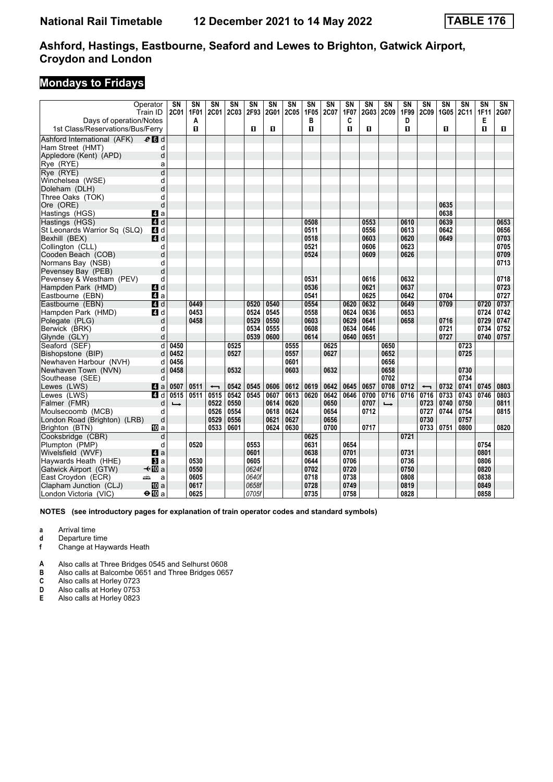### **Mondays to Fridays**

|                                  | Operator         | $\overline{\text{SN}}$ | $\overline{\text{SN}}$ | $\overline{\text{SN}}$   | $\overline{\text{SN}}$ | $\overline{\text{SN}}$ | $\overline{\text{SN}}$ | $\overline{\text{SN}}$ | $\overline{\text{SN}}$ | $\overline{\text{SN}}$ | $\overline{\text{SN}}$ | $\overline{\text{SN}}$ | $\overline{\text{SN}}$ | $\overline{\text{SN}}$ | $\overline{\text{SN}}$   | $\overline{\text{SN}}$ | $\overline{\text{SN}}$ | $\overline{\text{SN}}$ | $\overline{\text{SN}}$ |
|----------------------------------|------------------|------------------------|------------------------|--------------------------|------------------------|------------------------|------------------------|------------------------|------------------------|------------------------|------------------------|------------------------|------------------------|------------------------|--------------------------|------------------------|------------------------|------------------------|------------------------|
|                                  | Train ID         | 2C01                   | 1F01                   | 2C01                     | <b>2C03</b>            | 2F93                   | 2G01                   | 2C05                   | 1F05<br>в              | 2C07                   | 1F07                   | 2G03                   | 2C09                   | 1F99<br>D              | 2C09                     | 1G05                   | 2C11                   | <b>1F11</b>            | 2G07                   |
| Days of operation/Notes          |                  |                        | A<br>$\mathbf{u}$      |                          |                        | п                      | п                      |                        | $\mathbf{u}$           |                        | C<br>п                 | 0                      |                        | п                      |                          | п                      |                        | Е<br>$\mathbf{u}$      | 0                      |
| 1st Class/Reservations/Bus/Ferry |                  |                        |                        |                          |                        |                        |                        |                        |                        |                        |                        |                        |                        |                        |                          |                        |                        |                        |                        |
| Ashford International (AFK)      | $e$ d d          |                        |                        |                          |                        |                        |                        |                        |                        |                        |                        |                        |                        |                        |                          |                        |                        |                        |                        |
| Ham Street (HMT)                 | d                |                        |                        |                          |                        |                        |                        |                        |                        |                        |                        |                        |                        |                        |                          |                        |                        |                        |                        |
| Appledore (Kent) (APD)           | d                |                        |                        |                          |                        |                        |                        |                        |                        |                        |                        |                        |                        |                        |                          |                        |                        |                        |                        |
| Rye (RYE)                        | a                |                        |                        |                          |                        |                        |                        |                        |                        |                        |                        |                        |                        |                        |                          |                        |                        |                        |                        |
| Rye (RYE)                        | d                |                        |                        |                          |                        |                        |                        |                        |                        |                        |                        |                        |                        |                        |                          |                        |                        |                        |                        |
| Winchelsea (WSE)                 | d                |                        |                        |                          |                        |                        |                        |                        |                        |                        |                        |                        |                        |                        |                          |                        |                        |                        |                        |
| Doleham (DLH)                    | d                |                        |                        |                          |                        |                        |                        |                        |                        |                        |                        |                        |                        |                        |                          |                        |                        |                        |                        |
| Three Oaks (TOK)                 | d                |                        |                        |                          |                        |                        |                        |                        |                        |                        |                        |                        |                        |                        |                          |                        |                        |                        |                        |
| Ore (ORE)                        | d                |                        |                        |                          |                        |                        |                        |                        |                        |                        |                        |                        |                        |                        |                          | 0635                   |                        |                        |                        |
| Hastings (HGS)                   | ZI a             |                        |                        |                          |                        |                        |                        |                        |                        |                        |                        |                        |                        |                        |                          | 0638                   |                        |                        |                        |
| Hastings (HGS)                   | 4d               |                        |                        |                          |                        |                        |                        |                        | 0508                   |                        |                        | 0553                   |                        | 0610                   |                          | 0639                   |                        |                        | 0653                   |
| St Leonards Warrior Sq (SLQ)     | ZI d             |                        |                        |                          |                        |                        |                        |                        | 0511                   |                        |                        | 0556                   |                        | 0613                   |                          | 0642                   |                        |                        | 0656                   |
| Bexhill (BEX)                    | 4d               |                        |                        |                          |                        |                        |                        |                        | 0518                   |                        |                        | 0603                   |                        | 0620                   |                          | 0649                   |                        |                        | 0703                   |
| Collington (CLL)                 | d                |                        |                        |                          |                        |                        |                        |                        | 0521                   |                        |                        | 0606                   |                        | 0623                   |                          |                        |                        |                        | 0705                   |
| Cooden Beach (COB)               | d                |                        |                        |                          |                        |                        |                        |                        | 0524                   |                        |                        | 0609                   |                        | 0626                   |                          |                        |                        |                        | 0709                   |
| Normans Bay (NSB)                | d                |                        |                        |                          |                        |                        |                        |                        |                        |                        |                        |                        |                        |                        |                          |                        |                        |                        | 0713                   |
| Pevensey Bay (PEB)               | d                |                        |                        |                          |                        |                        |                        |                        |                        |                        |                        |                        |                        |                        |                          |                        |                        |                        |                        |
| Pevensey & Westham (PEV)         | d                |                        |                        |                          |                        |                        |                        |                        | 0531                   |                        |                        | 0616                   |                        | 0632                   |                          |                        |                        |                        | 0718                   |
| Hampden Park (HMD)               | $\blacksquare$ d |                        |                        |                          |                        |                        |                        |                        | 0536                   |                        |                        | 0621                   |                        | 0637                   |                          |                        |                        |                        | 0723                   |
| Eastbourne (EBN)                 | $\mathbf{A}$ a   |                        |                        |                          |                        |                        |                        |                        | 0541                   |                        |                        | 0625                   |                        | 0642                   |                          | 0704                   |                        |                        | 0727                   |
| Eastbourne (EBN)                 | 4d               |                        | 0449                   |                          |                        | 0520                   | 0540                   |                        | 0554                   |                        | 0620                   | 0632                   |                        | 0649                   |                          | 0709                   |                        | 0720                   | 0737                   |
| Hampden Park (HMD)               | <b>4</b> d       |                        | 0453                   |                          |                        | 0524                   | 0545                   |                        | 0558                   |                        | 0624                   | 0636                   |                        | 0653                   |                          |                        |                        | 0724                   | 0742                   |
| Polegate (PLG)                   | d                |                        | 0458                   |                          |                        | 0529                   | 0550                   |                        | 0603                   |                        | 0629                   | 0641                   |                        | 0658                   |                          | 0716                   |                        | 0729                   | 0747                   |
| Berwick (BRK)                    | d                |                        |                        |                          |                        | 0534                   | 0555                   |                        | 0608                   |                        | 0634                   | 0646                   |                        |                        |                          | 0721                   |                        | 0734                   | 0752                   |
| Glynde (GLY)                     | d                |                        |                        |                          |                        | 0539                   | 0600                   |                        | 0614                   |                        | 0640                   | 0651                   |                        |                        |                          | 0727                   |                        | 0740                   | 0757                   |
| Seaford (SEF)                    | d                | 0450                   |                        |                          | 0525                   |                        |                        | 0555                   |                        | 0625                   |                        |                        | 0650                   |                        |                          |                        | 0723                   |                        |                        |
| Bishopstone (BIP)                | d                | 0452                   |                        |                          | 0527                   |                        |                        | 0557                   |                        | 0627                   |                        |                        | 0652                   |                        |                          |                        | 0725                   |                        |                        |
| Newhaven Harbour (NVH)           | d                | 0456                   |                        |                          |                        |                        |                        | 0601                   |                        |                        |                        |                        | 0656                   |                        |                          |                        |                        |                        |                        |
| Newhaven Town (NVN)              | d                | 0458                   |                        |                          | 0532                   |                        |                        | 0603                   |                        | 0632                   |                        |                        | 0658                   |                        |                          |                        | 0730                   |                        |                        |
| Southease (SEE)                  | d                |                        |                        |                          |                        |                        |                        |                        |                        |                        |                        |                        | 0702                   |                        |                          |                        | 0734                   |                        |                        |
| Lewes (LWS)                      | $\blacksquare$ a | 0507                   | 0511                   | $\overline{\phantom{0}}$ | 0542                   | 0545                   | 0606                   | 0612                   | 0619                   | 0642                   | 0645                   | 0657                   | 0708                   | 0712                   | $\overline{\phantom{0}}$ | 0732                   | 0741                   | 0745                   | 0803                   |
| Lewes (LWS)                      | 4 d              | 0515                   | 0511                   | 0515                     | 0542                   | 0545                   | 0607                   | 0613                   | 0620                   | 0642                   | 0646                   | 0700                   | 0716                   | 0716                   | 0716                     | 0733                   | 0743                   | 0746                   | 0803                   |
| Falmer (FMR)                     | d                |                        |                        | 0522                     | 0550                   |                        | 0614                   | 0620                   |                        | 0650                   |                        | 0707                   | $\rightarrow$          |                        | 0723                     | 0740                   | 0750                   |                        | 0811                   |
| Moulsecoomb (MCB)                | d                |                        |                        | 0526                     | 0554                   |                        | 0618                   | 0624                   |                        | 0654                   |                        | 0712                   |                        |                        | 0727                     | 0744                   | 0754                   |                        | 0815                   |
| London Road (Brighton) (LRB)     | d                |                        |                        | 0529                     | 0556                   |                        | 0621                   | 0627                   |                        | 0656                   |                        |                        |                        |                        | 0730                     |                        | 0757                   |                        |                        |
|                                  | 吅 a              |                        |                        | 0533                     | 0601                   |                        | 0624                   | 0630                   |                        | 0700                   |                        | 0717                   |                        |                        | 0733                     | 0751                   | 0800                   |                        | 0820                   |
| Brighton (BTN)                   |                  |                        |                        |                          |                        |                        |                        |                        |                        |                        |                        |                        |                        |                        |                          |                        |                        |                        |                        |
| Cooksbridge (CBR)                | d                |                        |                        |                          |                        |                        |                        |                        | 0625                   |                        |                        |                        |                        | 0721                   |                          |                        |                        |                        |                        |
| Plumpton (PMP)                   | d                |                        | 0520                   |                          |                        | 0553                   |                        |                        | 0631                   |                        | 0654                   |                        |                        |                        |                          |                        |                        | 0754                   |                        |
| Wivelsfield (WVF)                | $\mathbf{A}$ a   |                        |                        |                          |                        | 0601                   |                        |                        | 0638                   |                        | 0701                   |                        |                        | 0731                   |                          |                        |                        | 0801                   |                        |
| Haywards Heath (HHE)             | <b>B</b> la      |                        | 0530                   |                          |                        | 0605                   |                        |                        | 0644                   |                        | 0706                   |                        |                        | 0736                   |                          |                        |                        | 0806                   |                        |
| Gatwick Airport (GTW)            | –≁ilDia          |                        | 0550                   |                          |                        | 0624f                  |                        |                        | 0702                   |                        | 0720                   |                        |                        | 0750                   |                          |                        |                        | 0820                   |                        |
| East Croydon (ECR)               | æ<br>a           |                        | 0605                   |                          |                        | 0640f                  |                        |                        | 0718                   |                        | 0738                   |                        |                        | 0808                   |                          |                        |                        | 0838                   |                        |
| Clapham Junction (CLJ)           | <b>ID</b> a      |                        | 0617                   |                          |                        | 0658f                  |                        |                        | 0728                   |                        | 0749                   |                        |                        | 0819                   |                          |                        |                        | 0849                   |                        |
| London Victoria  (VIC)           | $\bigoplus$ a    |                        | 0625                   |                          |                        | 0705f                  |                        |                        | 0735                   |                        | 0758                   |                        |                        | 0828                   |                          |                        |                        | 0858                   |                        |

**NOTES (see introductory pages for explanation of train operator codes and standard symbols)**

**a** Arrival time

**d** Departure time<br>**f** Change at Hay

**I** Change at Haywards Heath

**A** Also calls at Three Bridges 0545 and Selhurst 0608

**B** Also calls at Balcombe 0651 and Three Bridges 065

**C** Also calls at Horley 0723<br>**D** Also calls at Horley 0753

**D** Also calls at Horley 053

**E** Also calls at Horley 0823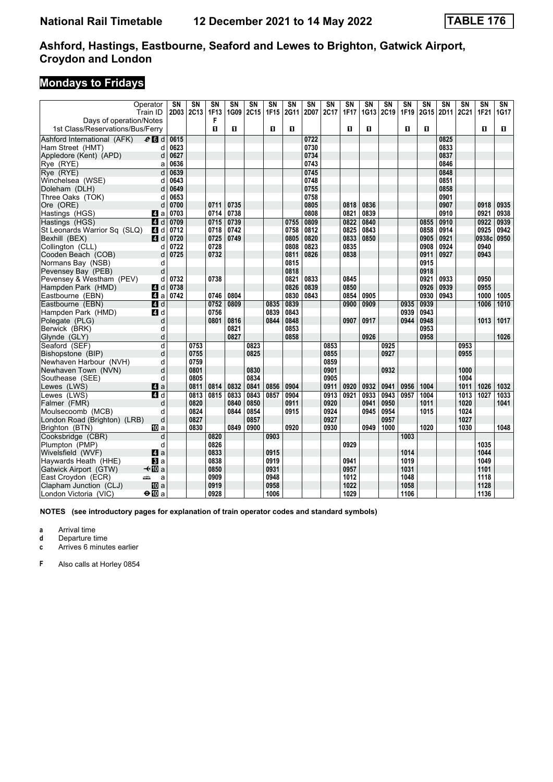## **Mondays to Fridays**

|                                  | Operator         | $\overline{\text{SN}}$ | $\overline{\text{SN}}$ | $\overline{\text{SN}}$ | $\overline{\text{SN}}$ | $\overline{\text{SN}}$ | $\overline{\text{SN}}$ | $\overline{\text{SN}}$ | $\overline{\text{SN}}$ | $\overline{\text{SN}}$ | $\overline{\text{SN}}$ | $\overline{\text{SN}}$ | $\overline{\text{SN}}$ | $\overline{\text{SN}}$ | $\overline{\text{SN}}$ | $\overline{\text{SN}}$ | $\overline{\text{SN}}$ | $\overline{\text{SN}}$ | $\overline{\text{SN}}$ |
|----------------------------------|------------------|------------------------|------------------------|------------------------|------------------------|------------------------|------------------------|------------------------|------------------------|------------------------|------------------------|------------------------|------------------------|------------------------|------------------------|------------------------|------------------------|------------------------|------------------------|
|                                  | Train ID         |                        | 2D03 2C13              | 1F13                   | 1G09                   | 2C15                   | 1F15                   | 2G11                   | 2D07                   | 2C17                   | 1F17                   | 1G13                   | 2C19                   | 1F19                   | 2G15                   | 2D11                   | 2C21                   | 1F21                   | 1G17                   |
| Days of operation/Notes          |                  |                        |                        | F                      |                        |                        |                        |                        |                        |                        |                        |                        |                        |                        |                        |                        |                        |                        |                        |
| 1st Class/Reservations/Bus/Ferry |                  |                        |                        | п                      | п                      |                        | п                      | п                      |                        |                        | $\mathbf{u}$           | п                      |                        | п                      | п                      |                        |                        | $\mathbf{u}$           | П.                     |
| Ashford International (AFK)      | $e$ d d          | 0615                   |                        |                        |                        |                        |                        |                        | 0722                   |                        |                        |                        |                        |                        |                        | 0825                   |                        |                        |                        |
| Ham Street (HMT)                 | d                | 0623                   |                        |                        |                        |                        |                        |                        | 0730                   |                        |                        |                        |                        |                        |                        | 0833                   |                        |                        |                        |
| Appledore (Kent) (APD)           | d                | 0627                   |                        |                        |                        |                        |                        |                        | 0734                   |                        |                        |                        |                        |                        |                        | 0837                   |                        |                        |                        |
| Rye (RYE)                        | a                | 0636                   |                        |                        |                        |                        |                        |                        | 0743                   |                        |                        |                        |                        |                        |                        | 0846                   |                        |                        |                        |
| Rye (RYE)                        | d                | 0639                   |                        |                        |                        |                        |                        |                        | 0745                   |                        |                        |                        |                        |                        |                        | 0848                   |                        |                        |                        |
| Winchelsea (WSE)                 | d                | 0643                   |                        |                        |                        |                        |                        |                        | 0748                   |                        |                        |                        |                        |                        |                        | 0851                   |                        |                        |                        |
| Doleham (DLH)                    | d                | 0649                   |                        |                        |                        |                        |                        |                        | 0755                   |                        |                        |                        |                        |                        |                        | 0858                   |                        |                        |                        |
| Three Oaks (TOK)                 | d                | 0653                   |                        |                        |                        |                        |                        |                        | 0758                   |                        |                        |                        |                        |                        |                        | 0901                   |                        |                        |                        |
| Ore (ORE)                        | d                | 0700                   |                        | 0711                   | 0735                   |                        |                        |                        | 0805                   |                        | 0818                   | 0836                   |                        |                        |                        | 0907                   |                        | 0918                   | 0935                   |
| Hastings (HGS)                   | <b>ZI</b> a      | 0703                   |                        | 0714                   | 0738                   |                        |                        |                        | 0808                   |                        | 0821                   | 0839                   |                        |                        |                        | 0910                   |                        | 0921                   | 0938                   |
| Hastings (HGS)                   | <b>4</b> d       | 0709                   |                        | 0715                   | 0739                   |                        |                        | 0755                   | 0809                   |                        | 0822                   | 0840                   |                        |                        | 0855                   | 0910                   |                        | 0922                   | 0939                   |
| St Leonards Warrior Sq (SLQ)     | 4 d              | 0712                   |                        | 0718                   | 0742                   |                        |                        | 0758                   | 0812                   |                        | 0825                   | 0843                   |                        |                        | 0858                   | 0914                   |                        | 0925                   | 0942                   |
| Bexhill (BEX)                    | 4 d              | 0720                   |                        | 0725                   | 0749                   |                        |                        | 0805                   | 0820                   |                        | 0833                   | 0850                   |                        |                        | 0905                   | 0921                   |                        | 0938c                  | 0950                   |
| Collington (CLL)                 | d                | 0722                   |                        | 0728                   |                        |                        |                        | 0808                   | 0823                   |                        | 0835                   |                        |                        |                        | 0908                   | 0924                   |                        | 0940                   |                        |
| Cooden Beach (COB)               | d                | 0725                   |                        | 0732                   |                        |                        |                        | 0811                   | 0826                   |                        | 0838                   |                        |                        |                        | 0911                   | 0927                   |                        | 0943                   |                        |
| Normans Bay (NSB)                | d                |                        |                        |                        |                        |                        |                        | 0815                   |                        |                        |                        |                        |                        |                        | 0915                   |                        |                        |                        |                        |
| Pevensey Bay (PEB)               | d                |                        |                        |                        |                        |                        |                        | 0818                   |                        |                        |                        |                        |                        |                        | 0918                   |                        |                        |                        |                        |
| Pevensey & Westham (PEV)         | d                | 0732                   |                        | 0738                   |                        |                        |                        | 0821                   | 0833                   |                        | 0845                   |                        |                        |                        | 0921                   | 0933                   |                        | 0950                   |                        |
| Hampden Park (HMD)               | 4d               | 0738                   |                        |                        |                        |                        |                        | 0826                   | 0839                   |                        | 0850                   |                        |                        |                        | 0926                   | 0939                   |                        | 0955                   |                        |
| Eastbourne (EBN)                 | ZI a             | 0742                   |                        | 0746                   | 0804                   |                        |                        | 0830                   | 0843                   |                        | 0854                   | 0905                   |                        |                        | 0930                   | 0943                   |                        | 1000                   | 1005                   |
| Eastbourne (EBN)                 | 4d               |                        |                        | 0752                   | 0809                   |                        | 0835                   | 0839                   |                        |                        | 0900                   | 0909                   |                        | 0935                   | 0939                   |                        |                        | 1006                   | 1010                   |
| Hampden Park (HMD)               | 4d               |                        |                        | 0756                   |                        |                        | 0839                   | 0843                   |                        |                        |                        |                        |                        | 0939                   | 0943                   |                        |                        |                        |                        |
| Polegate (PLG)                   | d                |                        |                        | 0801                   | 0816                   |                        | 0844                   | 0848                   |                        |                        | 0907                   | 0917                   |                        | 0944                   | 0948                   |                        |                        | 1013                   | 1017                   |
| Berwick (BRK)                    | d                |                        |                        |                        | 0821                   |                        |                        | 0853                   |                        |                        |                        |                        |                        |                        | 0953                   |                        |                        |                        |                        |
| Glynde (GLY)                     | d                |                        |                        |                        | 0827                   |                        |                        | 0858                   |                        |                        |                        | 0926                   |                        |                        | 0958                   |                        |                        |                        | 1026                   |
| Seaford (SEF)                    | d                |                        | 0753                   |                        |                        | 0823                   |                        |                        |                        | 0853                   |                        |                        | 0925                   |                        |                        |                        | 0953                   |                        |                        |
| Bishopstone (BIP)                | d                |                        | 0755                   |                        |                        | 0825                   |                        |                        |                        | 0855                   |                        |                        | 0927                   |                        |                        |                        | 0955                   |                        |                        |
| Newhaven Harbour (NVH)           | d                |                        | 0759                   |                        |                        |                        |                        |                        |                        | 0859                   |                        |                        |                        |                        |                        |                        |                        |                        |                        |
| Newhaven Town (NVN)              | d                |                        | 0801                   |                        |                        | 0830                   |                        |                        |                        | 0901                   |                        |                        | 0932                   |                        |                        |                        | 1000                   |                        |                        |
| Southease (SEE)                  | d                |                        | 0805                   |                        |                        | 0834                   |                        |                        |                        | 0905                   |                        |                        |                        |                        |                        |                        | 1004                   |                        |                        |
| Lewes (LWS)                      | $\blacksquare$ a |                        | 0811                   | 0814                   | 0832                   | 0841                   | 0856                   | 0904                   |                        | 0911                   | 0920                   | 0932                   | 0941                   | 0956                   | 1004                   |                        | 1011                   | 1026                   | 1032                   |
| Lewes (LWS)                      | 4 d              |                        | 0813                   | 0815                   | 0833                   | 0843                   | 0857                   | 0904                   |                        | 0913                   | 0921                   | 0933                   | 0943                   | 0957                   | 1004                   |                        | 1013                   | 1027                   | 1033                   |
| Falmer (FMR)                     | d                |                        | 0820                   |                        | 0840                   | 0850                   |                        | 0911                   |                        | 0920                   |                        | 0941                   | 0950                   |                        | 1011                   |                        | 1020                   |                        | 1041                   |
| Moulsecoomb (MCB)                | d                |                        | 0824                   |                        | 0844                   | 0854                   |                        | 0915                   |                        | 0924                   |                        | 0945                   | 0954                   |                        | 1015                   |                        | 1024                   |                        |                        |
| London Road (Brighton) (LRB)     | d                |                        | 0827                   |                        |                        | 0857                   |                        |                        |                        | 0927                   |                        |                        | 0957                   |                        |                        |                        | 1027                   |                        |                        |
| Brighton (BTN)                   | - TD a           |                        | 0830                   |                        | 0849                   | 0900                   |                        | 0920                   |                        | 0930                   |                        | 0949                   | 1000                   |                        | 1020                   |                        | 1030                   |                        | 1048                   |
| Cooksbridge (CBR)                | d                |                        |                        | 0820                   |                        |                        | 0903                   |                        |                        |                        |                        |                        |                        | 1003                   |                        |                        |                        |                        |                        |
| Plumpton (PMP)                   | d                |                        |                        | 0826                   |                        |                        |                        |                        |                        |                        | 0929                   |                        |                        |                        |                        |                        |                        | 1035                   |                        |
| Wivelsfield (WVF)                | 4a               |                        |                        | 0833                   |                        |                        | 0915                   |                        |                        |                        |                        |                        |                        | 1014                   |                        |                        |                        | 1044                   |                        |
| Haywards Heath (HHE)             | <b>B</b> la      |                        |                        | 0838                   |                        |                        | 0919                   |                        |                        |                        | 0941                   |                        |                        | 1019                   |                        |                        |                        | 1049                   |                        |
| Gatwick Airport (GTW)            | —t∙M⊡a           |                        |                        | 0850                   |                        |                        | 0931                   |                        |                        |                        | 0957                   |                        |                        | 1031                   |                        |                        |                        | 1101                   |                        |
| East Croydon (ECR)               | پیش<br>a         |                        |                        | 0909                   |                        |                        | 0948                   |                        |                        |                        | 1012                   |                        |                        | 1048                   |                        |                        |                        | 1118                   |                        |
| Clapham Junction (CLJ)           | <b>ID</b> a      |                        |                        | 0919                   |                        |                        | 0958                   |                        |                        |                        | 1022                   |                        |                        | 1058                   |                        |                        |                        | 1128                   |                        |
| London Victoria (VIC)            | $\bigoplus$ a    |                        |                        | 0928                   |                        |                        | 1006                   |                        |                        |                        | 1029                   |                        |                        | 1106                   |                        |                        |                        | 1136                   |                        |

**NOTES (see introductory pages for explanation of train operator codes and standard symbols)**

**a** Arrival time

**d** Departure time<br>**c** Arrives 6 minute

Arrives 6 minutes earlier

**)** Also calls at Horley 0854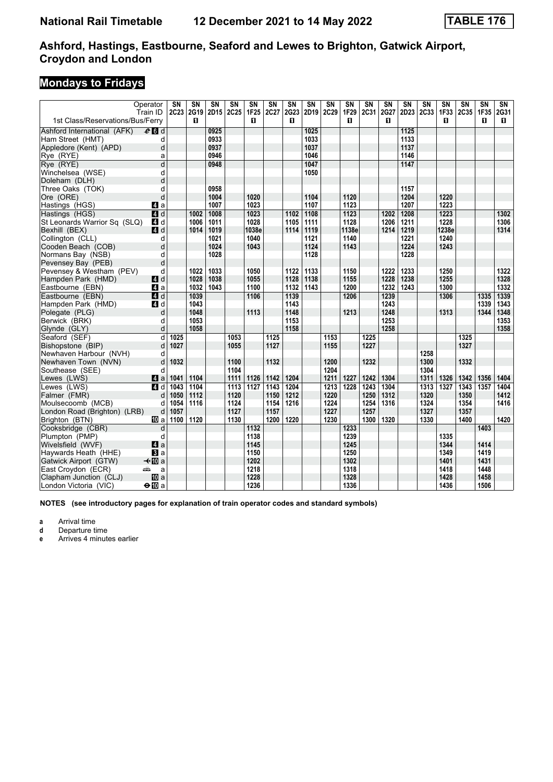## **Mondays to Fridays**

| Operator                                | $\overline{\text{SN}}$ | $\overline{\text{SN}}$ | $\overline{\text{SN}}$ | $\overline{\text{SN}}$ | $\overline{\text{SN}}$ | $\overline{\text{SN}}$ | $\overline{\text{SN}}$ | $\overline{\text{SN}}$ | $\overline{\text{SN}}$ | $\overline{\text{SN}}$ | $\overline{\text{SN}}$ | $\overline{\text{SN}}$ | $\overline{\text{SN}}$ | $\overline{\text{SN}}$ | $\overline{\text{SN}}$ | $\overline{\text{SN}}$ | $\overline{\text{SN}}$ | $\overline{\text{SN}}$ |
|-----------------------------------------|------------------------|------------------------|------------------------|------------------------|------------------------|------------------------|------------------------|------------------------|------------------------|------------------------|------------------------|------------------------|------------------------|------------------------|------------------------|------------------------|------------------------|------------------------|
| Train ID                                | 2C23                   | 2G19                   | 2D15                   | 2C25                   | 1F25                   | 2C27                   | 2G23                   | 2D19                   | 2C29                   | 1F29                   | 2C31                   | 2G27                   | 2D <sub>23</sub>       | 2C33                   | 1F33                   | 2C35                   | <b>1F35</b>            | 2G31                   |
| 1st Class/Reservations/Bus/Ferry        |                        | п                      |                        |                        | п                      |                        | п                      |                        |                        | п                      |                        | п                      |                        |                        | п                      |                        | п                      | п                      |
| $e$ $d$<br>Ashford International (AFK)  |                        |                        | 0925                   |                        |                        |                        |                        | 1025                   |                        |                        |                        |                        | 1125                   |                        |                        |                        |                        |                        |
| Ham Street (HMT)<br>d                   |                        |                        | 0933                   |                        |                        |                        |                        | 1033                   |                        |                        |                        |                        | 1133                   |                        |                        |                        |                        |                        |
| d<br>Appledore (Kent) (APD)             |                        |                        | 0937                   |                        |                        |                        |                        | 1037                   |                        |                        |                        |                        | 1137                   |                        |                        |                        |                        |                        |
| Rye (RYE)<br>a                          |                        |                        | 0946                   |                        |                        |                        |                        | 1046                   |                        |                        |                        |                        | 1146                   |                        |                        |                        |                        |                        |
| d<br>Rye (RYE)                          |                        |                        | 0948                   |                        |                        |                        |                        | 1047                   |                        |                        |                        |                        | 1147                   |                        |                        |                        |                        |                        |
| Winchelsea (WSE)<br>d                   |                        |                        |                        |                        |                        |                        |                        | 1050                   |                        |                        |                        |                        |                        |                        |                        |                        |                        |                        |
| Doleham (DLH)<br>d                      |                        |                        |                        |                        |                        |                        |                        |                        |                        |                        |                        |                        |                        |                        |                        |                        |                        |                        |
| Three Oaks (TOK)<br>d                   |                        |                        | 0958                   |                        |                        |                        |                        |                        |                        |                        |                        |                        | 1157                   |                        |                        |                        |                        |                        |
| Ore (ORE)<br>d                          |                        |                        | 1004                   |                        | 1020                   |                        |                        | 1104                   |                        | 1120                   |                        |                        | 1204                   |                        | 1220                   |                        |                        |                        |
| Hastings (HGS)<br>ZI a                  |                        |                        | 1007                   |                        | 1023                   |                        |                        | 1107                   |                        | 1123                   |                        |                        | 1207                   |                        | 1223                   |                        |                        |                        |
| Hastings (HGS)<br>$\blacksquare$ d      |                        | 1002                   | 1008                   |                        | 1023                   |                        | 1102                   | 1108                   |                        | 1123                   |                        | 1202                   | 1208                   |                        | 1223                   |                        |                        | 1302                   |
| St Leonards Warrior Sq (SLQ)<br>ZI d    |                        | 1006                   | 1011                   |                        | 1028                   |                        | 1105                   | 1111                   |                        | 1128                   |                        | 1206                   | 1211                   |                        | 1228                   |                        |                        | 1306                   |
| Bexhill (BEX)<br>4d                     |                        | 1014                   | 1019                   |                        | 1038e                  |                        | 1114                   | 1119                   |                        | 1138e                  |                        | 1214                   | 1219                   |                        | 1238e                  |                        |                        | 1314                   |
| Collington (CLL)<br>d                   |                        |                        | 1021                   |                        | 1040                   |                        |                        | 1121                   |                        | 1140                   |                        |                        | 1221                   |                        | 1240                   |                        |                        |                        |
| d<br>Cooden Beach (COB)                 |                        |                        | 1024                   |                        | 1043                   |                        |                        | 1124                   |                        | 1143                   |                        |                        | 1224                   |                        | 1243                   |                        |                        |                        |
| Normans Bay (NSB)<br>d                  |                        |                        | 1028                   |                        |                        |                        |                        | 1128                   |                        |                        |                        |                        | 1228                   |                        |                        |                        |                        |                        |
| d<br>Pevensey Bay (PEB)                 |                        |                        |                        |                        |                        |                        |                        |                        |                        |                        |                        |                        |                        |                        |                        |                        |                        |                        |
| Pevensey & Westham (PEV)<br>d           |                        | 1022                   | 1033                   |                        | 1050                   |                        | 1122                   | 1133                   |                        | 1150                   |                        | 1222                   | 1233                   |                        | 1250                   |                        |                        | 1322                   |
| 4 d<br>Hampden Park (HMD)               |                        | 1028                   | 1038                   |                        | 1055                   |                        | 1128                   | 1138                   |                        | 1155                   |                        | 1228                   | 1238                   |                        | 1255                   |                        |                        | 1328                   |
| Eastbourne (EBN)<br>ZI a                |                        | 1032                   | 1043                   |                        | 1100                   |                        | 1132                   | 1143                   |                        | 1200                   |                        | 1232                   | 1243                   |                        | 1300                   |                        |                        | 1332                   |
| Eastbourne (EBN)<br>4d                  |                        | 1039                   |                        |                        | 1106                   |                        | 1139                   |                        |                        | 1206                   |                        | 1239                   |                        |                        | 1306                   |                        | 1335                   | 1339                   |
| Hampden Park (HMD)<br>4d                |                        | 1043                   |                        |                        |                        |                        | 1143                   |                        |                        |                        |                        | 1243                   |                        |                        |                        |                        | 1339                   | 1343                   |
| Polegate (PLG)<br>d                     |                        | 1048                   |                        |                        | 1113                   |                        | 1148                   |                        |                        | 1213                   |                        | 1248                   |                        |                        | 1313                   |                        | 1344                   | 1348                   |
| Berwick (BRK)<br>d                      |                        | 1053                   |                        |                        |                        |                        | 1153                   |                        |                        |                        |                        | 1253                   |                        |                        |                        |                        |                        | 1353                   |
| d<br>Glynde (GLY)                       |                        | 1058                   |                        |                        |                        |                        | 1158                   |                        |                        |                        |                        | 1258                   |                        |                        |                        |                        |                        | 1358                   |
| d<br>Seaford (SEF)                      | 1025                   |                        |                        | 1053                   |                        | 1125                   |                        |                        | 1153                   |                        | 1225                   |                        |                        |                        |                        | 1325                   |                        |                        |
| Bishopstone (BIP)<br>d                  | 1027                   |                        |                        | 1055                   |                        | 1127                   |                        |                        | 1155                   |                        | 1227                   |                        |                        |                        |                        | 1327                   |                        |                        |
| Newhaven Harbour (NVH)<br>d             |                        |                        |                        |                        |                        |                        |                        |                        |                        |                        |                        |                        |                        | 1258                   |                        |                        |                        |                        |
| Newhaven Town (NVN)<br>d                | 1032                   |                        |                        | 1100                   |                        | 1132                   |                        |                        | 1200                   |                        | 1232                   |                        |                        | 1300                   |                        | 1332                   |                        |                        |
| Southease (SEE)<br>d                    |                        |                        |                        | 1104                   |                        |                        |                        |                        | 1204                   |                        |                        |                        |                        | 1304                   |                        |                        |                        |                        |
| Lewes (LWS)<br>ZI a                     | 1041                   | 1104                   |                        | 1111                   | 1126                   | 1142                   | 1204                   |                        | 1211                   | 1227                   | 1242                   | 1304                   |                        | 1311                   | 1326                   | 1342                   | 1356                   | 1404                   |
| Lewes (LWS)<br>4d                       | 1043                   | 1104                   |                        | 1113                   | $\frac{1127}{2}$       | 1143                   | 1204                   |                        | 1213                   | 1228                   | 1243                   | 1304                   |                        | 1313                   | 1327                   | 1343                   | 1357                   | 1404                   |
| Falmer (FMR)<br>d                       | 1050                   | 1112                   |                        | 1120                   |                        | 1150                   | 1212                   |                        | 1220                   |                        | 1250                   | 1312                   |                        | 1320                   |                        | 1350                   |                        | 1412                   |
| Moulsecoomb (MCB)<br>d                  | 1054                   | 1116                   |                        | 1124                   |                        | 1154                   | 1216                   |                        | 1224                   |                        | 1254                   | 1316                   |                        | 1324                   |                        | 1354                   |                        | 1416                   |
| London Road (Brighton) (LRB)<br>d       | 1057                   |                        |                        | 1127                   |                        | 1157                   |                        |                        | 1227                   |                        | 1257                   |                        |                        | 1327                   |                        | 1357                   |                        |                        |
| Brighton (BTN)<br><b>ID</b> a           | 1100                   | 1120                   |                        | 1130                   |                        | 1200                   | 1220                   |                        | 1230                   |                        | 1300                   | 1320                   |                        | 1330                   |                        | 1400                   |                        | 1420                   |
| Cooksbridge (CBR)<br>d                  |                        |                        |                        |                        | 1132                   |                        |                        |                        |                        | 1233                   |                        |                        |                        |                        |                        |                        | 1403                   |                        |
| Plumpton (PMP)<br>d                     |                        |                        |                        |                        | 1138                   |                        |                        |                        |                        | 1239                   |                        |                        |                        |                        | 1335                   |                        |                        |                        |
| 4a<br>Wivelsfield (WVF)                 |                        |                        |                        |                        | 1145                   |                        |                        |                        |                        | 1245                   |                        |                        |                        |                        | 1344                   |                        | 1414                   |                        |
| Haywards Heath (HHE)<br>$\bf{B}$ a      |                        |                        |                        |                        | 1150                   |                        |                        |                        |                        | 1250                   |                        |                        |                        |                        | 1349                   |                        | 1419                   |                        |
| Gatwick Airport (GTW)<br>–⊀Ma           |                        |                        |                        |                        | 1202                   |                        |                        |                        |                        | 1302                   |                        |                        |                        |                        | 1401                   |                        | 1431                   |                        |
| East Croydon (ECR)<br>æ<br>a            |                        |                        |                        |                        | 1218                   |                        |                        |                        |                        | 1318                   |                        |                        |                        |                        | 1418                   |                        | 1448                   |                        |
| <b>ID</b> a<br>Clapham Junction (CLJ)   |                        |                        |                        |                        | 1228                   |                        |                        |                        |                        | 1328                   |                        |                        |                        |                        | 1428                   |                        | 1458                   |                        |
| London Victoria (VIC)<br>$\Theta$ III a |                        |                        |                        |                        | 1236                   |                        |                        |                        |                        | 1336                   |                        |                        |                        |                        | 1436                   |                        | 1506                   |                        |

**NOTES (see introductory pages for explanation of train operator codes and standard symbols)**

**a** Arrival time<br>**d** Departure time

**d** Departure time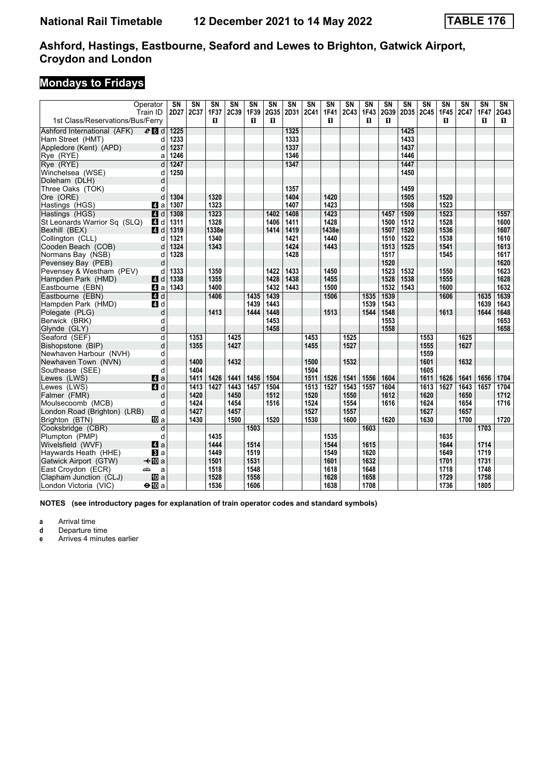## **Mondays to Fridays**

|                                   | Operator         | $\overline{\text{SN}}$ | $\overline{\text{SN}}$ | $\overline{\text{SN}}$ | $\overline{\text{SN}}$ | $\overline{\text{SN}}$ | $\overline{\text{SN}}$ | $\overline{\text{SN}}$ | $\overline{\text{SN}}$ | $\overline{\text{SN}}$ | SN          | $\overline{\text{SN}}$ | $\overline{\text{SN}}$ | $\overline{\text{SN}}$ | $\overline{\text{SN}}$ | $\overline{\text{SN}}$ | $\overline{\text{SN}}$ | $\overline{\text{SN}}$ | $\overline{\text{SN}}$ |
|-----------------------------------|------------------|------------------------|------------------------|------------------------|------------------------|------------------------|------------------------|------------------------|------------------------|------------------------|-------------|------------------------|------------------------|------------------------|------------------------|------------------------|------------------------|------------------------|------------------------|
| 1st Class/Reservations/Bus/Ferry  | Train ID         | 2D27                   | 2C37                   | 1F37<br>п              | 2C39                   | 1F39<br>п              | 2G35<br>п              | 2D31                   | 2C41                   | 1F41<br>п              | <b>2C43</b> | 1F43                   | 2G39<br>п              | 2D35                   | <b>2C45</b>            | 1F45<br>п              | 2C47                   | <b>1F47</b><br>п       | 2G43                   |
|                                   |                  |                        |                        |                        |                        |                        |                        |                        |                        |                        |             | O.                     |                        |                        |                        |                        |                        |                        | П.                     |
| Ashford International (AFK)       | $e$ $d$          | 1225                   |                        |                        |                        |                        |                        | 1325                   |                        |                        |             |                        |                        | 1425                   |                        |                        |                        |                        |                        |
| Ham Street (HMT)                  | d<br>d           | 1233<br>1237           |                        |                        |                        |                        |                        | 1333<br>1337           |                        |                        |             |                        |                        | 1433<br>1437           |                        |                        |                        |                        |                        |
| Appledore (Kent) (APD)            |                  |                        |                        |                        |                        |                        |                        | 1346                   |                        |                        |             |                        |                        | 1446                   |                        |                        |                        |                        |                        |
| Rye (RYE)                         | a<br>d           | 1246<br>1247           |                        |                        |                        |                        |                        | 1347                   |                        |                        |             |                        |                        | 1447                   |                        |                        |                        |                        |                        |
| Rve (RYE)                         |                  |                        |                        |                        |                        |                        |                        |                        |                        |                        |             |                        |                        | 1450                   |                        |                        |                        |                        |                        |
| Winchelsea (WSE)<br>Doleham (DLH) | d<br>d           | 1250                   |                        |                        |                        |                        |                        |                        |                        |                        |             |                        |                        |                        |                        |                        |                        |                        |                        |
| Three Oaks (TOK)                  | d                |                        |                        |                        |                        |                        |                        | 1357                   |                        |                        |             |                        |                        | 1459                   |                        |                        |                        |                        |                        |
| Ore (ORE)                         | d                | 1304                   |                        | 1320                   |                        |                        |                        | 1404                   |                        | 1420                   |             |                        |                        | 1505                   |                        | 1520                   |                        |                        |                        |
| Hastings (HGS)                    | 4 a              | 1307                   |                        | 1323                   |                        |                        |                        | 1407                   |                        | 1423                   |             |                        |                        | 1508                   |                        | 1523                   |                        |                        |                        |
| Hastings (HGS)                    | <b>4</b> d       | 1308                   |                        | 1323                   |                        |                        | 1402                   | 1408                   |                        | 1423                   |             |                        | 1457                   | 1509                   |                        | 1523                   |                        |                        | 1557                   |
| St Leonards Warrior Sq (SLQ)      | 4 d              | 1311                   |                        | 1328                   |                        |                        | 1406                   | 1411                   |                        | 1428                   |             |                        | 1500                   | 1512                   |                        | 1528                   |                        |                        | 1600                   |
| Bexhill (BEX)                     | 4d               | 1319                   |                        | 1338e                  |                        |                        | 1414                   | 1419                   |                        | 1438e                  |             |                        | 1507                   | 1520                   |                        | 1536                   |                        |                        | 1607                   |
| Collington (CLL)                  | d                | 1321                   |                        | 1340                   |                        |                        |                        | 1421                   |                        | 1440                   |             |                        | 1510                   | 1522                   |                        | 1538                   |                        |                        | 1610                   |
| Cooden Beach (COB)                | d                | 1324                   |                        | 1343                   |                        |                        |                        | 1424                   |                        | 1443                   |             |                        | 1513                   | 1525                   |                        | 1541                   |                        |                        | 1613                   |
| Normans Bay (NSB)                 | d                | 1328                   |                        |                        |                        |                        |                        | 1428                   |                        |                        |             |                        | 1517                   |                        |                        | 1545                   |                        |                        | 1617                   |
| Pevensey Bay (PEB)                | d                |                        |                        |                        |                        |                        |                        |                        |                        |                        |             |                        | 1520                   |                        |                        |                        |                        |                        | 1620                   |
| Pevensey & Westham (PEV)          | d                | 1333                   |                        | 1350                   |                        |                        | 1422                   | 1433                   |                        | 1450                   |             |                        | 1523                   | 1532                   |                        | 1550                   |                        |                        | 1623                   |
| Hampden Park (HMD)                | 4d               | 1338                   |                        | 1355                   |                        |                        | 1428                   | 1438                   |                        | 1455                   |             |                        | 1528                   | 1538                   |                        | 1555                   |                        |                        | 1628                   |
| Eastbourne (EBN)                  | ZI a             | 1343                   |                        | 1400                   |                        |                        | 1432                   | 1443                   |                        | 1500                   |             |                        | 1532                   | 1543                   |                        | 1600                   |                        |                        | 1632                   |
| Eastbourne (EBN)                  | 4d               |                        |                        | 1406                   |                        | 1435                   | 1439                   |                        |                        | 1506                   |             | 1535                   | 1539                   |                        |                        | 1606                   |                        | 1635                   | 1639                   |
| Hampden Park (HMD)                | 4 d              |                        |                        |                        |                        | 1439                   | 1443                   |                        |                        |                        |             | 1539                   | 1543                   |                        |                        |                        |                        | 1639                   | 1643                   |
| Polegate (PLG)                    | d                |                        |                        | 1413                   |                        | 1444                   | 1448                   |                        |                        | 1513                   |             | 1544                   | 1548                   |                        |                        | 1613                   |                        | 1644                   | 1648                   |
| Berwick (BRK)                     | d                |                        |                        |                        |                        |                        | 1453                   |                        |                        |                        |             |                        | 1553                   |                        |                        |                        |                        |                        | 1653                   |
| Glynde (GLY)                      | d                |                        |                        |                        |                        |                        | 1458                   |                        |                        |                        |             |                        | 1558                   |                        |                        |                        |                        |                        | 1658                   |
| Seaford (SEF)                     | d                |                        | 1353                   |                        | 1425                   |                        |                        |                        | 1453                   |                        | 1525        |                        |                        |                        | 1553                   |                        | 1625                   |                        |                        |
| Bishopstone (BIP)                 | d                |                        | 1355                   |                        | 1427                   |                        |                        |                        | 1455                   |                        | 1527        |                        |                        |                        | 1555                   |                        | 1627                   |                        |                        |
| Newhaven Harbour (NVH)            | d                |                        |                        |                        |                        |                        |                        |                        |                        |                        |             |                        |                        |                        | 1559                   |                        |                        |                        |                        |
| Newhaven Town (NVN)               | d                |                        | 1400                   |                        | 1432                   |                        |                        |                        | 1500                   |                        | 1532        |                        |                        |                        | 1601                   |                        | 1632                   |                        |                        |
| Southease (SEE)                   | d                |                        | 1404                   |                        |                        |                        |                        |                        | 1504                   |                        |             |                        |                        |                        | 1605                   |                        |                        |                        |                        |
| Lewes (LWS)                       | $\blacksquare$ a |                        | 1411                   | 1426                   | 1441                   | 1456                   | 1504                   |                        | 1511                   | 1526                   | 1541        | 1556                   | 1604                   |                        | 1611                   | 1626                   | 1641                   | 1656                   | 1704                   |
| Lewes (LWS)                       | 4d               |                        | 1413                   | 1427                   | 1443                   | 1457                   | 1504                   |                        | 1513                   | 1527                   | 1543        | 1557                   | 1604                   |                        | 1613                   | 1627                   | 1643                   | 1657                   | 1704                   |
| Falmer (FMR)                      | d                |                        | 1420                   |                        | 1450                   |                        | 1512                   |                        | 1520                   |                        | 1550        |                        | 1612                   |                        | 1620                   |                        | 1650                   |                        | 1712                   |
| Moulsecoomb (MCB)                 | d                |                        | 1424                   |                        | 1454                   |                        | 1516                   |                        | 1524                   |                        | 1554        |                        | 1616                   |                        | 1624                   |                        | 1654                   |                        | 1716                   |
| London Road (Brighton) (LRB)      | d                |                        | 1427                   |                        | 1457                   |                        |                        |                        | 1527                   |                        | 1557        |                        |                        |                        | 1627                   |                        | 1657                   |                        |                        |
| Brighton (BTN)                    | <b>ID</b> a      |                        | 1430                   |                        | 1500                   |                        | 1520                   |                        | 1530                   |                        | 1600        |                        | 1620                   |                        | 1630                   |                        | 1700                   |                        | 1720                   |
| Cooksbridge (CBR)                 | d                |                        |                        |                        |                        | 1503                   |                        |                        |                        |                        |             | 1603                   |                        |                        |                        |                        |                        | 1703                   |                        |
| Plumpton (PMP)                    | d                |                        |                        | 1435                   |                        |                        |                        |                        |                        | 1535                   |             |                        |                        |                        |                        | 1635                   |                        |                        |                        |
| Wivelsfield (WVF)                 | ZI a             |                        |                        | 1444                   |                        | 1514                   |                        |                        |                        | 1544                   |             | 1615                   |                        |                        |                        | 1644                   |                        | 1714                   |                        |
| Haywards Heath (HHE)              | $\mathbf{B}$ a   |                        |                        | 1449                   |                        | 1519                   |                        |                        |                        | 1549                   |             | 1620                   |                        |                        |                        | 1649                   |                        | 1719                   |                        |
| Gatwick Airport (GTW)             | <b>√</b> t∐Da    |                        |                        | 1501                   |                        | 1531                   |                        |                        |                        | 1601                   |             | 1632                   |                        |                        |                        | 1701                   |                        | 1731                   |                        |
| East Croydon (ECR)                | پیش<br>a         |                        |                        | 1518                   |                        | 1548                   |                        |                        |                        | 1618                   |             | 1648                   |                        |                        |                        | 1718                   |                        | 1748                   |                        |
| Clapham Junction (CLJ)            | <b>ID</b> a      |                        |                        | 1528                   |                        | 1558                   |                        |                        |                        | 1628                   |             | 1658                   |                        |                        |                        | 1729                   |                        | 1758                   |                        |
| London Victoria (VIC)             | $\Theta$ III a   |                        |                        | 1536                   |                        | 1606                   |                        |                        |                        | 1638                   |             | 1708                   |                        |                        |                        | 1736                   |                        | 1805                   |                        |

**NOTES (see introductory pages for explanation of train operator codes and standard symbols)**

**a** Arrival time<br>**d** Departure time

**d** Departure time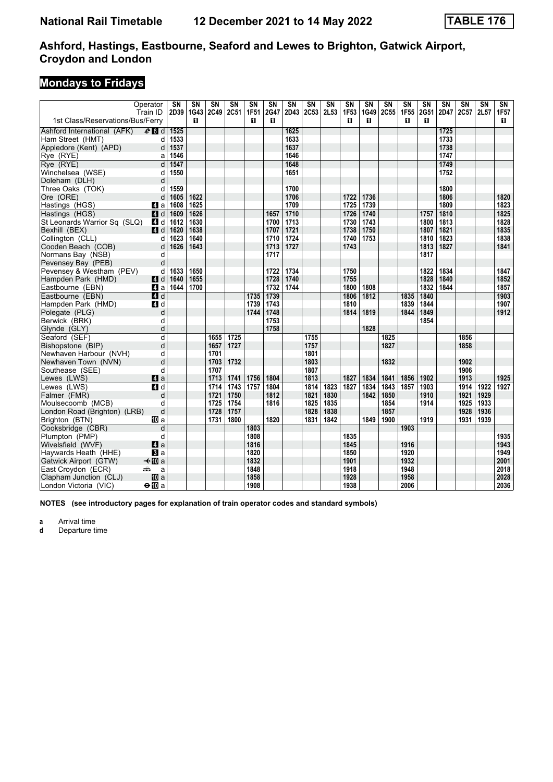## **Mondays to Fridays**

| Train ID<br>2D39   1G43   2C49<br>1st Class/Reservations/Bus/Ferry<br>п<br>п<br>п<br>п<br>п<br>п<br>п<br>п<br>$e$ $d$<br>1525<br>1625<br>1725<br>Ashford International (AFK)<br>1633<br>1733<br>1533<br>Ham Street (HMT)<br>d<br>1537<br>1637<br>1738<br>d<br>1646<br>1747<br>Rye (RYE)<br>1546<br>a<br>d<br>1547<br>1648<br>1749<br>1550<br>1651<br>1752<br>d<br>d<br>1559<br>1700<br>1800<br>d<br>1622<br>1706<br>1722<br>1736<br>1820<br>d<br>1605<br>1806<br>1625<br>1709<br>1725<br>1739<br>1809<br>1823<br>1608<br>41 a<br>1609<br>1626<br>1710<br>1726<br>1740<br>1810<br>1825<br><b>4</b> d<br>1657<br>1757<br>1828<br>1630<br>1713<br>1730<br>1743<br>1813<br>St Leonards Warrior Sq (SLQ)<br>4 d<br>1612<br>1700<br>1800<br>1750<br>1835<br>1638<br>1721<br>1738<br>1821<br><b>4</b> d<br>1620<br>1707<br>1807<br>1623<br>1640<br>1710<br>1724<br>1740<br>1753<br>1810<br>1823<br>1838<br>Collington (CLL)<br>d<br>1626<br>1643<br>1713<br>1727<br>1743<br>1813<br>1827<br>1841<br>Cooden Beach (COB)<br>d<br>1717<br>1817<br>Normans Bay (NSB)<br>d<br>d<br>Pevensey Bay (PEB)<br>1650<br>1734<br>1750<br>1822<br>1834<br>1847<br>Pevensey & Westham (PEV)<br>d<br>1633<br>1722<br><b>4</b> d<br>1640<br>1655<br>1728<br>1740<br>1755<br>1828<br>1840<br>1852<br>Hampden Park (HMD)<br>1644<br>1700<br>1732<br>1744<br>1800<br>1808<br>1832<br>1844<br>1857<br>Eastbourne (EBN)<br><b>Z</b> ∎a<br>Eastbourne (EBN)<br>1739<br>1840<br>1903<br>4d<br>1735<br>1806<br>1812<br>1835<br>1743<br>1839<br>1844<br>1907<br>Hampden Park (HMD)<br>4 d<br>1739<br>1810<br>1849<br>1744<br>1748<br>1814<br>1819<br>1844<br>1912<br>Polegate (PLG)<br>d<br>1753<br>1854<br>Berwick (BRK)<br>d<br>1758<br>1828<br>d<br>Glynde (GLY)<br>d<br>Seaford (SEF)<br>1655<br>1725<br>1755<br>1825<br>1856<br>d<br>1757<br>Bishopstone (BIP)<br>1657<br>1727<br>1827<br>1858<br>Newhaven Harbour (NVH)<br>1701<br>1801<br>d<br>1703<br>1732<br>1803<br>1832<br>1902<br>Newhaven Town (NVN)<br>d<br>1906<br>1707<br>1807<br>Southease (SEE)<br>d<br>1813<br>1827<br>1913<br>1925<br>4a<br>1713<br>1741<br>1756<br>1804<br>1834<br>1841<br>1856<br>1902<br>Lewes (LWS)<br>1743<br>1757<br>1804<br>1823<br>1827<br>1903<br>1914<br>Lewes (LWS)<br>$\blacksquare$<br>1714<br>1814<br>1834<br>1843<br>1857<br>1922<br>1812<br>1721<br>1821<br>1842<br>1850<br>1910<br>1921<br>1929<br>Falmer (FMR)<br>d<br>1750<br>1830<br>1914<br>1925<br>Moulsecoomb (MCB)<br>1725<br>1754<br>1816<br>1825<br>1835<br>1854<br>1933<br>d<br>1728<br>1857<br>1928<br>1936<br>d<br>1757<br>1828<br>1838<br>London Road (Brighton) (LRB)<br>1820<br>1849<br>1900<br>1919<br>1931<br>1939<br>1731<br>1800<br>1831<br>1842<br>Brighton (BTN)<br>100 a<br>Cooksbridge (CBR)<br>1803<br>1903<br>d<br>1835<br>1935<br>d<br>1808<br>Plumpton (PMP)<br>1943<br>Wivelsfield (WVF)<br>$\mathbf{A}$ a<br>1816<br>1845<br>1916<br>1850<br>1949<br>Haywards Heath (HHE)<br>1820<br>1920<br>BI a<br>1832<br>1901<br>1932<br>2001<br>Gatwick Airport (GTW)<br>$\mathcal{H}$ III a<br>1848<br>1918<br>2018<br>East Croydon (ECR)<br>1948<br>añ.<br>a |                        | Operator | SN | $\overline{\text{SN}}$ | $\overline{\text{SN}}$ | $\overline{\text{SN}}$ | $\overline{\text{SN}}$ | $\overline{\text{SN}}$ | $\overline{\text{SN}}$ | $\overline{\text{SN}}$ | $\overline{\text{SN}}$ | $\overline{\text{SN}}$ | $\overline{\text{SN}}$ | $\overline{\text{SN}}$ | $\overline{\text{SN}}$ | $\overline{\text{SN}}$ | $\overline{\text{SN}}$ | SN   | $\overline{\text{SN}}$ | $\overline{\text{SN}}$ |
|------------------------------------------------------------------------------------------------------------------------------------------------------------------------------------------------------------------------------------------------------------------------------------------------------------------------------------------------------------------------------------------------------------------------------------------------------------------------------------------------------------------------------------------------------------------------------------------------------------------------------------------------------------------------------------------------------------------------------------------------------------------------------------------------------------------------------------------------------------------------------------------------------------------------------------------------------------------------------------------------------------------------------------------------------------------------------------------------------------------------------------------------------------------------------------------------------------------------------------------------------------------------------------------------------------------------------------------------------------------------------------------------------------------------------------------------------------------------------------------------------------------------------------------------------------------------------------------------------------------------------------------------------------------------------------------------------------------------------------------------------------------------------------------------------------------------------------------------------------------------------------------------------------------------------------------------------------------------------------------------------------------------------------------------------------------------------------------------------------------------------------------------------------------------------------------------------------------------------------------------------------------------------------------------------------------------------------------------------------------------------------------------------------------------------------------------------------------------------------------------------------------------------------------------------------------------------------------------------------------------------------------------------------------------------------------------------------------------------------------------------------------------------------------------------------------------------------------------------------------------------------------------------------------------------------------------------------------------------------------------------------------------------------------------------------------------------------------------------|------------------------|----------|----|------------------------|------------------------|------------------------|------------------------|------------------------|------------------------|------------------------|------------------------|------------------------|------------------------|------------------------|------------------------|------------------------|------------------------|------|------------------------|------------------------|
|                                                                                                                                                                                                                                                                                                                                                                                                                                                                                                                                                                                                                                                                                                                                                                                                                                                                                                                                                                                                                                                                                                                                                                                                                                                                                                                                                                                                                                                                                                                                                                                                                                                                                                                                                                                                                                                                                                                                                                                                                                                                                                                                                                                                                                                                                                                                                                                                                                                                                                                                                                                                                                                                                                                                                                                                                                                                                                                                                                                                                                                                                                      |                        |          |    |                        |                        | 2C51                   | 1F51                   | 2G47                   | 2D43                   | 2C53                   | 2L53                   | 1F53                   | 1G49                   | <b>2C55</b>            | 1F55                   | 2G51                   | 2D47                   | 2C57 | 2L57                   | 1F57                   |
|                                                                                                                                                                                                                                                                                                                                                                                                                                                                                                                                                                                                                                                                                                                                                                                                                                                                                                                                                                                                                                                                                                                                                                                                                                                                                                                                                                                                                                                                                                                                                                                                                                                                                                                                                                                                                                                                                                                                                                                                                                                                                                                                                                                                                                                                                                                                                                                                                                                                                                                                                                                                                                                                                                                                                                                                                                                                                                                                                                                                                                                                                                      |                        |          |    |                        |                        |                        |                        |                        |                        |                        |                        |                        |                        |                        |                        |                        |                        |      |                        |                        |
|                                                                                                                                                                                                                                                                                                                                                                                                                                                                                                                                                                                                                                                                                                                                                                                                                                                                                                                                                                                                                                                                                                                                                                                                                                                                                                                                                                                                                                                                                                                                                                                                                                                                                                                                                                                                                                                                                                                                                                                                                                                                                                                                                                                                                                                                                                                                                                                                                                                                                                                                                                                                                                                                                                                                                                                                                                                                                                                                                                                                                                                                                                      |                        |          |    |                        |                        |                        |                        |                        |                        |                        |                        |                        |                        |                        |                        |                        |                        |      |                        |                        |
| 1927                                                                                                                                                                                                                                                                                                                                                                                                                                                                                                                                                                                                                                                                                                                                                                                                                                                                                                                                                                                                                                                                                                                                                                                                                                                                                                                                                                                                                                                                                                                                                                                                                                                                                                                                                                                                                                                                                                                                                                                                                                                                                                                                                                                                                                                                                                                                                                                                                                                                                                                                                                                                                                                                                                                                                                                                                                                                                                                                                                                                                                                                                                 | Appledore (Kent) (APD) |          |    |                        |                        |                        |                        |                        |                        |                        |                        |                        |                        |                        |                        |                        |                        |      |                        |                        |
|                                                                                                                                                                                                                                                                                                                                                                                                                                                                                                                                                                                                                                                                                                                                                                                                                                                                                                                                                                                                                                                                                                                                                                                                                                                                                                                                                                                                                                                                                                                                                                                                                                                                                                                                                                                                                                                                                                                                                                                                                                                                                                                                                                                                                                                                                                                                                                                                                                                                                                                                                                                                                                                                                                                                                                                                                                                                                                                                                                                                                                                                                                      |                        |          |    |                        |                        |                        |                        |                        |                        |                        |                        |                        |                        |                        |                        |                        |                        |      |                        |                        |
|                                                                                                                                                                                                                                                                                                                                                                                                                                                                                                                                                                                                                                                                                                                                                                                                                                                                                                                                                                                                                                                                                                                                                                                                                                                                                                                                                                                                                                                                                                                                                                                                                                                                                                                                                                                                                                                                                                                                                                                                                                                                                                                                                                                                                                                                                                                                                                                                                                                                                                                                                                                                                                                                                                                                                                                                                                                                                                                                                                                                                                                                                                      | Rve (RYE)              |          |    |                        |                        |                        |                        |                        |                        |                        |                        |                        |                        |                        |                        |                        |                        |      |                        |                        |
|                                                                                                                                                                                                                                                                                                                                                                                                                                                                                                                                                                                                                                                                                                                                                                                                                                                                                                                                                                                                                                                                                                                                                                                                                                                                                                                                                                                                                                                                                                                                                                                                                                                                                                                                                                                                                                                                                                                                                                                                                                                                                                                                                                                                                                                                                                                                                                                                                                                                                                                                                                                                                                                                                                                                                                                                                                                                                                                                                                                                                                                                                                      | Winchelsea (WSE)       |          |    |                        |                        |                        |                        |                        |                        |                        |                        |                        |                        |                        |                        |                        |                        |      |                        |                        |
|                                                                                                                                                                                                                                                                                                                                                                                                                                                                                                                                                                                                                                                                                                                                                                                                                                                                                                                                                                                                                                                                                                                                                                                                                                                                                                                                                                                                                                                                                                                                                                                                                                                                                                                                                                                                                                                                                                                                                                                                                                                                                                                                                                                                                                                                                                                                                                                                                                                                                                                                                                                                                                                                                                                                                                                                                                                                                                                                                                                                                                                                                                      | Doleham (DLH)          |          |    |                        |                        |                        |                        |                        |                        |                        |                        |                        |                        |                        |                        |                        |                        |      |                        |                        |
|                                                                                                                                                                                                                                                                                                                                                                                                                                                                                                                                                                                                                                                                                                                                                                                                                                                                                                                                                                                                                                                                                                                                                                                                                                                                                                                                                                                                                                                                                                                                                                                                                                                                                                                                                                                                                                                                                                                                                                                                                                                                                                                                                                                                                                                                                                                                                                                                                                                                                                                                                                                                                                                                                                                                                                                                                                                                                                                                                                                                                                                                                                      | Three Oaks (TOK)       |          |    |                        |                        |                        |                        |                        |                        |                        |                        |                        |                        |                        |                        |                        |                        |      |                        |                        |
|                                                                                                                                                                                                                                                                                                                                                                                                                                                                                                                                                                                                                                                                                                                                                                                                                                                                                                                                                                                                                                                                                                                                                                                                                                                                                                                                                                                                                                                                                                                                                                                                                                                                                                                                                                                                                                                                                                                                                                                                                                                                                                                                                                                                                                                                                                                                                                                                                                                                                                                                                                                                                                                                                                                                                                                                                                                                                                                                                                                                                                                                                                      | Ore (ORE)              |          |    |                        |                        |                        |                        |                        |                        |                        |                        |                        |                        |                        |                        |                        |                        |      |                        |                        |
|                                                                                                                                                                                                                                                                                                                                                                                                                                                                                                                                                                                                                                                                                                                                                                                                                                                                                                                                                                                                                                                                                                                                                                                                                                                                                                                                                                                                                                                                                                                                                                                                                                                                                                                                                                                                                                                                                                                                                                                                                                                                                                                                                                                                                                                                                                                                                                                                                                                                                                                                                                                                                                                                                                                                                                                                                                                                                                                                                                                                                                                                                                      | Hastings (HGS)         |          |    |                        |                        |                        |                        |                        |                        |                        |                        |                        |                        |                        |                        |                        |                        |      |                        |                        |
|                                                                                                                                                                                                                                                                                                                                                                                                                                                                                                                                                                                                                                                                                                                                                                                                                                                                                                                                                                                                                                                                                                                                                                                                                                                                                                                                                                                                                                                                                                                                                                                                                                                                                                                                                                                                                                                                                                                                                                                                                                                                                                                                                                                                                                                                                                                                                                                                                                                                                                                                                                                                                                                                                                                                                                                                                                                                                                                                                                                                                                                                                                      | Hastings (HGS)         |          |    |                        |                        |                        |                        |                        |                        |                        |                        |                        |                        |                        |                        |                        |                        |      |                        |                        |
|                                                                                                                                                                                                                                                                                                                                                                                                                                                                                                                                                                                                                                                                                                                                                                                                                                                                                                                                                                                                                                                                                                                                                                                                                                                                                                                                                                                                                                                                                                                                                                                                                                                                                                                                                                                                                                                                                                                                                                                                                                                                                                                                                                                                                                                                                                                                                                                                                                                                                                                                                                                                                                                                                                                                                                                                                                                                                                                                                                                                                                                                                                      |                        |          |    |                        |                        |                        |                        |                        |                        |                        |                        |                        |                        |                        |                        |                        |                        |      |                        |                        |
|                                                                                                                                                                                                                                                                                                                                                                                                                                                                                                                                                                                                                                                                                                                                                                                                                                                                                                                                                                                                                                                                                                                                                                                                                                                                                                                                                                                                                                                                                                                                                                                                                                                                                                                                                                                                                                                                                                                                                                                                                                                                                                                                                                                                                                                                                                                                                                                                                                                                                                                                                                                                                                                                                                                                                                                                                                                                                                                                                                                                                                                                                                      | Bexhill (BEX)          |          |    |                        |                        |                        |                        |                        |                        |                        |                        |                        |                        |                        |                        |                        |                        |      |                        |                        |
|                                                                                                                                                                                                                                                                                                                                                                                                                                                                                                                                                                                                                                                                                                                                                                                                                                                                                                                                                                                                                                                                                                                                                                                                                                                                                                                                                                                                                                                                                                                                                                                                                                                                                                                                                                                                                                                                                                                                                                                                                                                                                                                                                                                                                                                                                                                                                                                                                                                                                                                                                                                                                                                                                                                                                                                                                                                                                                                                                                                                                                                                                                      |                        |          |    |                        |                        |                        |                        |                        |                        |                        |                        |                        |                        |                        |                        |                        |                        |      |                        |                        |
|                                                                                                                                                                                                                                                                                                                                                                                                                                                                                                                                                                                                                                                                                                                                                                                                                                                                                                                                                                                                                                                                                                                                                                                                                                                                                                                                                                                                                                                                                                                                                                                                                                                                                                                                                                                                                                                                                                                                                                                                                                                                                                                                                                                                                                                                                                                                                                                                                                                                                                                                                                                                                                                                                                                                                                                                                                                                                                                                                                                                                                                                                                      |                        |          |    |                        |                        |                        |                        |                        |                        |                        |                        |                        |                        |                        |                        |                        |                        |      |                        |                        |
|                                                                                                                                                                                                                                                                                                                                                                                                                                                                                                                                                                                                                                                                                                                                                                                                                                                                                                                                                                                                                                                                                                                                                                                                                                                                                                                                                                                                                                                                                                                                                                                                                                                                                                                                                                                                                                                                                                                                                                                                                                                                                                                                                                                                                                                                                                                                                                                                                                                                                                                                                                                                                                                                                                                                                                                                                                                                                                                                                                                                                                                                                                      |                        |          |    |                        |                        |                        |                        |                        |                        |                        |                        |                        |                        |                        |                        |                        |                        |      |                        |                        |
|                                                                                                                                                                                                                                                                                                                                                                                                                                                                                                                                                                                                                                                                                                                                                                                                                                                                                                                                                                                                                                                                                                                                                                                                                                                                                                                                                                                                                                                                                                                                                                                                                                                                                                                                                                                                                                                                                                                                                                                                                                                                                                                                                                                                                                                                                                                                                                                                                                                                                                                                                                                                                                                                                                                                                                                                                                                                                                                                                                                                                                                                                                      |                        |          |    |                        |                        |                        |                        |                        |                        |                        |                        |                        |                        |                        |                        |                        |                        |      |                        |                        |
|                                                                                                                                                                                                                                                                                                                                                                                                                                                                                                                                                                                                                                                                                                                                                                                                                                                                                                                                                                                                                                                                                                                                                                                                                                                                                                                                                                                                                                                                                                                                                                                                                                                                                                                                                                                                                                                                                                                                                                                                                                                                                                                                                                                                                                                                                                                                                                                                                                                                                                                                                                                                                                                                                                                                                                                                                                                                                                                                                                                                                                                                                                      |                        |          |    |                        |                        |                        |                        |                        |                        |                        |                        |                        |                        |                        |                        |                        |                        |      |                        |                        |
|                                                                                                                                                                                                                                                                                                                                                                                                                                                                                                                                                                                                                                                                                                                                                                                                                                                                                                                                                                                                                                                                                                                                                                                                                                                                                                                                                                                                                                                                                                                                                                                                                                                                                                                                                                                                                                                                                                                                                                                                                                                                                                                                                                                                                                                                                                                                                                                                                                                                                                                                                                                                                                                                                                                                                                                                                                                                                                                                                                                                                                                                                                      |                        |          |    |                        |                        |                        |                        |                        |                        |                        |                        |                        |                        |                        |                        |                        |                        |      |                        |                        |
|                                                                                                                                                                                                                                                                                                                                                                                                                                                                                                                                                                                                                                                                                                                                                                                                                                                                                                                                                                                                                                                                                                                                                                                                                                                                                                                                                                                                                                                                                                                                                                                                                                                                                                                                                                                                                                                                                                                                                                                                                                                                                                                                                                                                                                                                                                                                                                                                                                                                                                                                                                                                                                                                                                                                                                                                                                                                                                                                                                                                                                                                                                      |                        |          |    |                        |                        |                        |                        |                        |                        |                        |                        |                        |                        |                        |                        |                        |                        |      |                        |                        |
|                                                                                                                                                                                                                                                                                                                                                                                                                                                                                                                                                                                                                                                                                                                                                                                                                                                                                                                                                                                                                                                                                                                                                                                                                                                                                                                                                                                                                                                                                                                                                                                                                                                                                                                                                                                                                                                                                                                                                                                                                                                                                                                                                                                                                                                                                                                                                                                                                                                                                                                                                                                                                                                                                                                                                                                                                                                                                                                                                                                                                                                                                                      |                        |          |    |                        |                        |                        |                        |                        |                        |                        |                        |                        |                        |                        |                        |                        |                        |      |                        |                        |
|                                                                                                                                                                                                                                                                                                                                                                                                                                                                                                                                                                                                                                                                                                                                                                                                                                                                                                                                                                                                                                                                                                                                                                                                                                                                                                                                                                                                                                                                                                                                                                                                                                                                                                                                                                                                                                                                                                                                                                                                                                                                                                                                                                                                                                                                                                                                                                                                                                                                                                                                                                                                                                                                                                                                                                                                                                                                                                                                                                                                                                                                                                      |                        |          |    |                        |                        |                        |                        |                        |                        |                        |                        |                        |                        |                        |                        |                        |                        |      |                        |                        |
|                                                                                                                                                                                                                                                                                                                                                                                                                                                                                                                                                                                                                                                                                                                                                                                                                                                                                                                                                                                                                                                                                                                                                                                                                                                                                                                                                                                                                                                                                                                                                                                                                                                                                                                                                                                                                                                                                                                                                                                                                                                                                                                                                                                                                                                                                                                                                                                                                                                                                                                                                                                                                                                                                                                                                                                                                                                                                                                                                                                                                                                                                                      |                        |          |    |                        |                        |                        |                        |                        |                        |                        |                        |                        |                        |                        |                        |                        |                        |      |                        |                        |
|                                                                                                                                                                                                                                                                                                                                                                                                                                                                                                                                                                                                                                                                                                                                                                                                                                                                                                                                                                                                                                                                                                                                                                                                                                                                                                                                                                                                                                                                                                                                                                                                                                                                                                                                                                                                                                                                                                                                                                                                                                                                                                                                                                                                                                                                                                                                                                                                                                                                                                                                                                                                                                                                                                                                                                                                                                                                                                                                                                                                                                                                                                      |                        |          |    |                        |                        |                        |                        |                        |                        |                        |                        |                        |                        |                        |                        |                        |                        |      |                        |                        |
|                                                                                                                                                                                                                                                                                                                                                                                                                                                                                                                                                                                                                                                                                                                                                                                                                                                                                                                                                                                                                                                                                                                                                                                                                                                                                                                                                                                                                                                                                                                                                                                                                                                                                                                                                                                                                                                                                                                                                                                                                                                                                                                                                                                                                                                                                                                                                                                                                                                                                                                                                                                                                                                                                                                                                                                                                                                                                                                                                                                                                                                                                                      |                        |          |    |                        |                        |                        |                        |                        |                        |                        |                        |                        |                        |                        |                        |                        |                        |      |                        |                        |
|                                                                                                                                                                                                                                                                                                                                                                                                                                                                                                                                                                                                                                                                                                                                                                                                                                                                                                                                                                                                                                                                                                                                                                                                                                                                                                                                                                                                                                                                                                                                                                                                                                                                                                                                                                                                                                                                                                                                                                                                                                                                                                                                                                                                                                                                                                                                                                                                                                                                                                                                                                                                                                                                                                                                                                                                                                                                                                                                                                                                                                                                                                      |                        |          |    |                        |                        |                        |                        |                        |                        |                        |                        |                        |                        |                        |                        |                        |                        |      |                        |                        |
|                                                                                                                                                                                                                                                                                                                                                                                                                                                                                                                                                                                                                                                                                                                                                                                                                                                                                                                                                                                                                                                                                                                                                                                                                                                                                                                                                                                                                                                                                                                                                                                                                                                                                                                                                                                                                                                                                                                                                                                                                                                                                                                                                                                                                                                                                                                                                                                                                                                                                                                                                                                                                                                                                                                                                                                                                                                                                                                                                                                                                                                                                                      |                        |          |    |                        |                        |                        |                        |                        |                        |                        |                        |                        |                        |                        |                        |                        |                        |      |                        |                        |
|                                                                                                                                                                                                                                                                                                                                                                                                                                                                                                                                                                                                                                                                                                                                                                                                                                                                                                                                                                                                                                                                                                                                                                                                                                                                                                                                                                                                                                                                                                                                                                                                                                                                                                                                                                                                                                                                                                                                                                                                                                                                                                                                                                                                                                                                                                                                                                                                                                                                                                                                                                                                                                                                                                                                                                                                                                                                                                                                                                                                                                                                                                      |                        |          |    |                        |                        |                        |                        |                        |                        |                        |                        |                        |                        |                        |                        |                        |                        |      |                        |                        |
|                                                                                                                                                                                                                                                                                                                                                                                                                                                                                                                                                                                                                                                                                                                                                                                                                                                                                                                                                                                                                                                                                                                                                                                                                                                                                                                                                                                                                                                                                                                                                                                                                                                                                                                                                                                                                                                                                                                                                                                                                                                                                                                                                                                                                                                                                                                                                                                                                                                                                                                                                                                                                                                                                                                                                                                                                                                                                                                                                                                                                                                                                                      |                        |          |    |                        |                        |                        |                        |                        |                        |                        |                        |                        |                        |                        |                        |                        |                        |      |                        |                        |
|                                                                                                                                                                                                                                                                                                                                                                                                                                                                                                                                                                                                                                                                                                                                                                                                                                                                                                                                                                                                                                                                                                                                                                                                                                                                                                                                                                                                                                                                                                                                                                                                                                                                                                                                                                                                                                                                                                                                                                                                                                                                                                                                                                                                                                                                                                                                                                                                                                                                                                                                                                                                                                                                                                                                                                                                                                                                                                                                                                                                                                                                                                      |                        |          |    |                        |                        |                        |                        |                        |                        |                        |                        |                        |                        |                        |                        |                        |                        |      |                        |                        |
|                                                                                                                                                                                                                                                                                                                                                                                                                                                                                                                                                                                                                                                                                                                                                                                                                                                                                                                                                                                                                                                                                                                                                                                                                                                                                                                                                                                                                                                                                                                                                                                                                                                                                                                                                                                                                                                                                                                                                                                                                                                                                                                                                                                                                                                                                                                                                                                                                                                                                                                                                                                                                                                                                                                                                                                                                                                                                                                                                                                                                                                                                                      |                        |          |    |                        |                        |                        |                        |                        |                        |                        |                        |                        |                        |                        |                        |                        |                        |      |                        |                        |
|                                                                                                                                                                                                                                                                                                                                                                                                                                                                                                                                                                                                                                                                                                                                                                                                                                                                                                                                                                                                                                                                                                                                                                                                                                                                                                                                                                                                                                                                                                                                                                                                                                                                                                                                                                                                                                                                                                                                                                                                                                                                                                                                                                                                                                                                                                                                                                                                                                                                                                                                                                                                                                                                                                                                                                                                                                                                                                                                                                                                                                                                                                      |                        |          |    |                        |                        |                        |                        |                        |                        |                        |                        |                        |                        |                        |                        |                        |                        |      |                        |                        |
|                                                                                                                                                                                                                                                                                                                                                                                                                                                                                                                                                                                                                                                                                                                                                                                                                                                                                                                                                                                                                                                                                                                                                                                                                                                                                                                                                                                                                                                                                                                                                                                                                                                                                                                                                                                                                                                                                                                                                                                                                                                                                                                                                                                                                                                                                                                                                                                                                                                                                                                                                                                                                                                                                                                                                                                                                                                                                                                                                                                                                                                                                                      |                        |          |    |                        |                        |                        |                        |                        |                        |                        |                        |                        |                        |                        |                        |                        |                        |      |                        |                        |
|                                                                                                                                                                                                                                                                                                                                                                                                                                                                                                                                                                                                                                                                                                                                                                                                                                                                                                                                                                                                                                                                                                                                                                                                                                                                                                                                                                                                                                                                                                                                                                                                                                                                                                                                                                                                                                                                                                                                                                                                                                                                                                                                                                                                                                                                                                                                                                                                                                                                                                                                                                                                                                                                                                                                                                                                                                                                                                                                                                                                                                                                                                      |                        |          |    |                        |                        |                        |                        |                        |                        |                        |                        |                        |                        |                        |                        |                        |                        |      |                        |                        |
|                                                                                                                                                                                                                                                                                                                                                                                                                                                                                                                                                                                                                                                                                                                                                                                                                                                                                                                                                                                                                                                                                                                                                                                                                                                                                                                                                                                                                                                                                                                                                                                                                                                                                                                                                                                                                                                                                                                                                                                                                                                                                                                                                                                                                                                                                                                                                                                                                                                                                                                                                                                                                                                                                                                                                                                                                                                                                                                                                                                                                                                                                                      |                        |          |    |                        |                        |                        |                        |                        |                        |                        |                        |                        |                        |                        |                        |                        |                        |      |                        |                        |
|                                                                                                                                                                                                                                                                                                                                                                                                                                                                                                                                                                                                                                                                                                                                                                                                                                                                                                                                                                                                                                                                                                                                                                                                                                                                                                                                                                                                                                                                                                                                                                                                                                                                                                                                                                                                                                                                                                                                                                                                                                                                                                                                                                                                                                                                                                                                                                                                                                                                                                                                                                                                                                                                                                                                                                                                                                                                                                                                                                                                                                                                                                      |                        |          |    |                        |                        |                        |                        |                        |                        |                        |                        |                        |                        |                        |                        |                        |                        |      |                        |                        |
|                                                                                                                                                                                                                                                                                                                                                                                                                                                                                                                                                                                                                                                                                                                                                                                                                                                                                                                                                                                                                                                                                                                                                                                                                                                                                                                                                                                                                                                                                                                                                                                                                                                                                                                                                                                                                                                                                                                                                                                                                                                                                                                                                                                                                                                                                                                                                                                                                                                                                                                                                                                                                                                                                                                                                                                                                                                                                                                                                                                                                                                                                                      |                        |          |    |                        |                        |                        |                        |                        |                        |                        |                        |                        |                        |                        |                        |                        |                        |      |                        |                        |
|                                                                                                                                                                                                                                                                                                                                                                                                                                                                                                                                                                                                                                                                                                                                                                                                                                                                                                                                                                                                                                                                                                                                                                                                                                                                                                                                                                                                                                                                                                                                                                                                                                                                                                                                                                                                                                                                                                                                                                                                                                                                                                                                                                                                                                                                                                                                                                                                                                                                                                                                                                                                                                                                                                                                                                                                                                                                                                                                                                                                                                                                                                      |                        |          |    |                        |                        |                        |                        |                        |                        |                        |                        |                        |                        |                        |                        |                        |                        |      |                        |                        |
|                                                                                                                                                                                                                                                                                                                                                                                                                                                                                                                                                                                                                                                                                                                                                                                                                                                                                                                                                                                                                                                                                                                                                                                                                                                                                                                                                                                                                                                                                                                                                                                                                                                                                                                                                                                                                                                                                                                                                                                                                                                                                                                                                                                                                                                                                                                                                                                                                                                                                                                                                                                                                                                                                                                                                                                                                                                                                                                                                                                                                                                                                                      |                        |          |    |                        |                        |                        |                        |                        |                        |                        |                        |                        |                        |                        |                        |                        |                        |      |                        |                        |
|                                                                                                                                                                                                                                                                                                                                                                                                                                                                                                                                                                                                                                                                                                                                                                                                                                                                                                                                                                                                                                                                                                                                                                                                                                                                                                                                                                                                                                                                                                                                                                                                                                                                                                                                                                                                                                                                                                                                                                                                                                                                                                                                                                                                                                                                                                                                                                                                                                                                                                                                                                                                                                                                                                                                                                                                                                                                                                                                                                                                                                                                                                      |                        |          |    |                        |                        |                        |                        |                        |                        |                        |                        |                        |                        |                        |                        |                        |                        |      |                        |                        |
|                                                                                                                                                                                                                                                                                                                                                                                                                                                                                                                                                                                                                                                                                                                                                                                                                                                                                                                                                                                                                                                                                                                                                                                                                                                                                                                                                                                                                                                                                                                                                                                                                                                                                                                                                                                                                                                                                                                                                                                                                                                                                                                                                                                                                                                                                                                                                                                                                                                                                                                                                                                                                                                                                                                                                                                                                                                                                                                                                                                                                                                                                                      |                        |          |    |                        |                        |                        |                        |                        |                        |                        |                        |                        |                        |                        |                        |                        |                        |      |                        |                        |
| <b>ID</b> a<br>1928<br>2028<br>1858<br>1958                                                                                                                                                                                                                                                                                                                                                                                                                                                                                                                                                                                                                                                                                                                                                                                                                                                                                                                                                                                                                                                                                                                                                                                                                                                                                                                                                                                                                                                                                                                                                                                                                                                                                                                                                                                                                                                                                                                                                                                                                                                                                                                                                                                                                                                                                                                                                                                                                                                                                                                                                                                                                                                                                                                                                                                                                                                                                                                                                                                                                                                          | Clapham Junction (CLJ) |          |    |                        |                        |                        |                        |                        |                        |                        |                        |                        |                        |                        |                        |                        |                        |      |                        |                        |
| $\Theta$ III a<br>1938<br>2006<br>2036<br>1908                                                                                                                                                                                                                                                                                                                                                                                                                                                                                                                                                                                                                                                                                                                                                                                                                                                                                                                                                                                                                                                                                                                                                                                                                                                                                                                                                                                                                                                                                                                                                                                                                                                                                                                                                                                                                                                                                                                                                                                                                                                                                                                                                                                                                                                                                                                                                                                                                                                                                                                                                                                                                                                                                                                                                                                                                                                                                                                                                                                                                                                       | London Victoria (VIC)  |          |    |                        |                        |                        |                        |                        |                        |                        |                        |                        |                        |                        |                        |                        |                        |      |                        |                        |

**NOTES (see introductory pages for explanation of train operator codes and standard symbols)**

**a** Arrival time<br>**d** Departure t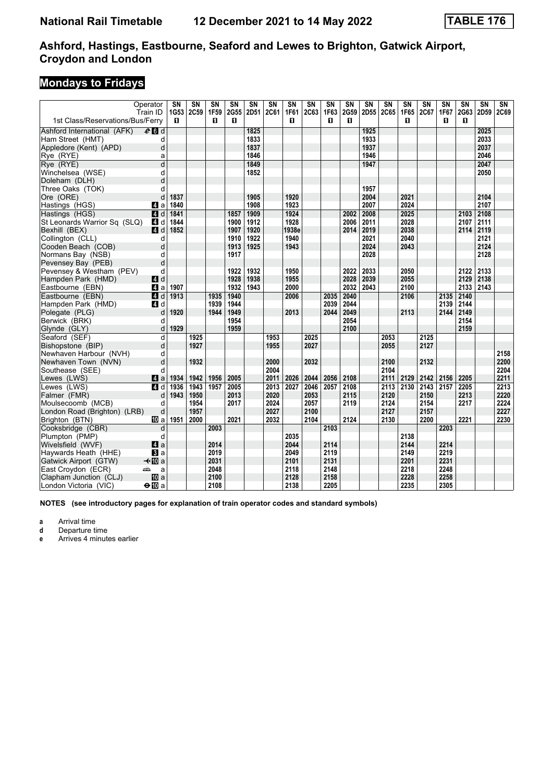## **Mondays to Fridays**

|                                  | Operator       | $\overline{\text{SN}}$ | $\overline{\text{SN}}$ | $\overline{\text{SN}}$ | <b>SN</b> | $\overline{\text{SN}}$ | $\overline{\text{SN}}$ | $\overline{\text{SN}}$ | $\overline{\text{SN}}$ | $\overline{\text{SN}}$ | $\overline{\text{SN}}$ | $\overline{\text{SN}}$ | $\overline{\text{SN}}$ | $\overline{\text{SN}}$ | $\overline{\text{SN}}$ | $\overline{\text{SN}}$ | $\overline{\text{SN}}$ | $\overline{\text{SN}}$ | $\overline{\text{SN}}$ |
|----------------------------------|----------------|------------------------|------------------------|------------------------|-----------|------------------------|------------------------|------------------------|------------------------|------------------------|------------------------|------------------------|------------------------|------------------------|------------------------|------------------------|------------------------|------------------------|------------------------|
| 1st Class/Reservations/Bus/Ferry | Train ID       | 1G53<br>п              | 2C59                   | 1F59<br>п              | 2G55<br>п | 2D51                   | <b>2C61</b>            | 1F61<br>п              | 2C63                   | 1F63<br>п              | 2G59<br>п              | 2D55                   | 2C65                   | 1F65<br>п              | 2C67                   | 1F67<br>п              | 2G63<br>п              | 2D59                   | <b>2C69</b>            |
| Ashford International (AFK)      | $e$ d d        |                        |                        |                        |           | 1825                   |                        |                        |                        |                        |                        | 1925                   |                        |                        |                        |                        |                        | 2025                   |                        |
| Ham Street (HMT)                 | d              |                        |                        |                        |           | 1833                   |                        |                        |                        |                        |                        | 1933                   |                        |                        |                        |                        |                        | 2033                   |                        |
| Appledore (Kent) (APD)           | d              |                        |                        |                        |           | 1837                   |                        |                        |                        |                        |                        | 1937                   |                        |                        |                        |                        |                        | 2037                   |                        |
| Rye (RYE)                        | a              |                        |                        |                        |           | 1846                   |                        |                        |                        |                        |                        | 1946                   |                        |                        |                        |                        |                        | 2046                   |                        |
| Rye (RYE)                        | d              |                        |                        |                        |           | 1849                   |                        |                        |                        |                        |                        | 1947                   |                        |                        |                        |                        |                        | 2047                   |                        |
| Winchelsea (WSE)                 | d              |                        |                        |                        |           | 1852                   |                        |                        |                        |                        |                        |                        |                        |                        |                        |                        |                        | 2050                   |                        |
| Doleham (DLH)                    | d              |                        |                        |                        |           |                        |                        |                        |                        |                        |                        |                        |                        |                        |                        |                        |                        |                        |                        |
| Three Oaks (TOK)                 | d              |                        |                        |                        |           |                        |                        |                        |                        |                        |                        | 1957                   |                        |                        |                        |                        |                        |                        |                        |
| Ore (ORE)                        | d              | 1837                   |                        |                        |           | 1905                   |                        | 1920                   |                        |                        |                        | 2004                   |                        | 2021                   |                        |                        |                        | 2104                   |                        |
| Hastings (HGS)                   | ZI a           | 1840                   |                        |                        |           | 1908                   |                        | 1923                   |                        |                        |                        | 2007                   |                        | 2024                   |                        |                        |                        | 2107                   |                        |
| Hastings (HGS)                   | 4d             | 1841                   |                        |                        | 1857      | 1909                   |                        | 1924                   |                        |                        | 2002                   | 2008                   |                        | 2025                   |                        |                        | 2103                   | 2108                   |                        |
| St Leonards Warrior Sq (SLQ)     | <b>4</b> d     | 1844                   |                        |                        | 1900      | 1912                   |                        | 1928                   |                        |                        | 2006                   | 2011                   |                        | 2028                   |                        |                        | 2107                   | 2111                   |                        |
| Bexhill (BEX)                    | ZI d           | 1852                   |                        |                        | 1907      | 1920                   |                        | 1938e                  |                        |                        | 2014                   | 2019                   |                        | 2038                   |                        |                        | 2114                   | 2119                   |                        |
| Collington (CLL)                 | d              |                        |                        |                        | 1910      | 1922                   |                        | 1940                   |                        |                        |                        | 2021                   |                        | 2040                   |                        |                        |                        | 2121                   |                        |
| Cooden Beach (COB)               | d              |                        |                        |                        | 1913      | 1925                   |                        | 1943                   |                        |                        |                        | 2024                   |                        | 2043                   |                        |                        |                        | 2124                   |                        |
| Normans Bay (NSB)                | d              |                        |                        |                        | 1917      |                        |                        |                        |                        |                        |                        | 2028                   |                        |                        |                        |                        |                        | 2128                   |                        |
| Pevensey Bay (PEB)               | d              |                        |                        |                        |           |                        |                        |                        |                        |                        |                        |                        |                        |                        |                        |                        |                        |                        |                        |
| Pevensey & Westham (PEV)         | d              |                        |                        |                        | 1922      | 1932                   |                        | 1950                   |                        |                        | 2022                   | 2033                   |                        | 2050                   |                        |                        | 2122                   | 2133                   |                        |
| Hampden Park (HMD)               | 4 d            |                        |                        |                        | 1928      | 1938                   |                        | 1955                   |                        |                        | 2028                   | 2039                   |                        | 2055                   |                        |                        | 2129                   | 2138                   |                        |
| Eastbourne (EBN)                 | 4 a            | 1907                   |                        |                        | 1932      | 1943                   |                        | 2000                   |                        |                        | 2032                   | 2043                   |                        | 2100                   |                        |                        | 2133                   | 2143                   |                        |
| Eastbourne (EBN)                 | 4d             | 1913                   |                        | 1935                   | 1940      |                        |                        | 2006                   |                        | 2035                   | 2040                   |                        |                        | 2106                   |                        | 2135                   | 2140                   |                        |                        |
| Hampden Park (HMD)               | 4 d            |                        |                        | 1939                   | 1944      |                        |                        |                        |                        | 2039                   | 2044                   |                        |                        |                        |                        | 2139                   | 2144                   |                        |                        |
| Polegate (PLG)                   | d              | 1920                   |                        | 1944                   | 1949      |                        |                        | 2013                   |                        | 2044                   | 2049                   |                        |                        | 2113                   |                        | 2144                   | 2149                   |                        |                        |
| Berwick (BRK)                    | d              |                        |                        |                        | 1954      |                        |                        |                        |                        |                        | 2054                   |                        |                        |                        |                        |                        | 2154                   |                        |                        |
| Glynde (GLY)                     | d              | 1929                   |                        |                        | 1959      |                        |                        |                        |                        |                        | 2100                   |                        |                        |                        |                        |                        | 2159                   |                        |                        |
| Seaford (SEF)                    | d              |                        | 1925                   |                        |           |                        | 1953                   |                        | 2025                   |                        |                        |                        | 2053                   |                        | 2125                   |                        |                        |                        |                        |
| Bishopstone (BIP)                | d              |                        | 1927                   |                        |           |                        | 1955                   |                        | 2027                   |                        |                        |                        | 2055                   |                        | 2127                   |                        |                        |                        |                        |
| Newhaven Harbour (NVH)           | d              |                        |                        |                        |           |                        |                        |                        |                        |                        |                        |                        |                        |                        |                        |                        |                        |                        | 2158                   |
| Newhaven Town (NVN)              | d              |                        | 1932                   |                        |           |                        | 2000                   |                        | 2032                   |                        |                        |                        | 2100                   |                        | 2132                   |                        |                        |                        | 2200                   |
| Southease (SEE)                  | d              |                        |                        |                        |           |                        | 2004                   |                        |                        |                        |                        |                        | 2104                   |                        |                        |                        |                        |                        | 2204                   |
| Lewes (LWS)                      | ZI a           | 1934                   | 1942                   | 1956                   | 2005      |                        | 2011                   | 2026                   | 2044                   | 2056                   | 2108                   |                        | 2111                   | 2129                   | 2142                   | 2156                   | 2205                   |                        | 2211                   |
| Lewes (LWS)                      | 4 d            | 1936                   | 1943                   | 1957                   | 2005      |                        | 2013                   | 2027                   | 2046                   | 2057                   | 2108                   |                        | 2113                   | 2130                   | 2143                   | 2157                   | 2205                   |                        | 2213                   |
| Falmer (FMR)                     | d              | 1943                   | 1950                   |                        | 2013      |                        | 2020                   |                        | 2053                   |                        | 2115                   |                        | 2120                   |                        | 2150                   |                        | 2213                   |                        | 2220                   |
| Moulsecoomb (MCB)                | d              |                        | 1954                   |                        | 2017      |                        | 2024                   |                        | 2057                   |                        | 2119                   |                        | 2124                   |                        | 2154                   |                        | 2217                   |                        | 2224                   |
| London Road (Brighton) (LRB)     | d              |                        | 1957                   |                        |           |                        | 2027                   |                        | 2100                   |                        |                        |                        | 2127                   |                        | 2157                   |                        |                        |                        | 2227                   |
| Brighton (BTN)                   | <b>ID</b> a    | 1951                   | 2000                   |                        | 2021      |                        | 2032                   |                        | 2104                   |                        | 2124                   |                        | 2130                   |                        | 2200                   |                        | 2221                   |                        | 2230                   |
| Cooksbridge (CBR)                | d              |                        |                        | 2003                   |           |                        |                        |                        |                        | 2103                   |                        |                        |                        |                        |                        | 2203                   |                        |                        |                        |
| Plumpton (PMP)                   | d              |                        |                        |                        |           |                        |                        | 2035                   |                        |                        |                        |                        |                        | 2138                   |                        |                        |                        |                        |                        |
| Wivelsfield (WVF)                | Zi a           |                        |                        | 2014                   |           |                        |                        | 2044                   |                        | 2114                   |                        |                        |                        | 2144                   |                        | 2214                   |                        |                        |                        |
| Haywards Heath (HHE)             | $\bf{B}$ a     |                        |                        | 2019                   |           |                        |                        | 2049                   |                        | 2119                   |                        |                        |                        | 2149                   |                        | 2219                   |                        |                        |                        |
| Gatwick Airport (GTW)            | –≁il0 a        |                        |                        | 2031                   |           |                        |                        | 2101                   |                        | 2131                   |                        |                        |                        | 2201                   |                        | 2231                   |                        |                        |                        |
| East Croydon (ECR)               | æ<br>a         |                        |                        | 2048                   |           |                        |                        | 2118                   |                        | 2148                   |                        |                        |                        | 2218                   |                        | 2248                   |                        |                        |                        |
| Clapham Junction (CLJ)           | <b>ID</b> a    |                        |                        | 2100                   |           |                        |                        | 2128                   |                        | 2158                   |                        |                        |                        | 2228                   |                        | 2258                   |                        |                        |                        |
| London Victoria (VIC)            | $\Theta$ III a |                        |                        | 2108                   |           |                        |                        | 2138                   |                        | 2205                   |                        |                        |                        | 2235                   |                        | 2305                   |                        |                        |                        |

**NOTES (see introductory pages for explanation of train operator codes and standard symbols)**

**a** Arrival time<br>**d** Departure time

**d** Departure time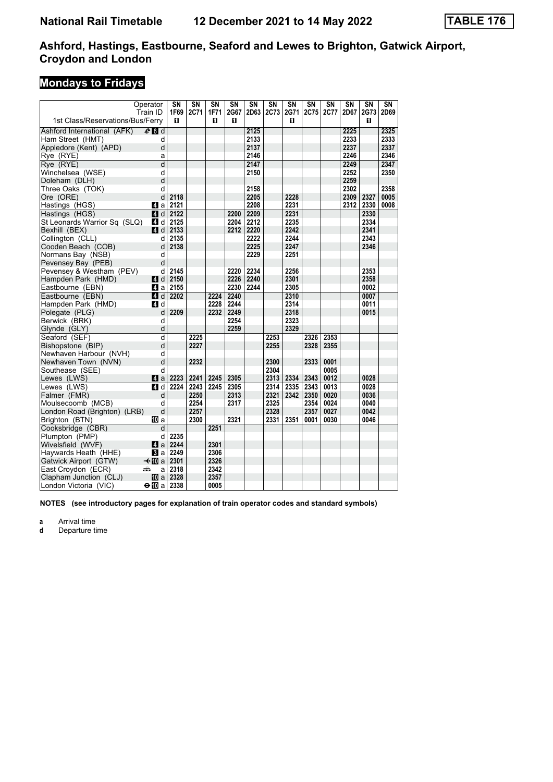# **Mondays to Fridays**

| Operator                                  |                       | SΝ                      | SΝ   | SΝ   | SN   | SN          | $\overline{\text{SN}}$ | $\overline{\text{SN}}$ | SN   | $\overline{\text{SN}}$ | $\overline{\text{SN}}$ | $\overline{\text{SN}}$ | SN   |
|-------------------------------------------|-----------------------|-------------------------|------|------|------|-------------|------------------------|------------------------|------|------------------------|------------------------|------------------------|------|
|                                           | Train ID              | 1F69                    | 2C71 | 1F71 | 2G67 | <b>2D63</b> | 2C73                   | 2G71                   | 2C75 | 2C77                   | 2D67                   | 2G73                   | 2D69 |
| 1st Class/Reservations/Bus/Ferry          |                       | П.                      |      | п    | п    |             |                        | п                      |      |                        |                        | п                      |      |
| Ashford International (AFK)               | $e_0$ d               |                         |      |      |      | 2125        |                        |                        |      |                        | 2225                   |                        | 2325 |
| Ham Street (HMT)                          | d                     |                         |      |      |      | 2133        |                        |                        |      |                        | 2233                   |                        | 2333 |
| Appledore (Kent) (APD)                    | d                     |                         |      |      |      | 2137        |                        |                        |      |                        | 2237                   |                        | 2337 |
| Rye (RYE)                                 | a                     |                         |      |      |      | 2146        |                        |                        |      |                        | 2246                   |                        | 2346 |
| Rye (RYE)                                 | $\overline{d}$        |                         |      |      |      | 2147        |                        |                        |      |                        | 2249                   |                        | 2347 |
| Winchelsea (WSE)                          | d                     |                         |      |      |      | 2150        |                        |                        |      |                        | 2252                   |                        | 2350 |
| Doleham (DLH)                             | d                     |                         |      |      |      |             |                        |                        |      |                        | 2259                   |                        |      |
| Three Oaks (TOK)                          | d                     |                         |      |      |      | 2158        |                        |                        |      |                        | 2302                   |                        | 2358 |
| Ore (ORE)                                 | d                     | 2118                    |      |      |      | 2205        |                        | 2228                   |      |                        | 2309                   | 2327                   | 0005 |
| Hastings (HGS)                            |                       | Z1 a 2121               |      |      |      | 2208        |                        | 2231                   |      |                        | 2312                   | 2330                   | 0008 |
| Hastings (HGS)                            |                       | $d$ d 2122              |      |      | 2200 | 2209        |                        | 2231                   |      |                        |                        | 2330                   |      |
| St Leonards Warrior Sq (SLQ)              | 4 d                   | 2125                    |      |      | 2204 | 2212        |                        | 2235                   |      |                        |                        | 2334                   |      |
| Bexhill (BEX)                             |                       | $\blacksquare$ d   2133 |      |      | 2212 | 2220        |                        | 2242                   |      |                        |                        | 2341                   |      |
| Collington (CLL)                          | d                     | 2135                    |      |      |      | 2222        |                        | 2244                   |      |                        |                        | 2343                   |      |
| Cooden Beach (COB)                        | d                     | 2138                    |      |      |      | 2225        |                        | 2247                   |      |                        |                        | 2346                   |      |
| Normans Bay (NSB)                         | d                     |                         |      |      |      | 2229        |                        | 2251                   |      |                        |                        |                        |      |
| Pevensey Bay (PEB)                        | d                     |                         |      |      |      |             |                        |                        |      |                        |                        |                        |      |
| Pevensey & Westham (PEV)                  | d                     | 2145                    |      |      | 2220 | 2234        |                        | 2256                   |      |                        |                        | 2353                   |      |
| Hampden Park (HMD)                        | 4d                    | 2150                    |      |      | 2226 | 2240        |                        | 2301                   |      |                        |                        | 2358                   |      |
| Eastbourne (EBN)                          | ZI a                  | 2155                    |      |      | 2230 | 2244        |                        | 2305                   |      |                        |                        | 0002                   |      |
| Eastbourne (EBN)                          | 4 d                   | 2202                    |      | 2224 | 2240 |             |                        | 2310                   |      |                        |                        | 0007                   |      |
| Hampden Park (HMD)                        | 4 d                   |                         |      | 2228 | 2244 |             |                        | 2314                   |      |                        |                        | 0011                   |      |
| Polegate (PLG)                            | d                     | 2209                    |      | 2232 | 2249 |             |                        | 2318                   |      |                        |                        | 0015                   |      |
| Berwick (BRK)                             | d                     |                         |      |      | 2254 |             |                        | 2323                   |      |                        |                        |                        |      |
| Glynde (GLY)                              | d                     |                         |      |      | 2259 |             |                        | 2329                   |      |                        |                        |                        |      |
| Seaford (SEF)                             | d                     |                         | 2225 |      |      |             | 2253                   |                        | 2326 | 2353                   |                        |                        |      |
| Bishopstone (BIP)                         | d                     |                         | 2227 |      |      |             | 2255                   |                        | 2328 | 2355                   |                        |                        |      |
| Newhaven Harbour (NVH)                    | d                     |                         |      |      |      |             |                        |                        |      |                        |                        |                        |      |
| Newhaven Town (NVN)                       | d                     |                         | 2232 |      |      |             | 2300                   |                        | 2333 | 0001                   |                        |                        |      |
| Southease (SEE)                           | d                     |                         |      |      |      |             | 2304                   |                        |      | 0005                   |                        |                        |      |
| Lewes (LWS)                               | ZI a                  | 2223                    | 2241 | 2245 | 2305 |             | 2313                   | 2334                   | 2343 | 0012                   |                        | 0028                   |      |
| Lewes (LWS)                               | 4d                    | 2224                    | 2243 | 2245 | 2305 |             | 2314                   | 2335                   | 2343 | 0013                   |                        | 0028                   |      |
| Falmer (FMR)                              | d                     |                         | 2250 |      | 2313 |             | 2321                   | 2342                   | 2350 | 0020                   |                        | 0036                   |      |
| Moulsecoomb (MCB)                         | d                     |                         | 2254 |      | 2317 |             | 2325                   |                        | 2354 | 0024                   |                        | 0040                   |      |
| London Road (Brighton) (LRB)              | d                     |                         | 2257 |      |      |             | 2328                   |                        | 2357 | 0027                   |                        | 0042                   |      |
| Brighton (BTN)                            | [[] a                 |                         | 2300 |      | 2321 |             | 2331                   | 2351                   | 0001 | 0030                   |                        | 0046                   |      |
| Cooksbridge (CBR)                         | d                     |                         |      | 2251 |      |             |                        |                        |      |                        |                        |                        |      |
| Plumpton (PMP)                            | d<br>4a               | 2235<br>2244            |      | 2301 |      |             |                        |                        |      |                        |                        |                        |      |
| Wivelsfield (WVF)<br>Haywards Heath (HHE) |                       | <b>B</b> a 2249         |      | 2306 |      |             |                        |                        |      |                        |                        |                        |      |
| Gatwick Airport (GTW)                     | $\triangleleft$ III a | 2301                    |      | 2326 |      |             |                        |                        |      |                        |                        |                        |      |
| East Croydon (ECR)<br>پیش                 | a                     | 2318                    |      | 2342 |      |             |                        |                        |      |                        |                        |                        |      |
| Clapham Junction (CLJ)                    |                       | 10 a 2328               |      | 2357 |      |             |                        |                        |      |                        |                        |                        |      |
| London Victoria (VIC)                     | $\Theta$ 10 a 2338    |                         |      | 0005 |      |             |                        |                        |      |                        |                        |                        |      |
|                                           |                       |                         |      |      |      |             |                        |                        |      |                        |                        |                        |      |

**NOTES (see introductory pages for explanation of train operator codes and standard symbols)**

**a** Arrival time<br>**d** Departure t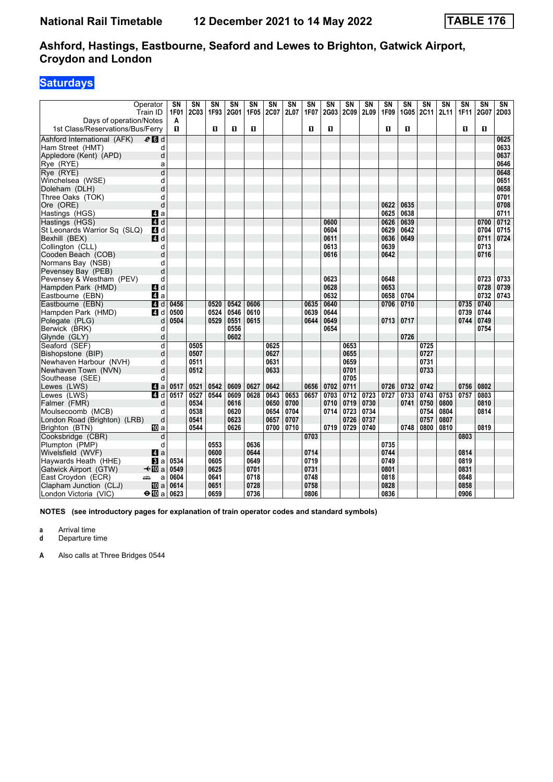### **Saturdays**

|                                  | Operator<br>Train ID | $\overline{\text{SN}}$<br><b>1F01</b> | $\overline{\text{SN}}$<br>2C03 | $\overline{\text{SN}}$<br>1F93 | $\overline{\text{SN}}$<br>2G01 | $\overline{\text{SN}}$<br>1F05 | $\overline{\text{SN}}$<br>2C07 | $\overline{\text{SN}}$<br>2L07 | $\overline{\text{SN}}$<br><b>1F07</b> | $\overline{\text{SN}}$<br>2G03 | $\overline{\text{SN}}$<br>2C09 | $\overline{\text{SN}}$<br>2L09 | $\overline{\text{SN}}$<br>1F09 | SN<br>1G05 | $\overline{\text{SN}}$<br>2C11 | $\overline{\text{SN}}$<br>2L11 | SN<br>1F11 | $\overline{\text{SN}}$<br>2G07 | $\overline{\text{SN}}$<br>2D03 |
|----------------------------------|----------------------|---------------------------------------|--------------------------------|--------------------------------|--------------------------------|--------------------------------|--------------------------------|--------------------------------|---------------------------------------|--------------------------------|--------------------------------|--------------------------------|--------------------------------|------------|--------------------------------|--------------------------------|------------|--------------------------------|--------------------------------|
| Days of operation/Notes          |                      | A                                     |                                |                                |                                |                                |                                |                                |                                       |                                |                                |                                |                                |            |                                |                                |            |                                |                                |
| 1st Class/Reservations/Bus/Ferry |                      | п                                     |                                | $\mathbf{u}$                   | O                              | п                              |                                |                                | O                                     | п                              |                                |                                | п                              | п          |                                |                                | п          | D.                             |                                |
| Ashford International (AFK)      | $e$ d d              |                                       |                                |                                |                                |                                |                                |                                |                                       |                                |                                |                                |                                |            |                                |                                |            |                                | 0625                           |
| Ham Street (HMT)                 | d                    |                                       |                                |                                |                                |                                |                                |                                |                                       |                                |                                |                                |                                |            |                                |                                |            |                                | 0633                           |
| Appledore (Kent) (APD)           | d                    |                                       |                                |                                |                                |                                |                                |                                |                                       |                                |                                |                                |                                |            |                                |                                |            |                                | 0637                           |
| Rye (RYE)                        | a                    |                                       |                                |                                |                                |                                |                                |                                |                                       |                                |                                |                                |                                |            |                                |                                |            |                                | 0646                           |
| Rye (RYE)                        | $\overline{d}$       |                                       |                                |                                |                                |                                |                                |                                |                                       |                                |                                |                                |                                |            |                                |                                |            |                                | 0648                           |
| Winchelsea (WSE)                 | d                    |                                       |                                |                                |                                |                                |                                |                                |                                       |                                |                                |                                |                                |            |                                |                                |            |                                | 0651                           |
| Doleham (DLH)                    | d                    |                                       |                                |                                |                                |                                |                                |                                |                                       |                                |                                |                                |                                |            |                                |                                |            |                                | 0658                           |
| Three Oaks (TOK)                 | d                    |                                       |                                |                                |                                |                                |                                |                                |                                       |                                |                                |                                |                                |            |                                |                                |            |                                | 0701                           |
| Ore (ORE)                        | d                    |                                       |                                |                                |                                |                                |                                |                                |                                       |                                |                                |                                | 0622                           | 0635       |                                |                                |            |                                | 0708                           |
| Hastings (HGS)                   | Z1 a                 |                                       |                                |                                |                                |                                |                                |                                |                                       |                                |                                |                                | 0625                           | 0638       |                                |                                |            |                                | 0711                           |
| Hastings (HGS)                   | $\overline{A}$ d     |                                       |                                |                                |                                |                                |                                |                                |                                       | 0600                           |                                |                                | 0626                           | 0639       |                                |                                |            | 0700                           | 0712                           |
| St Leonards Warrior Sq (SLQ)     | 4d                   |                                       |                                |                                |                                |                                |                                |                                |                                       | 0604                           |                                |                                | 0629                           | 0642       |                                |                                |            | 0704                           | 0715                           |
| Bexhill (BEX)                    | 4d                   |                                       |                                |                                |                                |                                |                                |                                |                                       | 0611                           |                                |                                | 0636                           | 0649       |                                |                                |            | 0711                           | 0724                           |
| Collington (CLL)                 | d                    |                                       |                                |                                |                                |                                |                                |                                |                                       | 0613                           |                                |                                | 0639                           |            |                                |                                |            | 0713                           |                                |
| Cooden Beach (COB)               | d                    |                                       |                                |                                |                                |                                |                                |                                |                                       | 0616                           |                                |                                | 0642                           |            |                                |                                |            | 0716                           |                                |
| Normans Bay (NSB)                | d                    |                                       |                                |                                |                                |                                |                                |                                |                                       |                                |                                |                                |                                |            |                                |                                |            |                                |                                |
| Pevensey Bay (PEB)               | d                    |                                       |                                |                                |                                |                                |                                |                                |                                       |                                |                                |                                |                                |            |                                |                                |            |                                |                                |
| Pevensey & Westham (PEV)         | d                    |                                       |                                |                                |                                |                                |                                |                                |                                       | 0623                           |                                |                                | 0648                           |            |                                |                                |            | 0723                           | 0733                           |
| Hampden Park (HMD)               | 4d                   |                                       |                                |                                |                                |                                |                                |                                |                                       | 0628                           |                                |                                | 0653                           |            |                                |                                |            | 0728                           | 0739                           |
| Eastbourne (EBN)                 | 4a                   |                                       |                                |                                |                                |                                |                                |                                |                                       | 0632                           |                                |                                | 0658                           | 0704       |                                |                                |            | 0732                           | 0743                           |
| Eastbourne (EBN)                 | 4 d                  | 0456                                  |                                | 0520                           | 0542                           | 0606                           |                                |                                | 0635                                  | 0640                           |                                |                                | 0706                           | 0710       |                                |                                | 0735       | 0740                           |                                |
| Hampden Park (HMD)               | ZI d                 | 0500                                  |                                | 0524                           | 0546                           | 0610                           |                                |                                | 0639                                  | 0644                           |                                |                                |                                |            |                                |                                | 0739       | 0744                           |                                |
| Polegate (PLG)                   | d                    | 0504                                  |                                | 0529                           | 0551                           | 0615                           |                                |                                | 0644                                  | 0649                           |                                |                                | 0713                           | 0717       |                                |                                | 0744       | 0749                           |                                |
| Berwick (BRK)                    | d                    |                                       |                                |                                | 0556                           |                                |                                |                                |                                       | 0654                           |                                |                                |                                |            |                                |                                |            | 0754                           |                                |
| Glynde (GLY)                     | d                    |                                       |                                |                                | 0602                           |                                |                                |                                |                                       |                                |                                |                                |                                | 0726       |                                |                                |            |                                |                                |
| Seaford (SEF)                    | d                    |                                       | 0505                           |                                |                                |                                | 0625                           |                                |                                       |                                | 0653                           |                                |                                |            | 0725                           |                                |            |                                |                                |
| Bishopstone (BIP)                | d                    |                                       | 0507                           |                                |                                |                                | 0627                           |                                |                                       |                                | 0655                           |                                |                                |            | 0727                           |                                |            |                                |                                |
| Newhaven Harbour (NVH)           | d                    |                                       | 0511                           |                                |                                |                                | 0631                           |                                |                                       |                                | 0659                           |                                |                                |            | 0731                           |                                |            |                                |                                |
| Newhaven Town (NVN)              | d                    |                                       | 0512                           |                                |                                |                                | 0633                           |                                |                                       |                                | 0701                           |                                |                                |            | 0733                           |                                |            |                                |                                |
| Southease (SEE)                  | d                    |                                       |                                |                                |                                |                                |                                |                                |                                       |                                | 0705                           |                                |                                |            |                                |                                |            |                                |                                |
| Lewes (LWS)                      | 4a                   | 0517                                  | 0521                           | 0542                           | 0609                           | 0627                           | 0642                           |                                | 0656                                  | 0702                           | 0711                           |                                | 0726                           | 0732       | 0742                           |                                | 0756       | 0802                           |                                |
| Lewes (LWS)                      | $\overline{a}$ d     | 0517                                  | 0527                           | 0544                           | 0609                           | 0628                           | 0643                           | 0653                           | 0657                                  | 0703                           | 0712                           | 0723                           | 0727                           | 0733       | 0743                           | 0753                           | 0757       | 0803                           |                                |
| Falmer (FMR)                     | d                    |                                       | 0534                           |                                | 0616                           |                                | 0650                           | 0700                           |                                       | 0710                           | 0719                           | 0730                           |                                | 0741       | 0750                           | 0800                           |            | 0810                           |                                |
| Moulsecoomb (MCB)                | d                    |                                       | 0538                           |                                | 0620                           |                                | 0654                           | 0704                           |                                       | 0714                           | 0723                           | 0734                           |                                |            | 0754                           | 0804                           |            | 0814                           |                                |
| London Road (Brighton) (LRB)     | d                    |                                       | 0541                           |                                | 0623                           |                                | 0657                           | 0707                           |                                       |                                | 0726                           | 0737                           |                                |            | 0757                           | 0807                           |            |                                |                                |
| Brighton (BTN)                   | III a                |                                       | 0544                           |                                | 0626                           |                                | 0700                           | 0710                           |                                       | 0719                           | 0729                           | 0740                           |                                | 0748       | 0800                           | 0810                           |            | 0819                           |                                |
| Cooksbridge (CBR)                | d                    |                                       |                                |                                |                                |                                |                                |                                | 0703                                  |                                |                                |                                |                                |            |                                |                                | 0803       |                                |                                |
| Plumpton (PMP)                   | d                    |                                       |                                | 0553                           |                                | 0636                           |                                |                                |                                       |                                |                                |                                | 0735                           |            |                                |                                |            |                                |                                |
| Wivelsfield (WVF)                | 4a                   |                                       |                                | 0600                           |                                | 0644                           |                                |                                | 0714                                  |                                |                                |                                | 0744                           |            |                                |                                | 0814       |                                |                                |
| Haywards Heath (HHE)             | <b>B</b> a           | 0534                                  |                                | 0605                           |                                | 0649                           |                                |                                | 0719                                  |                                |                                |                                | 0749                           |            |                                |                                | 0819       |                                |                                |
| Gatwick Airport (GTW)            | –≁M∃a                | 0549                                  |                                | 0625                           |                                | 0701                           |                                |                                | 0731                                  |                                |                                |                                | 0801                           |            |                                |                                | 0831       |                                |                                |
| East Croydon (ECR)               | añ,<br>a             | 0604                                  |                                | 0641                           |                                | 0718                           |                                |                                | 0748                                  |                                |                                |                                | 0818                           |            |                                |                                | 0848       |                                |                                |
| Clapham Junction (CLJ)           | <b>而</b> a           | 0614                                  |                                | 0651                           |                                | 0728                           |                                |                                | 0758                                  |                                |                                |                                | 0828                           |            |                                |                                | 0858       |                                |                                |
| London Victoria (VIC)            | $\bigoplus$ a        | 0623                                  |                                | 0659                           |                                | 0736                           |                                |                                | 0806                                  |                                |                                |                                | 0836                           |            |                                |                                | 0906       |                                |                                |
|                                  |                      |                                       |                                |                                |                                |                                |                                |                                |                                       |                                |                                |                                |                                |            |                                |                                |            |                                |                                |

**NOTES (see introductory pages for explanation of train operator codes and standard symbols)**

**a** Arrival time<br>**d** Departure t

**d** Departure time

**A** Also calls at Three Bridges 0544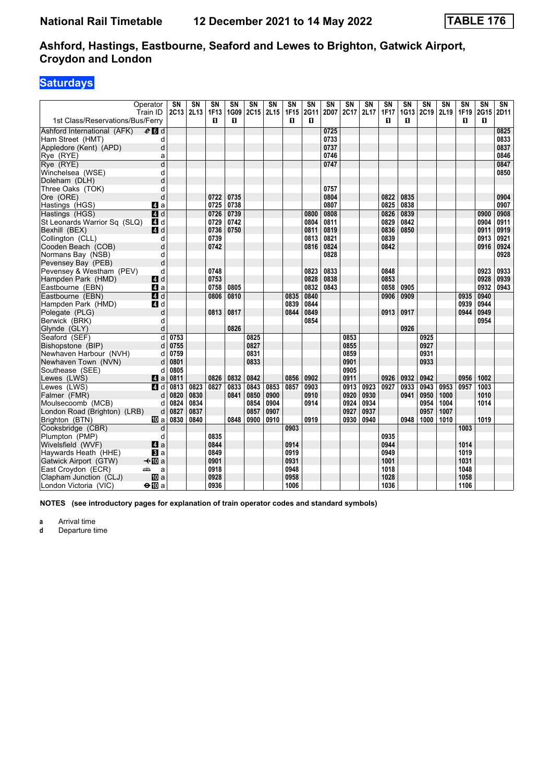### **Saturdays**

|                                  | Operator         | SN   | $\overline{\text{SN}}$ | $\overline{\text{SN}}$ | $\overline{\text{SN}}$ | $\overline{\text{SN}}$ | $\overline{\text{SN}}$ | $\overline{\text{SN}}$ | SN        | S <sub>N</sub> | $\overline{\text{SN}}$ | $\overline{\text{SN}}$ | $\overline{\text{SN}}$ | $\overline{\text{SN}}$ | $\overline{\text{SN}}$ | $\overline{\text{SN}}$ | $\overline{\text{SN}}$ | $\overline{\text{SN}}$ | $\overline{\text{SN}}$ |
|----------------------------------|------------------|------|------------------------|------------------------|------------------------|------------------------|------------------------|------------------------|-----------|----------------|------------------------|------------------------|------------------------|------------------------|------------------------|------------------------|------------------------|------------------------|------------------------|
| 1st Class/Reservations/Bus/Ferry | Train ID         |      | $2C13$ 2L13            | 1F13<br>п              | 1G09<br>п              | <b>2C15</b>            | 2L15                   | 1F15<br>п              | 2G11<br>п | 2D07           | 2C17                   | 2L17                   | <b>1F17</b><br>п       | 1G13<br>п              | 2C19                   | 2L19                   | 1F19<br>п              | 2G15<br>О              | 2D11                   |
|                                  |                  |      |                        |                        |                        |                        |                        |                        |           |                |                        |                        |                        |                        |                        |                        |                        |                        |                        |
| Ashford International (AFK)      | $e_0$ d          |      |                        |                        |                        |                        |                        |                        |           | 0725<br>0733   |                        |                        |                        |                        |                        |                        |                        |                        | 0825<br>0833           |
| Ham Street (HMT)                 | d                |      |                        |                        |                        |                        |                        |                        |           | 0737           |                        |                        |                        |                        |                        |                        |                        |                        |                        |
| Appledore (Kent) (APD)           | d                |      |                        |                        |                        |                        |                        |                        |           |                |                        |                        |                        |                        |                        |                        |                        |                        | 0837                   |
| Rye (RYE)                        | a                |      |                        |                        |                        |                        |                        |                        |           | 0746           |                        |                        |                        |                        |                        |                        |                        |                        | 0846                   |
| Rye (RYE)                        | d                |      |                        |                        |                        |                        |                        |                        |           | 0747           |                        |                        |                        |                        |                        |                        |                        |                        | 0847                   |
| Winchelsea (WSE)                 | d                |      |                        |                        |                        |                        |                        |                        |           |                |                        |                        |                        |                        |                        |                        |                        |                        | 0850                   |
| Doleham (DLH)                    | d                |      |                        |                        |                        |                        |                        |                        |           |                |                        |                        |                        |                        |                        |                        |                        |                        |                        |
| Three Oaks (TOK)                 | d                |      |                        |                        |                        |                        |                        |                        |           | 0757           |                        |                        |                        |                        |                        |                        |                        |                        |                        |
| Ore (ORE)                        | d                |      |                        | 0722                   | 0735                   |                        |                        |                        |           | 0804           |                        |                        | 0822                   | 0835                   |                        |                        |                        |                        | 0904                   |
| Hastings (HGS)                   | 44 a             |      |                        | 0725                   | 0738                   |                        |                        |                        |           | 0807           |                        |                        | 0825                   | 0838                   |                        |                        |                        |                        | 0907                   |
| Hastings (HGS)                   | $\blacksquare$ d |      |                        | 0726                   | 0739                   |                        |                        |                        | 0800      | 0808           |                        |                        | 0826                   | 0839                   |                        |                        |                        | 0900                   | 0908                   |
| St Leonards Warrior Sq (SLQ)     | ZI d             |      |                        | 0729                   | 0742                   |                        |                        |                        | 0804      | 0811           |                        |                        | 0829                   | 0842                   |                        |                        |                        | 0904                   | 0911                   |
| Bexhill (BEX)                    | 4d               |      |                        | 0736                   | 0750                   |                        |                        |                        | 0811      | 0819           |                        |                        | 0836                   | 0850                   |                        |                        |                        | 0911                   | 0919                   |
| Collington (CLL)                 | d                |      |                        | 0739                   |                        |                        |                        |                        | 0813      | 0821           |                        |                        | 0839                   |                        |                        |                        |                        | 0913                   | 0921                   |
| Cooden Beach (COB)               | d                |      |                        | 0742                   |                        |                        |                        |                        | 0816      | 0824           |                        |                        | 0842                   |                        |                        |                        |                        | 0916                   | 0924                   |
| Normans Bay (NSB)                | d                |      |                        |                        |                        |                        |                        |                        |           | 0828           |                        |                        |                        |                        |                        |                        |                        |                        | 0928                   |
| Pevensey Bay (PEB)               | d                |      |                        |                        |                        |                        |                        |                        |           |                |                        |                        |                        |                        |                        |                        |                        |                        |                        |
| Pevensey & Westham (PEV)         | d                |      |                        | 0748                   |                        |                        |                        |                        | 0823      | 0833           |                        |                        | 0848                   |                        |                        |                        |                        | 0923                   | 0933                   |
| Hampden Park (HMD)               | 4d               |      |                        | 0753                   |                        |                        |                        |                        | 0828      | 0838           |                        |                        | 0853                   |                        |                        |                        |                        | 0928                   | 0939                   |
| Eastbourne (EBN)                 | $\blacksquare$ a |      |                        | 0758                   | 0805                   |                        |                        |                        | 0832      | 0843           |                        |                        | 0858                   | 0905                   |                        |                        |                        | 0932                   | 0943                   |
| Eastbourne (EBN)                 | <b>4</b> d       |      |                        | 0806                   | 0810                   |                        |                        | 0835                   | 0840      |                |                        |                        | 0906                   | 0909                   |                        |                        | 0935                   | 0940                   |                        |
| Hampden Park (HMD)               | ZI d             |      |                        |                        |                        |                        |                        | 0839                   | 0844      |                |                        |                        |                        |                        |                        |                        | 0939                   | 0944                   |                        |
| Polegate (PLG)                   | d                |      |                        | 0813                   | 0817                   |                        |                        | 0844                   | 0849      |                |                        |                        | 0913                   | 0917                   |                        |                        | 0944                   | 0949                   |                        |
| Berwick (BRK)                    | d                |      |                        |                        |                        |                        |                        |                        | 0854      |                |                        |                        |                        |                        |                        |                        |                        | 0954                   |                        |
| Glynde (GLY)                     | d                |      |                        |                        | 0826                   |                        |                        |                        |           |                |                        |                        |                        | 0926                   |                        |                        |                        |                        |                        |
| Seaford (SEF)                    | d                | 0753 |                        |                        |                        | 0825                   |                        |                        |           |                | 0853                   |                        |                        |                        | 0925                   |                        |                        |                        |                        |
| Bishopstone (BIP)                | d                | 0755 |                        |                        |                        | 0827                   |                        |                        |           |                | 0855                   |                        |                        |                        | 0927                   |                        |                        |                        |                        |
| Newhaven Harbour (NVH)           | d                | 0759 |                        |                        |                        | 0831                   |                        |                        |           |                | 0859                   |                        |                        |                        | 0931                   |                        |                        |                        |                        |
| Newhaven Town (NVN)              | d                | 0801 |                        |                        |                        | 0833                   |                        |                        |           |                | 0901                   |                        |                        |                        | 0933                   |                        |                        |                        |                        |
| Southease (SEE)                  | d                | 0805 |                        |                        |                        |                        |                        |                        |           |                | 0905                   |                        |                        |                        |                        |                        |                        |                        |                        |
| Lewes (LWS)                      | Z a              | 0811 |                        | 0826                   | 0832                   | 0842                   |                        | 0856                   | 0902      |                | 0911                   |                        | 0926                   | 0932                   | 0942                   |                        | 0956                   | 1002                   |                        |
| Lewes (LWS)                      | 4 d              | 0813 | 0823                   | 0827                   | 0833                   | 0843                   | 0853                   | 0857                   | 0903      |                | 0913                   | 0923                   | 0927                   | 0933                   | 0943                   | 0953                   | 0957                   | $\frac{1003}{ }$       |                        |
| Falmer (FMR)                     | d                | 0820 | 0830                   |                        | 0841                   | 0850                   | 0900                   |                        | 0910      |                | 0920                   | 0930                   |                        | 0941                   | 0950                   | 1000                   |                        | 1010                   |                        |
| Moulsecoomb (MCB)                | d                | 0824 | 0834                   |                        |                        | 0854                   | 0904                   |                        | 0914      |                | 0924                   | 0934                   |                        |                        | 0954                   | 1004                   |                        | 1014                   |                        |
| London Road (Brighton) (LRB)     | d                | 0827 | 0837                   |                        |                        | 0857                   | 0907                   |                        |           |                | 0927                   | 0937                   |                        |                        | 0957                   | 1007                   |                        |                        |                        |
| Brighton (BTN)                   | <b>ID</b> a      | 0830 | 0840                   |                        | 0848                   | 0900                   | 0910                   |                        | 0919      |                | 0930                   | 0940                   |                        | 0948                   | 1000                   | 1010                   |                        | 1019                   |                        |
| Cooksbridge (CBR)                | d                |      |                        |                        |                        |                        |                        | 0903                   |           |                |                        |                        |                        |                        |                        |                        | 1003                   |                        |                        |
| Plumpton (PMP)                   | d                |      |                        | 0835                   |                        |                        |                        |                        |           |                |                        |                        | 0935                   |                        |                        |                        |                        |                        |                        |
| Wivelsfield (WVF)                | $\blacksquare$ a |      |                        | 0844                   |                        |                        |                        | 0914                   |           |                |                        |                        | 0944                   |                        |                        |                        | 1014                   |                        |                        |
| Haywards Heath (HHE)             | $\blacksquare$ a |      |                        | 0849                   |                        |                        |                        | 0919                   |           |                |                        |                        | 0949                   |                        |                        |                        | 1019                   |                        |                        |
| Gatwick Airport (GTW)            | –⊀Ma             |      |                        | 0901                   |                        |                        |                        | 0931                   |           |                |                        |                        | 1001                   |                        |                        |                        | 1031                   |                        |                        |
| East Croydon (ECR)               | پیش<br>a         |      |                        | 0918                   |                        |                        |                        | 0948                   |           |                |                        |                        | 1018                   |                        |                        |                        | 1048                   |                        |                        |
| Clapham Junction (CLJ)           | <b>ID</b> a      |      |                        | 0928                   |                        |                        |                        | 0958                   |           |                |                        |                        | 1028                   |                        |                        |                        | 1058                   |                        |                        |
| London Victoria (VIC)            | $\bigoplus$ a    |      |                        | 0936                   |                        |                        |                        | 1006                   |           |                |                        |                        | 1036                   |                        |                        |                        | 1106                   |                        |                        |

**NOTES (see introductory pages for explanation of train operator codes and standard symbols)**

**a** Arrival time<br>**d** Departure t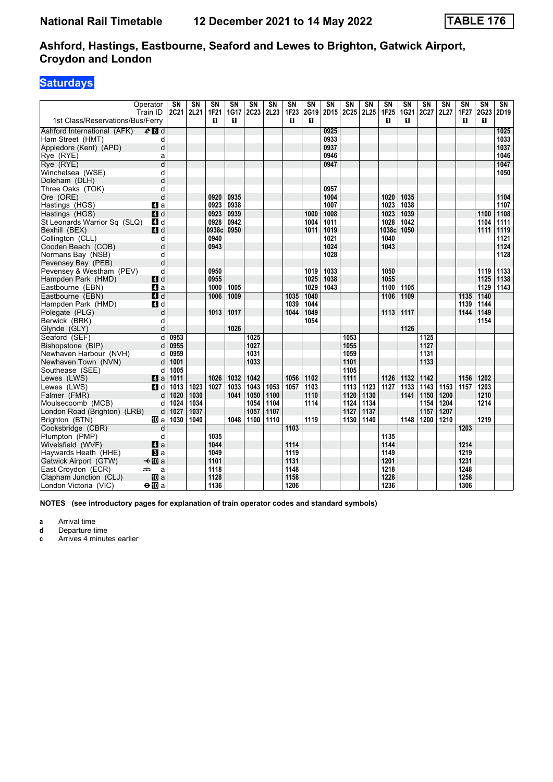### **Saturdays**

| Operator<br>Train ID                                    | SN<br>2C21             | $\overline{\text{SN}}$<br>2L21 | $\overline{\text{SN}}$<br><b>1F21</b> | $\overline{\text{SN}}$<br>1G17 | $\overline{\text{SN}}$<br><b>2C23</b> | $\overline{\text{SN}}$<br>2L23 | $\overline{\text{SN}}$<br>1F23 | $\overline{\text{SN}}$<br>2G19 | $\overline{\text{SN}}$<br>2D15 | $\overline{\text{SN}}$<br>2C25 | $\overline{\text{SN}}$<br>2L25 | $\overline{\text{SN}}$<br>1F25 | $\overline{\text{SN}}$<br>1G21 | $\overline{\text{SN}}$<br>2C27 | $\overline{\text{SN}}$<br>2L27 | $\overline{\text{SN}}$<br><b>1F27</b> | $\overline{\text{SN}}$<br>2G23 | $\overline{\text{SN}}$<br>2D19 |
|---------------------------------------------------------|------------------------|--------------------------------|---------------------------------------|--------------------------------|---------------------------------------|--------------------------------|--------------------------------|--------------------------------|--------------------------------|--------------------------------|--------------------------------|--------------------------------|--------------------------------|--------------------------------|--------------------------------|---------------------------------------|--------------------------------|--------------------------------|
| 1st Class/Reservations/Bus/Ferry                        |                        |                                | п                                     | п                              |                                       |                                | п                              | п                              |                                |                                |                                | п                              | п                              |                                |                                | п                                     | п                              |                                |
| Ashford International (AFK)<br>$e$ d d                  |                        |                                |                                       |                                |                                       |                                |                                |                                | 0925                           |                                |                                |                                |                                |                                |                                |                                       |                                | 1025                           |
| Ham Street (HMT)                                        | d                      |                                |                                       |                                |                                       |                                |                                |                                | 0933                           |                                |                                |                                |                                |                                |                                |                                       |                                | 1033                           |
| Appledore (Kent) (APD)                                  | d                      |                                |                                       |                                |                                       |                                |                                |                                | 0937                           |                                |                                |                                |                                |                                |                                |                                       |                                | 1037                           |
| Rye (RYE)                                               | a                      |                                |                                       |                                |                                       |                                |                                |                                | 0946                           |                                |                                |                                |                                |                                |                                |                                       |                                | 1046                           |
| Rye (RYE)                                               | d                      |                                |                                       |                                |                                       |                                |                                |                                | 0947                           |                                |                                |                                |                                |                                |                                |                                       |                                | 1047                           |
| Winchelsea (WSE)                                        | d                      |                                |                                       |                                |                                       |                                |                                |                                |                                |                                |                                |                                |                                |                                |                                |                                       |                                | 1050                           |
| Doleham (DLH)                                           | d                      |                                |                                       |                                |                                       |                                |                                |                                |                                |                                |                                |                                |                                |                                |                                |                                       |                                |                                |
| Three Oaks (TOK)                                        | d                      |                                |                                       |                                |                                       |                                |                                |                                | 0957                           |                                |                                |                                |                                |                                |                                |                                       |                                |                                |
| Ore (ORE)                                               | d                      |                                | 0920                                  | 0935                           |                                       |                                |                                |                                | 1004                           |                                |                                | 1020                           | 1035                           |                                |                                |                                       |                                | 1104                           |
| Hastings (HGS)<br>4 a                                   |                        |                                | 0923                                  | 0938                           |                                       |                                |                                |                                | 1007                           |                                |                                | 1023                           | 1038                           |                                |                                |                                       |                                | 1107                           |
| Hastings (HGS)<br>4 d                                   |                        |                                | 0923                                  | 0939                           |                                       |                                |                                | 1000                           | 1008                           |                                |                                | 1023                           | 1039                           |                                |                                |                                       | 1100                           | 1108                           |
| St Leonards Warrior Sq (SLQ)<br>4 d                     |                        |                                | 0928                                  | 0942                           |                                       |                                |                                | 1004                           | 1011                           |                                |                                | 1028                           | 1042                           |                                |                                |                                       | 1104                           | 1111                           |
| Bexhill (BEX)<br><b>4</b> d                             |                        |                                | 0938c                                 | 0950                           |                                       |                                |                                | 1011                           | 1019                           |                                |                                | 1038c                          | 1050                           |                                |                                |                                       | 1111                           | 1119                           |
| Collington (CLL)                                        | d                      |                                | 0940                                  |                                |                                       |                                |                                |                                | 1021                           |                                |                                | 1040                           |                                |                                |                                |                                       |                                | 1121                           |
| Cooden Beach (COB)                                      | d                      |                                | 0943                                  |                                |                                       |                                |                                |                                | 1024                           |                                |                                | 1043                           |                                |                                |                                |                                       |                                | 1124                           |
| Normans Bay (NSB)                                       | d                      |                                |                                       |                                |                                       |                                |                                |                                | 1028                           |                                |                                |                                |                                |                                |                                |                                       |                                | 1128                           |
| Pevensey Bay (PEB)                                      | d                      |                                |                                       |                                |                                       |                                |                                |                                |                                |                                |                                |                                |                                |                                |                                |                                       |                                |                                |
| Pevensey & Westham (PEV)                                | d                      |                                | 0950                                  |                                |                                       |                                |                                | 1019                           | 1033                           |                                |                                | 1050                           |                                |                                |                                |                                       | 1119                           | 1133                           |
| 4 d<br>Hampden Park (HMD)                               |                        |                                | 0955                                  |                                |                                       |                                |                                | 1025                           | 1038                           |                                |                                | 1055                           |                                |                                |                                |                                       | 1125                           | 1138                           |
| Eastbourne (EBN)<br>ZI a                                |                        |                                | 1000                                  | 1005                           |                                       |                                |                                | 1029                           | 1043                           |                                |                                | 1100                           | 1105                           |                                |                                |                                       | 1129                           | 1143                           |
| 4d<br>Eastbourne (EBN)                                  |                        |                                | 1006                                  | 1009                           |                                       |                                | 1035                           | 1040                           |                                |                                |                                | 1106                           | 1109                           |                                |                                | 1135                                  | 1140                           |                                |
| Hampden Park (HMD)<br>ZI d                              |                        |                                |                                       |                                |                                       |                                | 1039                           | 1044                           |                                |                                |                                |                                |                                |                                |                                | 1139                                  | 1144                           |                                |
| Polegate (PLG)                                          | d                      |                                | 1013                                  | 1017                           |                                       |                                | 1044                           | 1049                           |                                |                                |                                | 1113                           | 1117                           |                                |                                | 1144                                  | 1149                           |                                |
| Berwick (BRK)                                           | d                      |                                |                                       |                                |                                       |                                |                                | 1054                           |                                |                                |                                |                                |                                |                                |                                |                                       | 1154                           |                                |
| Glynde (GLY)                                            | d                      |                                |                                       | 1026                           |                                       |                                |                                |                                |                                |                                |                                |                                | 1126                           |                                |                                |                                       |                                |                                |
| Seaford (SEF)                                           | $\overline{d}$<br>0953 |                                |                                       |                                | 1025                                  |                                |                                |                                |                                | 1053                           |                                |                                |                                | 1125                           |                                |                                       |                                |                                |
| Bishopstone (BIP)                                       | 0955<br>d              |                                |                                       |                                | 1027                                  |                                |                                |                                |                                | 1055                           |                                |                                |                                | 1127                           |                                |                                       |                                |                                |
| Newhaven Harbour (NVH)                                  | 0959<br>d              |                                |                                       |                                | 1031<br>1033                          |                                |                                |                                |                                | 1059                           |                                |                                |                                | 1131<br>1133                   |                                |                                       |                                |                                |
| Newhaven Town (NVN)                                     | 1001<br>d<br>1005      |                                |                                       |                                |                                       |                                |                                |                                |                                | 1101<br>1105                   |                                |                                |                                |                                |                                |                                       |                                |                                |
| Southease (SEE)                                         | d<br>1011              |                                | 1026                                  | 1032                           | 1042                                  |                                | 1056                           | 1102                           |                                | 1111                           |                                | 1126                           | 1132                           | 1142                           |                                | 1156                                  | 1202                           |                                |
| Lewes (LWS)<br><b>Z</b> ∎a<br>Lewes (LWS)<br><b>4</b> d | 1013                   | 1023                           | 1027                                  | 1033                           | 1043                                  | 1053                           | 1057                           | $\frac{1103}{2}$               |                                | 1113                           | 1123                           | $\frac{1127}{2}$               | 1133                           | 1143                           | 1153                           | 1157                                  | 1203                           |                                |
| Falmer (FMR)                                            | d<br>1020              | 1030                           |                                       | 1041                           | 1050                                  | 1100                           |                                | 1110                           |                                | 1120                           | 1130                           |                                | 1141                           | 1150                           | 1200                           |                                       | 1210                           |                                |
| Moulsecoomb (MCB)                                       | d<br>1024              | 1034                           |                                       |                                | 1054                                  | 1104                           |                                | 1114                           |                                | 1124                           | 1134                           |                                |                                | 1154                           | 1204                           |                                       | 1214                           |                                |
| London Road (Brighton) (LRB)                            | 1027<br>d              | 1037                           |                                       |                                | 1057                                  | 1107                           |                                |                                |                                | 1127                           | 1137                           |                                |                                | 1157                           | 1207                           |                                       |                                |                                |
| Brighton (BTN)<br><b>TD</b> a                           | 1030                   | 1040                           |                                       | 1048                           | 1100                                  | 1110                           |                                | 1119                           |                                | 1130                           | 1140                           |                                | 1148                           | 1200                           | 1210                           |                                       | 1219                           |                                |
| Cooksbridge (CBR)                                       | d                      |                                |                                       |                                |                                       |                                | 1103                           |                                |                                |                                |                                |                                |                                |                                |                                | 1203                                  |                                |                                |
| Plumpton (PMP)                                          | d                      |                                | 1035                                  |                                |                                       |                                |                                |                                |                                |                                |                                | 1135                           |                                |                                |                                |                                       |                                |                                |
| 4a<br>Wivelsfield (WVF)                                 |                        |                                | 1044                                  |                                |                                       |                                | 1114                           |                                |                                |                                |                                | 1144                           |                                |                                |                                | 1214                                  |                                |                                |
| $\bf{B}$ a<br>Haywards Heath (HHE)                      |                        |                                | 1049                                  |                                |                                       |                                | 1119                           |                                |                                |                                |                                | 1149                           |                                |                                |                                | 1219                                  |                                |                                |
| $\triangleleft$ M a<br>Gatwick Airport (GTW)            |                        |                                | 1101                                  |                                |                                       |                                | 1131                           |                                |                                |                                |                                | 1201                           |                                |                                |                                | 1231                                  |                                |                                |
| پیشته<br>East Croydon (ECR)                             | a                      |                                | 1118                                  |                                |                                       |                                | 1148                           |                                |                                |                                |                                | 1218                           |                                |                                |                                | 1248                                  |                                |                                |
| 吅 a<br>Clapham Junction (CLJ)                           |                        |                                | 1128                                  |                                |                                       |                                | 1158                           |                                |                                |                                |                                | 1228                           |                                |                                |                                | 1258                                  |                                |                                |
| London Victoria (VIC)<br>$\Theta$ III a                 |                        |                                | 1136                                  |                                |                                       |                                | 1206                           |                                |                                |                                |                                | 1236                           |                                |                                |                                | 1306                                  |                                |                                |

**NOTES (see introductory pages for explanation of train operator codes and standard symbols)**

**a** Arrival time<br>**d** Departure time

**d** Departure time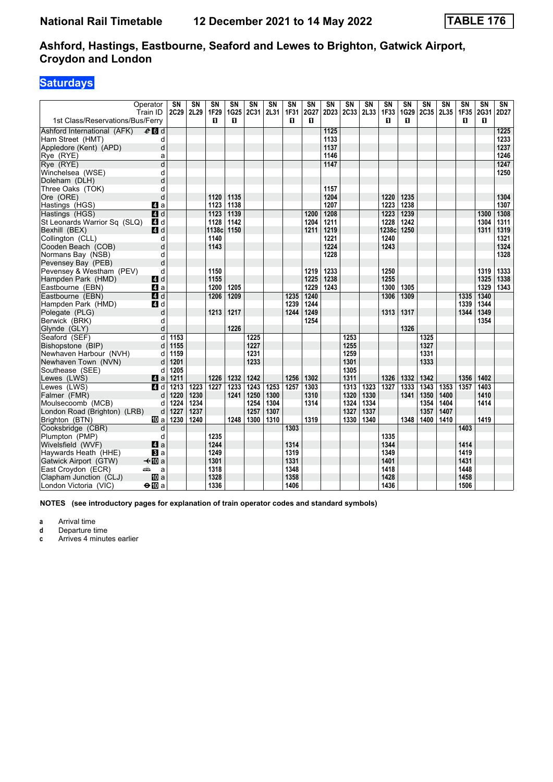### **Saturdays**

|                                                | Operator<br>Train ID | $\overline{\text{SN}}$<br>2C29 | $\overline{\text{SN}}$<br>2L29 | $\overline{\text{SN}}$<br>1F29 | $\overline{\text{SN}}$<br>1G25 | $\overline{\text{SN}}$<br>2C31 | $\overline{\text{SN}}$<br>2L31 | $\overline{\text{SN}}$<br>1F31 | $\overline{\text{SN}}$<br>2G27 | $\overline{\text{SN}}$<br>2D23 | $\overline{\text{SN}}$<br>2C33 | $\overline{\text{SN}}$<br>2L33 | $\overline{\text{SN}}$<br>1F33 | $\overline{\text{SN}}$<br>1G29 | $\overline{\text{SN}}$<br>2C35 | $\overline{\text{SN}}$<br>2L35 | $\overline{\text{SN}}$<br>1F35 | $\overline{\text{SN}}$<br>2G31 | $\overline{\text{SN}}$<br>2D27 |
|------------------------------------------------|----------------------|--------------------------------|--------------------------------|--------------------------------|--------------------------------|--------------------------------|--------------------------------|--------------------------------|--------------------------------|--------------------------------|--------------------------------|--------------------------------|--------------------------------|--------------------------------|--------------------------------|--------------------------------|--------------------------------|--------------------------------|--------------------------------|
| 1st Class/Reservations/Bus/Ferry               |                      |                                |                                | п                              | п                              |                                |                                | п                              | п                              |                                |                                |                                | п                              | п                              |                                |                                | п                              | п                              |                                |
| Ashford International (AFK)                    | $e$ d d              |                                |                                |                                |                                |                                |                                |                                |                                | 1125                           |                                |                                |                                |                                |                                |                                |                                |                                | 1225                           |
| Ham Street (HMT)                               | d                    |                                |                                |                                |                                |                                |                                |                                |                                | 1133                           |                                |                                |                                |                                |                                |                                |                                |                                | 1233                           |
| Appledore (Kent) (APD)                         | d                    |                                |                                |                                |                                |                                |                                |                                |                                | 1137                           |                                |                                |                                |                                |                                |                                |                                |                                | 1237                           |
| Rye (RYE)                                      | a                    |                                |                                |                                |                                |                                |                                |                                |                                | 1146                           |                                |                                |                                |                                |                                |                                |                                |                                | 1246                           |
| Rye (RYE)                                      | d                    |                                |                                |                                |                                |                                |                                |                                |                                | 1147                           |                                |                                |                                |                                |                                |                                |                                |                                | 1247                           |
| Winchelsea (WSE)                               | d                    |                                |                                |                                |                                |                                |                                |                                |                                |                                |                                |                                |                                |                                |                                |                                |                                |                                | 1250                           |
| Doleham (DLH)                                  | d                    |                                |                                |                                |                                |                                |                                |                                |                                |                                |                                |                                |                                |                                |                                |                                |                                |                                |                                |
| Three Oaks (TOK)                               | d                    |                                |                                |                                |                                |                                |                                |                                |                                | 1157                           |                                |                                |                                |                                |                                |                                |                                |                                |                                |
| Ore (ORE)                                      | d                    |                                |                                | 1120                           | 1135                           |                                |                                |                                |                                | 1204                           |                                |                                | 1220                           | 1235                           |                                |                                |                                |                                | 1304                           |
| Hastings (HGS)                                 | 4 a                  |                                |                                | 1123                           | 1138                           |                                |                                |                                |                                | 1207                           |                                |                                | 1223                           | 1238                           |                                |                                |                                |                                | 1307                           |
| Hastings (HGS)                                 | $\overline{4}$ d     |                                |                                | 1123                           | 1139                           |                                |                                |                                | 1200                           | 1208                           |                                |                                | 1223                           | 1239                           |                                |                                |                                | 1300                           | 1308                           |
| St Leonards Warrior Sq (SLQ)                   | 4 d                  |                                |                                | 1128                           | 1142                           |                                |                                |                                | 1204                           | 1211                           |                                |                                | 1228                           | 1242                           |                                |                                |                                | 1304                           | 1311                           |
| Bexhill (BEX)                                  | <b>4</b> d           |                                |                                | 1138c                          | 1150                           |                                |                                |                                | 1211                           | 1219                           |                                |                                | 1238c                          | 1250                           |                                |                                |                                | 1311                           | 1319                           |
| Collington (CLL)                               | d                    |                                |                                | 1140                           |                                |                                |                                |                                |                                | 1221                           |                                |                                | 1240                           |                                |                                |                                |                                |                                | 1321                           |
| Cooden Beach (COB)                             | d                    |                                |                                | 1143                           |                                |                                |                                |                                |                                | 1224                           |                                |                                | 1243                           |                                |                                |                                |                                |                                | 1324                           |
| Normans Bay (NSB)                              | d                    |                                |                                |                                |                                |                                |                                |                                |                                | 1228                           |                                |                                |                                |                                |                                |                                |                                |                                | 1328                           |
| Pevensey Bay (PEB)                             | d                    |                                |                                |                                |                                |                                |                                |                                |                                |                                |                                |                                |                                |                                |                                |                                |                                |                                |                                |
| Pevensey & Westham (PEV)                       | d                    |                                |                                | 1150                           |                                |                                |                                |                                | 1219                           | 1233                           |                                |                                | 1250                           |                                |                                |                                |                                | 1319                           | 1333                           |
| Hampden Park (HMD)                             | 4 d                  |                                |                                | 1155                           |                                |                                |                                |                                | 1225                           | 1238                           |                                |                                | 1255                           |                                |                                |                                |                                | 1325                           | 1338                           |
| Eastbourne (EBN)                               | ZI a                 |                                |                                | 1200                           | 1205                           |                                |                                |                                | 1229                           | 1243                           |                                |                                | 1300                           | 1305                           |                                |                                |                                | 1329                           | 1343                           |
| Eastbourne (EBN)                               | <b>4</b> d           |                                |                                | 1206                           | 1209                           |                                |                                | 1235                           | 1240                           |                                |                                |                                | 1306                           | 1309                           |                                |                                | 1335                           | 1340                           |                                |
| Hampden Park (HMD)                             | ZI d                 |                                |                                |                                |                                |                                |                                | 1239                           | 1244                           |                                |                                |                                |                                |                                |                                |                                | 1339                           | 1344                           |                                |
| Polegate (PLG)                                 | d                    |                                |                                | 1213                           | 1217                           |                                |                                | 1244                           | 1249                           |                                |                                |                                | 1313                           | 1317                           |                                |                                | 1344                           | 1349                           |                                |
| Berwick (BRK)                                  | d                    |                                |                                |                                |                                |                                |                                |                                | 1254                           |                                |                                |                                |                                |                                |                                |                                |                                | 1354                           |                                |
| Glynde (GLY)                                   | d                    |                                |                                |                                | 1226                           |                                |                                |                                |                                |                                |                                |                                |                                | 1326                           |                                |                                |                                |                                |                                |
| Seaford (SEF)                                  | $\overline{d}$       | 1153                           |                                |                                |                                | 1225                           |                                |                                |                                |                                | 1253                           |                                |                                |                                | 1325                           |                                |                                |                                |                                |
| Bishopstone (BIP)                              | d                    | 1155                           |                                |                                |                                | 1227                           |                                |                                |                                |                                | 1255                           |                                |                                |                                | 1327                           |                                |                                |                                |                                |
| Newhaven Harbour (NVH)                         | d                    | 1159                           |                                |                                |                                | 1231                           |                                |                                |                                |                                | 1259                           |                                |                                |                                | 1331                           |                                |                                |                                |                                |
| Newhaven Town (NVN)                            | d                    | 1201                           |                                |                                |                                | 1233                           |                                |                                |                                |                                | 1301                           |                                |                                |                                | 1333                           |                                |                                |                                |                                |
| Southease (SEE)                                | d                    | 1205                           |                                |                                |                                |                                |                                |                                |                                |                                | 1305                           |                                |                                |                                |                                |                                |                                |                                |                                |
| Lewes (LWS)                                    | <b>Z</b> a           | 1211                           |                                | 1226                           | 1232                           | 1242                           |                                | 1256                           | 1302                           |                                | 1311                           |                                | 1326                           | 1332                           | 1342                           |                                | 1356                           | 1402                           |                                |
| Lewes (LWS)                                    | <b>4</b> d           | 1213                           | 1223                           | 1227                           | 1233                           | 1243                           | 1253                           | 1257                           | 1303                           |                                | 1313                           | 1323                           | 1327                           | 1333                           | 1343                           | 1353                           | 1357                           | 1403                           |                                |
| Falmer (FMR)                                   | d                    | 1220                           | 1230<br>1234                   |                                | 1241                           | 1250                           | 1300                           |                                | 1310                           |                                | 1320                           | 1330                           |                                | 1341                           | 1350                           | 1400                           |                                | 1410<br>1414                   |                                |
| Moulsecoomb (MCB)                              | d                    | 1224<br>1227                   | 1237                           |                                |                                | 1254<br>1257                   | 1304<br>1307                   |                                | 1314                           |                                | 1324<br>1327                   | 1334<br>1337                   |                                |                                | 1354<br>1357                   | 1404<br>1407                   |                                |                                |                                |
| London Road (Brighton) (LRB)<br>Brighton (BTN) | d<br><b>TD</b> a     | 1230                           | 1240                           |                                | 1248                           | 1300                           | 1310                           |                                | 1319                           |                                | 1330                           | 1340                           |                                | 1348                           | 1400                           | 1410                           |                                | 1419                           |                                |
|                                                | d                    |                                |                                |                                |                                |                                |                                | 1303                           |                                |                                |                                |                                |                                |                                |                                |                                | 1403                           |                                |                                |
| Cooksbridge (CBR)<br>Plumpton (PMP)            | d                    |                                |                                | 1235                           |                                |                                |                                |                                |                                |                                |                                |                                | 1335                           |                                |                                |                                |                                |                                |                                |
| Wivelsfield (WVF)                              | 4a                   |                                |                                | 1244                           |                                |                                |                                | 1314                           |                                |                                |                                |                                | 1344                           |                                |                                |                                | 1414                           |                                |                                |
| Haywards Heath (HHE)                           | $\bf{B}$ a           |                                |                                | 1249                           |                                |                                |                                | 1319                           |                                |                                |                                |                                | 1349                           |                                |                                |                                | 1419                           |                                |                                |
| Gatwick Airport (GTW)                          | $\triangleleft$ M a  |                                |                                | 1301                           |                                |                                |                                | 1331                           |                                |                                |                                |                                | 1401                           |                                |                                |                                | 1431                           |                                |                                |
| East Croydon (ECR)                             | پیشته<br>a           |                                |                                | 1318                           |                                |                                |                                | 1348                           |                                |                                |                                |                                | 1418                           |                                |                                |                                | 1448                           |                                |                                |
| Clapham Junction (CLJ)                         | 吅 a                  |                                |                                | 1328                           |                                |                                |                                | 1358                           |                                |                                |                                |                                | 1428                           |                                |                                |                                | 1458                           |                                |                                |
|                                                |                      |                                |                                |                                |                                |                                |                                |                                |                                |                                |                                |                                |                                |                                |                                |                                |                                |                                |                                |
| London Victoria (VIC)                          | $\Theta$ III a       |                                |                                | 1336                           |                                |                                |                                | 1406                           |                                |                                |                                |                                | 1436                           |                                |                                |                                | 1506                           |                                |                                |

**NOTES (see introductory pages for explanation of train operator codes and standard symbols)**

**a** Arrival time<br>**d** Departure time

**d** Departure time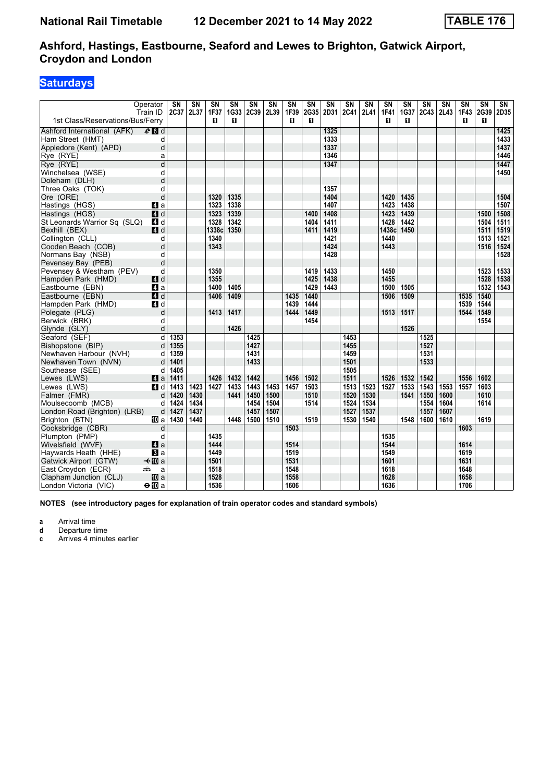### **Saturdays**

|                                  | Operator<br>Train ID | SN<br>2C37 | $\overline{\text{SN}}$<br>2L37 | $\overline{\text{SN}}$<br>1F37 | <b>SN</b><br>1G33 | SN<br>2C39 | $\overline{\text{SN}}$<br>2L39 | $\overline{\text{SN}}$<br>1F39 | $\overline{\text{SN}}$<br>2G35 | $\overline{\text{SN}}$<br>2D31 | $\overline{\text{SN}}$<br>2C41 | $\overline{\text{SN}}$<br>2L41 | $\overline{\text{SN}}$<br><b>1F41</b> | SN<br>1G37 | $\overline{\text{SN}}$<br>2C43 | $\overline{\text{SN}}$<br>2L43 | $\overline{\text{SN}}$<br><b>1F43</b> | $\overline{\text{SN}}$<br>2G39 | SN<br>2D35 |
|----------------------------------|----------------------|------------|--------------------------------|--------------------------------|-------------------|------------|--------------------------------|--------------------------------|--------------------------------|--------------------------------|--------------------------------|--------------------------------|---------------------------------------|------------|--------------------------------|--------------------------------|---------------------------------------|--------------------------------|------------|
| 1st Class/Reservations/Bus/Ferry |                      |            |                                | п                              | п                 |            |                                | п                              | п                              |                                |                                |                                | п                                     | п          |                                |                                | п                                     | П                              |            |
| Ashford International (AFK)      | $e$ d d              |            |                                |                                |                   |            |                                |                                |                                | 1325                           |                                |                                |                                       |            |                                |                                |                                       |                                | 1425       |
| Ham Street (HMT)                 | d                    |            |                                |                                |                   |            |                                |                                |                                | 1333                           |                                |                                |                                       |            |                                |                                |                                       |                                | 1433       |
| Appledore (Kent) (APD)           | d                    |            |                                |                                |                   |            |                                |                                |                                | 1337                           |                                |                                |                                       |            |                                |                                |                                       |                                | 1437       |
| Rye (RYE)                        | a                    |            |                                |                                |                   |            |                                |                                |                                | 1346                           |                                |                                |                                       |            |                                |                                |                                       |                                | 1446       |
| Rye (RYE)                        | $\overline{d}$       |            |                                |                                |                   |            |                                |                                |                                | 1347                           |                                |                                |                                       |            |                                |                                |                                       |                                | 1447       |
| Winchelsea (WSE)                 | d                    |            |                                |                                |                   |            |                                |                                |                                |                                |                                |                                |                                       |            |                                |                                |                                       |                                | 1450       |
| Doleham (DLH)                    | d                    |            |                                |                                |                   |            |                                |                                |                                |                                |                                |                                |                                       |            |                                |                                |                                       |                                |            |
| Three Oaks (TOK)                 | d                    |            |                                |                                |                   |            |                                |                                |                                | 1357                           |                                |                                |                                       |            |                                |                                |                                       |                                |            |
| Ore (ORE)                        | d                    |            |                                | 1320                           | 1335              |            |                                |                                |                                | 1404                           |                                |                                | 1420                                  | 1435       |                                |                                |                                       |                                | 1504       |
| Hastings (HGS)                   | Z1 a                 |            |                                | 1323                           | 1338              |            |                                |                                |                                | 1407                           |                                |                                | 1423                                  | 1438       |                                |                                |                                       |                                | 1507       |
| Hastings (HGS)                   | $\blacksquare$ d     |            |                                | 1323                           | 1339              |            |                                |                                | 1400                           | 1408                           |                                |                                | 1423                                  | 1439       |                                |                                |                                       | 1500                           | 1508       |
| St Leonards Warrior Sq (SLQ)     | ZI d                 |            |                                | 1328                           | 1342              |            |                                |                                | 1404                           | 1411                           |                                |                                | 1428                                  | 1442       |                                |                                |                                       | 1504                           | 1511       |
| Bexhill (BEX)                    | $A$ d                |            |                                | 1338c                          | 1350              |            |                                |                                | 1411                           | 1419                           |                                |                                | 1438c                                 | 1450       |                                |                                |                                       | 1511                           | 1519       |
| Collington (CLL)                 | d                    |            |                                | 1340                           |                   |            |                                |                                |                                | 1421                           |                                |                                | 1440                                  |            |                                |                                |                                       | 1513                           | 1521       |
| Cooden Beach (COB)               | d                    |            |                                | 1343                           |                   |            |                                |                                |                                | 1424                           |                                |                                | 1443                                  |            |                                |                                |                                       | 1516                           | 1524       |
| Normans Bay (NSB)                | d                    |            |                                |                                |                   |            |                                |                                |                                | 1428                           |                                |                                |                                       |            |                                |                                |                                       |                                | 1528       |
| Pevensey Bay (PEB)               | d                    |            |                                |                                |                   |            |                                |                                |                                |                                |                                |                                |                                       |            |                                |                                |                                       |                                |            |
| Pevensey & Westham (PEV)         | d                    |            |                                | 1350                           |                   |            |                                |                                | 1419                           | 1433                           |                                |                                | 1450                                  |            |                                |                                |                                       | 1523                           | 1533       |
| Hampden Park (HMD)               | 4d                   |            |                                | 1355                           |                   |            |                                |                                | 1425                           | 1438                           |                                |                                | 1455                                  |            |                                |                                |                                       | 1528                           | 1538       |
| Eastbourne (EBN)                 | 4a                   |            |                                | 1400                           | 1405              |            |                                |                                | 1429                           | 1443                           |                                |                                | 1500                                  | 1505       |                                |                                |                                       | 1532                           | 1543       |
| Eastbourne (EBN)                 | 4d                   |            |                                | 1406                           | 1409              |            |                                | 1435                           | 1440                           |                                |                                |                                | 1506                                  | 1509       |                                |                                | 1535                                  | 1540                           |            |
| Hampden Park (HMD)               | ZI d                 |            |                                |                                |                   |            |                                | 1439                           | 1444                           |                                |                                |                                |                                       |            |                                |                                | 1539                                  | 1544                           |            |
| Polegate (PLG)                   | d                    |            |                                | 1413                           | 1417              |            |                                | 1444                           | 1449                           |                                |                                |                                | 1513                                  | 1517       |                                |                                | 1544                                  | 1549                           |            |
| Berwick (BRK)                    | d                    |            |                                |                                |                   |            |                                |                                | 1454                           |                                |                                |                                |                                       |            |                                |                                |                                       | 1554                           |            |
| Glynde (GLY)                     | d                    |            |                                |                                | 1426              |            |                                |                                |                                |                                |                                |                                |                                       | 1526       |                                |                                |                                       |                                |            |
| Seaford (SEF)                    | d                    | 1353       |                                |                                |                   | 1425       |                                |                                |                                |                                | 1453                           |                                |                                       |            | 1525                           |                                |                                       |                                |            |
| Bishopstone (BIP)                | d                    | 1355       |                                |                                |                   | 1427       |                                |                                |                                |                                | 1455                           |                                |                                       |            | 1527                           |                                |                                       |                                |            |
| Newhaven Harbour (NVH)           | d                    | 1359       |                                |                                |                   | 1431       |                                |                                |                                |                                | 1459                           |                                |                                       |            | 1531                           |                                |                                       |                                |            |
| Newhaven Town (NVN)              | d                    | 1401       |                                |                                |                   | 1433       |                                |                                |                                |                                | 1501                           |                                |                                       |            | 1533                           |                                |                                       |                                |            |
| Southease (SEE)                  | d                    | 1405       |                                |                                |                   |            |                                |                                |                                |                                | 1505                           |                                |                                       |            |                                |                                |                                       |                                |            |
| Lewes (LWS)                      | ZI a                 | 1411       |                                | 1426                           | 1432              | 1442       |                                | 1456                           | 1502                           |                                | 1511                           |                                | 1526                                  | 1532       | 1542                           |                                | 1556                                  | 1602                           |            |
| Lewes (LWS)                      | 4 d                  | 1413       | 1423                           | 1427                           | 1433              | 1443       | 1453                           | 1457                           | 1503                           |                                | 1513                           | 1523                           | 1527                                  | 1533       | 1543                           | 1553                           | 1557                                  | 1603                           |            |
| Falmer (FMR)                     | d                    | 1420       | 1430                           |                                | 1441              | 1450       | 1500                           |                                | 1510                           |                                | 1520                           | 1530                           |                                       | 1541       | 1550                           | 1600                           |                                       | 1610                           |            |
| Moulsecoomb (MCB)                | d                    | 1424       | 1434                           |                                |                   | 1454       | 1504                           |                                | 1514                           |                                | 1524                           | 1534                           |                                       |            | 1554                           | 1604                           |                                       | 1614                           |            |
| London Road (Brighton) (LRB)     | d                    | 1427       | 1437                           |                                |                   | 1457       | 1507                           |                                |                                |                                | 1527                           | 1537                           |                                       |            | 1557                           | 1607                           |                                       |                                |            |
| Brighton (BTN)                   | <b>TD</b> a          | 1430       | 1440                           |                                | 1448              | 1500       | 1510                           |                                | 1519                           |                                | 1530                           | 1540                           |                                       | 1548       | 1600                           | 1610                           |                                       | 1619                           |            |
| Cooksbridge (CBR)                | d                    |            |                                |                                |                   |            |                                | 1503                           |                                |                                |                                |                                |                                       |            |                                |                                | 1603                                  |                                |            |
| Plumpton (PMP)                   | d                    |            |                                | 1435                           |                   |            |                                |                                |                                |                                |                                |                                | 1535                                  |            |                                |                                |                                       |                                |            |
| Wivelsfield (WVF)                | 4a                   |            |                                | 1444                           |                   |            |                                | 1514                           |                                |                                |                                |                                | 1544                                  |            |                                |                                | 1614                                  |                                |            |
| Haywards Heath (HHE)             | $\bf{B}$ a           |            |                                | 1449                           |                   |            |                                | 1519                           |                                |                                |                                |                                | 1549                                  |            |                                |                                | 1619                                  |                                |            |
| Gatwick Airport (GTW)            | $\triangleleft$ M a  |            |                                | 1501                           |                   |            |                                | 1531                           |                                |                                |                                |                                | 1601                                  |            |                                |                                | 1631                                  |                                |            |
| East Croydon (ECR)               | پیشته<br>a           |            |                                | 1518                           |                   |            |                                | 1548                           |                                |                                |                                |                                | 1618                                  |            |                                |                                | 1648                                  |                                |            |
| Clapham Junction (CLJ)           | 吅 a                  |            |                                | 1528                           |                   |            |                                | 1558                           |                                |                                |                                |                                | 1628                                  |            |                                |                                | 1658                                  |                                |            |
| London Victoria (VIC)            | $\Theta$ III a       |            |                                | 1536                           |                   |            |                                | 1606                           |                                |                                |                                |                                | 1636                                  |            |                                |                                | 1706                                  |                                |            |

**NOTES (see introductory pages for explanation of train operator codes and standard symbols)**

**a** Arrival time<br>**d** Departure time

**d** Departure time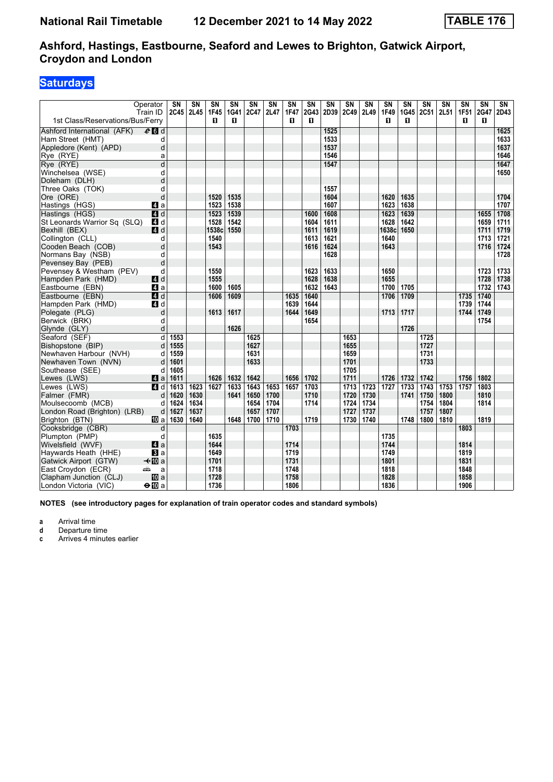### **Saturdays**

|                                               | Operator            | $\overline{\text{SN}}$ | $\overline{\text{SN}}$ | $\overline{\text{SN}}$ | $\overline{\text{SN}}$ | $\overline{\text{SN}}$ | $\overline{\text{SN}}$ | $\overline{\text{SN}}$ | $\overline{\text{SN}}$ | $\overline{\text{SN}}$ | $\overline{\text{SN}}$ | $\overline{\text{SN}}$ | $\overline{\text{SN}}$ | $\overline{\text{SN}}$ | $\overline{\text{SN}}$ | $\overline{\text{SN}}$ | $\overline{\text{SN}}$ | $\overline{\text{SN}}$ | $\overline{\text{SN}}$ |
|-----------------------------------------------|---------------------|------------------------|------------------------|------------------------|------------------------|------------------------|------------------------|------------------------|------------------------|------------------------|------------------------|------------------------|------------------------|------------------------|------------------------|------------------------|------------------------|------------------------|------------------------|
| 1st Class/Reservations/Bus/Ferry              | Train ID            | 2C45                   | 2L45                   | <b>1F45</b><br>п       | 1G41<br>п              | 2C47                   | 2L47                   | <b>1F47</b><br>п       | 2G43<br>п              | 2D39                   | 2C49                   | 2L49                   | 1F49<br>п              | 1G45<br>п              | 2C51                   | 2L51                   | 1F51<br>п              | 2G47<br>О              | 2D43                   |
| Ashford International (AFK)                   | $e$ d               |                        |                        |                        |                        |                        |                        |                        |                        | 1525                   |                        |                        |                        |                        |                        |                        |                        |                        | 1625                   |
| Ham Street (HMT)                              | d                   |                        |                        |                        |                        |                        |                        |                        |                        | 1533                   |                        |                        |                        |                        |                        |                        |                        |                        | 1633                   |
| Appledore (Kent) (APD)                        | d                   |                        |                        |                        |                        |                        |                        |                        |                        | 1537                   |                        |                        |                        |                        |                        |                        |                        |                        | 1637                   |
| Rye (RYE)                                     | a                   |                        |                        |                        |                        |                        |                        |                        |                        | 1546                   |                        |                        |                        |                        |                        |                        |                        |                        | 1646                   |
| Rye (RYE)                                     | d                   |                        |                        |                        |                        |                        |                        |                        |                        | 1547                   |                        |                        |                        |                        |                        |                        |                        |                        | 1647                   |
| Winchelsea (WSE)                              | d                   |                        |                        |                        |                        |                        |                        |                        |                        |                        |                        |                        |                        |                        |                        |                        |                        |                        | 1650                   |
| Doleham (DLH)                                 | d                   |                        |                        |                        |                        |                        |                        |                        |                        |                        |                        |                        |                        |                        |                        |                        |                        |                        |                        |
| Three Oaks (TOK)                              | d                   |                        |                        |                        |                        |                        |                        |                        |                        | 1557                   |                        |                        |                        |                        |                        |                        |                        |                        |                        |
| Ore (ORE)                                     | d                   |                        |                        | 1520                   | 1535                   |                        |                        |                        |                        | 1604                   |                        |                        | 1620                   | 1635                   |                        |                        |                        |                        | 1704                   |
| Hastings (HGS)                                | ZI a                |                        |                        | 1523                   | 1538                   |                        |                        |                        |                        | 1607                   |                        |                        | 1623                   | 1638                   |                        |                        |                        |                        | 1707                   |
| Hastings (HGS)                                | $A$ <sub>d</sub>    |                        |                        | 1523                   | 1539                   |                        |                        |                        | 1600                   | 1608                   |                        |                        | 1623                   | 1639                   |                        |                        |                        | 1655                   | 1708                   |
| St Leonards Warrior Sq (SLQ)                  | 4 d                 |                        |                        | 1528                   | 1542                   |                        |                        |                        | 1604                   | 1611                   |                        |                        | 1628                   | 1642                   |                        |                        |                        | 1659                   | 1711                   |
| Bexhill (BEX)                                 | 4d                  |                        |                        | 1538c                  | 1550                   |                        |                        |                        | 1611                   | 1619                   |                        |                        | 1638c                  | 1650                   |                        |                        |                        | 1711                   | 1719                   |
| Collington (CLL)                              | d                   |                        |                        | 1540                   |                        |                        |                        |                        | 1613                   | 1621                   |                        |                        | 1640                   |                        |                        |                        |                        | 1713                   | 1721                   |
| Cooden Beach (COB)                            | d                   |                        |                        | 1543                   |                        |                        |                        |                        | 1616                   | 1624                   |                        |                        | 1643                   |                        |                        |                        |                        | 1716                   | 1724                   |
| Normans Bay (NSB)                             | d                   |                        |                        |                        |                        |                        |                        |                        |                        | 1628                   |                        |                        |                        |                        |                        |                        |                        |                        | 1728                   |
| Pevensey Bay (PEB)                            | d                   |                        |                        |                        |                        |                        |                        |                        |                        |                        |                        |                        |                        |                        |                        |                        |                        |                        |                        |
| Pevensey & Westham (PEV)                      | d                   |                        |                        | 1550                   |                        |                        |                        |                        | 1623                   | 1633                   |                        |                        | 1650                   |                        |                        |                        |                        | 1723                   | 1733                   |
| Hampden Park (HMD)                            | 4d                  |                        |                        | 1555                   |                        |                        |                        |                        | 1628                   | 1638                   |                        |                        | 1655                   |                        |                        |                        |                        | 1728                   | 1738                   |
| Eastbourne (EBN)                              | ZI a                |                        |                        | 1600                   | 1605                   |                        |                        |                        | 1632                   | 1643                   |                        |                        | 1700                   | 1705                   |                        |                        |                        | 1732                   | 1743                   |
| Eastbourne (EBN)                              | <b>4</b> d          |                        |                        | 1606                   | 1609                   |                        |                        | 1635                   | 1640                   |                        |                        |                        | 1706                   | 1709                   |                        |                        | 1735                   | 1740                   |                        |
| Hampden Park (HMD)                            | 4 d                 |                        |                        |                        |                        |                        |                        | 1639                   | 1644                   |                        |                        |                        |                        |                        |                        |                        | 1739                   | 1744                   |                        |
| Polegate (PLG)                                | d                   |                        |                        | 1613                   | 1617                   |                        |                        | 1644                   | 1649                   |                        |                        |                        | 1713                   | 1717                   |                        |                        | 1744                   | 1749                   |                        |
| Berwick (BRK)                                 | d                   |                        |                        |                        |                        |                        |                        |                        | 1654                   |                        |                        |                        |                        |                        |                        |                        |                        | 1754                   |                        |
| Glynde (GLY)                                  | d<br>$\overline{d}$ |                        |                        |                        | 1626                   | 1625                   |                        |                        |                        |                        |                        |                        |                        | 1726                   | 1725                   |                        |                        |                        |                        |
| Seaford (SEF)                                 |                     | 1553                   |                        |                        |                        | 1627                   |                        |                        |                        |                        | 1653                   |                        |                        |                        | 1727                   |                        |                        |                        |                        |
| Bishopstone (BIP)                             | d<br>d              | 1555<br>1559           |                        |                        |                        | 1631                   |                        |                        |                        |                        | 1655<br>1659           |                        |                        |                        | 1731                   |                        |                        |                        |                        |
| Newhaven Harbour (NVH)<br>Newhaven Town (NVN) | d                   | 1601                   |                        |                        |                        | 1633                   |                        |                        |                        |                        | 1701                   |                        |                        |                        | 1733                   |                        |                        |                        |                        |
| Southease (SEE)                               | d                   | 1605                   |                        |                        |                        |                        |                        |                        |                        |                        | 1705                   |                        |                        |                        |                        |                        |                        |                        |                        |
| Lewes (LWS)                                   | <b>Z</b> a          | 1611                   |                        | 1626                   | 1632                   | 1642                   |                        | 1656                   | 1702                   |                        | 1711                   |                        | 1726                   | 1732                   | 1742                   |                        | 1756                   | 1802                   |                        |
| Lewes (LWS)                                   | <b>4</b> d          | 1613                   | 1623                   | 1627                   | 1633                   | 1643                   | 1653                   | 1657                   | 1703                   |                        | 1713                   | 1723                   | 1727                   | 1733                   | 1743                   | 1753                   | 1757                   | 1803                   |                        |
| Falmer (FMR)                                  | d                   | 1620                   | 1630                   |                        | 1641                   | 1650                   | 1700                   |                        | 1710                   |                        | 1720                   | 1730                   |                        | 1741                   | 1750                   | 1800                   |                        | 1810                   |                        |
| Moulsecoomb (MCB)                             | d                   | 1624                   | 1634                   |                        |                        | 1654                   | 1704                   |                        | 1714                   |                        | 1724                   | 1734                   |                        |                        | 1754                   | 1804                   |                        | 1814                   |                        |
| London Road (Brighton) (LRB)                  | d                   | 1627                   | 1637                   |                        |                        | 1657                   | 1707                   |                        |                        |                        | 1727                   | 1737                   |                        |                        | 1757                   | 1807                   |                        |                        |                        |
| Brighton (BTN)                                | <b>ID</b> a         | 1630                   | 1640                   |                        | 1648                   | 1700                   | 1710                   |                        | 1719                   |                        | 1730                   | 1740                   |                        | 1748                   | 1800                   | 1810                   |                        | 1819                   |                        |
| Cooksbridge (CBR)                             | d                   |                        |                        |                        |                        |                        |                        | 1703                   |                        |                        |                        |                        |                        |                        |                        |                        | 1803                   |                        |                        |
| Plumpton (PMP)                                | d                   |                        |                        | 1635                   |                        |                        |                        |                        |                        |                        |                        |                        | 1735                   |                        |                        |                        |                        |                        |                        |
| Wivelsfield (WVF)                             | ZI a                |                        |                        | 1644                   |                        |                        |                        | 1714                   |                        |                        |                        |                        | 1744                   |                        |                        |                        | 1814                   |                        |                        |
| Haywards Heath (HHE)                          | $\bf{B}$ a          |                        |                        | 1649                   |                        |                        |                        | 1719                   |                        |                        |                        |                        | 1749                   |                        |                        |                        | 1819                   |                        |                        |
| Gatwick Airport (GTW)                         | –⊀illia             |                        |                        | 1701                   |                        |                        |                        | 1731                   |                        |                        |                        |                        | 1801                   |                        |                        |                        | 1831                   |                        |                        |
| East Croydon (ECR)                            | پیشته<br>a          |                        |                        | 1718                   |                        |                        |                        | 1748                   |                        |                        |                        |                        | 1818                   |                        |                        |                        | 1848                   |                        |                        |
| Clapham Junction (CLJ)                        | 吅 a                 |                        |                        | 1728                   |                        |                        |                        | 1758                   |                        |                        |                        |                        | 1828                   |                        |                        |                        | 1858                   |                        |                        |
| London Victoria (VIC)                         | $\bigoplus$ a       |                        |                        | 1736                   |                        |                        |                        | 1806                   |                        |                        |                        |                        | 1836                   |                        |                        |                        | 1906                   |                        |                        |

**NOTES (see introductory pages for explanation of train operator codes and standard symbols)**

**a** Arrival time<br>**d** Departure time

**d** Departure time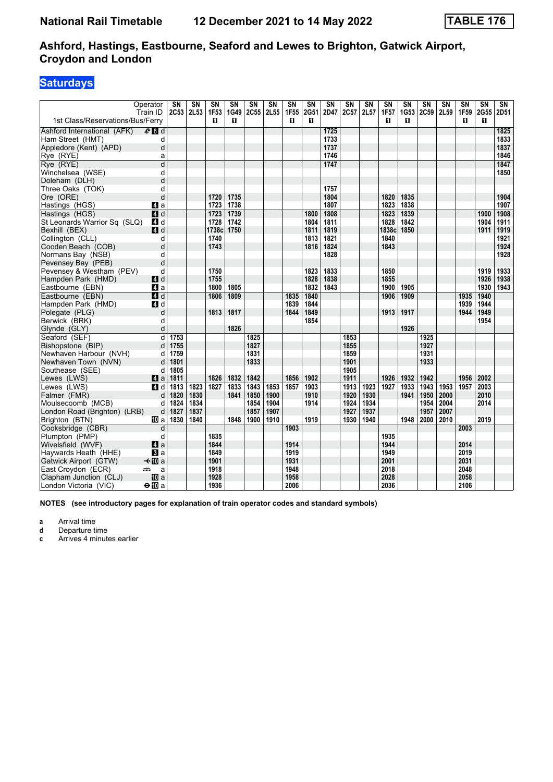### **Saturdays**

| Operator                                     | $\overline{\text{SN}}$ | $\overline{\text{SN}}$ | $\overline{\text{SN}}$ | $\overline{\text{SN}}$ | $\overline{\text{SN}}$ | $\overline{\text{SN}}$ | $\overline{\text{SN}}$ | $\overline{\text{SN}}$ | $\overline{\text{SN}}$ | $\overline{\text{SN}}$ | $\overline{\text{SN}}$ | $\overline{\text{SN}}$ | $\overline{\text{SN}}$ | $\overline{\text{SN}}$ | $\overline{\text{SN}}$ | $\overline{\text{SN}}$ | $\overline{\text{SN}}$ | $\overline{\text{SN}}$ |
|----------------------------------------------|------------------------|------------------------|------------------------|------------------------|------------------------|------------------------|------------------------|------------------------|------------------------|------------------------|------------------------|------------------------|------------------------|------------------------|------------------------|------------------------|------------------------|------------------------|
| Train ID<br>1st Class/Reservations/Bus/Ferry | 2C53                   | 2L53                   | 1F53<br>п              | 1G49<br>0              | 2C55                   | 2L55                   | <b>1F55</b><br>п       | 2G51<br>п              | 2D47                   | 2C57                   | 2L57                   | <b>1F57</b><br>п       | 1G53<br>п              | 2C59                   | 2L59                   | 1F59<br>п              | 2G55<br>п              | 2D51                   |
| $e$ $d$<br>Ashford International (AFK)       |                        |                        |                        |                        |                        |                        |                        |                        | 1725                   |                        |                        |                        |                        |                        |                        |                        |                        | 1825                   |
| Ham Street (HMT)<br>d                        |                        |                        |                        |                        |                        |                        |                        |                        | 1733                   |                        |                        |                        |                        |                        |                        |                        |                        | 1833                   |
| d<br>Appledore (Kent) (APD)                  |                        |                        |                        |                        |                        |                        |                        |                        | 1737                   |                        |                        |                        |                        |                        |                        |                        |                        | 1837                   |
| Rye (RYE)<br>a                               |                        |                        |                        |                        |                        |                        |                        |                        | 1746                   |                        |                        |                        |                        |                        |                        |                        |                        | 1846                   |
| Rye (RYE)<br>d                               |                        |                        |                        |                        |                        |                        |                        |                        | 1747                   |                        |                        |                        |                        |                        |                        |                        |                        | 1847                   |
| Winchelsea (WSE)<br>d                        |                        |                        |                        |                        |                        |                        |                        |                        |                        |                        |                        |                        |                        |                        |                        |                        |                        | 1850                   |
| d<br>Doleham (DLH)                           |                        |                        |                        |                        |                        |                        |                        |                        |                        |                        |                        |                        |                        |                        |                        |                        |                        |                        |
| Three Oaks (TOK)<br>d                        |                        |                        |                        |                        |                        |                        |                        |                        | 1757                   |                        |                        |                        |                        |                        |                        |                        |                        |                        |
| d<br>Ore (ORE)                               |                        |                        | 1720                   | 1735                   |                        |                        |                        |                        | 1804                   |                        |                        | 1820                   | 1835                   |                        |                        |                        |                        | 1904                   |
| Hastings (HGS)<br>Z1 a                       |                        |                        | 1723                   | 1738                   |                        |                        |                        |                        | 1807                   |                        |                        | 1823                   | 1838                   |                        |                        |                        |                        | 1907                   |
| $A$ <sub>d</sub><br>Hastings (HGS)           |                        |                        | 1723                   | 1739                   |                        |                        |                        | 1800                   | 1808                   |                        |                        | 1823                   | 1839                   |                        |                        |                        | 1900                   | 1908                   |
| St Leonards Warrior Sq (SLQ)<br><b>4</b> d   |                        |                        | 1728                   | 1742                   |                        |                        |                        | 1804                   | 1811                   |                        |                        | 1828                   | 1842                   |                        |                        |                        | 1904                   | 1911                   |
| Bexhill (BEX)<br>ZI d                        |                        |                        | 1738c                  | 1750                   |                        |                        |                        | 1811                   | 1819                   |                        |                        | 1838c                  | 1850                   |                        |                        |                        | 1911                   | 1919                   |
| Collington (CLL)<br>d                        |                        |                        | 1740                   |                        |                        |                        |                        | 1813                   | 1821                   |                        |                        | 1840                   |                        |                        |                        |                        |                        | 1921                   |
| Cooden Beach (COB)<br>d                      |                        |                        | 1743                   |                        |                        |                        |                        | 1816                   | 1824                   |                        |                        | 1843                   |                        |                        |                        |                        |                        | 1924                   |
| Normans Bay (NSB)<br>d                       |                        |                        |                        |                        |                        |                        |                        |                        | 1828                   |                        |                        |                        |                        |                        |                        |                        |                        | 1928                   |
| d<br>Pevensey Bay (PEB)                      |                        |                        |                        |                        |                        |                        |                        |                        |                        |                        |                        |                        |                        |                        |                        |                        |                        |                        |
| Pevensey & Westham (PEV)<br>d                |                        |                        | 1750                   |                        |                        |                        |                        | 1823                   | 1833                   |                        |                        | 1850                   |                        |                        |                        |                        | 1919                   | 1933                   |
| Hampden Park (HMD)<br>4 d                    |                        |                        | 1755                   |                        |                        |                        |                        | 1828                   | 1838                   |                        |                        | 1855                   |                        |                        |                        |                        | 1926                   | 1938                   |
| Eastbourne (EBN)<br>ZI a                     |                        |                        | 1800                   | 1805                   |                        |                        |                        | 1832                   | 1843                   |                        |                        | 1900                   | 1905                   |                        |                        |                        | 1930                   | 1943                   |
| Eastbourne (EBN)<br>$\blacksquare$ d         |                        |                        | 1806                   | 1809                   |                        |                        | 1835                   | 1840                   |                        |                        |                        | 1906                   | 1909                   |                        |                        | 1935                   | 1940                   |                        |
| Hampden Park (HMD)<br>ZI d                   |                        |                        |                        |                        |                        |                        | 1839                   | 1844                   |                        |                        |                        |                        |                        |                        |                        | 1939                   | 1944                   |                        |
| Polegate (PLG)<br>d                          |                        |                        | 1813                   | 1817                   |                        |                        | 1844                   | 1849                   |                        |                        |                        | 1913                   | 1917                   |                        |                        | 1944                   | 1949                   |                        |
| Berwick (BRK)<br>d                           |                        |                        |                        |                        |                        |                        |                        | 1854                   |                        |                        |                        |                        |                        |                        |                        |                        | 1954                   |                        |
| d<br>Glynde (GLY)                            |                        |                        |                        | 1826                   |                        |                        |                        |                        |                        |                        |                        |                        | 1926                   |                        |                        |                        |                        |                        |
| d<br>Seaford (SEF)                           | 1753                   |                        |                        |                        | 1825                   |                        |                        |                        |                        | 1853                   |                        |                        |                        | 1925                   |                        |                        |                        |                        |
| Bishopstone (BIP)<br>d                       | 1755                   |                        |                        |                        | 1827                   |                        |                        |                        |                        | 1855                   |                        |                        |                        | 1927                   |                        |                        |                        |                        |
| Newhaven Harbour (NVH)<br>d                  | 1759                   |                        |                        |                        | 1831                   |                        |                        |                        |                        | 1859                   |                        |                        |                        | 1931                   |                        |                        |                        |                        |
| Newhaven Town (NVN)<br>d                     | 1801                   |                        |                        |                        | 1833                   |                        |                        |                        |                        | 1901                   |                        |                        |                        | 1933                   |                        |                        |                        |                        |
| Southease (SEE)<br>d                         | 1805                   |                        |                        |                        |                        |                        |                        |                        |                        | 1905                   |                        |                        |                        |                        |                        |                        |                        |                        |
| Lewes (LWS)<br>ZI a                          | 1811                   |                        | 1826                   | 1832                   | 1842                   |                        | 1856                   | 1902                   |                        | 1911                   |                        | 1926                   | 1932                   | 1942                   |                        | 1956                   | 2002                   |                        |
| Lewes (LWS)<br><b>4</b> d                    | 1813                   | 1823                   | 1827                   | 1833                   | 1843                   | 1853                   | 1857                   | 1903                   |                        | 1913                   | 1923                   | 1927                   | 1933                   | 1943                   | 1953                   | 1957                   | 2003                   |                        |
| Falmer (FMR)<br>d                            | 1820                   | 1830                   |                        | 1841                   | 1850                   | 1900                   |                        | 1910                   |                        | 1920                   | 1930                   |                        | 1941                   | 1950                   | 2000                   |                        | 2010                   |                        |
| Moulsecoomb (MCB)<br>d                       | 1824                   | 1834                   |                        |                        | 1854                   | 1904                   |                        | 1914                   |                        | 1924                   | 1934                   |                        |                        | 1954                   | 2004                   |                        | 2014                   |                        |
| d<br>London Road (Brighton) (LRB)            | 1827                   | 1837                   |                        |                        | 1857                   | 1907                   |                        |                        |                        | 1927                   | 1937                   |                        |                        | 1957                   | 2007                   |                        |                        |                        |
| Brighton (BTN)<br><b>ID</b> a                | 1830                   | 1840                   |                        | 1848                   | 1900                   | 1910                   |                        | 1919                   |                        | 1930                   | 1940                   |                        | 1948                   | 2000                   | 2010                   |                        | 2019                   |                        |
| Cooksbridge (CBR)<br>d                       |                        |                        |                        |                        |                        |                        | 1903                   |                        |                        |                        |                        |                        |                        |                        |                        | 2003                   |                        |                        |
| Plumpton (PMP)<br>d                          |                        |                        | 1835                   |                        |                        |                        |                        |                        |                        |                        |                        | 1935                   |                        |                        |                        |                        |                        |                        |
| 4a<br>Wivelsfield (WVF)                      |                        |                        | 1844                   |                        |                        |                        | 1914                   |                        |                        |                        |                        | 1944                   |                        |                        |                        | 2014                   |                        |                        |
| Haywards Heath (HHE)<br>$\bf{B}$ a           |                        |                        | 1849                   |                        |                        |                        | 1919                   |                        |                        |                        |                        | 1949                   |                        |                        |                        | 2019                   |                        |                        |
| –⊀illia<br>Gatwick Airport (GTW)             |                        |                        | 1901                   |                        |                        |                        | 1931                   |                        |                        |                        |                        | 2001                   |                        |                        |                        | 2031                   |                        |                        |
| East Croydon (ECR)<br>پیشته<br>a             |                        |                        | 1918                   |                        |                        |                        | 1948                   |                        |                        |                        |                        | 2018                   |                        |                        |                        | 2048                   |                        |                        |
| <b>ID</b> a<br>Clapham Junction (CLJ)        |                        |                        | 1928                   |                        |                        |                        | 1958                   |                        |                        |                        |                        | 2028                   |                        |                        |                        | 2058                   |                        |                        |
| London Victoria (VIC)<br>$\bigoplus$ a       |                        |                        | 1936                   |                        |                        |                        | 2006                   |                        |                        |                        |                        | 2036                   |                        |                        |                        | 2106                   |                        |                        |

**NOTES (see introductory pages for explanation of train operator codes and standard symbols)**

**a** Arrival time<br>**d** Departure time

**d** Departure time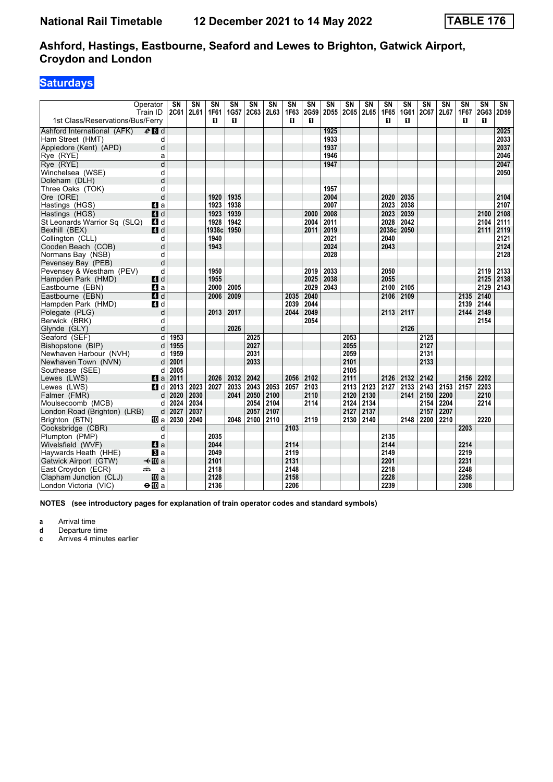### **Saturdays**

|                                  | Operator<br>Train ID | SN<br><b>2C61</b> | $\overline{\text{SN}}$<br>2L61 | $\overline{\text{SN}}$<br><b>1F61</b> | $\overline{\text{SN}}$<br>1G57 | $\overline{\text{SN}}$<br><b>2C63</b> | $\overline{\text{SN}}$<br>2L63 | $\overline{\text{SN}}$<br>1F63 | $\overline{\text{SN}}$<br>2G59 | $\overline{\text{SN}}$<br>2D55 | $\overline{\text{SN}}$<br><b>2C65</b> | $\overline{\text{SN}}$<br>2L65 | $\overline{\text{SN}}$<br>1F65 | $\overline{\text{SN}}$<br>1G61 | $\overline{\text{SN}}$<br>2C67 | $\overline{\text{SN}}$<br>2L67 | $\overline{\text{SN}}$<br>1F67 | $\overline{\text{SN}}$<br>2G63 | $\overline{\text{SN}}$<br>2D59 |
|----------------------------------|----------------------|-------------------|--------------------------------|---------------------------------------|--------------------------------|---------------------------------------|--------------------------------|--------------------------------|--------------------------------|--------------------------------|---------------------------------------|--------------------------------|--------------------------------|--------------------------------|--------------------------------|--------------------------------|--------------------------------|--------------------------------|--------------------------------|
| 1st Class/Reservations/Bus/Ferry |                      |                   |                                | п                                     | п                              |                                       |                                | п                              | п                              |                                |                                       |                                | п                              | п                              |                                |                                | п                              | п                              |                                |
| Ashford International (AFK)      | $e$ d d              |                   |                                |                                       |                                |                                       |                                |                                |                                | 1925                           |                                       |                                |                                |                                |                                |                                |                                |                                | 2025                           |
| Ham Street (HMT)                 | d                    |                   |                                |                                       |                                |                                       |                                |                                |                                | 1933                           |                                       |                                |                                |                                |                                |                                |                                |                                | 2033                           |
| Appledore (Kent) (APD)           | d                    |                   |                                |                                       |                                |                                       |                                |                                |                                | 1937                           |                                       |                                |                                |                                |                                |                                |                                |                                | 2037                           |
| Rye (RYE)                        | a                    |                   |                                |                                       |                                |                                       |                                |                                |                                | 1946                           |                                       |                                |                                |                                |                                |                                |                                |                                | 2046                           |
| Rye (RYE)                        | d                    |                   |                                |                                       |                                |                                       |                                |                                |                                | 1947                           |                                       |                                |                                |                                |                                |                                |                                |                                | 2047                           |
| Winchelsea (WSE)                 | d                    |                   |                                |                                       |                                |                                       |                                |                                |                                |                                |                                       |                                |                                |                                |                                |                                |                                |                                | 2050                           |
| Doleham (DLH)                    | d                    |                   |                                |                                       |                                |                                       |                                |                                |                                |                                |                                       |                                |                                |                                |                                |                                |                                |                                |                                |
| Three Oaks (TOK)                 | d                    |                   |                                |                                       |                                |                                       |                                |                                |                                | 1957                           |                                       |                                |                                |                                |                                |                                |                                |                                |                                |
| Ore (ORE)                        | d                    |                   |                                | 1920                                  | 1935                           |                                       |                                |                                |                                | 2004                           |                                       |                                | 2020                           | 2035                           |                                |                                |                                |                                | 2104                           |
| Hastings (HGS)                   | 4 a                  |                   |                                | 1923                                  | 1938                           |                                       |                                |                                |                                | 2007                           |                                       |                                | 2023                           | 2038                           |                                |                                |                                |                                | 2107                           |
| Hastings (HGS)                   | $\overline{4}$ d     |                   |                                | 1923                                  | 1939                           |                                       |                                |                                | 2000                           | 2008                           |                                       |                                | 2023                           | 2039                           |                                |                                |                                | 2100                           | 2108                           |
| St Leonards Warrior Sq (SLQ)     | 4 d                  |                   |                                | 1928                                  | 1942                           |                                       |                                |                                | 2004                           | 2011                           |                                       |                                | 2028                           | 2042                           |                                |                                |                                | 2104                           | 2111                           |
| Bexhill (BEX)                    | <b>4</b> d           |                   |                                | 1938c                                 | 1950                           |                                       |                                |                                | 2011                           | 2019                           |                                       |                                | 2038c                          | 2050                           |                                |                                |                                | 2111                           | 2119                           |
| Collington (CLL)                 | d                    |                   |                                | 1940                                  |                                |                                       |                                |                                |                                | 2021                           |                                       |                                | 2040                           |                                |                                |                                |                                |                                | 2121                           |
| Cooden Beach (COB)               | d                    |                   |                                | 1943                                  |                                |                                       |                                |                                |                                | 2024                           |                                       |                                | 2043                           |                                |                                |                                |                                |                                | 2124                           |
| Normans Bay (NSB)                | d                    |                   |                                |                                       |                                |                                       |                                |                                |                                | 2028                           |                                       |                                |                                |                                |                                |                                |                                |                                | 2128                           |
| Pevensey Bay (PEB)               | d                    |                   |                                |                                       |                                |                                       |                                |                                |                                |                                |                                       |                                |                                |                                |                                |                                |                                |                                |                                |
| Pevensey & Westham (PEV)         | d                    |                   |                                | 1950                                  |                                |                                       |                                |                                | 2019                           | 2033                           |                                       |                                | 2050                           |                                |                                |                                |                                | 2119                           | 2133                           |
| Hampden Park (HMD)               | 4 d                  |                   |                                | 1955                                  |                                |                                       |                                |                                | 2025                           | 2038                           |                                       |                                | 2055                           |                                |                                |                                |                                | 2125                           | 2138                           |
| Eastbourne (EBN)                 | ZI a                 |                   |                                | 2000                                  | 2005                           |                                       |                                |                                | 2029                           | 2043                           |                                       |                                | 2100                           | 2105                           |                                |                                |                                | 2129                           | 2143                           |
| Eastbourne (EBN)                 | 4d                   |                   |                                | 2006                                  | 2009                           |                                       |                                | 2035                           | 2040                           |                                |                                       |                                | 2106                           | 2109                           |                                |                                | 2135                           | 2140                           |                                |
| Hampden Park (HMD)               | ZI d                 |                   |                                |                                       |                                |                                       |                                | 2039                           | 2044                           |                                |                                       |                                |                                |                                |                                |                                | 2139                           | 2144                           |                                |
| Polegate (PLG)                   | d                    |                   |                                | 2013                                  | 2017                           |                                       |                                | 2044                           | 2049                           |                                |                                       |                                | 2113                           | 2117                           |                                |                                | 2144                           | 2149                           |                                |
| Berwick (BRK)                    | d                    |                   |                                |                                       |                                |                                       |                                |                                | 2054                           |                                |                                       |                                |                                |                                |                                |                                |                                | 2154                           |                                |
| Glynde (GLY)                     | d                    |                   |                                |                                       | 2026                           |                                       |                                |                                |                                |                                |                                       |                                |                                | 2126                           |                                |                                |                                |                                |                                |
| Seaford (SEF)                    | $\overline{d}$       | 1953              |                                |                                       |                                | 2025                                  |                                |                                |                                |                                | 2053                                  |                                |                                |                                | 2125                           |                                |                                |                                |                                |
| Bishopstone (BIP)                | d                    | 1955              |                                |                                       |                                | 2027                                  |                                |                                |                                |                                | 2055                                  |                                |                                |                                | 2127                           |                                |                                |                                |                                |
| Newhaven Harbour (NVH)           | d                    | 1959              |                                |                                       |                                | 2031                                  |                                |                                |                                |                                | 2059                                  |                                |                                |                                | 2131                           |                                |                                |                                |                                |
| Newhaven Town (NVN)              | d                    | 2001              |                                |                                       |                                | 2033                                  |                                |                                |                                |                                | 2101                                  |                                |                                |                                | 2133                           |                                |                                |                                |                                |
| Southease (SEE)                  | d                    | 2005              |                                |                                       |                                |                                       |                                |                                |                                |                                | 2105                                  |                                |                                |                                |                                |                                |                                |                                |                                |
| Lewes (LWS)                      | <b>Z</b> a           | 2011              |                                | 2026                                  | 2032                           | 2042                                  |                                | 2056                           | 2102                           |                                | 2111                                  |                                | 2126                           | 2132                           | 2142                           |                                | 2156                           | 2202                           |                                |
| Lewes (LWS)                      | <b>4</b> d           | 2013              | 2023                           | 2027                                  | 2033                           | 2043                                  | 2053                           | 2057                           | 2103                           |                                | 2113                                  | 2123                           | 2127                           | 2133                           | 2143                           | 2153                           | 2157                           | 2203                           |                                |
| Falmer (FMR)                     | d                    | 2020              | 2030                           |                                       | 2041                           | 2050                                  | 2100                           |                                | 2110                           |                                | 2120                                  | 2130                           |                                | 2141                           | 2150                           | 2200                           |                                | 2210                           |                                |
| Moulsecoomb (MCB)                | d                    | 2024              | 2034                           |                                       |                                | 2054                                  | 2104                           |                                | 2114                           |                                | 2124                                  | 2134                           |                                |                                | 2154                           | 2204                           |                                | 2214                           |                                |
| London Road (Brighton) (LRB)     | d                    | 2027              | 2037                           |                                       |                                | 2057                                  | 2107                           |                                |                                |                                | 2127                                  | 2137                           |                                |                                | 2157                           | 2207                           |                                |                                |                                |
| Brighton (BTN)                   | <b>TD</b> a          | 2030              | 2040                           |                                       | 2048                           | 2100                                  | 2110                           |                                | 2119                           |                                | 2130                                  | 2140                           |                                | 2148                           | 2200                           | 2210                           |                                | 2220                           |                                |
| Cooksbridge (CBR)                | d                    |                   |                                |                                       |                                |                                       |                                | 2103                           |                                |                                |                                       |                                |                                |                                |                                |                                | 2203                           |                                |                                |
| Plumpton (PMP)                   | d                    |                   |                                | 2035                                  |                                |                                       |                                |                                |                                |                                |                                       |                                | 2135                           |                                |                                |                                |                                |                                |                                |
| Wivelsfield (WVF)                | 4a                   |                   |                                | 2044                                  |                                |                                       |                                | 2114                           |                                |                                |                                       |                                | 2144                           |                                |                                |                                | 2214                           |                                |                                |
| Haywards Heath (HHE)             | $\bf{B}$ a           |                   |                                | 2049                                  |                                |                                       |                                | 2119                           |                                |                                |                                       |                                | 2149                           |                                |                                |                                | 2219                           |                                |                                |
| Gatwick Airport (GTW)            | $\triangleleft$ M a  |                   |                                | 2101                                  |                                |                                       |                                | 2131                           |                                |                                |                                       |                                | 2201                           |                                |                                |                                | 2231                           |                                |                                |
| East Croydon (ECR)               | پیشته<br>a           |                   |                                | 2118                                  |                                |                                       |                                | 2148                           |                                |                                |                                       |                                | 2218                           |                                |                                |                                | 2248                           |                                |                                |
| Clapham Junction (CLJ)           | 吅 a                  |                   |                                | 2128                                  |                                |                                       |                                | 2158                           |                                |                                |                                       |                                | 2228                           |                                |                                |                                | 2258                           |                                |                                |
| London Victoria (VIC)            | $\Theta$ III a       |                   |                                | 2136                                  |                                |                                       |                                | 2206                           |                                |                                |                                       |                                | 2239                           |                                |                                |                                | 2308                           |                                |                                |

**NOTES (see introductory pages for explanation of train operator codes and standard symbols)**

**a** Arrival time<br>**d** Departure time

**d** Departure time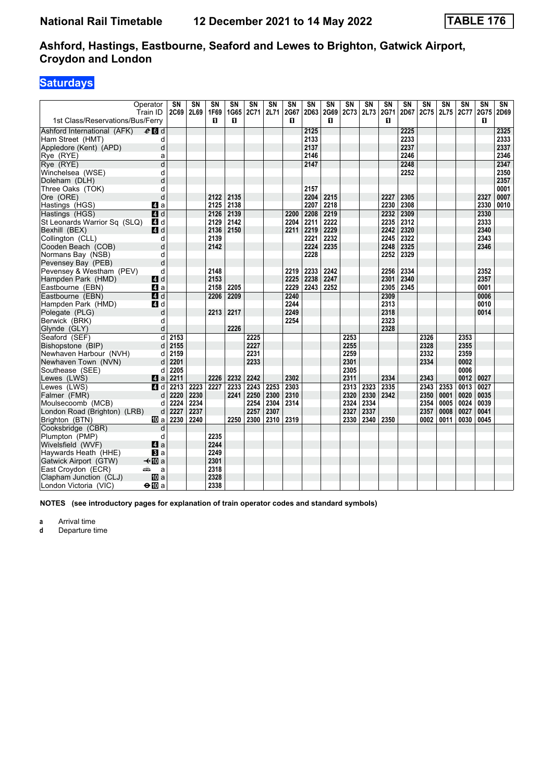### **Saturdays**

|                                  | Operator<br>Train ID | $\overline{\text{SN}}$<br>2C69 | $\overline{\text{SN}}$<br>2L69 | $\overline{\text{SN}}$<br>1F69 | <b>SN</b><br>1G65 | SN<br>2C71 | $\overline{\text{SN}}$<br>2L71 | $\overline{\text{SN}}$<br>2G67 | $\overline{\text{SN}}$<br>2D63 | $\overline{\text{SN}}$<br>2G69 | $\overline{\text{SN}}$<br>2C73 | $\overline{\text{SN}}$<br>2L73 | $\overline{\text{SN}}$<br>2G71 | $\overline{\text{SN}}$<br>2D67 | $\overline{\text{SN}}$<br>2C75 | $\overline{\text{SN}}$<br>2L75 | $\overline{\text{SN}}$<br><b>2C77</b> | $\overline{\text{SN}}$<br>2G75 | $\overline{\text{SN}}$<br>2D69 |
|----------------------------------|----------------------|--------------------------------|--------------------------------|--------------------------------|-------------------|------------|--------------------------------|--------------------------------|--------------------------------|--------------------------------|--------------------------------|--------------------------------|--------------------------------|--------------------------------|--------------------------------|--------------------------------|---------------------------------------|--------------------------------|--------------------------------|
| 1st Class/Reservations/Bus/Ferry |                      |                                |                                | п                              | п                 |            |                                | п                              |                                | п                              |                                |                                | п                              |                                |                                |                                |                                       | п                              |                                |
| Ashford International (AFK)      | $e$ d d              |                                |                                |                                |                   |            |                                |                                | 2125                           |                                |                                |                                |                                | 2225                           |                                |                                |                                       |                                | 2325                           |
| Ham Street (HMT)                 | d                    |                                |                                |                                |                   |            |                                |                                | 2133                           |                                |                                |                                |                                | 2233                           |                                |                                |                                       |                                | 2333                           |
| Appledore (Kent) (APD)           | d                    |                                |                                |                                |                   |            |                                |                                | 2137                           |                                |                                |                                |                                | 2237                           |                                |                                |                                       |                                | 2337                           |
| Rye (RYE)                        | a                    |                                |                                |                                |                   |            |                                |                                | 2146                           |                                |                                |                                |                                | 2246                           |                                |                                |                                       |                                | 2346                           |
| Rye (RYE)                        | $\overline{d}$       |                                |                                |                                |                   |            |                                |                                | 2147                           |                                |                                |                                |                                | 2248                           |                                |                                |                                       |                                | 2347                           |
| Winchelsea (WSE)                 | d                    |                                |                                |                                |                   |            |                                |                                |                                |                                |                                |                                |                                | 2252                           |                                |                                |                                       |                                | 2350                           |
| Doleham (DLH)                    | d                    |                                |                                |                                |                   |            |                                |                                |                                |                                |                                |                                |                                |                                |                                |                                |                                       |                                | 2357                           |
| Three Oaks (TOK)                 | d                    |                                |                                |                                |                   |            |                                |                                | 2157                           |                                |                                |                                |                                |                                |                                |                                |                                       |                                | 0001                           |
| Ore (ORE)                        | d                    |                                |                                | 2122                           | 2135              |            |                                |                                | 2204                           | 2215                           |                                |                                | 2227                           | 2305                           |                                |                                |                                       | 2327                           | 0007                           |
| Hastings (HGS)                   | Z a                  |                                |                                | 2125                           | 2138              |            |                                |                                | 2207                           | 2218                           |                                |                                | 2230                           | 2308                           |                                |                                |                                       | 2330                           | 0010                           |
| Hastings (HGS)                   | $\blacksquare$ d     |                                |                                | 2126                           | 2139              |            |                                | 2200                           | 2208                           | 2219                           |                                |                                | 2232                           | 2309                           |                                |                                |                                       | 2330                           |                                |
| St Leonards Warrior Sq (SLQ)     | 4 d                  |                                |                                | 2129                           | 2142              |            |                                | 2204                           | 2211                           | 2222                           |                                |                                | 2235                           | 2312                           |                                |                                |                                       | 2333                           |                                |
| Bexhill (BEX)                    | $A$ d                |                                |                                | 2136                           | 2150              |            |                                | 2211                           | 2219                           | 2229                           |                                |                                | 2242                           | 2320                           |                                |                                |                                       | 2340                           |                                |
| Collington (CLL)                 | d                    |                                |                                | 2139                           |                   |            |                                |                                | 2221                           | 2232                           |                                |                                | 2245                           | 2322                           |                                |                                |                                       | 2343                           |                                |
| Cooden Beach (COB)               | d                    |                                |                                | 2142                           |                   |            |                                |                                | 2224                           | 2235                           |                                |                                | 2248                           | 2325                           |                                |                                |                                       | 2346                           |                                |
| Normans Bay (NSB)                | d                    |                                |                                |                                |                   |            |                                |                                | 2228                           |                                |                                |                                | 2252                           | 2329                           |                                |                                |                                       |                                |                                |
| Pevensey Bay (PEB)               | d                    |                                |                                |                                |                   |            |                                |                                |                                |                                |                                |                                |                                |                                |                                |                                |                                       |                                |                                |
| Pevensey & Westham (PEV)         | d                    |                                |                                | 2148                           |                   |            |                                | 2219                           | 2233                           | 2242                           |                                |                                | 2256                           | 2334                           |                                |                                |                                       | 2352                           |                                |
| Hampden Park (HMD)               | 4d                   |                                |                                | 2153                           |                   |            |                                | 2225                           | 2238                           | 2247                           |                                |                                | 2301                           | 2340                           |                                |                                |                                       | 2357                           |                                |
| Eastbourne (EBN)                 | 4a                   |                                |                                | 2158                           | 2205              |            |                                | 2229                           | 2243                           | 2252                           |                                |                                | 2305                           | 2345                           |                                |                                |                                       | 0001                           |                                |
| Eastbourne (EBN)                 | 4d                   |                                |                                | 2206                           | 2209              |            |                                | 2240                           |                                |                                |                                |                                | 2309                           |                                |                                |                                |                                       | 0006                           |                                |
| Hampden Park (HMD)               | ZI d                 |                                |                                |                                |                   |            |                                | 2244                           |                                |                                |                                |                                | 2313                           |                                |                                |                                |                                       | 0010                           |                                |
| Polegate (PLG)                   | d                    |                                |                                | 2213                           | 2217              |            |                                | 2249                           |                                |                                |                                |                                | 2318                           |                                |                                |                                |                                       | 0014                           |                                |
| Berwick (BRK)                    | d                    |                                |                                |                                |                   |            |                                | 2254                           |                                |                                |                                |                                | 2323                           |                                |                                |                                |                                       |                                |                                |
| Glynde (GLY)                     | d                    |                                |                                |                                | 2226              |            |                                |                                |                                |                                |                                |                                | 2328                           |                                |                                |                                |                                       |                                |                                |
| Seaford (SEF)                    | $\mathsf{d}$         | 2153                           |                                |                                |                   | 2225       |                                |                                |                                |                                | 2253                           |                                |                                |                                | 2326                           |                                | 2353                                  |                                |                                |
| Bishopstone (BIP)                | d                    | 2155                           |                                |                                |                   | 2227       |                                |                                |                                |                                | 2255                           |                                |                                |                                | 2328                           |                                | 2355                                  |                                |                                |
| Newhaven Harbour (NVH)           | d                    | 2159                           |                                |                                |                   | 2231       |                                |                                |                                |                                | 2259                           |                                |                                |                                | 2332                           |                                | 2359                                  |                                |                                |
| Newhaven Town (NVN)              | d                    | 2201                           |                                |                                |                   | 2233       |                                |                                |                                |                                | 2301                           |                                |                                |                                | 2334                           |                                | 0002                                  |                                |                                |
| Southease (SEE)                  | d                    | 2205                           |                                |                                |                   |            |                                |                                |                                |                                | 2305                           |                                |                                |                                |                                |                                | 0006                                  |                                |                                |
| Lewes (LWS)                      | Zi a                 | 2211                           |                                | 2226                           | 2232              | 2242       |                                | 2302                           |                                |                                | 2311                           |                                | 2334                           |                                | 2343                           |                                | 0012                                  | 0027                           |                                |
| Lewes (LWS)                      | 4 d                  | 2213                           | 2223                           | 2227                           | 2233              | 2243       | 2253                           | 2303                           |                                |                                | 2313                           | 2323                           | 2335                           |                                | 2343                           | 2353                           | 0013                                  | 0027                           |                                |
| Falmer (FMR)                     | d                    | 2220                           | 2230                           |                                | 2241              | 2250       | 2300                           | 2310                           |                                |                                | 2320                           | 2330                           | 2342                           |                                | 2350                           | 0001                           | 0020                                  | 0035                           |                                |
| Moulsecoomb (MCB)                | d                    | 2224                           | 2234                           |                                |                   | 2254       | 2304                           | 2314                           |                                |                                | 2324                           | 2334                           |                                |                                | 2354                           | 0005                           | 0024                                  | 0039                           |                                |
| London Road (Brighton) (LRB)     | $\sf d$              | 2227                           | 2237                           |                                |                   | 2257       | 2307                           |                                |                                |                                | 2327                           | 2337                           |                                |                                | 2357                           | 0008                           | 0027                                  | 0041                           |                                |
| Brighton (BTN)                   | <b>TD</b> a          | 2230                           | 2240                           |                                | 2250              | 2300       | 2310                           | 2319                           |                                |                                | 2330                           | 2340                           | 2350                           |                                | 0002                           | 0011                           | 0030                                  | 0045                           |                                |
| Cooksbridge (CBR)                | d                    |                                |                                |                                |                   |            |                                |                                |                                |                                |                                |                                |                                |                                |                                |                                |                                       |                                |                                |
| Plumpton (PMP)                   | d                    |                                |                                | 2235                           |                   |            |                                |                                |                                |                                |                                |                                |                                |                                |                                |                                |                                       |                                |                                |
| Wivelsfield (WVF)                | 4a                   |                                |                                | 2244                           |                   |            |                                |                                |                                |                                |                                |                                |                                |                                |                                |                                |                                       |                                |                                |
| Haywards Heath (HHE)             | $\bf{B}$ a           |                                |                                | 2249                           |                   |            |                                |                                |                                |                                |                                |                                |                                |                                |                                |                                |                                       |                                |                                |
| Gatwick Airport (GTW)            | $\triangleleft$ M a  |                                |                                | 2301                           |                   |            |                                |                                |                                |                                |                                |                                |                                |                                |                                |                                |                                       |                                |                                |
| East Croydon (ECR)               | پیش<br>a             |                                |                                | 2318                           |                   |            |                                |                                |                                |                                |                                |                                |                                |                                |                                |                                |                                       |                                |                                |
| Clapham Junction (CLJ)           | 吅 a                  |                                |                                | 2328                           |                   |            |                                |                                |                                |                                |                                |                                |                                |                                |                                |                                |                                       |                                |                                |
| London Victoria (VIC)            | $\Theta$ III a       |                                |                                | 2338                           |                   |            |                                |                                |                                |                                |                                |                                |                                |                                |                                |                                |                                       |                                |                                |

**NOTES (see introductory pages for explanation of train operator codes and standard symbols)**

**a** Arrival time<br>**d** Departure t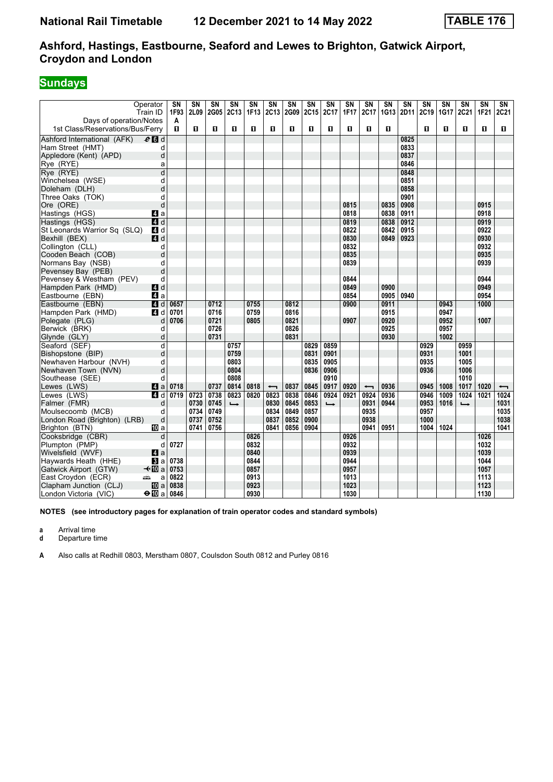### **Sundays**

|                                                             | Operator<br>Train ID             | SN<br>1F93 | $\overline{\text{SN}}$<br>2L09 | $\overline{\text{SN}}$<br>2G05 | <b>SN</b><br>2C13        | SN<br>1F13 | $\overline{\text{SN}}$<br>2C13 | SN<br>2G09 | SN<br><b>2C15</b> | $\overline{\text{SN}}$<br>2C17 | $\overline{\text{SN}}$<br>1F17 | $\overline{\text{SN}}$<br>2C17 | SN<br>1G13 | SN<br>2D11 | $\overline{\text{SN}}$<br>2C19 | SN<br><b>1G17</b> | SN<br>2C21               | $\overline{\text{SN}}$<br>1F <sub>21</sub> | $\overline{\text{SN}}$<br>2C21 |
|-------------------------------------------------------------|----------------------------------|------------|--------------------------------|--------------------------------|--------------------------|------------|--------------------------------|------------|-------------------|--------------------------------|--------------------------------|--------------------------------|------------|------------|--------------------------------|-------------------|--------------------------|--------------------------------------------|--------------------------------|
| Days of operation/Notes<br>1st Class/Reservations/Bus/Ferry |                                  | A<br>O.    | п                              | п                              | O                        | п          | п                              | O          | O                 | п                              | п                              | O                              | п          |            | п                              | п                 | п                        | п                                          | O.                             |
| Ashford International (AFK)                                 | $e$ d d                          |            |                                |                                |                          |            |                                |            |                   |                                |                                |                                |            | 0825       |                                |                   |                          |                                            |                                |
| Ham Street (HMT)                                            | d                                |            |                                |                                |                          |            |                                |            |                   |                                |                                |                                |            | 0833       |                                |                   |                          |                                            |                                |
| Appledore (Kent) (APD)                                      | d                                |            |                                |                                |                          |            |                                |            |                   |                                |                                |                                |            | 0837       |                                |                   |                          |                                            |                                |
| Rye (RYE)                                                   | a                                |            |                                |                                |                          |            |                                |            |                   |                                |                                |                                |            | 0846       |                                |                   |                          |                                            |                                |
| Rye (RYE)                                                   | $\overline{d}$                   |            |                                |                                |                          |            |                                |            |                   |                                |                                |                                |            | 0848       |                                |                   |                          |                                            |                                |
| Winchelsea (WSE)                                            | d                                |            |                                |                                |                          |            |                                |            |                   |                                |                                |                                |            | 0851       |                                |                   |                          |                                            |                                |
| Doleham (DLH)                                               | d                                |            |                                |                                |                          |            |                                |            |                   |                                |                                |                                |            | 0858       |                                |                   |                          |                                            |                                |
| Three Oaks (TOK)                                            | d                                |            |                                |                                |                          |            |                                |            |                   |                                |                                |                                |            | 0901       |                                |                   |                          |                                            |                                |
| Ore (ORE)                                                   | d                                |            |                                |                                |                          |            |                                |            |                   |                                | 0815                           |                                | 0835       | 0908       |                                |                   |                          | 0915                                       |                                |
| Hastings (HGS)                                              | ZI a                             |            |                                |                                |                          |            |                                |            |                   |                                | 0818                           |                                | 0838       | 0911       |                                |                   |                          | 0918                                       |                                |
| Hastings (HGS)                                              | $\overline{a}$ d                 |            |                                |                                |                          |            |                                |            |                   |                                | 0819                           |                                | 0838       | 0912       |                                |                   |                          | 0919                                       |                                |
| St Leonards Warrior Sq (SLQ)                                | ZI d                             |            |                                |                                |                          |            |                                |            |                   |                                | 0822                           |                                | 0842       | 0915       |                                |                   |                          | 0922                                       |                                |
| Bexhill (BEX)                                               | ZI d                             |            |                                |                                |                          |            |                                |            |                   |                                | 0830                           |                                | 0849       | 0923       |                                |                   |                          | 0930                                       |                                |
| Collington (CLL)                                            | d                                |            |                                |                                |                          |            |                                |            |                   |                                | 0832                           |                                |            |            |                                |                   |                          | 0932                                       |                                |
| Cooden Beach (COB)                                          | d                                |            |                                |                                |                          |            |                                |            |                   |                                | 0835                           |                                |            |            |                                |                   |                          | 0935                                       |                                |
| Normans Bay (NSB)                                           | d                                |            |                                |                                |                          |            |                                |            |                   |                                | 0839                           |                                |            |            |                                |                   |                          | 0939                                       |                                |
| Pevensey Bay (PEB)                                          | d                                |            |                                |                                |                          |            |                                |            |                   |                                |                                |                                |            |            |                                |                   |                          |                                            |                                |
| Pevensey & Westham (PEV)                                    | d                                |            |                                |                                |                          |            |                                |            |                   |                                | 0844                           |                                |            |            |                                |                   |                          | 0944                                       |                                |
| Hampden Park (HMD)                                          | 4d                               |            |                                |                                |                          |            |                                |            |                   |                                | 0849                           |                                | 0900       |            |                                |                   |                          | 0949                                       |                                |
| Eastbourne (EBN)                                            | ZI a                             |            |                                |                                |                          |            |                                |            |                   |                                | 0854                           |                                | 0905       | 0940       |                                |                   |                          | 0954                                       |                                |
| Eastbourne (EBN)                                            | $\overline{A}$ d                 | 0657       |                                | 0712                           |                          | 0755       |                                | 0812       |                   |                                | 0900                           |                                | 0911       |            |                                | 0943              |                          | 1000                                       |                                |
| Hampden Park (HMD)                                          | 4 d                              | 0701       |                                | 0716                           |                          | 0759       |                                | 0816       |                   |                                |                                |                                | 0915       |            |                                | 0947              |                          |                                            |                                |
| Polegate (PLG)                                              | d                                | 0706       |                                | 0721                           |                          | 0805       |                                | 0821       |                   |                                | 0907                           |                                | 0920       |            |                                | 0952              |                          | 1007                                       |                                |
| Berwick (BRK)                                               | d                                |            |                                | 0726                           |                          |            |                                | 0826       |                   |                                |                                |                                | 0925       |            |                                | 0957              |                          |                                            |                                |
| Glynde (GLY)                                                | d                                |            |                                | 0731                           |                          |            |                                | 0831       |                   |                                |                                |                                | 0930       |            |                                | 1002              |                          |                                            |                                |
| Seaford (SEF)                                               | d                                |            |                                |                                | 0757                     |            |                                |            | 0829              | 0859                           |                                |                                |            |            | 0929                           |                   | 0959                     |                                            |                                |
| Bishopstone (BIP)                                           | d                                |            |                                |                                | 0759                     |            |                                |            | 0831              | 0901                           |                                |                                |            |            | 0931                           |                   | 1001                     |                                            |                                |
| Newhaven Harbour (NVH)                                      | d                                |            |                                |                                | 0803                     |            |                                |            | 0835              | 0905                           |                                |                                |            |            | 0935                           |                   | 1005                     |                                            |                                |
| Newhaven Town (NVN)                                         | d                                |            |                                |                                | 0804                     |            |                                |            | 0836              | 0906                           |                                |                                |            |            | 0936                           |                   | 1006                     |                                            |                                |
| Southease (SEE)                                             | d                                |            |                                |                                | 0808                     |            |                                |            |                   | 0910                           |                                |                                |            |            |                                |                   | 1010                     |                                            |                                |
| Lewes (LWS)                                                 | 4a                               | 0718       |                                | 0737                           | 0814                     | 0818       | $\overline{\phantom{0}}$       | 0837       | 0845              | 0917                           | 0920                           | $\overline{\phantom{0}}$       | 0936       |            | 0945                           | 1008              | 1017                     | 1020                                       | $\overline{\phantom{0}}$       |
| Lewes (LWS)                                                 | $\overline{a}$ d                 | 0719       | 0723                           | 0738                           | 0823                     | 0820       | 0823                           | 0838       | 0846              | 0924                           | 0921                           | 0924                           | 0936       |            | 0946                           | 1009              | 1024                     | 1021                                       | $1024$                         |
| Falmer (FMR)                                                | d                                |            | 0730                           | 0745                           | $\overline{\phantom{a}}$ |            | 0830                           | 0845       | 0853              | $\rightarrow$                  |                                | 0931                           | 0944       |            | 0953                           | 1016              | $\overline{\phantom{a}}$ |                                            | 1031                           |
| Moulsecoomb (MCB)                                           | d                                |            | 0734                           | 0749                           |                          |            | 0834                           | 0849       | 0857              |                                |                                | 0935                           |            |            | 0957                           |                   |                          |                                            | 1035                           |
| London Road (Brighton) (LRB)                                | d                                |            | 0737                           | 0752                           |                          |            | 0837                           | 0852       | 0900              |                                |                                | 0938                           |            |            | 1000                           |                   |                          |                                            | 1038                           |
| Brighton (BTN)                                              | 吅 a                              |            | 0741                           | 0756                           |                          |            | 0841                           | 0856       | 0904              |                                |                                | 0941                           | 0951       |            | 1004                           | 1024              |                          |                                            | 1041                           |
| Cooksbridge (CBR)                                           | d                                |            |                                |                                |                          | 0826       |                                |            |                   |                                | 0926                           |                                |            |            |                                |                   |                          | 1026                                       |                                |
| Plumpton (PMP)                                              | d                                | 0727       |                                |                                |                          | 0832       |                                |            |                   |                                | 0932                           |                                |            |            |                                |                   |                          | 1032                                       |                                |
| Wivelsfield (WVF)                                           | $\blacksquare$ a                 |            |                                |                                |                          | 0840       |                                |            |                   |                                | 0939                           |                                |            |            |                                |                   |                          | 1039                                       |                                |
| Haywards Heath (HHE)                                        | $\mathbf{B}$ a                   | 0738       |                                |                                |                          | 0844       |                                |            |                   |                                | 0944                           |                                |            |            |                                |                   |                          | 1044                                       |                                |
| Gatwick Airport (GTW)                                       | $\triangleleft$ $\blacksquare$ a | 0753       |                                |                                |                          | 0857       |                                |            |                   |                                | 0957                           |                                |            |            |                                |                   |                          | 1057                                       |                                |
| East Croydon (ECR)                                          | پیش<br>a                         | 0822       |                                |                                |                          | 0913       |                                |            |                   |                                | 1013                           |                                |            |            |                                |                   |                          | 1113                                       |                                |
| Clapham Junction (CLJ)                                      | <b>ID</b> a                      | 0838       |                                |                                |                          | 0923       |                                |            |                   |                                | 1023                           |                                |            |            |                                |                   |                          | 1123                                       |                                |
| London Victoria (VIC)                                       | $\bigoplus$ a                    | 0846       |                                |                                |                          | 0930       |                                |            |                   |                                | 1030                           |                                |            |            |                                |                   |                          | 1130                                       |                                |

**NOTES (see introductory pages for explanation of train operator codes and standard symbols)**

**a** Arrival time<br>**d** Departure t

**d** Departure time

A Also calls at Redhill 0803, Merstham 0807, Coulsdon South 0812 and Purley 0816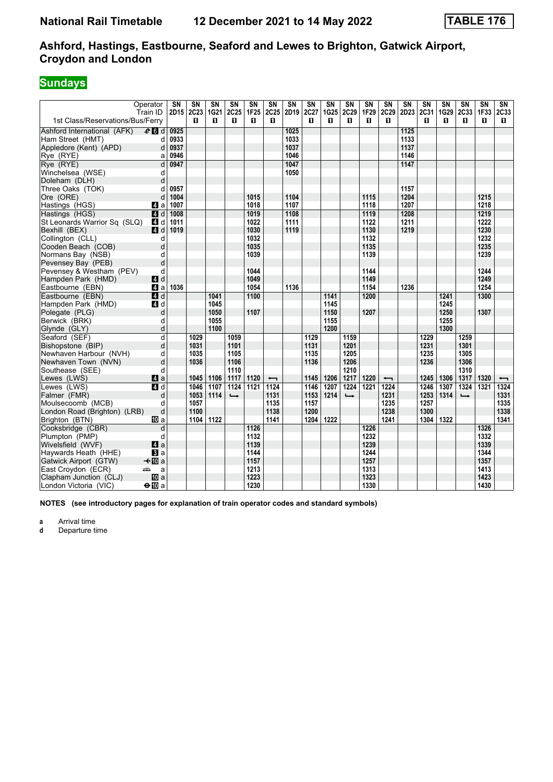### **Sundays**

| Operator<br>Train ID                                                         |              | $\overline{\text{SN}}$<br>2D15 | $\overline{\text{SN}}$<br>2C23 | $\overline{\text{SN}}$<br>1G21 | $\overline{\text{SN}}$<br>2C25 | $\overline{\text{SN}}$<br><b>1F25</b> | $\overline{\text{SN}}$<br>2C25 | $\overline{\text{SN}}$<br>2D <sub>19</sub> | $\overline{\text{SN}}$<br>2C27 | $\overline{\text{SN}}$<br>1G25 | $\overline{\text{SN}}$<br>2C29 | $\overline{\text{SN}}$<br>1F29 | $\overline{\text{SN}}$<br>2C29 | $\overline{\text{SN}}$<br>2D23 2C31 | $\overline{\text{SN}}$ | $\overline{\text{SN}}$<br>1G29 | $\overline{\text{SN}}$<br>2C33 | $\overline{\text{SN}}$<br>1F33 | $\overline{\text{SN}}$<br>2C33 |
|------------------------------------------------------------------------------|--------------|--------------------------------|--------------------------------|--------------------------------|--------------------------------|---------------------------------------|--------------------------------|--------------------------------------------|--------------------------------|--------------------------------|--------------------------------|--------------------------------|--------------------------------|-------------------------------------|------------------------|--------------------------------|--------------------------------|--------------------------------|--------------------------------|
| 1st Class/Reservations/Bus/Ferry                                             |              |                                | п                              | п                              | п                              | п                                     | п                              |                                            | п                              | п                              | п                              | п                              | п                              |                                     | п                      | п                              | п                              | п                              | п                              |
| Ashford International (AFK)<br>$e$ $d$                                       |              | 0925                           |                                |                                |                                |                                       |                                | 1025                                       |                                |                                |                                |                                |                                | 1125                                |                        |                                |                                |                                |                                |
| Ham Street (HMT)                                                             | d            | 0933                           |                                |                                |                                |                                       |                                | 1033                                       |                                |                                |                                |                                |                                | 1133                                |                        |                                |                                |                                |                                |
| Appledore (Kent) (APD)                                                       | d            | 0937                           |                                |                                |                                |                                       |                                | 1037                                       |                                |                                |                                |                                |                                | 1137                                |                        |                                |                                |                                |                                |
| Rye (RYE)                                                                    | a            | 0946                           |                                |                                |                                |                                       |                                | 1046                                       |                                |                                |                                |                                |                                | 1146                                |                        |                                |                                |                                |                                |
| Rye (RYE)<br>Winchelsea (WSE)                                                | d<br>d       | 0947                           |                                |                                |                                |                                       |                                | 1047<br>1050                               |                                |                                |                                |                                |                                | 1147                                |                        |                                |                                |                                |                                |
| Doleham (DLH)                                                                | d            |                                |                                |                                |                                |                                       |                                |                                            |                                |                                |                                |                                |                                |                                     |                        |                                |                                |                                |                                |
| Three Oaks (TOK)                                                             | d            | 0957                           |                                |                                |                                |                                       |                                |                                            |                                |                                |                                |                                |                                | 1157                                |                        |                                |                                |                                |                                |
| Ore (ORE)                                                                    | d            | 1004                           |                                |                                |                                | 1015                                  |                                | 1104                                       |                                |                                |                                | 1115                           |                                | 1204                                |                        |                                |                                | 1215                           |                                |
| Hastings (HGS)<br>ZI a                                                       |              | 1007                           |                                |                                |                                | 1018                                  |                                | 1107                                       |                                |                                |                                | 1118                           |                                | 1207                                |                        |                                |                                | 1218                           |                                |
| Hastings (HGS)<br>$\blacksquare$ d                                           |              | 1008                           |                                |                                |                                | 1019                                  |                                | 1108                                       |                                |                                |                                | 1119                           |                                | 1208                                |                        |                                |                                | 1219                           |                                |
| St Leonards Warrior Sq (SLQ)<br>4 d                                          |              | 1011                           |                                |                                |                                | 1022                                  |                                | 1111                                       |                                |                                |                                | 1122                           |                                | 1211                                |                        |                                |                                | 1222                           |                                |
| Bexhill (BEX)<br>4d                                                          |              | 1019                           |                                |                                |                                | 1030                                  |                                | 1119                                       |                                |                                |                                | 1130                           |                                | 1219                                |                        |                                |                                | 1230                           |                                |
| Collington (CLL)                                                             | d            |                                |                                |                                |                                | 1032                                  |                                |                                            |                                |                                |                                | 1132                           |                                |                                     |                        |                                |                                | 1232                           |                                |
| Cooden Beach (COB)                                                           | d            |                                |                                |                                |                                | 1035                                  |                                |                                            |                                |                                |                                | 1135                           |                                |                                     |                        |                                |                                | 1235                           |                                |
| Normans Bay (NSB)                                                            | d            |                                |                                |                                |                                | 1039                                  |                                |                                            |                                |                                |                                | 1139                           |                                |                                     |                        |                                |                                | 1239                           |                                |
| Pevensey Bay (PEB)<br>Pevensey & Westham (PEV)                               | d<br>d       |                                |                                |                                |                                | 1044                                  |                                |                                            |                                |                                |                                | 1144                           |                                |                                     |                        |                                |                                | 1244                           |                                |
| 4d<br>Hampden Park (HMD)                                                     |              |                                |                                |                                |                                | 1049                                  |                                |                                            |                                |                                |                                | 1149                           |                                |                                     |                        |                                |                                | 1249                           |                                |
| ZI a<br>Eastbourne (EBN)                                                     |              | 1036                           |                                |                                |                                | 1054                                  |                                | 1136                                       |                                |                                |                                | 1154                           |                                | 1236                                |                        |                                |                                | 1254                           |                                |
| Eastbourne (EBN)<br>4d                                                       |              |                                |                                | 1041                           |                                | 1100                                  |                                |                                            |                                | 1141                           |                                | 1200                           |                                |                                     |                        | 1241                           |                                | 1300                           |                                |
| Hampden Park (HMD)<br>4 d                                                    |              |                                |                                | 1045                           |                                |                                       |                                |                                            |                                | 1145                           |                                |                                |                                |                                     |                        | 1245                           |                                |                                |                                |
| Polegate (PLG)                                                               | d            |                                |                                | 1050                           |                                | 1107                                  |                                |                                            |                                | 1150                           |                                | 1207                           |                                |                                     |                        | 1250                           |                                | 1307                           |                                |
| Berwick (BRK)                                                                | d            |                                |                                | 1055                           |                                |                                       |                                |                                            |                                | 1155                           |                                |                                |                                |                                     |                        | 1255                           |                                |                                |                                |
| Glynde (GLY)                                                                 | d            |                                |                                | 1100                           |                                |                                       |                                |                                            |                                | 1200                           |                                |                                |                                |                                     |                        | 1300                           |                                |                                |                                |
| Seaford (SEF)                                                                | d            |                                | 1029                           |                                | 1059                           |                                       |                                |                                            | 1129                           |                                | 1159                           |                                |                                |                                     | 1229                   |                                | 1259                           |                                |                                |
| Bishopstone (BIP)                                                            | $\mathsf{d}$ |                                | 1031                           |                                | 1101                           |                                       |                                |                                            | 1131                           |                                | 1201                           |                                |                                |                                     | 1231                   |                                | 1301                           |                                |                                |
| Newhaven Harbour (NVH)                                                       | d            |                                | 1035                           |                                | 1105<br>1106                   |                                       |                                |                                            | 1135<br>1136                   |                                | 1205<br>1206                   |                                |                                |                                     | 1235<br>1236           |                                | 1305<br>1306                   |                                |                                |
| Newhaven Town (NVN)<br>Southease (SEE)                                       | d<br>d       |                                | 1036                           |                                | 1110                           |                                       |                                |                                            |                                |                                | 1210                           |                                |                                |                                     |                        |                                | 1310                           |                                |                                |
| $\blacksquare$ a<br>Lewes (LWS)                                              |              |                                | 1045                           | 1106                           | 1117                           | 1120                                  | $\overline{\phantom{0}}$       |                                            | 1145                           | 1206                           | 1217                           | 1220                           | $\overline{\phantom{0}}$       |                                     | 1245                   | 1306                           | 1317                           | 1320                           | $\overline{\phantom{0}}$       |
| Lewes (LWS)<br><b>ZI</b> d                                                   |              |                                | 1046                           | 1107                           | 1124                           | 1121                                  | 1124                           |                                            | 1146                           | 1207                           | 1224                           | 1221                           | 1224                           |                                     | 1246                   | 1307                           | 1324                           | $\overline{1321}$              | 1324                           |
| Falmer (FMR)                                                                 | d            |                                | 1053                           | 1114                           | $\rightarrow$                  |                                       | 1131                           |                                            | 1153                           | 1214                           | $\rightarrow$                  |                                | 1231                           |                                     | 1253                   | 1314                           | $\rightarrow$                  |                                | 1331                           |
| Moulsecoomb (MCB)                                                            | d            |                                | 1057                           |                                |                                |                                       | 1135                           |                                            | 1157                           |                                |                                |                                | 1235                           |                                     | 1257                   |                                |                                |                                | 1335                           |
| London Road (Brighton) (LRB)                                                 | d            |                                | 1100                           |                                |                                |                                       | 1138                           |                                            | 1200                           |                                |                                |                                | 1238                           |                                     | 1300                   |                                |                                |                                | 1338                           |
| [[] a<br>Brighton (BTN)                                                      |              |                                | 1104                           | 1122                           |                                |                                       | 1141                           |                                            | 1204                           | 1222                           |                                |                                | 1241                           |                                     | 1304                   | 1322                           |                                |                                | 1341                           |
| Cooksbridge (CBR)                                                            | d            |                                |                                |                                |                                | 1126                                  |                                |                                            |                                |                                |                                | 1226                           |                                |                                     |                        |                                |                                | 1326                           |                                |
| Plumpton (PMP)                                                               | d            |                                |                                |                                |                                | 1132                                  |                                |                                            |                                |                                |                                | 1232                           |                                |                                     |                        |                                |                                | 1332                           |                                |
| Wivelsfield (WVF)<br>4a                                                      |              |                                |                                |                                |                                | 1139                                  |                                |                                            |                                |                                |                                | 1239                           |                                |                                     |                        |                                |                                | 1339                           |                                |
| Haywards Heath (HHE)<br>$\bf{B}$ a<br><b>√</b> t∐Da<br>Gatwick Airport (GTW) |              |                                |                                |                                |                                | 1144<br>1157                          |                                |                                            |                                |                                |                                | 1244<br>1257                   |                                |                                     |                        |                                |                                | 1344<br>1357                   |                                |
| East Croydon (ECR)<br>پیش                                                    | a            |                                |                                |                                |                                | 1213                                  |                                |                                            |                                |                                |                                | 1313                           |                                |                                     |                        |                                |                                | 1413                           |                                |
| <b>四</b> a<br>Clapham Junction (CLJ)                                         |              |                                |                                |                                |                                | 1223                                  |                                |                                            |                                |                                |                                | 1323                           |                                |                                     |                        |                                |                                | 1423                           |                                |
| $\Theta$ III a<br>London Victoria (VIC)                                      |              |                                |                                |                                |                                | 1230                                  |                                |                                            |                                |                                |                                | 1330                           |                                |                                     |                        |                                |                                | 1430                           |                                |

**NOTES (see introductory pages for explanation of train operator codes and standard symbols)**

**a** Arrival time<br>**d** Departure t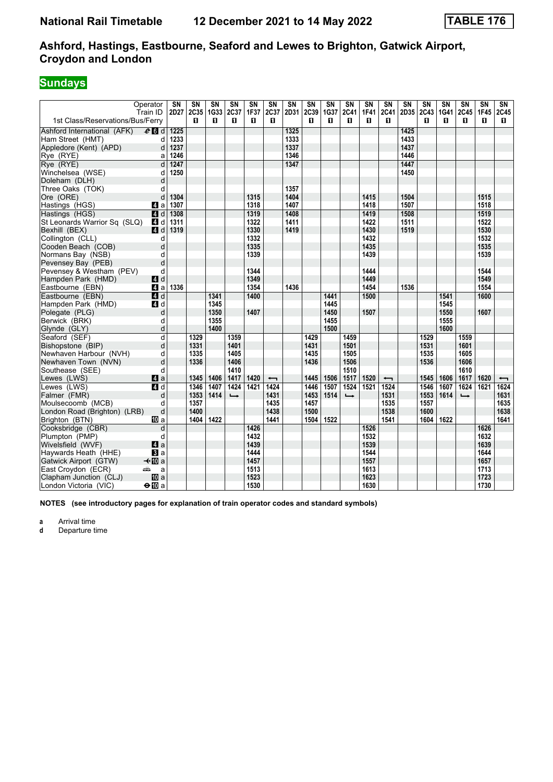### **Sundays**

|                                   | Operator<br>Train ID | $\overline{\text{SN}}$<br>2D27 | $\overline{\text{SN}}$<br>2C35 | $\overline{\text{SN}}$<br>1G33 | <b>SN</b><br>2C37 | $\overline{\text{SN}}$<br>1F37 | $\overline{\text{SN}}$<br>2C37 | $\overline{\text{SN}}$<br>2D31 | $\overline{\text{SN}}$<br>2C39 | $\overline{\text{SN}}$<br>1G37 | $\overline{\text{SN}}$<br>2C41 | $\overline{\text{SN}}$<br>1F41 | $\overline{\text{SN}}$<br>2C41 | $\overline{\text{SN}}$<br>2D35 2C43 | $\overline{\text{SN}}$ | $\overline{\text{SN}}$<br>1G41 | $\overline{\text{SN}}$<br>2C45 | $\overline{\text{SN}}$<br><b>1F45</b> | SN<br>2C45               |
|-----------------------------------|----------------------|--------------------------------|--------------------------------|--------------------------------|-------------------|--------------------------------|--------------------------------|--------------------------------|--------------------------------|--------------------------------|--------------------------------|--------------------------------|--------------------------------|-------------------------------------|------------------------|--------------------------------|--------------------------------|---------------------------------------|--------------------------|
| 1st Class/Reservations/Bus/Ferry  |                      |                                | п                              | п                              | п                 | п                              | п                              |                                | п                              | п                              | п                              | п                              | п                              |                                     | п                      | п                              | п                              | п                                     | П.                       |
| Ashford International (AFK)       | $e$ $d$              | 1225                           |                                |                                |                   |                                |                                | 1325                           |                                |                                |                                |                                |                                | 1425                                |                        |                                |                                |                                       |                          |
| Ham Street (HMT)                  | d                    | 1233                           |                                |                                |                   |                                |                                | 1333                           |                                |                                |                                |                                |                                | 1433                                |                        |                                |                                |                                       |                          |
| Appledore (Kent) (APD)            | d                    | 1237                           |                                |                                |                   |                                |                                | 1337                           |                                |                                |                                |                                |                                | 1437                                |                        |                                |                                |                                       |                          |
| Rye (RYE)                         | a                    | 1246                           |                                |                                |                   |                                |                                | 1346                           |                                |                                |                                |                                |                                | 1446                                |                        |                                |                                |                                       |                          |
| Rye (RYE)                         | d                    | 1247                           |                                |                                |                   |                                |                                | 1347                           |                                |                                |                                |                                |                                | 1447                                |                        |                                |                                |                                       |                          |
| Winchelsea (WSE)                  | d                    | 1250                           |                                |                                |                   |                                |                                |                                |                                |                                |                                |                                |                                | 1450                                |                        |                                |                                |                                       |                          |
| Doleham (DLH)                     | d                    |                                |                                |                                |                   |                                |                                |                                |                                |                                |                                |                                |                                |                                     |                        |                                |                                |                                       |                          |
| Three Oaks (TOK)                  | d                    |                                |                                |                                |                   | 1315                           |                                | 1357                           |                                |                                |                                |                                |                                |                                     |                        |                                |                                |                                       |                          |
| Ore (ORE)                         | d                    | 1304                           |                                |                                |                   |                                |                                | 1404<br>1407                   |                                |                                |                                | 1415                           |                                | 1504                                |                        |                                |                                | 1515                                  |                          |
| Hastings (HGS)                    | ZI a                 | 1307<br>1308                   |                                |                                |                   | 1318<br>1319                   |                                | 1408                           |                                |                                |                                | 1418<br>1419                   |                                | 1507<br>1508                        |                        |                                |                                | 1518<br>1519                          |                          |
| Hastings (HGS)                    | $\blacksquare$ d     | 1311                           |                                |                                |                   | 1322                           |                                | 1411                           |                                |                                |                                | 1422                           |                                | 1511                                |                        |                                |                                | 1522                                  |                          |
| St Leonards Warrior Sq (SLQ)      | 4 d<br>ZI d          | 1319                           |                                |                                |                   | 1330                           |                                | 1419                           |                                |                                |                                | 1430                           |                                | 1519                                |                        |                                |                                | 1530                                  |                          |
| Bexhill (BEX)<br>Collington (CLL) | d                    |                                |                                |                                |                   | 1332                           |                                |                                |                                |                                |                                | 1432                           |                                |                                     |                        |                                |                                | 1532                                  |                          |
| Cooden Beach (COB)                | d                    |                                |                                |                                |                   | 1335                           |                                |                                |                                |                                |                                | 1435                           |                                |                                     |                        |                                |                                | 1535                                  |                          |
| Normans Bay (NSB)                 | d                    |                                |                                |                                |                   | 1339                           |                                |                                |                                |                                |                                | 1439                           |                                |                                     |                        |                                |                                | 1539                                  |                          |
| Pevensey Bay (PEB)                | d                    |                                |                                |                                |                   |                                |                                |                                |                                |                                |                                |                                |                                |                                     |                        |                                |                                |                                       |                          |
| Pevensey & Westham (PEV)          | d                    |                                |                                |                                |                   | 1344                           |                                |                                |                                |                                |                                | 1444                           |                                |                                     |                        |                                |                                | 1544                                  |                          |
| Hampden Park (HMD)                | 4 d                  |                                |                                |                                |                   | 1349                           |                                |                                |                                |                                |                                | 1449                           |                                |                                     |                        |                                |                                | 1549                                  |                          |
| Eastbourne (EBN)                  | ZI a                 | 1336                           |                                |                                |                   | 1354                           |                                | 1436                           |                                |                                |                                | 1454                           |                                | 1536                                |                        |                                |                                | 1554                                  |                          |
| Eastbourne (EBN)                  | $\overline{4}$ d     |                                |                                | 1341                           |                   | 1400                           |                                |                                |                                | 1441                           |                                | 1500                           |                                |                                     |                        | 1541                           |                                | 1600                                  |                          |
| Hampden Park (HMD)                | 4 d                  |                                |                                | 1345                           |                   |                                |                                |                                |                                | 1445                           |                                |                                |                                |                                     |                        | 1545                           |                                |                                       |                          |
| Polegate (PLG)                    | d                    |                                |                                | 1350                           |                   | 1407                           |                                |                                |                                | 1450                           |                                | 1507                           |                                |                                     |                        | 1550                           |                                | 1607                                  |                          |
| Berwick (BRK)                     | d                    |                                |                                | 1355                           |                   |                                |                                |                                |                                | 1455                           |                                |                                |                                |                                     |                        | 1555                           |                                |                                       |                          |
| Glynde (GLY)                      | d                    |                                |                                | 1400                           |                   |                                |                                |                                |                                | 1500                           |                                |                                |                                |                                     |                        | 1600                           |                                |                                       |                          |
| Seaford (SEF)                     | d                    |                                | 1329                           |                                | 1359              |                                |                                |                                | 1429                           |                                | 1459                           |                                |                                |                                     | 1529                   |                                | 1559                           |                                       |                          |
| Bishopstone (BIP)                 | d                    |                                | 1331                           |                                | 1401              |                                |                                |                                | 1431                           |                                | 1501                           |                                |                                |                                     | 1531                   |                                | 1601                           |                                       |                          |
| Newhaven Harbour (NVH)            | d                    |                                | 1335                           |                                | 1405              |                                |                                |                                | 1435                           |                                | 1505                           |                                |                                |                                     | 1535                   |                                | 1605                           |                                       |                          |
| Newhaven Town (NVN)               | d                    |                                | 1336                           |                                | 1406              |                                |                                |                                | 1436                           |                                | 1506                           |                                |                                |                                     | 1536                   |                                | 1606                           |                                       |                          |
| Southease (SEE)                   | d                    |                                |                                |                                | 1410              |                                |                                |                                |                                |                                | 1510                           |                                |                                |                                     |                        |                                | 1610                           |                                       |                          |
| Lewes (LWS)                       | a                    |                                | 1345                           | 1406                           | 1417              | 1420                           | $\overline{\phantom{0}}$       |                                | 1445                           | 1506                           | 1517                           | 1520                           | $\overline{\phantom{0}}$       |                                     | 1545                   | 1606                           | 1617                           | 1620                                  | $\overline{\phantom{0}}$ |
| Lewes (LWS)                       | <b>ZI</b> d          |                                | 1346                           | 1407                           | 1424              | 1421                           | 1424                           |                                | 1446                           | 1507                           | 1524                           | 1521                           | 1524                           |                                     | 1546                   | 1607                           | 1624                           | 1621                                  | 1624                     |
| Falmer (FMR)                      | d                    |                                | 1353                           | 1414                           | $\rightarrow$     |                                | 1431                           |                                | 1453                           | 1514                           | $\rightarrow$                  |                                | 1531                           |                                     | 1553                   | 1614                           | $\rightarrow$                  |                                       | 1631                     |
| Moulsecoomb (MCB)                 | d                    |                                | 1357                           |                                |                   |                                | 1435                           |                                | 1457                           |                                |                                |                                | 1535                           |                                     | 1557                   |                                |                                |                                       | 1635                     |
| London Road (Brighton) (LRB)      | d                    |                                | 1400                           |                                |                   |                                | 1438                           |                                | 1500                           |                                |                                |                                | 1538                           |                                     | 1600                   |                                |                                |                                       | 1638                     |
| Brighton (BTN)                    | <b>M</b> a           |                                | 1404                           | 1422                           |                   |                                | 1441                           |                                | 1504                           | 1522                           |                                |                                | 1541                           |                                     | 1604                   | 1622                           |                                |                                       | 1641                     |
| Cooksbridge (CBR)                 | d                    |                                |                                |                                |                   | 1426                           |                                |                                |                                |                                |                                | 1526                           |                                |                                     |                        |                                |                                | 1626                                  |                          |
| Plumpton (PMP)                    | d                    |                                |                                |                                |                   | 1432                           |                                |                                |                                |                                |                                | 1532                           |                                |                                     |                        |                                |                                | 1632                                  |                          |
| Wivelsfield (WVF)                 | 4a                   |                                |                                |                                |                   | 1439                           |                                |                                |                                |                                |                                | 1539                           |                                |                                     |                        |                                |                                | 1639                                  |                          |
| Haywards Heath (HHE)              | $\bf{B}$ a           |                                |                                |                                |                   | 1444                           |                                |                                |                                |                                |                                | 1544                           |                                |                                     |                        |                                |                                | 1644                                  |                          |
| Gatwick Airport (GTW)             | <b>√</b> IIIa        |                                |                                |                                |                   | 1457                           |                                |                                |                                |                                |                                | 1557                           |                                |                                     |                        |                                |                                | 1657                                  |                          |
| East Croydon (ECR)                | پیش<br>a             |                                |                                |                                |                   | 1513                           |                                |                                |                                |                                |                                | 1613                           |                                |                                     |                        |                                |                                | 1713                                  |                          |
| Clapham Junction (CLJ)            | <b>四</b> a           |                                |                                |                                |                   | 1523                           |                                |                                |                                |                                |                                | 1623                           |                                |                                     |                        |                                |                                | 1723                                  |                          |
| London Victoria (VIC)             | $\Theta$ III a       |                                |                                |                                |                   | 1530                           |                                |                                |                                |                                |                                | 1630                           |                                |                                     |                        |                                |                                | 1730                                  |                          |

**NOTES (see introductory pages for explanation of train operator codes and standard symbols)**

**a** Arrival time<br>**d** Departure t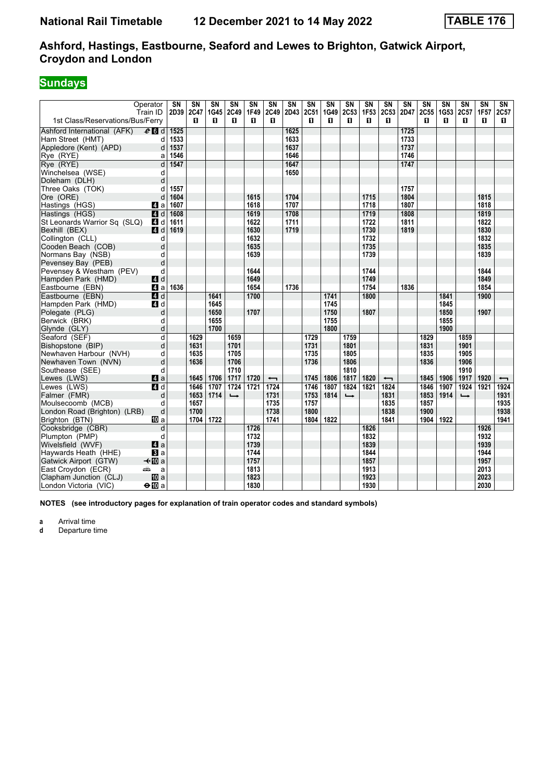### **Sundays**

|                                                | Operator<br>Train ID | $\overline{\text{SN}}$<br>2D39 | $\overline{\text{SN}}$<br>2C47 | $\overline{\text{SN}}$<br>1G45 | <b>SN</b><br>2C49 | $\overline{\text{SN}}$<br>1F49 | $\overline{\text{SN}}$<br>2C49 | $\overline{\text{SN}}$<br>2D43 | $\overline{\text{SN}}$<br>2C51 | $\overline{\text{SN}}$<br>1G49 | $\overline{\text{SN}}$<br>2C53 | $\overline{\text{SN}}$<br>1F53 | $\overline{\text{SN}}$<br>2C53 | $\overline{\text{SN}}$<br>2D47 | $\overline{\text{SN}}$<br>2C55 | $\overline{\text{SN}}$<br>1G53 | $\overline{\text{SN}}$<br>2C57 | $\overline{\text{SN}}$<br><b>1F57</b> | SN<br>2C57               |
|------------------------------------------------|----------------------|--------------------------------|--------------------------------|--------------------------------|-------------------|--------------------------------|--------------------------------|--------------------------------|--------------------------------|--------------------------------|--------------------------------|--------------------------------|--------------------------------|--------------------------------|--------------------------------|--------------------------------|--------------------------------|---------------------------------------|--------------------------|
| 1st Class/Reservations/Bus/Ferry               |                      |                                | п                              | п                              | п                 | п                              | п                              |                                | п                              | п                              | п                              | п                              | п                              |                                | п                              | п                              | п                              | п                                     | П.                       |
| Ashford International (AFK)                    | $e$ $d$              | 1525                           |                                |                                |                   |                                |                                | 1625                           |                                |                                |                                |                                |                                | 1725                           |                                |                                |                                |                                       |                          |
| Ham Street (HMT)                               | d                    | 1533                           |                                |                                |                   |                                |                                | 1633                           |                                |                                |                                |                                |                                | 1733                           |                                |                                |                                |                                       |                          |
| Appledore (Kent) (APD)                         | d                    | 1537                           |                                |                                |                   |                                |                                | 1637                           |                                |                                |                                |                                |                                | 1737                           |                                |                                |                                |                                       |                          |
| Rye (RYE)                                      | a                    | 1546                           |                                |                                |                   |                                |                                | 1646                           |                                |                                |                                |                                |                                | 1746                           |                                |                                |                                |                                       |                          |
| Rye (RYE)                                      | d                    | 1547                           |                                |                                |                   |                                |                                | 1647                           |                                |                                |                                |                                |                                | 1747                           |                                |                                |                                |                                       |                          |
| Winchelsea (WSE)                               | d                    |                                |                                |                                |                   |                                |                                | 1650                           |                                |                                |                                |                                |                                |                                |                                |                                |                                |                                       |                          |
| Doleham (DLH)                                  | d                    |                                |                                |                                |                   |                                |                                |                                |                                |                                |                                |                                |                                |                                |                                |                                |                                |                                       |                          |
| Three Oaks (TOK)                               | d                    | 1557                           |                                |                                |                   |                                |                                |                                |                                |                                |                                |                                |                                | 1757                           |                                |                                |                                |                                       |                          |
| Ore (ORE)                                      | d                    | 1604                           |                                |                                |                   | 1615                           |                                | 1704                           |                                |                                |                                | 1715                           |                                | 1804                           |                                |                                |                                | 1815                                  |                          |
| Hastings (HGS)                                 | ZI a                 | 1607                           |                                |                                |                   | 1618                           |                                | 1707                           |                                |                                |                                | 1718                           |                                | 1807                           |                                |                                |                                | 1818                                  |                          |
| Hastings (HGS)                                 | $\blacksquare$ d     | 1608                           |                                |                                |                   | 1619                           |                                | 1708                           |                                |                                |                                | 1719                           |                                | 1808                           |                                |                                |                                | 1819                                  |                          |
| St Leonards Warrior Sq (SLQ)                   | 4 d                  | 1611                           |                                |                                |                   | 1622                           |                                | 1711                           |                                |                                |                                | 1722                           |                                | 1811                           |                                |                                |                                | 1822                                  |                          |
| Bexhill (BEX)                                  | ZI d                 | 1619                           |                                |                                |                   | 1630                           |                                | 1719                           |                                |                                |                                | 1730                           |                                | 1819                           |                                |                                |                                | 1830                                  |                          |
| Collington (CLL)                               | d                    |                                |                                |                                |                   | 1632                           |                                |                                |                                |                                |                                | 1732<br>1735                   |                                |                                |                                |                                |                                | 1832<br>1835                          |                          |
| Cooden Beach (COB)                             | d<br>d               |                                |                                |                                |                   | 1635<br>1639                   |                                |                                |                                |                                |                                | 1739                           |                                |                                |                                |                                |                                | 1839                                  |                          |
| Normans Bay (NSB)                              | d                    |                                |                                |                                |                   |                                |                                |                                |                                |                                |                                |                                |                                |                                |                                |                                |                                |                                       |                          |
| Pevensey Bay (PEB)                             | d                    |                                |                                |                                |                   | 1644                           |                                |                                |                                |                                |                                | 1744                           |                                |                                |                                |                                |                                | 1844                                  |                          |
| Pevensey & Westham (PEV)<br>Hampden Park (HMD) | 4 d                  |                                |                                |                                |                   | 1649                           |                                |                                |                                |                                |                                | 1749                           |                                |                                |                                |                                |                                | 1849                                  |                          |
| Eastbourne (EBN)                               | ZI a                 | 1636                           |                                |                                |                   | 1654                           |                                | 1736                           |                                |                                |                                | 1754                           |                                | 1836                           |                                |                                |                                | 1854                                  |                          |
| Eastbourne (EBN)                               | $\overline{4}$ d     |                                |                                | 1641                           |                   | 1700                           |                                |                                |                                | 1741                           |                                | 1800                           |                                |                                |                                | 1841                           |                                | 1900                                  |                          |
| Hampden Park (HMD)                             | 4 d                  |                                |                                | 1645                           |                   |                                |                                |                                |                                | 1745                           |                                |                                |                                |                                |                                | 1845                           |                                |                                       |                          |
| Polegate (PLG)                                 | d                    |                                |                                | 1650                           |                   | 1707                           |                                |                                |                                | 1750                           |                                | 1807                           |                                |                                |                                | 1850                           |                                | 1907                                  |                          |
| Berwick (BRK)                                  | d                    |                                |                                | 1655                           |                   |                                |                                |                                |                                | 1755                           |                                |                                |                                |                                |                                | 1855                           |                                |                                       |                          |
| Glynde (GLY)                                   | d                    |                                |                                | 1700                           |                   |                                |                                |                                |                                | 1800                           |                                |                                |                                |                                |                                | 1900                           |                                |                                       |                          |
| Seaford (SEF)                                  | d                    |                                | 1629                           |                                | 1659              |                                |                                |                                | 1729                           |                                | 1759                           |                                |                                |                                | 1829                           |                                | 1859                           |                                       |                          |
| Bishopstone (BIP)                              | d                    |                                | 1631                           |                                | 1701              |                                |                                |                                | 1731                           |                                | 1801                           |                                |                                |                                | 1831                           |                                | 1901                           |                                       |                          |
| Newhaven Harbour (NVH)                         | d                    |                                | 1635                           |                                | 1705              |                                |                                |                                | 1735                           |                                | 1805                           |                                |                                |                                | 1835                           |                                | 1905                           |                                       |                          |
| Newhaven Town (NVN)                            | d                    |                                | 1636                           |                                | 1706              |                                |                                |                                | 1736                           |                                | 1806                           |                                |                                |                                | 1836                           |                                | 1906                           |                                       |                          |
| Southease (SEE)                                | d                    |                                |                                |                                | 1710              |                                |                                |                                |                                |                                | 1810                           |                                |                                |                                |                                |                                | 1910                           |                                       |                          |
| Lewes (LWS)                                    | a                    |                                | 1645                           | 1706                           | 1717              | 1720                           | $\overline{\phantom{0}}$       |                                | 1745                           | 1806                           | 1817                           | 1820                           | $\overline{\phantom{0}}$       |                                | 1845                           | 1906                           | 1917                           | 1920                                  | $\overline{\phantom{0}}$ |
| Lewes (LWS)                                    | <b>ZI</b> d          |                                | 1646                           | 1707                           | 1724              | 1721                           | 1724                           |                                | 1746                           | 1807                           | 1824                           | 1821                           | 1824                           |                                | 1846                           | 1907                           | 1924                           | 1921                                  | 1924                     |
| Falmer (FMR)                                   | d                    |                                | 1653                           | 1714                           | $\rightarrow$     |                                | 1731                           |                                | 1753                           | 1814                           | $\rightarrow$                  |                                | 1831                           |                                | 1853                           | 1914                           | $\rightarrow$                  |                                       | 1931                     |
| Moulsecoomb (MCB)                              | d                    |                                | 1657                           |                                |                   |                                | 1735                           |                                | 1757                           |                                |                                |                                | 1835                           |                                | 1857                           |                                |                                |                                       | 1935                     |
| London Road (Brighton) (LRB)                   | d                    |                                | 1700                           |                                |                   |                                | 1738                           |                                | 1800                           |                                |                                |                                | 1838                           |                                | 1900                           |                                |                                |                                       | 1938                     |
| Brighton (BTN)                                 | <b>M</b> a           |                                | 1704                           | 1722                           |                   |                                | 1741                           |                                | 1804                           | 1822                           |                                |                                | 1841                           |                                | 1904                           | 1922                           |                                |                                       | 1941                     |
| Cooksbridge (CBR)                              | d                    |                                |                                |                                |                   | 1726                           |                                |                                |                                |                                |                                | 1826                           |                                |                                |                                |                                |                                | 1926                                  |                          |
| Plumpton (PMP)                                 | d                    |                                |                                |                                |                   | 1732                           |                                |                                |                                |                                |                                | 1832                           |                                |                                |                                |                                |                                | 1932                                  |                          |
| Wivelsfield (WVF)                              | 4a                   |                                |                                |                                |                   | 1739                           |                                |                                |                                |                                |                                | 1839                           |                                |                                |                                |                                |                                | 1939                                  |                          |
| Haywards Heath (HHE)                           | $\bf{B}$ a           |                                |                                |                                |                   | 1744                           |                                |                                |                                |                                |                                | 1844                           |                                |                                |                                |                                |                                | 1944                                  |                          |
| Gatwick Airport (GTW)                          | <b>√</b> IIIa        |                                |                                |                                |                   | 1757                           |                                |                                |                                |                                |                                | 1857                           |                                |                                |                                |                                |                                | 1957                                  |                          |
| East Croydon (ECR)                             | پیش<br>a             |                                |                                |                                |                   | 1813                           |                                |                                |                                |                                |                                | 1913                           |                                |                                |                                |                                |                                | 2013                                  |                          |
| Clapham Junction (CLJ)                         | <b>四</b> a           |                                |                                |                                |                   | 1823                           |                                |                                |                                |                                |                                | 1923                           |                                |                                |                                |                                |                                | 2023                                  |                          |
| London Victoria (VIC)                          | $\Theta$ III a       |                                |                                |                                |                   | 1830                           |                                |                                |                                |                                |                                | 1930                           |                                |                                |                                |                                |                                | 2030                                  |                          |

**NOTES (see introductory pages for explanation of train operator codes and standard symbols)**

**a** Arrival time<br>**d** Departure t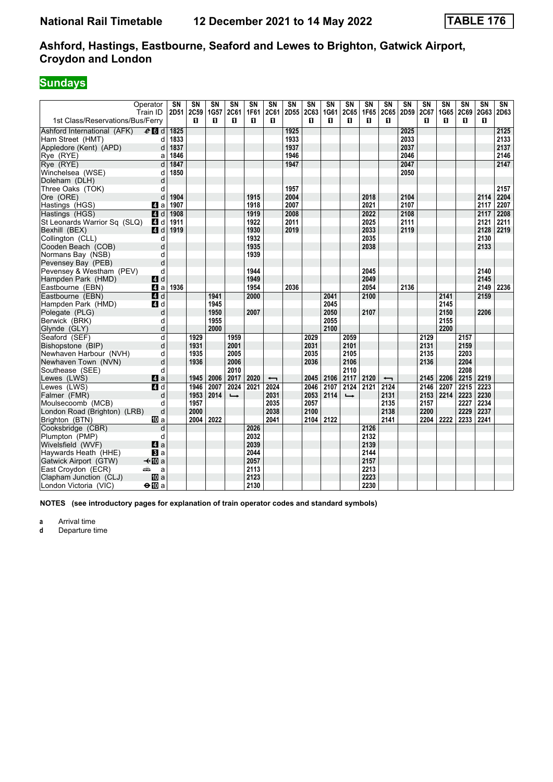### **Sundays**

|                                     | Operator<br>Train ID | $\overline{\text{SN}}$<br>2D51 | $\overline{\text{SN}}$<br>2C59 | $\overline{\text{SN}}$<br>1G57 | $\overline{\text{SN}}$<br>2C61 | $\overline{\text{SN}}$<br>1F61 | $\overline{\text{SN}}$<br>2C61   | $\overline{\text{SN}}$<br>2D55 | $\overline{\text{SN}}$<br><b>2C63</b> | $\overline{\text{SN}}$<br>1G61 | $\overline{\text{SN}}$<br><b>2C65</b> | $\overline{\text{SN}}$<br>1F65 | $\overline{\text{SN}}$<br>2C65   | $\overline{\text{SN}}$<br>2D59 | $\overline{\text{SN}}$<br>2C67 | $\overline{\text{SN}}$<br>1G65 | $\overline{\text{SN}}$<br>2C69 | $\overline{\text{SN}}$<br>2G63 | SN<br>2D63 |
|-------------------------------------|----------------------|--------------------------------|--------------------------------|--------------------------------|--------------------------------|--------------------------------|----------------------------------|--------------------------------|---------------------------------------|--------------------------------|---------------------------------------|--------------------------------|----------------------------------|--------------------------------|--------------------------------|--------------------------------|--------------------------------|--------------------------------|------------|
| 1st Class/Reservations/Bus/Ferry    |                      |                                | п                              | п                              | п                              | п                              | п                                |                                | п                                     | п                              | п                                     | п                              | п                                |                                | п                              | п                              | п                              | п                              |            |
| Ashford International (AFK)         | $e$ d d              | 1825                           |                                |                                |                                |                                |                                  | 1925                           |                                       |                                |                                       |                                |                                  | 2025                           |                                |                                |                                |                                | 2125       |
| Ham Street (HMT)                    | d                    | 1833                           |                                |                                |                                |                                |                                  | 1933                           |                                       |                                |                                       |                                |                                  | 2033                           |                                |                                |                                |                                | 2133       |
| Appledore (Kent) (APD)              | d                    | 1837                           |                                |                                |                                |                                |                                  | 1937                           |                                       |                                |                                       |                                |                                  | 2037                           |                                |                                |                                |                                | 2137       |
| Rye (RYE)                           | a                    | 1846                           |                                |                                |                                |                                |                                  | 1946                           |                                       |                                |                                       |                                |                                  | 2046                           |                                |                                |                                |                                | 2146       |
| Rve (RYE)                           | d                    | 1847                           |                                |                                |                                |                                |                                  | 1947                           |                                       |                                |                                       |                                |                                  | 2047                           |                                |                                |                                |                                | 2147       |
| Winchelsea (WSE)                    | d                    | 1850                           |                                |                                |                                |                                |                                  |                                |                                       |                                |                                       |                                |                                  | 2050                           |                                |                                |                                |                                |            |
| Doleham (DLH)                       | d                    |                                |                                |                                |                                |                                |                                  |                                |                                       |                                |                                       |                                |                                  |                                |                                |                                |                                |                                |            |
| Three Oaks (TOK)                    | d                    |                                |                                |                                |                                |                                |                                  | 1957                           |                                       |                                |                                       |                                |                                  |                                |                                |                                |                                |                                | 2157       |
| Ore (ORE)                           | d                    | 1904                           |                                |                                |                                | 1915                           |                                  | 2004                           |                                       |                                |                                       | 2018                           |                                  | 2104                           |                                |                                |                                | 2114                           | 2204       |
| Hastings (HGS)                      | ZI a                 | 1907                           |                                |                                |                                | 1918                           |                                  | 2007                           |                                       |                                |                                       | 2021                           |                                  | 2107                           |                                |                                |                                | 2117                           | 2207       |
| Hastings (HGS)                      | $\blacksquare$ d     | 1908                           |                                |                                |                                | 1919                           |                                  | 2008                           |                                       |                                |                                       | 2022                           |                                  | 2108                           |                                |                                |                                | 2117                           | 2208       |
| St Leonards Warrior Sq (SLQ)        | 4 d                  | 1911                           |                                |                                |                                | 1922                           |                                  | 2011                           |                                       |                                |                                       | 2025                           |                                  | 2111                           |                                |                                |                                | 2121                           | 2211       |
| Bexhill (BEX)                       | 4d                   | 1919                           |                                |                                |                                | 1930                           |                                  | 2019                           |                                       |                                |                                       | 2033                           |                                  | 2119                           |                                |                                |                                | 2128                           | 2219       |
| Collington (CLL)                    | d                    |                                |                                |                                |                                | 1932                           |                                  |                                |                                       |                                |                                       | 2035                           |                                  |                                |                                |                                |                                | 2130                           |            |
| Cooden Beach (COB)                  | d                    |                                |                                |                                |                                | 1935                           |                                  |                                |                                       |                                |                                       | 2038                           |                                  |                                |                                |                                |                                | 2133                           |            |
| Normans Bay (NSB)                   | d                    |                                |                                |                                |                                | 1939                           |                                  |                                |                                       |                                |                                       |                                |                                  |                                |                                |                                |                                |                                |            |
| Pevensey Bay (PEB)                  | d                    |                                |                                |                                |                                |                                |                                  |                                |                                       |                                |                                       |                                |                                  |                                |                                |                                |                                |                                |            |
| Pevensey & Westham (PEV)            | d                    |                                |                                |                                |                                | 1944                           |                                  |                                |                                       |                                |                                       | 2045                           |                                  |                                |                                |                                |                                | 2140                           |            |
| Hampden Park (HMD)                  | 4d                   |                                |                                |                                |                                | 1949                           |                                  |                                |                                       |                                |                                       | 2049                           |                                  |                                |                                |                                |                                | 2145                           |            |
| Eastbourne (EBN)                    | 4a                   | 1936                           |                                |                                |                                | 1954                           |                                  | 2036                           |                                       |                                |                                       | 2054                           |                                  | 2136                           |                                |                                |                                | 2149                           | 2236       |
| Eastbourne (EBN)                    | 4d                   |                                |                                | 1941                           |                                | 2000                           |                                  |                                |                                       | 2041                           |                                       | 2100                           |                                  |                                |                                | 2141                           |                                | 2159                           |            |
| Hampden Park (HMD)                  | 4 d                  |                                |                                | 1945                           |                                |                                |                                  |                                |                                       | 2045                           |                                       |                                |                                  |                                |                                | 2145                           |                                |                                |            |
| Polegate (PLG)                      | d                    |                                |                                | 1950                           |                                | 2007                           |                                  |                                |                                       | 2050                           |                                       | 2107                           |                                  |                                |                                | 2150                           |                                | 2206                           |            |
| Berwick (BRK)                       | d                    |                                |                                | 1955                           |                                |                                |                                  |                                |                                       | 2055                           |                                       |                                |                                  |                                |                                | 2155                           |                                |                                |            |
| Glynde (GLY)                        | d                    |                                |                                | 2000                           |                                |                                |                                  |                                |                                       | 2100                           |                                       |                                |                                  |                                |                                | 2200                           |                                |                                |            |
| Seaford (SEF)                       | d                    |                                | 1929                           |                                | 1959                           |                                |                                  |                                | 2029                                  |                                | 2059                                  |                                |                                  |                                | 2129                           |                                | 2157                           |                                |            |
| Bishopstone (BIP)                   | d                    |                                | 1931                           |                                | 2001                           |                                |                                  |                                | 2031                                  |                                | 2101                                  |                                |                                  |                                | 2131                           |                                | 2159                           |                                |            |
| Newhaven Harbour (NVH)              | d                    |                                | 1935                           |                                | 2005                           |                                |                                  |                                | 2035                                  |                                | 2105                                  |                                |                                  |                                | 2135                           |                                | 2203                           |                                |            |
| Newhaven Town (NVN)                 | d                    |                                | 1936                           |                                | 2006                           |                                |                                  |                                | 2036                                  |                                | 2106                                  |                                |                                  |                                | 2136                           |                                | 2204                           |                                |            |
| Southease (SEE)                     | d                    |                                |                                |                                | 2010                           |                                |                                  |                                |                                       |                                | 2110<br>2117                          |                                |                                  |                                |                                |                                | 2208                           |                                |            |
| Lewes (LWS)                         | 4a                   |                                | 1945<br>1946                   | 2006<br>2007                   | 2017<br>2024                   | 2020<br>2021                   | $\overline{\phantom{0}}$<br>2024 |                                | 2045                                  | 2106<br>2107                   | 2124                                  | 2120<br>2121                   | $\overline{\phantom{0}}$<br>2124 |                                | 2145                           | 2206                           | 2215                           | 2219<br>2223                   |            |
| Lewes (LWS)                         | $\blacksquare$ d     |                                |                                |                                |                                |                                |                                  |                                | 2046                                  |                                |                                       |                                |                                  |                                | 2146                           | 2207                           | 2215                           |                                |            |
| Falmer (FMR)<br>Moulsecoomb (MCB)   | d<br>d               |                                | 1953<br>1957                   | 2014                           | $\rightarrow$                  |                                | 2031<br>2035                     |                                | 2053<br>2057                          | 2114                           | $\rightarrow$                         |                                | 2131<br>2135                     |                                | 2153<br>2157                   | 2214                           | 2223<br>2227                   | 2230<br>2234                   |            |
| London Road (Brighton) (LRB)        | d                    |                                | 2000                           |                                |                                |                                | 2038                             |                                | 2100                                  |                                |                                       |                                | 2138                             |                                | 2200                           |                                | 2229                           | 2237                           |            |
| Brighton (BTN)                      | 们 a                  |                                | 2004                           | 2022                           |                                |                                | 2041                             |                                | 2104                                  | 2122                           |                                       |                                | 2141                             |                                | 2204                           | 2222                           | 2233                           | 2241                           |            |
| Cooksbridge (CBR)                   | d                    |                                |                                |                                |                                | 2026                           |                                  |                                |                                       |                                |                                       | 2126                           |                                  |                                |                                |                                |                                |                                |            |
|                                     | d                    |                                |                                |                                |                                | 2032                           |                                  |                                |                                       |                                |                                       | 2132                           |                                  |                                |                                |                                |                                |                                |            |
| Plumpton (PMP)<br>Wivelsfield (WVF) | 4a                   |                                |                                |                                |                                | 2039                           |                                  |                                |                                       |                                |                                       | 2139                           |                                  |                                |                                |                                |                                |                                |            |
| Haywards Heath (HHE)                | $\bf{3}$ a           |                                |                                |                                |                                | 2044                           |                                  |                                |                                       |                                |                                       | 2144                           |                                  |                                |                                |                                |                                |                                |            |
| Gatwick Airport (GTW)               | $\triangleleft$ 10 a |                                |                                |                                |                                | 2057                           |                                  |                                |                                       |                                |                                       | 2157                           |                                  |                                |                                |                                |                                |                                |            |
| East Croydon (ECR)                  | æ<br>a               |                                |                                |                                |                                | 2113                           |                                  |                                |                                       |                                |                                       | 2213                           |                                  |                                |                                |                                |                                |                                |            |
| Clapham Junction (CLJ)              | <b>ID</b> a          |                                |                                |                                |                                | 2123                           |                                  |                                |                                       |                                |                                       | 2223                           |                                  |                                |                                |                                |                                |                                |            |
| London Victoria (VIC)               | $\Theta$ III a       |                                |                                |                                |                                | 2130                           |                                  |                                |                                       |                                |                                       | 2230                           |                                  |                                |                                |                                |                                |                                |            |
|                                     |                      |                                |                                |                                |                                |                                |                                  |                                |                                       |                                |                                       |                                |                                  |                                |                                |                                |                                |                                |            |

**NOTES (see introductory pages for explanation of train operator codes and standard symbols)**

**a** Arrival time<br>**d** Departure t